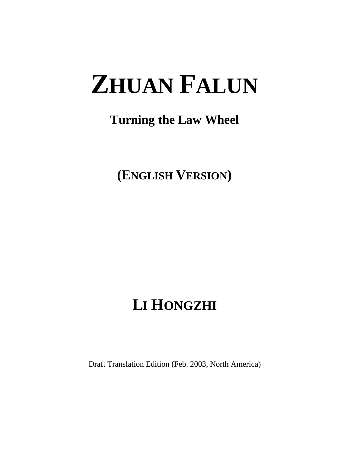# **ZHUAN FALUN**

# **Turning the Law Wheel**

**(ENGLISH VERSION)**

# **LI HONGZHI**

Draft Translation Edition (Feb. 2003, North America)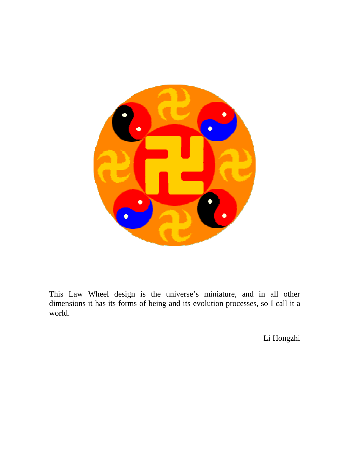

This Law Wheel design is the universe's miniature, and in all other dimensions it has its forms of being and its evolution processes, so I call it a world.

Li Hongzhi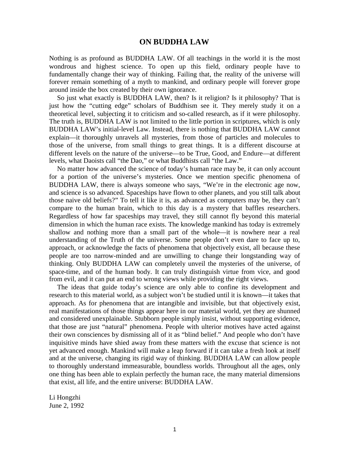### <span id="page-2-0"></span>**ON BUDDHA LAW**

Nothing is as profound as BUDDHA LAW. Of all teachings in the world it is the most wondrous and highest science. To open up this field, ordinary people have to fundamentally change their way of thinking. Failing that, the reality of the universe will forever remain something of a myth to mankind, and ordinary people will forever grope around inside the box created by their own ignorance.

So just what exactly is BUDDHA LAW, then? Is it religion? Is it philosophy? That is just how the "cutting edge" scholars of Buddhism see it. They merely study it on a theoretical level, subjecting it to criticism and so-called research, as if it were philosophy. The truth is, BUDDHA LAW is not limited to the little portion in scriptures, which is only BUDDHA LAW's initial-level Law. Instead, there is nothing that BUDDHA LAW cannot explain—it thoroughly unravels all mysteries, from those of particles and molecules to those of the universe, from small things to great things. It is a different discourse at different levels on the nature of the universe—to be True, Good, and Endure—at different levels, what Daoists call "the Dao," or what Buddhists call "the Law."

No matter how advanced the science of today's human race may be, it can only account for a portion of the universe's mysteries. Once we mention specific phenomena of BUDDHA LAW, there is always someone who says, "We're in the electronic age now, and science is so advanced. Spaceships have flown to other planets, and you still talk about those naive old beliefs?" To tell it like it is, as advanced as computers may be, they can't compare to the human brain, which to this day is a mystery that baffles researchers. Regardless of how far spaceships may travel, they still cannot fly beyond this material dimension in which the human race exists. The knowledge mankind has today is extremely shallow and nothing more than a small part of the whole—it is nowhere near a real understanding of the Truth of the universe. Some people don't even dare to face up to, approach, or acknowledge the facts of phenomena that objectively exist, all because these people are too narrow-minded and are unwilling to change their longstanding way of thinking. Only BUDDHA LAW can completely unveil the mysteries of the universe, of space-time, and of the human body. It can truly distinguish virtue from vice, and good from evil, and it can put an end to wrong views while providing the right views.

The ideas that guide today's science are only able to confine its development and research to this material world, as a subject won't be studied until it is known—it takes that approach. As for phenomena that are intangible and invisible, but that objectively exist, real manifestations of those things appear here in our material world, yet they are shunned and considered unexplainable. Stubborn people simply insist, without supporting evidence, that those are just "natural" phenomena. People with ulterior motives have acted against their own consciences by dismissing all of it as "blind belief." And people who don't have inquisitive minds have shied away from these matters with the excuse that science is not yet advanced enough. Mankind will make a leap forward if it can take a fresh look at itself and at the universe, changing its rigid way of thinking. BUDDHA LAW can allow people to thoroughly understand immeasurable, boundless worlds. Throughout all the ages, only one thing has been able to explain perfectly the human race, the many material dimensions that exist, all life, and the entire universe: BUDDHA LAW.

Li Hongzhi June 2, 1992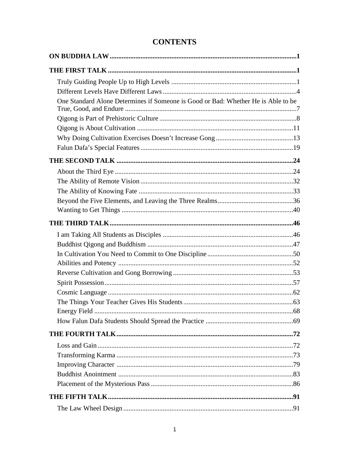# **CONTENTS**

| One Standard Alone Determines if Someone is Good or Bad: Whether He is Able to be |  |
|-----------------------------------------------------------------------------------|--|
|                                                                                   |  |
|                                                                                   |  |
|                                                                                   |  |
|                                                                                   |  |
|                                                                                   |  |
|                                                                                   |  |
|                                                                                   |  |
|                                                                                   |  |
|                                                                                   |  |
|                                                                                   |  |
|                                                                                   |  |
|                                                                                   |  |
|                                                                                   |  |
|                                                                                   |  |
|                                                                                   |  |
|                                                                                   |  |
|                                                                                   |  |
|                                                                                   |  |
|                                                                                   |  |
|                                                                                   |  |
|                                                                                   |  |
|                                                                                   |  |
|                                                                                   |  |
|                                                                                   |  |
|                                                                                   |  |
|                                                                                   |  |
|                                                                                   |  |
|                                                                                   |  |
|                                                                                   |  |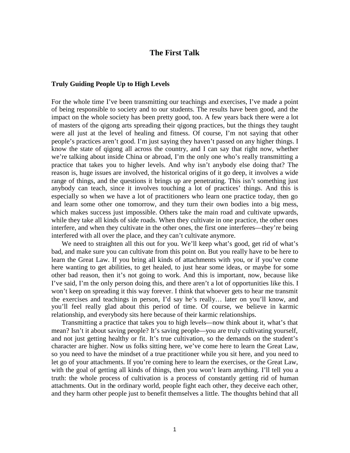## <span id="page-5-0"></span>**The First Talk**

#### <span id="page-5-1"></span>**Truly Guiding People Up to High Levels**

For the whole time I've been transmitting our teachings and exercises, I've made a point of being responsible to society and to our students. The results have been good, and the impact on the whole society has been pretty good, too. A few years back there were a lot of masters of the qigong arts spreading their qigong practices, but the things they taught were all just at the level of healing and fitness. Of course, I'm not saying that other people's practices aren't good. I'm just saying they haven't passed on any higher things. I know the state of qigong all across the country, and I can say that right now, whether we're talking about inside China or abroad, I'm the only one who's really transmitting a practice that takes you to higher levels. And why isn't anybody else doing that? The reason is, huge issues are involved, the historical origins of it go deep, it involves a wide range of things, and the questions it brings up are penetrating. This isn't something just anybody can teach, since it involves touching a lot of practices' things. And this is especially so when we have a lot of practitioners who learn one practice today, then go and learn some other one tomorrow, and they turn their own bodies into a big mess, which makes success just impossible. Others take the main road and cultivate upwards, while they take all kinds of side roads. When they cultivate in one practice, the other ones interfere, and when they cultivate in the other ones, the first one interferes—they're being interfered with all over the place, and they can't cultivate anymore.

We need to straighten all this out for you. We'll keep what's good, get rid of what's bad, and make sure you can cultivate from this point on. But you really have to be here to learn the Great Law. If you bring all kinds of attachments with you, or if you've come here wanting to get abilities, to get healed, to just hear some ideas, or maybe for some other bad reason, then it's not going to work. And this is important, now, because like I've said, I'm the only person doing this, and there aren't a lot of opportunities like this. I won't keep on spreading it this way forever. I think that whoever gets to hear me transmit the exercises and teachings in person, I'd say he's really… later on you'll know, and you'll feel really glad about this period of time. Of course, we believe in karmic relationship, and everybody sits here because of their karmic relationships.

Transmitting a practice that takes you to high levels—now think about it, what's that mean? Isn't it about saving people? It's saving people—you are truly cultivating yourself, and not just getting healthy or fit. It's true cultivation, so the demands on the student's character are higher. Now us folks sitting here, we've come here to learn the Great Law, so you need to have the mindset of a true practitioner while you sit here, and you need to let go of your attachments. If you're coming here to learn the exercises, or the Great Law, with the goal of getting all kinds of things, then you won't learn anything. I'll tell you a truth: the whole process of cultivation is a process of constantly getting rid of human attachments. Out in the ordinary world, people fight each other, they deceive each other, and they harm other people just to benefit themselves a little. The thoughts behind that all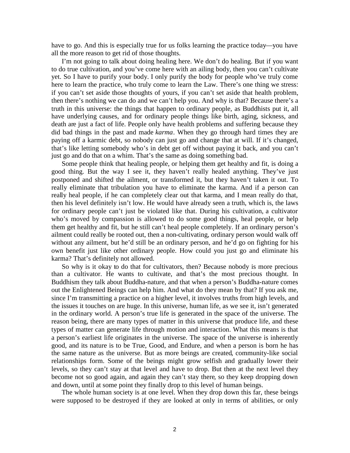have to go. And this is especially true for us folks learning the practice today—you have all the more reason to get rid of those thoughts.

I'm not going to talk about doing healing here. We don't do healing. But if you want to do true cultivation, and you've come here with an ailing body, then you can't cultivate yet. So I have to purify your body. I only purify the body for people who've truly come here to learn the practice, who truly come to learn the Law. There's one thing we stress: if you can't set aside those thoughts of yours, if you can't set aside that health problem, then there's nothing we can do and we can't help you. And why is that? Because there's a truth in this universe: the things that happen to ordinary people, as Buddhists put it, all have underlying causes, and for ordinary people things like birth, aging, sickness, and death are just a fact of life. People only have health problems and suffering because they did bad things in the past and made *karma*. When they go through hard times they are paying off a karmic debt, so nobody can just go and change that at will. If it's changed, that's like letting somebody who's in debt get off without paying it back, and you can't just go and do that on a whim. That's the same as doing something bad.

Some people think that healing people, or helping them get healthy and fit, is doing a good thing. But the way I see it, they haven't really healed anything. They've just postponed and shifted the ailment, or transformed it, but they haven't taken it out. To really eliminate that tribulation you have to eliminate the karma. And if a person can really heal people, if he can completely clear out that karma, and I mean really do that, then his level definitely isn't low. He would have already seen a truth, which is, the laws for ordinary people can't just be violated like that. During his cultivation, a cultivator who's moved by compassion is allowed to do some good things, heal people, or help them get healthy and fit, but he still can't heal people completely. If an ordinary person's ailment could really be rooted out, then a non-cultivating, ordinary person would walk off without any ailment, but he'd still be an ordinary person, and he'd go on fighting for his own benefit just like other ordinary people. How could you just go and eliminate his karma? That's definitely not allowed.

So why is it okay to do that for cultivators, then? Because nobody is more precious than a cultivator. He wants to cultivate, and that's the most precious thought. In Buddhism they talk about Buddha-nature, and that when a person's Buddha-nature comes out the Enlightened Beings can help him. And what do they mean by that? If you ask me, since I'm transmitting a practice on a higher level, it involves truths from high levels, and the issues it touches on are huge. In this universe, human life, as we see it, isn't generated in the ordinary world. A person's true life is generated in the space of the universe. The reason being, there are many types of matter in this universe that produce life, and these types of matter can generate life through motion and interaction. What this means is that a person's earliest life originates in the universe. The space of the universe is inherently good, and its nature is to be True, Good, and Endure, and when a person is born he has the same nature as the universe. But as more beings are created, community-like social relationships form. Some of the beings might grow selfish and gradually lower their levels, so they can't stay at that level and have to drop. But then at the next level they become not so good again, and again they can't stay there, so they keep dropping down and down, until at some point they finally drop to this level of human beings.

The whole human society is at one level. When they drop down this far, these beings were supposed to be destroyed if they are looked at only in terms of abilities, or only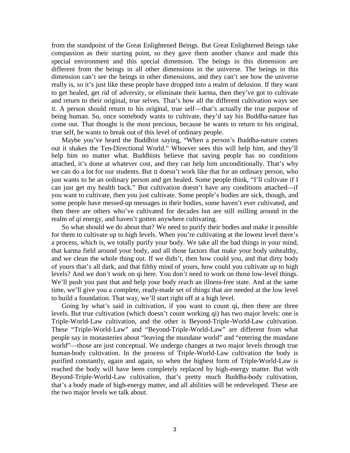from the standpoint of the Great Enlightened Beings. But Great Enlightened Beings take compassion as their starting point, so they gave them another chance and made this special environment and this special dimension. The beings in this dimension are different from the beings in all other dimensions in the universe. The beings in this dimension can't see the beings in other dimensions, and they can't see how the universe really is, so it's just like these people have dropped into a realm of delusion. If they want to get healed, get rid of adversity, or eliminate their karma, then they've got to cultivate and return to their original, true selves. That's how all the different cultivation ways see it. A person should return to his original, true self—that's actually the true purpose of being human. So, once somebody wants to cultivate, they'd say his Buddha-nature has come out. That thought is the most precious, because he wants to return to his original, true self, he wants to break out of this level of ordinary people.

Maybe you've heard the Buddhist saying, "When a person's Buddha-nature comes out it shakes the Ten-Directional World." Whoever sees this will help him, and they'll help him no matter what. Buddhists believe that saving people has no conditions attached, it's done at whatever cost, and they can help him unconditionally. That's why we can do a lot for our students. But it doesn't work like that for an ordinary person, who just wants to be an ordinary person and get healed. Some people think, "I'll cultivate if I can just get my health back." But cultivation doesn't have any conditions attached—if you want to cultivate, then you just cultivate. Some people's bodies are sick, though, and some people have messed-up messages in their bodies, some haven't ever cultivated, and then there are others who've cultivated for decades but are still milling around in the realm of *qi* energy, and haven't gotten anywhere cultivating.

So what should we do about that? We need to purify their bodies and make it possible for them to cultivate up to high levels. When you're cultivating at the lowest level there's a process, which is, we totally purify your body. We take all the bad things in your mind, that karma field around your body, and all those factors that make your body unhealthy, and we clean the whole thing out. If we didn't, then how could you, and that dirty body of yours that's all dark, and that filthy mind of yours, how could you cultivate up to high levels? And we don't work on qi here. You don't need to work on those low-level things. We'll push you past that and help your body reach an illness-free state. And at the same time, we'll give you a complete, ready-made set of things that are needed at the low level to build a foundation. That way, we'll start right off at a high level.

Going by what's said in cultivation, if you want to count qi, then there are three levels. But true cultivation (which doesn't count working qi) has two major levels: one is Triple-World-Law cultivation, and the other is Beyond-Triple-World-Law cultivation. These "Triple-World-Law" and "Beyond-Triple-World-Law" are different from what people say in monasteries about "leaving the mundane world" and "entering the mundane world"—those are just conceptual. We undergo changes at two major levels through true human-body cultivation. In the process of Triple-World-Law cultivation the body is purified constantly, again and again, so when the highest form of Triple-World-Law is reached the body will have been completely replaced by high-energy matter. But with Beyond-Triple-World-Law cultivation, that's pretty much Buddha-body cultivation, that's a body made of high-energy matter, and all abilities will be redeveloped. These are the two major levels we talk about.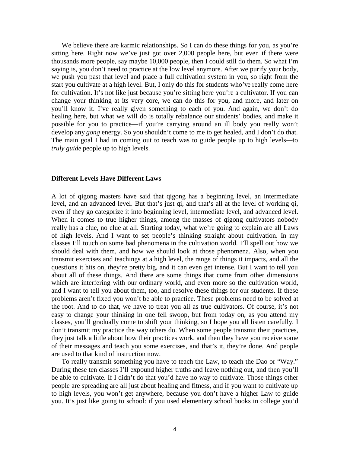We believe there are karmic relationships. So I can do these things for you, as you're sitting here. Right now we've just got over 2,000 people here, but even if there were thousands more people, say maybe 10,000 people, then I could still do them. So what I'm saying is, you don't need to practice at the low level anymore. After we purify your body, we push you past that level and place a full cultivation system in you, so right from the start you cultivate at a high level. But, I only do this for students who've really come here for cultivation. It's not like just because you're sitting here you're a cultivator. If you can change your thinking at its very core, we can do this for you, and more, and later on you'll know it. I've really given something to each of you. And again, we don't do healing here, but what we will do is totally rebalance our students' bodies, and make it possible for you to practice—if you're carrying around an ill body you really won't develop any *gong* energy. So you shouldn't come to me to get healed, and I don't do that. The main goal I had in coming out to teach was to guide people up to high levels—to *truly guide* people up to high levels.

#### <span id="page-8-0"></span>**Different Levels Have Different Laws**

A lot of qigong masters have said that qigong has a beginning level, an intermediate level, and an advanced level. But that's just qi, and that's all at the level of working qi, even if they go categorize it into beginning level, intermediate level, and advanced level. When it comes to true higher things, among the masses of qigong cultivators nobody really has a clue, no clue at all. Starting today, what we're going to explain are all Laws of high levels. And I want to set people's thinking straight about cultivation. In my classes I'll touch on some bad phenomena in the cultivation world. I'll spell out how we should deal with them, and how we should look at those phenomena. Also, when you transmit exercises and teachings at a high level, the range of things it impacts, and all the questions it hits on, they're pretty big, and it can even get intense. But I want to tell you about all of these things. And there are some things that come from other dimensions which are interfering with our ordinary world, and even more so the cultivation world, and I want to tell you about them, too, and resolve these things for our students. If these problems aren't fixed you won't be able to practice. These problems need to be solved at the root. And to do that, we have to treat you all as true cultivators. Of course, it's not easy to change your thinking in one fell swoop, but from today on, as you attend my classes, you'll gradually come to shift your thinking, so I hope you all listen carefully. I don't transmit my practice the way others do. When some people transmit their practices, they just talk a little about how their practices work, and then they have you receive some of their messages and teach you some exercises, and that's it, they're done. And people are used to that kind of instruction now.

To really transmit something you have to teach the Law, to teach the Dao or "Way." During these ten classes I'll expound higher truths and leave nothing out, and then you'll be able to cultivate. If I didn't do that you'd have no way to cultivate. Those things other people are spreading are all just about healing and fitness, and if you want to cultivate up to high levels, you won't get anywhere, because you don't have a higher Law to guide you. It's just like going to school: if you used elementary school books in college you'd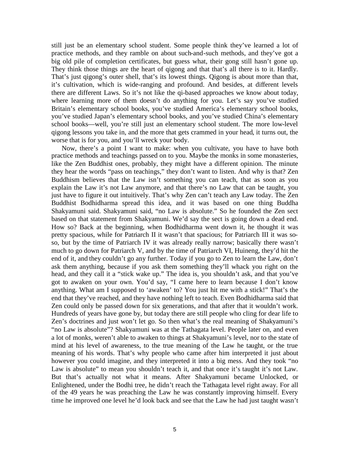still just be an elementary school student. Some people think they've learned a lot of practice methods, and they ramble on about such-and-such methods, and they've got a big old pile of completion certificates, but guess what, their gong still hasn't gone up. They think those things are the heart of qigong and that that's all there is to it. Hardly. That's just qigong's outer shell, that's its lowest things. Qigong is about more than that, it's cultivation, which is wide-ranging and profound. And besides, at different levels there are different Laws. So it's not like the qi-based approaches we know about today, where learning more of them doesn't do anything for you. Let's say you've studied Britain's elementary school books, you've studied America's elementary school books, you've studied Japan's elementary school books, and you've studied China's elementary school books—well, you're still just an elementary school student. The more low-level qigong lessons you take in, and the more that gets crammed in your head, it turns out, the worse that is for you, and you'll wreck your body.

Now, there's a point I want to make: when you cultivate, you have to have both practice methods and teachings passed on to you. Maybe the monks in some monasteries, like the Zen Buddhist ones, probably, they might have a different opinion. The minute they hear the words "pass on teachings," they don't want to listen. And why is that? Zen Buddhism believes that the Law isn't something you can teach, that as soon as you explain the Law it's not Law anymore, and that there's no Law that can be taught, you just have to figure it out intuitively. That's why Zen can't teach any Law today. The Zen Buddhist Bodhidharma spread this idea, and it was based on one thing Buddha Shakyamuni said. Shakyamuni said, "no Law is absolute." So he founded the Zen sect based on that statement from Shakyamuni. We'd say the sect is going down a dead end. How so? Back at the beginning, when Bodhidharma went down it, he thought it was pretty spacious, while for Patriarch II it wasn't that spacious; for Patriarch III it was soso, but by the time of Patriarch IV it was already really narrow; basically there wasn't much to go down for Patriarch V, and by the time of Patriarch VI, Huineng, they'd hit the end of it, and they couldn't go any further. Today if you go to Zen to learn the Law, don't ask them anything, because if you ask them something they'll whack you right on the head, and they call it a "stick wake up." The idea is, you shouldn't ask, and that you've got to awaken on your own. You'd say, "I came here to learn because I don't know anything. What am I supposed to 'awaken' to? You just hit me with a stick!" That's the end that they've reached, and they have nothing left to teach. Even Bodhidharma said that Zen could only be passed down for six generations, and that after that it wouldn't work. Hundreds of years have gone by, but today there are still people who cling for dear life to Zen's doctrines and just won't let go. So then what's the real meaning of Shakyamuni's "no Law is absolute"? Shakyamuni was at the Tathagata level. People later on, and even a lot of monks, weren't able to awaken to things at Shakyamuni's level, nor to the state of mind at his level of awareness, to the true meaning of the Law he taught, or the true meaning of his words. That's why people who came after him interpreted it just about however you could imagine, and they interpreted it into a big mess. And they took "no Law is absolute" to mean you shouldn't teach it, and that once it's taught it's not Law. But that's actually not what it means. After Shakyamuni became Unlocked, or Enlightened, under the Bodhi tree, he didn't reach the Tathagata level right away. For all of the 49 years he was preaching the Law he was constantly improving himself. Every time he improved one level he'd look back and see that the Law he had just taught wasn't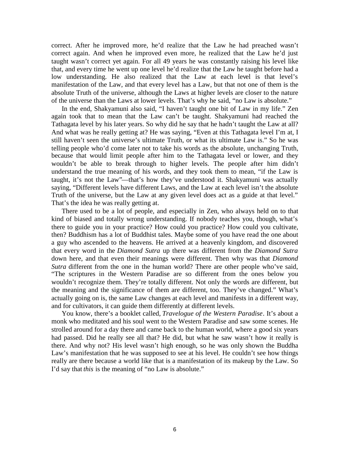correct. After he improved more, he'd realize that the Law he had preached wasn't correct again. And when he improved even more, he realized that the Law he'd just taught wasn't correct yet again. For all 49 years he was constantly raising his level like that, and every time he went up one level he'd realize that the Law he taught before had a low understanding. He also realized that the Law at each level is that level's manifestation of the Law, and that every level has a Law, but that not one of them is the absolute Truth of the universe, although the Laws at higher levels are closer to the nature of the universe than the Laws at lower levels. That's why he said, "no Law is absolute."

In the end, Shakyamuni also said, "I haven't taught one bit of Law in my life." Zen again took that to mean that the Law can't be taught. Shakyamuni had reached the Tathagata level by his later years. So why did he say that he hadn't taught the Law at all? And what was he really getting at? He was saying, "Even at this Tathagata level I'm at, I still haven't seen the universe's ultimate Truth, or what its ultimate Law is." So he was telling people who'd come later not to take his words as the absolute, unchanging Truth, because that would limit people after him to the Tathagata level or lower, and they wouldn't be able to break through to higher levels. The people after him didn't understand the true meaning of his words, and they took them to mean, "if the Law is taught, it's not the Law"—that's how they've understood it. Shakyamuni was actually saying, "Different levels have different Laws, and the Law at each level isn't the absolute Truth of the universe, but the Law at any given level does act as a guide at that level." That's the idea he was really getting at.

There used to be a lot of people, and especially in Zen, who always held on to that kind of biased and totally wrong understanding. If nobody teaches you, though, what's there to guide you in your practice? How could you practice? How could you cultivate, then? Buddhism has a lot of Buddhist tales. Maybe some of you have read the one about a guy who ascended to the heavens. He arrived at a heavenly kingdom, and discovered that every word in the *Diamond Sutra* up there was different from the *Diamond Sutra* down here, and that even their meanings were different. Then why was that *Diamond Sutra* different from the one in the human world? There are other people who've said, "The scriptures in the Western Paradise are so different from the ones below you wouldn't recognize them. They're totally different. Not only the words are different, but the meaning and the significance of them are different, too. They've changed." What's actually going on is, the same Law changes at each level and manifests in a different way, and for cultivators, it can guide them differently at different levels.

You know, there's a booklet called, *Travelogue of the Western Paradise*. It's about a monk who meditated and his soul went to the Western Paradise and saw some scenes. He strolled around for a day there and came back to the human world, where a good six years had passed. Did he really see all that? He did, but what he saw wasn't how it really is there. And why not? His level wasn't high enough, so he was only shown the Buddha Law's manifestation that he was supposed to see at his level. He couldn't see how things really are there because a world like that is a manifestation of its makeup by the Law. So I'd say that *this* is the meaning of "no Law is absolute."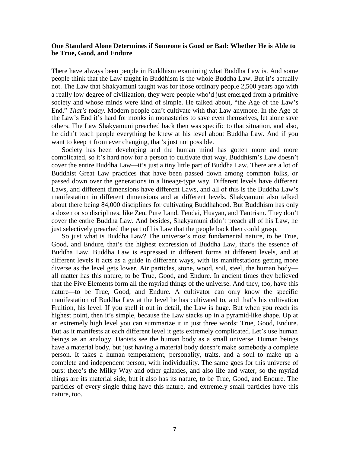#### <span id="page-11-0"></span>**One Standard Alone Determines if Someone is Good or Bad: Whether He is Able to be True, Good, and Endure**

There have always been people in Buddhism examining what Buddha Law is. And some people think that the Law taught in Buddhism is the whole Buddha Law. But it's actually not. The Law that Shakyamuni taught was for those ordinary people 2,500 years ago with a really low degree of civilization, they were people who'd just emerged from a primitive society and whose minds were kind of simple. He talked about, "the Age of the Law's End." *That's today.* Modern people can't cultivate with that Law anymore. In the Age of the Law's End it's hard for monks in monasteries to save even themselves, let alone save others. The Law Shakyamuni preached back then was specific to that situation, and also, he didn't teach people everything he knew at his level about Buddha Law. And if you want to keep it from ever changing, that's just not possible.

Society has been developing and the human mind has gotten more and more complicated, so it's hard now for a person to cultivate that way. Buddhism's Law doesn't cover the entire Buddha Law—it's just a tiny little part of Buddha Law. There are a lot of Buddhist Great Law practices that have been passed down among common folks, or passed down over the generations in a lineage-type way. Different levels have different Laws, and different dimensions have different Laws, and all of this is the Buddha Law's manifestation in different dimensions and at different levels. Shakyamuni also talked about there being 84,000 disciplines for cultivating Buddhahood. But Buddhism has only a dozen or so disciplines, like Zen, Pure Land, Tendai, Huayan, and Tantrism. They don't cover the entire Buddha Law. And besides, Shakyamuni didn't preach all of his Law, he just selectively preached the part of his Law that the people back then could grasp.

So just what is Buddha Law? The universe's most fundamental nature, to be True, Good, and Endure, that's the highest expression of Buddha Law, that's the essence of Buddha Law. Buddha Law is expressed in different forms at different levels, and at different levels it acts as a guide in different ways, with its manifestations getting more diverse as the level gets lower. Air particles, stone, wood, soil, steel, the human body all matter has this nature, to be True, Good, and Endure. In ancient times they believed that the Five Elements form all the myriad things of the universe. And they, too, have this nature—to be True, Good, and Endure. A cultivator can only know the specific manifestation of Buddha Law at the level he has cultivated to, and that's his cultivation Fruition, his level. If you spell it out in detail, the Law is huge. But when you reach its highest point, then it's simple, because the Law stacks up in a pyramid-like shape. Up at an extremely high level you can summarize it in just three words: True, Good, Endure. But as it manifests at each different level it gets extremely complicated. Let's use human beings as an analogy. Daoists see the human body as a small universe. Human beings have a material body, but just having a material body doesn't make somebody a complete person. It takes a human temperament, personality, traits, and a soul to make up a complete and independent person, with individuality. The same goes for this universe of ours: there's the Milky Way and other galaxies, and also life and water, so the myriad things are its material side, but it also has its nature, to be True, Good, and Endure. The particles of every single thing have this nature, and extremely small particles have this nature, too.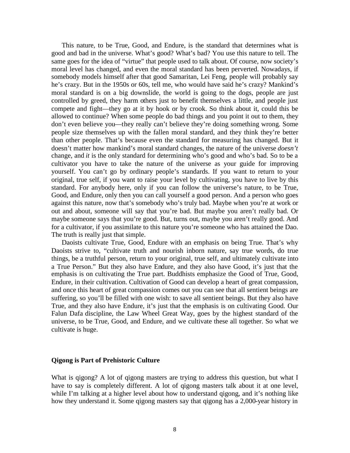This nature, to be True, Good, and Endure, is the standard that determines what is good and bad in the universe. What's good? What's bad? You use this nature to tell. The same goes for the idea of "virtue" that people used to talk about. Of course, now society's moral level has changed, and even the moral standard has been perverted. Nowadays, if somebody models himself after that good Samaritan, Lei Feng, people will probably say he's crazy. But in the 1950s or 60s, tell me, who would have said he's crazy? Mankind's moral standard is on a big downslide, the world is going to the dogs, people are just controlled by greed, they harm others just to benefit themselves a little, and people just compete and fight—they go at it by hook or by crook. So think about it, could this be allowed to continue? When some people do bad things and you point it out to them, they don't even believe you—they really can't believe they're doing something wrong. Some people size themselves up with the fallen moral standard, and they think they're better than other people. That's because even the standard for measuring has changed. But it doesn't matter how mankind's moral standard changes, the nature of the universe *doesn't* change, and *it* is the only standard for determining who's good and who's bad. So to be a cultivator you have to take the nature of the universe as your guide for improving yourself. You can't go by ordinary people's standards. If you want to return to your original, true self, if you want to raise your level by cultivating, you have to live by this standard. For anybody here, only if you can follow the universe's nature, to be True, Good, and Endure, only then you can call yourself a good person. And a person who goes against this nature, now that's somebody who's truly bad. Maybe when you're at work or out and about, someone will say that you're bad. But maybe you aren't really bad. Or maybe someone says that you're good. But, turns out, maybe you aren't really good. And for a cultivator, if you assimilate to this nature you're someone who has attained the Dao. The truth is really just that simple.

Daoists cultivate True, Good, Endure with an emphasis on being True. That's why Daoists strive to, "cultivate truth and nourish inborn nature, say true words, do true things, be a truthful person, return to your original, true self, and ultimately cultivate into a True Person." But they also have Endure, and they also have Good, it's just that the emphasis is on cultivating the True part. Buddhists emphasize the Good of True, Good, Endure, in their cultivation. Cultivation of Good can develop a heart of great compassion, and once this heart of great compassion comes out you can see that all sentient beings are suffering, so you'll be filled with one wish: to save all sentient beings. But they also have True, and they also have Endure, it's just that the emphasis is on cultivating Good. Our Falun Dafa discipline, the Law Wheel Great Way, goes by the highest standard of the universe, to be True, Good, and Endure, and we cultivate these all together. So what we cultivate is huge.

#### <span id="page-12-0"></span>**Qigong is Part of Prehistoric Culture**

What is qigong? A lot of qigong masters are trying to address this question, but what I have to say is completely different. A lot of qigong masters talk about it at one level, while I'm talking at a higher level about how to understand gigong, and it's nothing like how they understand it. Some qigong masters say that qigong has a 2,000-year history in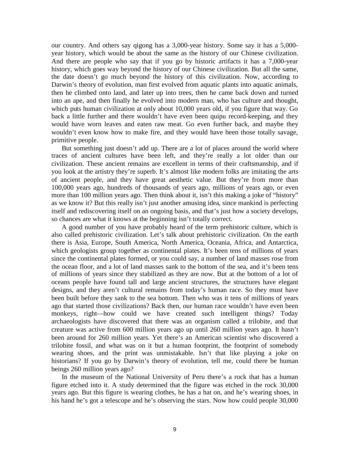our country. And others say qigong has a 3,000-year history. Some say it has a 5,000 year history, which would be about the same as the history of our Chinese civilization. And there are people who say that if you go by historic artifacts it has a 7,000-year history, which goes way beyond the history of our Chinese civilization. But all the same, the date doesn't go much beyond the history of this civilization. Now, according to Darwin's theory of evolution, man first evolved from aquatic plants into aquatic animals, then he climbed onto land, and later up into trees, then he came back down and turned into an ape, and then finally he evolved into modern man, who has culture and thought, which puts human civilization at only about 10,000 years old, if you figure that way. Go back a little further and there wouldn't have even been quipu record-keeping, and they would have worn leaves and eaten raw meat. Go even further back, and maybe they wouldn't even know how to make fire, and they would have been those totally savage, primitive people.

But something just doesn't add up. There are a lot of places around the world where traces of ancient cultures have been left, and they're really a lot older than our civilization. These ancient remains are excellent in terms of their craftsmanship, and if you look at the artistry they're superb. It's almost like modern folks are imitating the arts of ancient people, and they have great aesthetic value. But they're from more than 100,000 years ago, hundreds of thousands of years ago, millions of years ago, or even more than 100 million years ago. Then think about it, isn't this making a joke of "history" as we know it? But this really isn't just another amusing idea, since mankind is perfecting itself and rediscovering itself on an ongoing basis, and that's just how a society develops, so chances are what it knows at the beginning isn't totally correct.

A good number of you have probably heard of the term prehistoric culture, which is also called prehistoric civilization. Let's talk about prehistoric civilization. On the earth there is Asia, Europe, South America, North America, Oceania, Africa, and Antarctica, which geologists group together as continental plates. It's been tens of millions of years since the continental plates formed, or you could say, a number of land masses rose from the ocean floor, and a lot of land masses sank to the bottom of the sea, and it's been tens of millions of years since they stabilized as they are now. But at the bottom of a lot of oceans people have found tall and large ancient structures, the structures have elegant designs, and they aren't cultural remains from today's human race. So they must have been built before they sank to the sea bottom. Then who was it tens of millions of years ago that started those civilizations? Back then, our human race wouldn't have even been monkeys, right—how could we have created such intelligent things? Today archaeologists have discovered that there was an organism called a trilobite, and that creature was active from 600 million years ago up until 260 million years ago. It hasn't been around for 260 million years. Yet there's an American scientist who discovered a trilobite fossil, and what was on it but a human footprint, the footprint of somebody wearing shoes, and the print was unmistakable. Isn't that like playing a joke on historians? If you go by Darwin's theory of evolution, tell me, could there be human beings 260 million years ago?

In the museum of the National University of Peru there's a rock that has a human figure etched into it. A study determined that the figure was etched in the rock 30,000 years ago. But this figure is wearing clothes, he has a hat on, and he's wearing shoes, in his hand he's got a telescope and he's observing the stars. Now how could people 30,000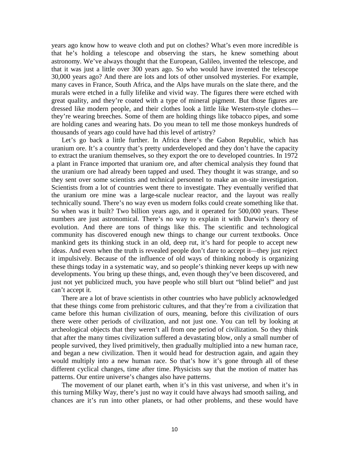years ago know how to weave cloth and put on clothes? What's even more incredible is that he's holding a telescope and observing the stars, he knew something about astronomy. We've always thought that the European, Galileo, invented the telescope, and that it was just a little over 300 years ago. So who would have invented the telescope 30,000 years ago? And there are lots and lots of other unsolved mysteries. For example, many caves in France, South Africa, and the Alps have murals on the slate there, and the murals were etched in a fully lifelike and vivid way. The figures there were etched with great quality, and they're coated with a type of mineral pigment. But those figures are dressed like modern people, and their clothes look a little like Western-style clothes they're wearing breeches. Some of them are holding things like tobacco pipes, and some are holding canes and wearing hats. Do you mean to tell me those monkeys hundreds of thousands of years ago could have had this level of artistry?

Let's go back a little further. In Africa there's the Gabon Republic, which has uranium ore. It's a country that's pretty underdeveloped and they don't have the capacity to extract the uranium themselves, so they export the ore to developed countries. In 1972 a plant in France imported that uranium ore, and after chemical analysis they found that the uranium ore had already been tapped and used. They thought it was strange, and so they sent over some scientists and technical personnel to make an on-site investigation. Scientists from a lot of countries went there to investigate. They eventually verified that the uranium ore mine was a large-scale nuclear reactor, and the layout was really technically sound. There's no way even us modern folks could create something like that. So when was it built? Two billion years ago, and it operated for 500,000 years. These numbers are just astronomical. There's no way to explain it with Darwin's theory of evolution. And there are tons of things like this. The scientific and technological community has discovered enough new things to change our current textbooks. Once mankind gets its thinking stuck in an old, deep rut, it's hard for people to accept new ideas. And even when the truth is revealed people don't dare to accept it—they just reject it impulsively. Because of the influence of old ways of thinking nobody is organizing these things today in a systematic way, and so people's thinking never keeps up with new developments. You bring up these things, and, even though they've been discovered, and just not yet publicized much, you have people who still blurt out "blind belief" and just can't accept it.

There are a lot of brave scientists in other countries who have publicly acknowledged that these things come from prehistoric cultures, and that they're from a civilization that came before this human civilization of ours, meaning, before this civilization of ours there were other periods of civilization, and not just one. You can tell by looking at archeological objects that they weren't all from one period of civilization. So they think that after the many times civilization suffered a devastating blow, only a small number of people survived, they lived primitively, then gradually multiplied into a new human race, and began a new civilization. Then it would head for destruction again, and again they would multiply into a new human race. So that's how it's gone through all of these different cyclical changes, time after time. Physicists say that the motion of matter has patterns. Our entire universe's changes also have patterns.

The movement of our planet earth, when it's in this vast universe, and when it's in this turning Milky Way, there's just no way it could have always had smooth sailing, and chances are it's run into other planets, or had other problems, and these would have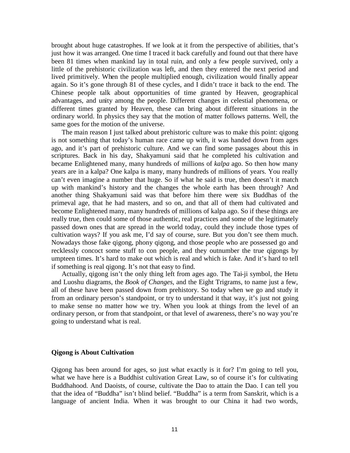brought about huge catastrophes. If we look at it from the perspective of abilities, that's just how it was arranged. One time I traced it back carefully and found out that there have been 81 times when mankind lay in total ruin, and only a few people survived, only a little of the prehistoric civilization was left, and then they entered the next period and lived primitively. When the people multiplied enough, civilization would finally appear again. So it's gone through 81 of these cycles, and I didn't trace it back to the end. The Chinese people talk about opportunities of time granted by Heaven, geographical advantages, and unity among the people. Different changes in celestial phenomena, or different times granted by Heaven, these can bring about different situations in the ordinary world. In physics they say that the motion of matter follows patterns. Well, the same goes for the motion of the universe.

The main reason I just talked about prehistoric culture was to make this point: qigong is not something that today's human race came up with, it was handed down from ages ago, and it's part of prehistoric culture. And we can find some passages about this in scriptures. Back in his day, Shakyamuni said that he completed his cultivation and became Enlightened many, many hundreds of millions of *kalpa* ago. So then how many years are in a kalpa? One kalpa is many, many hundreds of millions of years. You really can't even imagine a number that huge. So if what he said is true, then doesn't it match up with mankind's history and the changes the whole earth has been through? And another thing Shakyamuni said was that before him there were six Buddhas of the primeval age, that he had masters, and so on, and that all of them had cultivated and become Enlightened many, many hundreds of millions of kalpa ago. So if these things are really true, then could some of those authentic, real practices and some of the legitimately passed down ones that are spread in the world today, could they include those types of cultivation ways? If you ask me, I'd say of course, sure. But you don't see them much. Nowadays those fake qigong, phony qigong, and those people who are possessed go and recklessly concoct some stuff to con people, and they outnumber the true qigongs by umpteen times. It's hard to make out which is real and which is fake. And it's hard to tell if something is real qigong. It's not that easy to find.

Actually, qigong isn't the only thing left from ages ago. The Tai-ji symbol, the Hetu and Luoshu diagrams, the *Book of Changes*, and the Eight Trigrams, to name just a few, all of these have been passed down from prehistory. So today when we go and study it from an ordinary person's standpoint, or try to understand it that way, it's just not going to make sense no matter how we try. When you look at things from the level of an ordinary person, or from that standpoint, or that level of awareness, there's no way you're going to understand what is real.

#### <span id="page-15-0"></span>**Qigong is About Cultivation**

Qigong has been around for ages, so just what exactly is it for? I'm going to tell you, what we have here is a Buddhist cultivation Great Law, so of course it's for cultivating Buddhahood. And Daoists, of course, cultivate the Dao to attain the Dao. I can tell you that the idea of "Buddha" isn't blind belief. "Buddha" is a term from Sanskrit, which is a language of ancient India. When it was brought to our China it had two words,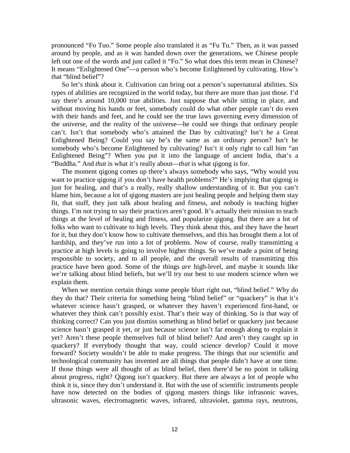pronounced "Fo Tuo." Some people also translated it as "Fu Tu." Then, as it was passed around by people, and as it was handed down over the generations, we Chinese people left out one of the words and just called it "Fo." So what does this term mean in Chinese? It means "Enlightened One"—a person who's become Enlightened by cultivating. How's that "blind belief"?

So let's think about it. Cultivation can bring out a person's supernatural abilities. Six types of abilities are recognized in the world today, but there are more than just those. I'd say there's around 10,000 true abilities. Just suppose that while sitting in place, and without moving his hands or feet, somebody could do what other people can't do even with their hands and feet, and he could see the true laws governing every dimension of the universe, and the reality of the universe—he could see things that ordinary people can't. Isn't that somebody who's attained the Dao by cultivating? Isn't he a Great Enlightened Being? Could you say he's the same as an ordinary person? Isn't he somebody who's become Enlightened by cultivating? Isn't it only right to call him "an Enlightened Being"? When you put it into the language of ancient India, that's a "Buddha." And *that* is what it's really about—*that* is what qigong is for.

The moment qigong comes up there's always somebody who says, "Why would you want to practice qigong if you don't have health problems?" He's implying that qigong is just for healing, and that's a really, really shallow understanding of it. But you can't blame him, because a lot of qigong masters are just healing people and helping them stay fit, that stuff, they just talk about healing and fitness, and nobody is teaching higher things. I'm not trying to say their practices aren't good. It's actually their mission to teach things at the level of healing and fitness, and popularize qigong. But there are a lot of folks who want to cultivate to high levels. They think about this, and they have the heart for it, but they don't know how to cultivate themselves, and this has brought them a lot of hardship, and they've run into a lot of problems. Now of course, really transmitting a practice at high levels is going to involve higher things. So we've made a point of being responsible to society, and to all people, and the overall results of transmitting this practice have been good. Some of the things *are* high-level, and maybe it sounds like we're talking about blind beliefs, but we'll try our best to use modern science when we explain them.

When we mention certain things some people blurt right out, "blind belief." Why do they do that? Their criteria for something being "blind belief" or "quackery" is that it's whatever science hasn't grasped, or whatever they haven't experienced first-hand, or whatever they think can't possibly exist. That's their way of thinking. So is that way of thinking correct? Can you just dismiss something as blind belief or quackery just because science hasn't grasped it yet, or just because science isn't far enough along to explain it yet? Aren't these people themselves full of blind belief? And aren't they caught up in quackery? If everybody thought that way, could science develop? Could it move forward? Society wouldn't be able to make progress. The things that our scientific and technological community has invented are all things that people didn't have at one time. If those things were all thought of as blind belief, then there'd be no point in talking about progress, right? Qigong isn't quackery. But there are always a lot of people who think it is, since they don't understand it. But with the use of scientific instruments people have now detected on the bodies of qigong masters things like infrasonic waves, ultrasonic waves, electromagnetic waves, infrared, ultraviolet, gamma rays, neutrons,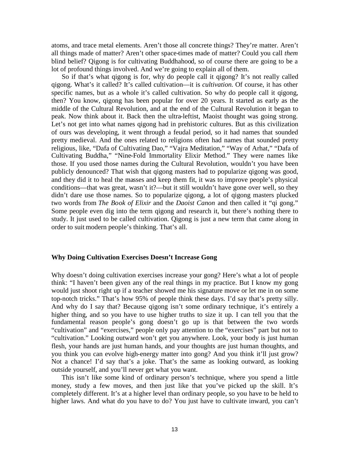atoms, and trace metal elements. Aren't those all concrete things? They're matter. Aren't all things made of matter? Aren't other space-times made of matter? Could you call *them* blind belief? Qigong is for cultivating Buddhahood, so of course there are going to be a lot of profound things involved. And we're going to explain all of them.

So if that's what qigong is for, why do people call it qigong? It's not really called qigong. What's it called? It's called cultivation—it is *cultivation*. Of course, it has other specific names, but as a whole it's called cultivation. So why do people call it qigong, then? You know, qigong has been popular for over 20 years. It started as early as the middle of the Cultural Revolution, and at the end of the Cultural Revolution it began to peak. Now think about it. Back then the ultra-leftist, Maoist thought was going strong. Let's not get into what names qigong had in prehistoric cultures. But as this civilization of ours was developing, it went through a feudal period, so it had names that sounded pretty medieval. And the ones related to religions often had names that sounded pretty religious, like, "Dafa of Cultivating Dao," "Vajra Meditation," "Way of Arhat," "Dafa of Cultivating Buddha," "Nine-Fold Immortality Elixir Method." They were names like those. If you used those names during the Cultural Revolution, wouldn't you have been publicly denounced? That wish that qigong masters had to popularize qigong was good, and they did it to heal the masses and keep them fit, it was to improve people's physical conditions—that was great, wasn't it?—but it still wouldn't have gone over well, so they didn't dare use those names. So to popularize qigong, a lot of qigong masters plucked two words from *The Book of Elixir* and the *Daoist Canon* and then called it "qi gong." Some people even dig into the term qigong and research it, but there's nothing there to study. It just used to be called cultivation. Qigong is just a new term that came along in order to suit modern people's thinking. That's all.

#### <span id="page-17-0"></span>**Why Doing Cultivation Exercises Doesn't Increase Gong**

Why doesn't doing cultivation exercises increase your gong? Here's what a lot of people think: "I haven't been given any of the real things in my practice. But I know my gong would just shoot right up if a teacher showed me his signature move or let me in on some top-notch tricks." That's how 95% of people think these days. I'd say that's pretty silly. And why do I say that? Because qigong isn't some ordinary technique, it's entirely a higher thing, and so you have to use higher truths to size it up. I can tell you that the fundamental reason people's gong doesn't go up is that between the two words "cultivation" and "exercises," people only pay attention to the "exercises" part but not to "cultivation." Looking outward won't get you anywhere. Look, your body is just human flesh, your hands are just human hands, and your thoughts are just human thoughts, and you think you can evolve high-energy matter into gong? And you think it'll just grow? Not a chance! I'd say that's a joke. That's the same as looking outward, as looking outside yourself, and you'll never get what you want.

This isn't like some kind of ordinary person's technique, where you spend a little money, study a few moves, and then just like that you've picked up the skill. It's completely different. It's at a higher level than ordinary people, so you have to be held to higher laws. And what do you have to do? You just have to cultivate inward, you can't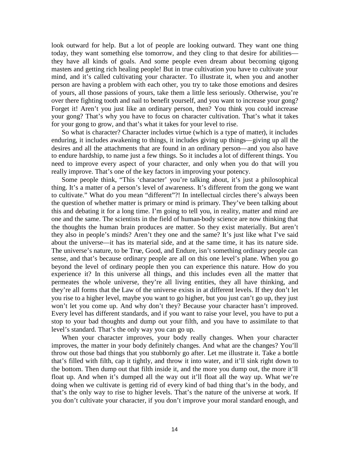look outward for help. But a lot of people are looking outward. They want one thing today, they want something else tomorrow, and they cling to that desire for abilities they have all kinds of goals. And some people even dream about becoming qigong masters and getting rich healing people! But in true cultivation you have to cultivate your mind, and it's called cultivating your character. To illustrate it, when you and another person are having a problem with each other, you try to take those emotions and desires of yours, all those passions of yours, take them a little less seriously. Otherwise, you're over there fighting tooth and nail to benefit yourself, and you want to increase your gong? Forget it! Aren't you just like an ordinary person, then? You think you could increase your gong? That's why you have to focus on character cultivation. That's what it takes for your gong to grow, and that's what it takes for your level to rise.

So what is character? Character includes virtue (which is a type of matter), it includes enduring, it includes awakening to things, it includes giving up things—giving up all the desires and all the attachments that are found in an ordinary person—and you also have to endure hardship, to name just a few things. So it includes a lot of different things. You need to improve every aspect of your character, and only when you do that will you really improve. That's one of the key factors in improving your potency.

Some people think, "This 'character' you're talking about, it's just a philosophical thing. It's a matter of a person's level of awareness. It's different from the gong we want to cultivate." What do you mean "different"?! In intellectual circles there's always been the question of whether matter is primary or mind is primary. They've been talking about this and debating it for a long time. I'm going to tell you, in reality, matter and mind are one and the same. The scientists in the field of human-body science are now thinking that the thoughts the human brain produces are matter. So they exist materially. But aren't they also in people's minds? Aren't they one and the same? It's just like what I've said about the universe—it has its material side, and at the same time, it has its nature side. The universe's nature, to be True, Good, and Endure, isn't something ordinary people can sense, and that's because ordinary people are all on this one level's plane. When you go beyond the level of ordinary people then you can experience this nature. How do you experience it? In this universe all things, and this includes even all the matter that permeates the whole universe, they're all living entities, they all have thinking, and they're all forms that the Law of the universe exists in at different levels. If they don't let you rise to a higher level, maybe you want to go higher, but you just can't go up, they just won't let you come up. And why don't they? Because your character hasn't improved. Every level has different standards, and if you want to raise your level, you have to put a stop to your bad thoughts and dump out your filth, and you have to assimilate to that level's standard. That's the only way you can go up.

When your character improves, your body really changes. When your character improves, the matter in your body definitely changes. And what are the changes? You'll throw out those bad things that you stubbornly go after. Let me illustrate it. Take a bottle that's filled with filth, cap it tightly, and throw it into water, and it'll sink right down to the bottom. Then dump out that filth inside it, and the more you dump out, the more it'll float up. And when it's dumped all the way out it'll float all the way up. What we're doing when we cultivate is getting rid of every kind of bad thing that's in the body, and that's the only way to rise to higher levels. That's the nature of the universe at work. If you don't cultivate your character, if you don't improve your moral standard enough, and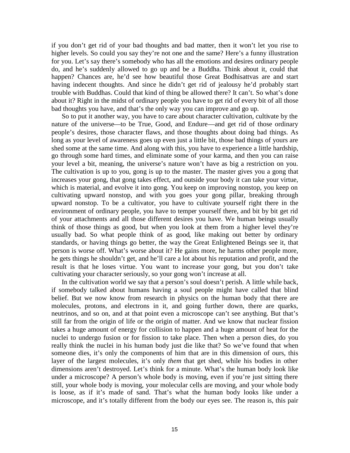if you don't get rid of your bad thoughts and bad matter, then it won't let you rise to higher levels. So could you say they're not one and the same? Here's a funny illustration for you. Let's say there's somebody who has all the emotions and desires ordinary people do, and he's suddenly allowed to go up and be a Buddha. Think about it, could that happen? Chances are, he'd see how beautiful those Great Bodhisattvas are and start having indecent thoughts. And since he didn't get rid of jealousy he'd probably start trouble with Buddhas. Could that kind of thing be allowed there? It can't. So what's done about it? Right in the midst of ordinary people you have to get rid of every bit of all those bad thoughts you have, and that's the only way you can improve and go up.

So to put it another way, you have to care about character cultivation, cultivate by the nature of the universe—to be True, Good, and Endure—and get rid of those ordinary people's desires, those character flaws, and those thoughts about doing bad things. As long as your level of awareness goes up even just a little bit, those bad things of yours are shed some at the same time. And along with this, you have to experience a little hardship, go through some hard times, and eliminate some of your karma, and then you can raise your level a bit, meaning, the universe's nature won't have as big a restriction on you. The cultivation is up to you, gong is up to the master. The master gives you a gong that increases your gong, that gong takes effect, and outside your body it can take your virtue, which is material, and evolve it into gong. You keep on improving nonstop, you keep on cultivating upward nonstop, and with you goes your gong pillar, breaking through upward nonstop. To be a cultivator, you have to cultivate yourself right there in the environment of ordinary people, you have to temper yourself there, and bit by bit get rid of your attachments and all those different desires you have. We human beings usually think of those things as good, but when you look at them from a higher level they're usually bad. So what people think of as good, like making out better by ordinary standards, or having things go better, the way the Great Enlightened Beings see it, that person is worse off. What's worse about it? He gains more, he harms other people more, he gets things he shouldn't get, and he'll care a lot about his reputation and profit, and the result is that he loses virtue. You want to increase your gong, but you don't take cultivating your character seriously, so your gong won't increase at all.

In the cultivation world we say that a person's soul doesn't perish. A little while back, if somebody talked about humans having a soul people might have called that blind belief. But we now know from research in physics on the human body that there are molecules, protons, and electrons in it, and going further down, there are quarks, neutrinos, and so on, and at that point even a microscope can't see anything. But that's still far from the origin of life or the origin of matter. And we know that nuclear fission takes a huge amount of energy for collision to happen and a huge amount of heat for the nuclei to undergo fusion or for fission to take place. Then when a person dies, do you really think the nuclei in his human body just die like that? So we've found that when someone dies, it's only the components of him that are in this dimension of ours, this layer of the largest molecules, it's only *them* that get shed, while his bodies in other dimensions aren't destroyed. Let's think for a minute. What's the human body look like under a microscope? A person's whole body is moving, even if you're just sitting there still, your whole body is moving, your molecular cells are moving, and your whole body is loose, as if it's made of sand. That's what the human body looks like under a microscope, and it's totally different from the body our eyes see. The reason is, this pair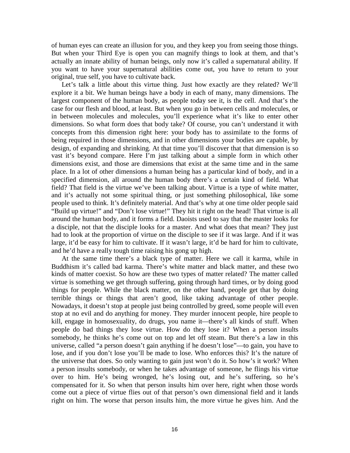of human eyes can create an illusion for you, and they keep you from seeing those things. But when your Third Eye is open you can magnify things to look at them, and that's actually an innate ability of human beings, only now it's called a supernatural ability. If you want to have your supernatural abilities come out, you have to return to your original, true self, you have to cultivate back.

Let's talk a little about this virtue thing. Just how exactly are they related? We'll explore it a bit. We human beings have a body in each of many, many dimensions. The largest component of the human body, as people today see it, is the cell. And that's the case for our flesh and blood, at least. But when you go in between cells and molecules, or in between molecules and molecules, you'll experience what it's like to enter other dimensions. So what form does that body take? Of course, you can't understand it with concepts from this dimension right here: your body has to assimilate to the forms of being required in those dimensions, and in other dimensions your bodies are capable, by design, of expanding and shrinking. At that time you'll discover that that dimension is so vast it's beyond compare. Here I'm just talking about a simple form in which other dimensions exist, and those are dimensions that exist at the same time and in the same place. In a lot of other dimensions a human being has a particular kind of body, and in a specified dimension, all around the human body there's a certain kind of field. What field? That field is the virtue we've been talking about. Virtue is a type of white matter, and it's actually not some spiritual thing, or just something philosophical, like some people used to think. It's definitely material. And that's why at one time older people said "Build up virtue!" and "Don't lose virtue!" They hit it right on the head! That virtue is all around the human body, and it forms a field. Daoists used to say that the master looks for a disciple, not that the disciple looks for a master. And what does that mean? They just had to look at the proportion of virtue on the disciple to see if it was large. And if it was large, it'd be easy for him to cultivate. If it wasn't large, it'd be hard for him to cultivate, and he'd have a really tough time raising his gong up high.

At the same time there's a black type of matter. Here we call it karma, while in Buddhism it's called bad karma. There's white matter and black matter, and these two kinds of matter coexist. So how are these two types of matter related? The matter called virtue is something we get through suffering, going through hard times, or by doing good things for people. While the black matter, on the other hand, people get that by doing terrible things or things that aren't good, like taking advantage of other people. Nowadays, it doesn't stop at people just being controlled by greed, some people will even stop at no evil and do anything for money. They murder innocent people, hire people to kill, engage in homosexuality, do drugs, you name it—there's all kinds of stuff. When people do bad things they lose virtue. How do they lose it? When a person insults somebody, he thinks he's come out on top and let off steam. But there's a law in this universe, called "a person doesn't gain anything if he doesn't lose"—to gain, you have to lose, and if you don't lose you'll be made to lose. Who enforces this? It's the nature of the universe that does. So only wanting to gain just won't do it. So how's it work? When a person insults somebody, or when he takes advantage of someone, he flings his virtue over to him. He's being wronged, he's losing out, and he's suffering, so he's compensated for it. So when that person insults him over here, right when those words come out a piece of virtue flies out of that person's own dimensional field and it lands right on him. The worse that person insults him, the more virtue he gives him. And the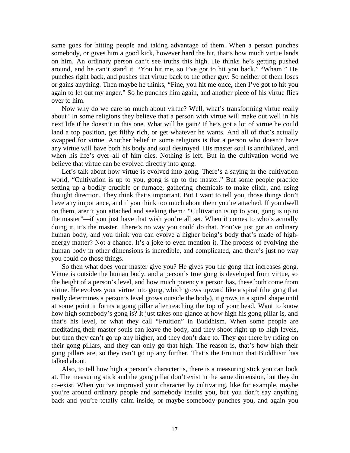same goes for hitting people and taking advantage of them. When a person punches somebody, or gives him a good kick, however hard the hit, that's how much virtue lands on him. An ordinary person can't see truths this high. He thinks he's getting pushed around, and he can't stand it. "You hit me, so I've got to hit you back." "Wham!" He punches right back, and pushes that virtue back to the other guy. So neither of them loses or gains anything. Then maybe he thinks, "Fine, you hit me once, then I've got to hit you again to let out my anger." So he punches him again, and another piece of his virtue flies over to him.

Now why do we care so much about virtue? Well, what's transforming virtue really about? In some religions they believe that a person with virtue will make out well in his next life if he doesn't in this one. What will he gain? If he's got a lot of virtue he could land a top position, get filthy rich, or get whatever he wants. And all of that's actually swapped for virtue. Another belief in some religions is that a person who doesn't have any virtue will have both his body and soul destroyed. His master soul is annihilated, and when his life's over all of him dies. Nothing is left. But in the cultivation world we believe that virtue can be evolved directly into gong.

Let's talk about how virtue is evolved into gong. There's a saying in the cultivation world, "Cultivation is up to you, gong is up to the master." But some people practice setting up a bodily crucible or furnace, gathering chemicals to make elixir, and using thought direction. They think that's important. But I want to tell you, those things don't have any importance, and if you think too much about them you're attached. If you dwell on them, aren't you attached and seeking them? "Cultivation is up to you, gong is up to the master"—if you just have that wish you're all set. When it comes to who's actually doing it, it's the master. There's no way you could do that. You've just got an ordinary human body, and you think you can evolve a higher being's body that's made of highenergy matter? Not a chance. It's a joke to even mention it. The process of evolving the human body in other dimensions is incredible, and complicated, and there's just no way you could do those things.

So then what does your master give you? He gives you the gong that increases gong. Virtue is outside the human body, and a person's true gong is developed from virtue, so the height of a person's level, and how much potency a person has, these both come from virtue. He evolves your virtue into gong, which grows upward like a spiral (the gong that really determines a person's level grows outside the body), it grows in a spiral shape until at some point it forms a gong pillar after reaching the top of your head. Want to know how high somebody's gong is? It just takes one glance at how high his gong pillar is, and that's his level, or what they call "Fruition" in Buddhism. When some people are meditating their master souls can leave the body, and they shoot right up to high levels, but then they can't go up any higher, and they don't dare to. They got there by riding on their gong pillars, and they can only go that high. The reason is, that's how high their gong pillars are, so they can't go up any further. That's the Fruition that Buddhism has talked about.

Also, to tell how high a person's character is, there is a measuring stick you can look at. The measuring stick and the gong pillar don't exist in the same dimension, but they do co-exist. When you've improved your character by cultivating, like for example, maybe you're around ordinary people and somebody insults you, but you don't say anything back and you're totally calm inside, or maybe somebody punches you, and again you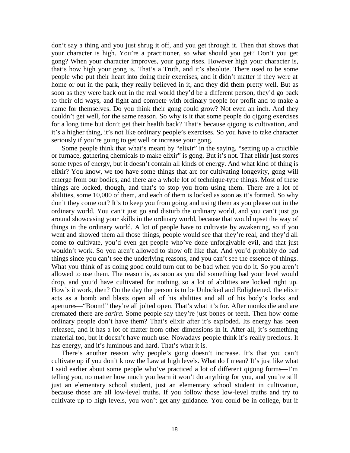don't say a thing and you just shrug it off, and you get through it. Then that shows that your character is high. You're a practitioner, so what should you get? Don't you get gong? When your character improves, your gong rises. However high your character is, that's how high your gong is. That's a Truth, and it's absolute. There used to be some people who put their heart into doing their exercises, and it didn't matter if they were at home or out in the park, they really believed in it, and they did them pretty well. But as soon as they were back out in the real world they'd be a different person, they'd go back to their old ways, and fight and compete with ordinary people for profit and to make a name for themselves. Do you think their gong could grow? Not even an inch. And they couldn't get well, for the same reason. So why is it that some people do qigong exercises for a long time but don't get their health back? That's because qigong is cultivation, and it's a higher thing, it's not like ordinary people's exercises. So you have to take character seriously if you're going to get well or increase your gong.

Some people think that what's meant by "elixir" in the saying, "setting up a crucible or furnace, gathering chemicals to make elixir" is gong. But it's not. That elixir just stores some types of energy, but it doesn't contain all kinds of energy. And what kind of thing is elixir? You know, we too have some things that are for cultivating longevity, gong will emerge from our bodies, and there are a whole lot of technique-type things. Most of these things are locked, though, and that's to stop you from using them. There are a lot of abilities, some 10,000 of them, and each of them is locked as soon as it's formed. So why don't they come out? It's to keep you from going and using them as you please out in the ordinary world. You can't just go and disturb the ordinary world, and you can't just go around showcasing your skills in the ordinary world, because that would upset the way of things in the ordinary world. A lot of people have to cultivate by awakening, so if you went and showed them all those things, people would see that they're real, and they'd all come to cultivate, you'd even get people who've done unforgivable evil, and that just wouldn't work. So you aren't allowed to show off like that. And you'd probably do bad things since you can't see the underlying reasons, and you can't see the essence of things. What you think of as doing good could turn out to be bad when you do it. So you aren't allowed to use them. The reason is, as soon as you did something bad your level would drop, and you'd have cultivated for nothing, so a lot of abilities are locked right up. How's it work, then? On the day the person is to be Unlocked and Enlightened, the elixir acts as a bomb and blasts open all of his abilities and all of his body's locks and apertures—"Boom!" they're all jolted open. That's what it's for. After monks die and are cremated there are *sarira*. Some people say they're just bones or teeth. Then how come ordinary people don't have them? That's elixir after it's exploded. Its energy has been released, and it has a lot of matter from other dimensions in it. After all, it's something material too, but it doesn't have much use. Nowadays people think it's really precious. It has energy, and it's luminous and hard. That's what it is.

There's another reason why people's gong doesn't increase. It's that you can't cultivate up if you don't know the Law at high levels. What do I mean? It's just like what I said earlier about some people who've practiced a lot of different qigong forms—I'm telling you, no matter how much you learn it won't do anything for you, and you're still just an elementary school student, just an elementary school student in cultivation, because those are all low-level truths. If you follow those low-level truths and try to cultivate up to high levels, you won't get any guidance. You could be in college, but if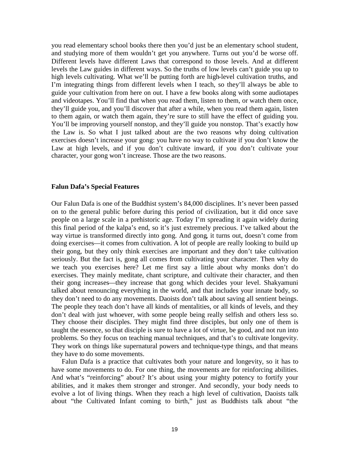you read elementary school books there then you'd just be an elementary school student, and studying more of them wouldn't get you anywhere. Turns out you'd be worse off. Different levels have different Laws that correspond to those levels. And at different levels the Law guides in different ways. So the truths of low levels can't guide you up to high levels cultivating. What we'll be putting forth are high-level cultivation truths, and I'm integrating things from different levels when I teach, so they'll always be able to guide your cultivation from here on out. I have a few books along with some audiotapes and videotapes. You'll find that when you read them, listen to them, or watch them once, they'll guide you, and you'll discover that after a while, when you read them again, listen to them again, or watch them again, they're sure to still have the effect of guiding you. You'll be improving yourself nonstop, and they'll guide you nonstop. That's exactly how the Law is. So what I just talked about are the two reasons why doing cultivation exercises doesn't increase your gong: you have no way to cultivate if you don't know the Law at high levels, and if you don't cultivate inward, if you don't cultivate your character, your gong won't increase. Those are the two reasons.

#### <span id="page-23-0"></span>**Falun Dafa's Special Features**

Our Falun Dafa is one of the Buddhist system's 84,000 disciplines. It's never been passed on to the general public before during this period of civilization, but it did once save people on a large scale in a prehistoric age. Today I'm spreading it again widely during this final period of the kalpa's end, so it's just extremely precious. I've talked about the way virtue is transformed directly into gong. And gong, it turns out, doesn't come from doing exercises—it comes from cultivation. A lot of people are really looking to build up their gong, but they only think exercises are important and they don't take cultivation seriously. But the fact is, gong all comes from cultivating your character. Then why do we teach you exercises here? Let me first say a little about why monks don't do exercises. They mainly meditate, chant scripture, and cultivate their character, and then their gong increases—they increase that gong which decides your level. Shakyamuni talked about renouncing everything in the world, and that includes your innate body, so they don't need to do any movements. Daoists don't talk about saving all sentient beings. The people they teach don't have all kinds of mentalities, or all kinds of levels, and they don't deal with just whoever, with some people being really selfish and others less so. They choose their disciples. They might find three disciples, but only one of them is taught the essence, so that disciple is sure to have a lot of virtue, be good, and not run into problems. So they focus on teaching manual techniques, and that's to cultivate longevity. They work on things like supernatural powers and technique-type things, and that means they have to do some movements.

Falun Dafa is a practice that cultivates both your nature and longevity, so it has to have some movements to do. For one thing, the movements are for reinforcing abilities. And what's "reinforcing" about? It's about using your mighty potency to fortify your abilities, and it makes them stronger and stronger. And secondly, your body needs to evolve a lot of living things. When they reach a high level of cultivation, Daoists talk about "the Cultivated Infant coming to birth," just as Buddhists talk about "the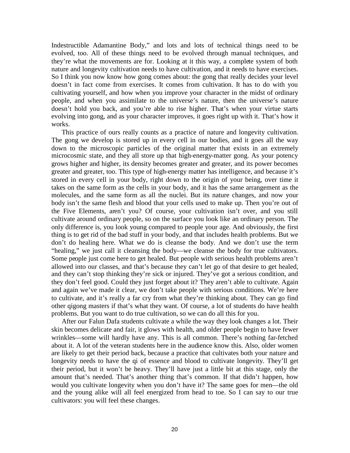Indestructible Adamantine Body," and lots and lots of technical things need to be evolved, too. All of these things need to be evolved through manual techniques, and they're what the movements are for. Looking at it this way, a complete system of both nature and longevity cultivation needs to have cultivation, and it needs to have exercises. So I think you now know how gong comes about: the gong that really decides your level doesn't in fact come from exercises. It comes from cultivation. It has to do with you cultivating yourself, and how when you improve your character in the midst of ordinary people, and when you assimilate to the universe's nature, then the universe's nature doesn't hold you back, and you're able to rise higher. That's when your virtue starts evolving into gong, and as your character improves, it goes right up with it. That's how it works.

This practice of ours really counts as a practice of nature and longevity cultivation. The gong we develop is stored up in every cell in our bodies, and it goes all the way down to the microscopic particles of the original matter that exists in an extremely microcosmic state, and they all store up that high-energy-matter gong. As your potency grows higher and higher, its density becomes greater and greater, and its power becomes greater and greater, too. This type of high-energy matter has intelligence, and because it's stored in every cell in your body, right down to the origin of your being, over time it takes on the same form as the cells in your body, and it has the same arrangement as the molecules, and the same form as all the nuclei. But its nature changes, and now your body isn't the same flesh and blood that your cells used to make up. Then you're out of the Five Elements, aren't you? Of course, your cultivation isn't over, and you still cultivate around ordinary people, so on the surface you look like an ordinary person. The only difference is, you look young compared to people your age. And obviously, the first thing is to get rid of the bad stuff in your body, and that includes health problems. But we don't do healing here. What we do is cleanse the body. And we don't use the term "healing," we just call it cleansing the body—we cleanse the body for true cultivators. Some people just come here to get healed. But people with serious health problems aren't allowed into our classes, and that's because they can't let go of that desire to get healed, and they can't stop thinking they're sick or injured. They've got a serious condition, and they don't feel good. Could they just forget about it? They aren't able to cultivate. Again and again we've made it clear, we don't take people with serious conditions. We're here to cultivate, and it's really a far cry from what they're thinking about. They can go find other qigong masters if that's what they want. Of course, a lot of students do have health problems. But you want to do true cultivation, so we can do all this for you.

After our Falun Dafa students cultivate a while the way they look changes a lot. Their skin becomes delicate and fair, it glows with health, and older people begin to have fewer wrinkles—some will hardly have any. This is all common. There's nothing far-fetched about it. A lot of the veteran students here in the audience know this. Also, older women are likely to get their period back, because a practice that cultivates both your nature and longevity needs to have the qi of essence and blood to cultivate longevity. They'll get their period, but it won't be heavy. They'll have just a little bit at this stage, only the amount that's needed. That's another thing that's common. If that didn't happen, how would you cultivate longevity when you don't have it? The same goes for men—the old and the young alike will all feel energized from head to toe. So I can say to our true cultivators: you will feel these changes.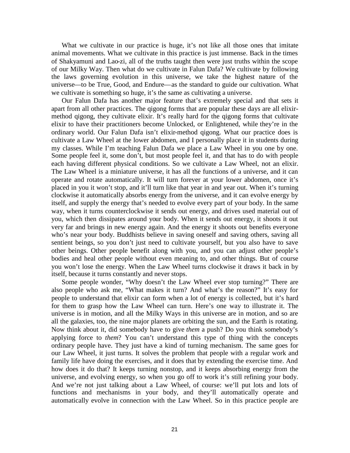What we cultivate in our practice is huge, it's not like all those ones that imitate animal movements. What we cultivate in this practice is just immense. Back in the times of Shakyamuni and Lao-zi, all of the truths taught then were just truths within the scope of our Milky Way. Then what do we cultivate in Falun Dafa? We cultivate by following the laws governing evolution in this universe, we take the highest nature of the universe—to be True, Good, and Endure—as the standard to guide our cultivation. What we cultivate is something so huge, it's the same as cultivating a universe.

Our Falun Dafa has another major feature that's extremely special and that sets it apart from all other practices. The qigong forms that are popular these days are all elixirmethod qigong, they cultivate elixir. It's really hard for the qigong forms that cultivate elixir to have their practitioners become Unlocked, or Enlightened, while they're in the ordinary world. Our Falun Dafa isn't elixir-method qigong. What our practice does is cultivate a Law Wheel at the lower abdomen, and I personally place it in students during my classes. While I'm teaching Falun Dafa we place a Law Wheel in you one by one. Some people feel it, some don't, but most people feel it, and that has to do with people each having different physical conditions. So we cultivate a Law Wheel, not an elixir. The Law Wheel is a miniature universe, it has all the functions of a universe, and it can operate and rotate automatically. It will turn forever at your lower abdomen, once it's placed in you it won't stop, and it'll turn like that year in and year out. When it's turning clockwise it automatically absorbs energy from the universe, and it can evolve energy by itself, and supply the energy that's needed to evolve every part of your body. In the same way, when it turns counterclockwise it sends out energy, and drives used material out of you, which then dissipates around your body. When it sends out energy, it shoots it out very far and brings in new energy again. And the energy it shoots out benefits everyone who's near your body. Buddhists believe in saving oneself and saving others, saving all sentient beings, so you don't just need to cultivate yourself, but you also have to save other beings. Other people benefit along with you, and you can adjust other people's bodies and heal other people without even meaning to, and other things. But of course you won't lose the energy. When the Law Wheel turns clockwise it draws it back in by itself, because it turns constantly and never stops.

Some people wonder, "Why doesn't the Law Wheel ever stop turning?" There are also people who ask me, "What makes it turn? And what's the reason?" It's easy for people to understand that elixir can form when a lot of energy is collected, but it's hard for them to grasp how the Law Wheel can turn. Here's one way to illustrate it. The universe is in motion, and all the Milky Ways in this universe are in motion, and so are all the galaxies, too, the nine major planets are orbiting the sun, and the Earth is rotating. Now think about it, did somebody have to give *them* a push? Do you think somebody's applying force to *them*? You can't understand this type of thing with the concepts ordinary people have. They just have a kind of turning mechanism. The same goes for our Law Wheel, it just turns. It solves the problem that people with a regular work and family life have doing the exercises, and it does that by extending the exercise time. And how does it do that? It keeps turning nonstop, and it keeps absorbing energy from the universe, and evolving energy, so when you go off to work it's still refining your body. And we're not just talking about a Law Wheel, of course: we'll put lots and lots of functions and mechanisms in your body, and they'll automatically operate and automatically evolve in connection with the Law Wheel. So in this practice people are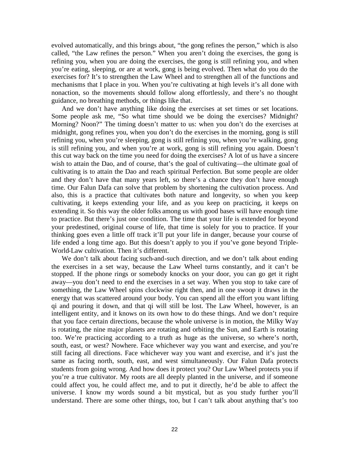evolved automatically, and this brings about, "the gong refines the person," which is also called, "the Law refines the person." When you aren't doing the exercises, the gong is refining you, when you are doing the exercises, the gong is still refining you, and when you're eating, sleeping, or are at work, gong is being evolved. Then what do you do the exercises for? It's to strengthen the Law Wheel and to strengthen all of the functions and mechanisms that I place in you. When you're cultivating at high levels it's all done with nonaction, so the movements should follow along effortlessly, and there's no thought guidance, no breathing methods, or things like that.

And we don't have anything like doing the exercises at set times or set locations. Some people ask me, "So what time should we be doing the exercises? Midnight? Morning? Noon?" The timing doesn't matter to us: when you don't do the exercises at midnight, gong refines you, when you don't do the exercises in the morning, gong is still refining you, when you're sleeping, gong is still refining you, when you're walking, gong is still refining you, and when you're at work, gong is still refining you again. Doesn't this cut way back on the time you need for doing the exercises? A lot of us have a sincere wish to attain the Dao, and of course, that's the goal of cultivating—the ultimate goal of cultivating is to attain the Dao and reach spiritual Perfection. But some people are older and they don't have that many years left, so there's a chance they don't have enough time. Our Falun Dafa can solve that problem by shortening the cultivation process. And also, this is a practice that cultivates both nature and longevity, so when you keep cultivating, it keeps extending your life, and as you keep on practicing, it keeps on extending it. So this way the older folks among us with good bases will have enough time to practice. But there's just one condition. The time that your life is extended for beyond your predestined, original course of life, that time is solely for you to practice. If your thinking goes even a little off track it'll put your life in danger, because your course of life ended a long time ago. But this doesn't apply to you if you've gone beyond Triple-World-Law cultivation. Then it's different.

We don't talk about facing such-and-such direction, and we don't talk about ending the exercises in a set way, because the Law Wheel turns constantly, and it can't be stopped. If the phone rings or somebody knocks on your door, you can go get it right away—you don't need to end the exercises in a set way. When you stop to take care of something, the Law Wheel spins clockwise right then, and in one swoop it draws in the energy that was scattered around your body. You can spend all the effort you want lifting qi and pouring it down, and that qi will still be lost. The Law Wheel, however, is an intelligent entity, and it knows on its own how to do these things. And we don't require that you face certain directions, because the whole universe is in motion, the Milky Way is rotating, the nine major planets are rotating and orbiting the Sun, and Earth is rotating too. We're practicing according to a truth as huge as the universe, so where's north, south, east, or west? Nowhere. Face whichever way you want and exercise, and you're still facing all directions. Face whichever way you want and exercise, and it's just the same as facing north, south, east, and west simultaneously. Our Falun Dafa protects students from going wrong. And how does it protect you? Our Law Wheel protects you if you're a true cultivator. My roots are all deeply planted in the universe, and if someone could affect you, he could affect me, and to put it directly, he'd be able to affect the universe. I know my words sound a bit mystical, but as you study further you'll understand. There are some other things, too, but I can't talk about anything that's too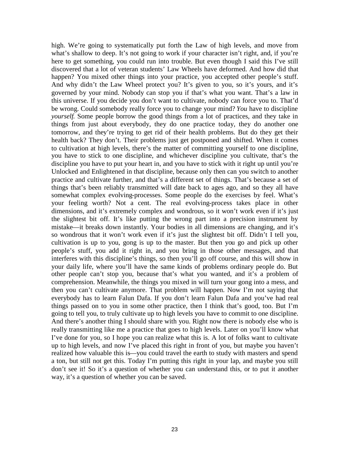high. We're going to systematically put forth the Law of high levels, and move from what's shallow to deep. It's not going to work if your character isn't right, and, if you're here to get something, you could run into trouble. But even though I said this I've still discovered that a lot of veteran students' Law Wheels have deformed. And how did that happen? You mixed other things into your practice, you accepted other people's stuff. And why didn't the Law Wheel protect you? It's given to you, so it's yours, and it's governed by your mind. Nobody can stop you if that's what you want. That's a law in this universe. If you decide you don't want to cultivate, nobody can force you to. That'd be wrong. Could somebody really force you to change your mind? *You* have to discipline *yourself*. Some people borrow the good things from a lot of practices, and they take in things from just about everybody, they do one practice today, they do another one tomorrow, and they're trying to get rid of their health problems. But do they get their health back? They don't. Their problems just get postponed and shifted. When it comes to cultivation at high levels, there's the matter of committing yourself to one discipline, you have to stick to one discipline, and whichever discipline you cultivate, that's the discipline you have to put your heart in, and you have to stick with it right up until you're Unlocked and Enlightened in that discipline, because only then can you switch to another practice and cultivate further, and that's a different set of things. That's because a set of things that's been reliably transmitted will date back to ages ago, and so they all have somewhat complex evolving-processes. Some people do the exercises by feel. What's your feeling worth? Not a cent. The real evolving-process takes place in other dimensions, and it's extremely complex and wondrous, so it won't work even if it's just the slightest bit off. It's like putting the wrong part into a precision instrument by mistake—it breaks down instantly. Your bodies in all dimensions are changing, and it's so wondrous that it won't work even if it's just the slightest bit off. Didn't I tell you, cultivation is up to you, gong is up to the master. But then you go and pick up other people's stuff, you add it right in, and you bring in those other messages, and that interferes with this discipline's things, so then you'll go off course, and this will show in your daily life, where you'll have the same kinds of problems ordinary people do. But other people can't stop you, because that's what you wanted, and it's a problem of comprehension. Meanwhile, the things you mixed in will turn your gong into a mess, and then you can't cultivate anymore. That problem will happen. Now I'm not saying that everybody has to learn Falun Dafa. If you don't learn Falun Dafa and you've had real things passed on to you in some other practice, then I think that's good, too. But I'm going to tell you, to truly cultivate up to high levels you have to commit to one discipline. And there's another thing I should share with you. Right now there is nobody else who is really transmitting like me a practice that goes to high levels. Later on you'll know what I've done for you, so I hope you can realize what this is. A lot of folks want to cultivate up to high levels, and now I've placed this right in front of you, but maybe you haven't realized how valuable this is—you could travel the earth to study with masters and spend a ton, but still not get this. Today I'm putting this right in your lap, and maybe you still don't see it! So it's a question of whether you can understand this, or to put it another way, it's a question of whether you can be saved.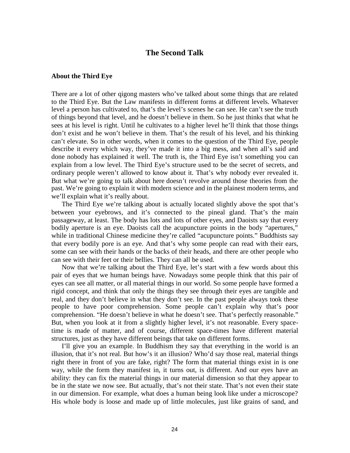## <span id="page-28-0"></span>**The Second Talk**

#### <span id="page-28-1"></span>**About the Third Eye**

There are a lot of other qigong masters who've talked about some things that are related to the Third Eye. But the Law manifests in different forms at different levels. Whatever level a person has cultivated to, that's the level's scenes he can see. He can't see the truth of things beyond that level, and he doesn't believe in them. So he just thinks that what he sees at his level is right. Until he cultivates to a higher level he'll think that those things don't exist and he won't believe in them. That's the result of his level, and his thinking can't elevate. So in other words, when it comes to the question of the Third Eye, people describe it every which way, they've made it into a big mess, and when all's said and done nobody has explained it well. The truth is, the Third Eye isn't something you can explain from a low level. The Third Eye's structure used to be the secret of secrets, and ordinary people weren't allowed to know about it. That's why nobody ever revealed it. But what we're going to talk about here doesn't revolve around those theories from the past. We're going to explain it with modern science and in the plainest modern terms, and we'll explain what it's really about.

The Third Eye we're talking about is actually located slightly above the spot that's between your eyebrows, and it's connected to the pineal gland. That's the main passageway, at least. The body has lots and lots of other eyes, and Daoists say that every bodily aperture is an eye. Daoists call the acupuncture points in the body "apertures," while in traditional Chinese medicine they're called "acupuncture points." Buddhists say that every bodily pore is an eye. And that's why some people can read with their ears, some can see with their hands or the backs of their heads, and there are other people who can see with their feet or their bellies. They can all be used.

Now that we're talking about the Third Eye, let's start with a few words about this pair of eyes that we human beings have. Nowadays some people think that this pair of eyes can see all matter, or all material things in our world. So some people have formed a rigid concept, and think that only the things they see through their eyes are tangible and real, and they don't believe in what they don't see. In the past people always took these people to have poor comprehension. Some people can't explain why that's poor comprehension. "He doesn't believe in what he doesn't see. That's perfectly reasonable." But, when you look at it from a slightly higher level, it's not reasonable. Every spacetime is made of matter, and of course, different space-times have different material structures, just as they have different beings that take on different forms.

I'll give you an example. In Buddhism they say that everything in the world is an illusion, that it's not real. But how's it an illusion? Who'd say those real, material things right there in front of you are fake, right? The form that material things exist in is one way, while the form they manifest in, it turns out, is different. And our eyes have an ability: they can fix the material things in our material dimension so that they appear to be in the state we now see. But actually, that's not their state. That's not even their state in our dimension. For example, what does a human being look like under a microscope? His whole body is loose and made up of little molecules, just like grains of sand, and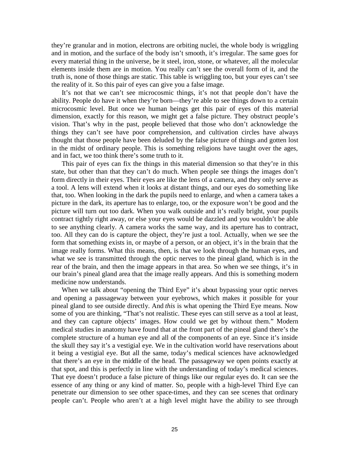they're granular and in motion, electrons are orbiting nuclei, the whole body is wriggling and in motion, and the surface of the body isn't smooth, it's irregular. The same goes for every material thing in the universe, be it steel, iron, stone, or whatever, all the molecular elements inside them are in motion. You really can't see the overall form of it, and the truth is, none of those things are static. This table is wriggling too, but your eyes can't see the reality of it. So this pair of eyes can give you a false image.

It's not that we can't see microcosmic things, it's not that people don't have the ability. People do have it when they're born—they're able to see things down to a certain microcosmic level. But once we human beings get this pair of eyes of this material dimension, exactly for this reason, we might get a false picture. They obstruct people's vision. That's why in the past, people believed that those who don't acknowledge the things they can't see have poor comprehension, and cultivation circles have always thought that those people have been deluded by the false picture of things and gotten lost in the midst of ordinary people. This is something religions have taught over the ages, and in fact, we too think there's some truth to it.

This pair of eyes can fix the things in this material dimension so that they're in this state, but other than that they can't do much. When people see things the images don't form directly in their eyes. Their eyes are like the lens of a camera, and they only serve as a tool. A lens will extend when it looks at distant things, and our eyes do something like that, too. When looking in the dark the pupils need to enlarge, and when a camera takes a picture in the dark, its aperture has to enlarge, too, or the exposure won't be good and the picture will turn out too dark. When you walk outside and it's really bright, your pupils contract tightly right away, or else your eyes would be dazzled and you wouldn't be able to see anything clearly. A camera works the same way, and its aperture has to contract, too. All they can do is capture the object, they're just a tool. Actually, when we see the form that something exists in, or maybe of a person, or an object, it's in the brain that the image really forms. What this means, then, is that we look through the human eyes, and what we see is transmitted through the optic nerves to the pineal gland, which is in the rear of the brain, and then the image appears in that area. So when we see things, it's in our brain's pineal gland area that the image really appears. And this is something modern medicine now understands.

When we talk about "opening the Third Eye" it's about bypassing your optic nerves and opening a passageway between your eyebrows, which makes it possible for your pineal gland to see outside directly. And *this* is what opening the Third Eye means. Now some of you are thinking, "That's not realistic. These eyes can still serve as a tool at least, and they can capture objects' images. How could we get by without them." Modern medical studies in anatomy have found that at the front part of the pineal gland there's the complete structure of a human eye and all of the components of an eye. Since it's inside the skull they say it's a vestigial eye. We in the cultivation world have reservations about it being a vestigial eye. But all the same, today's medical sciences have acknowledged that there's an eye in the middle of the head. The passageway we open points exactly at that spot, and this is perfectly in line with the understanding of today's medical sciences. That eye doesn't produce a false picture of things like our regular eyes do. It can see the essence of any thing or any kind of matter. So, people with a high-level Third Eye can penetrate our dimension to see other space-times, and they can see scenes that ordinary people can't. People who aren't at a high level might have the ability to see through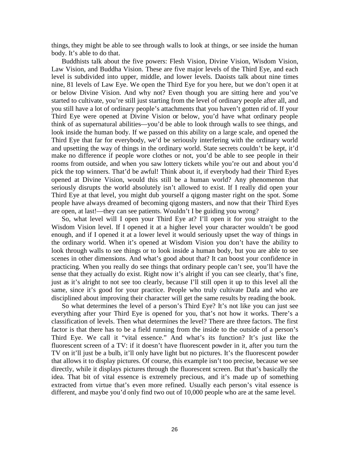things, they might be able to see through walls to look at things, or see inside the human body. It's able to do that.

Buddhists talk about the five powers: Flesh Vision, Divine Vision, Wisdom Vision, Law Vision, and Buddha Vision. These are five major levels of the Third Eye, and each level is subdivided into upper, middle, and lower levels. Daoists talk about nine times nine, 81 levels of Law Eye. We open the Third Eye for you here, but we don't open it at or below Divine Vision. And why not? Even though you are sitting here and you've started to cultivate, you're still just starting from the level of ordinary people after all, and you still have a lot of ordinary people's attachments that you haven't gotten rid of. If your Third Eye were opened at Divine Vision or below, you'd have what ordinary people think of as supernatural abilities—you'd be able to look through walls to see things, and look inside the human body. If we passed on this ability on a large scale, and opened the Third Eye that far for everybody, we'd be seriously interfering with the ordinary world and upsetting the way of things in the ordinary world. State secrets couldn't be kept, it'd make no difference if people wore clothes or not, you'd be able to see people in their rooms from outside, and when you saw lottery tickets while you're out and about you'd pick the top winners. That'd be awful! Think about it, if everybody had their Third Eyes opened at Divine Vision, would this still be a human world? Any phenomenon that seriously disrupts the world absolutely isn't allowed to exist. If I really did open your Third Eye at that level, you might dub yourself a qigong master right on the spot. Some people have always dreamed of becoming qigong masters, and now that their Third Eyes are open, at last!—they can see patients. Wouldn't I be guiding you wrong?

So, what level will I open your Third Eye at? I'll open it for you straight to the Wisdom Vision level. If I opened it at a higher level your character wouldn't be good enough, and if I opened it at a lower level it would seriously upset the way of things in the ordinary world. When it's opened at Wisdom Vision you don't have the ability to look through walls to see things or to look inside a human body, but you are able to see scenes in other dimensions. And what's good about that? It can boost your confidence in practicing. When you really do see things that ordinary people can't see, you'll have the sense that they actually do exist. Right now it's alright if you can see clearly, that's fine, just as it's alright to not see too clearly, because I'll still open it up to this level all the same, since it's good for your practice. People who truly cultivate Dafa and who are disciplined about improving their character will get the same results by reading the book.

So what determines the level of a person's Third Eye? It's not like you can just see everything after your Third Eye is opened for you, that's not how it works. There's a classification of levels. Then what determines the level? There are three factors. The first factor is that there has to be a field running from the inside to the outside of a person's Third Eye. We call it "vital essence." And what's its function? It's just like the fluorescent screen of a TV: if it doesn't have fluorescent powder in it, after you turn the TV on it'll just be a bulb, it'll only have light but no pictures. It's the fluorescent powder that allows it to display pictures. Of course, this example isn't too precise, because we see directly, while it displays pictures through the fluorescent screen. But that's basically the idea. That bit of vital essence is extremely precious, and it's made up of something extracted from virtue that's even more refined. Usually each person's vital essence is different, and maybe you'd only find two out of 10,000 people who are at the same level.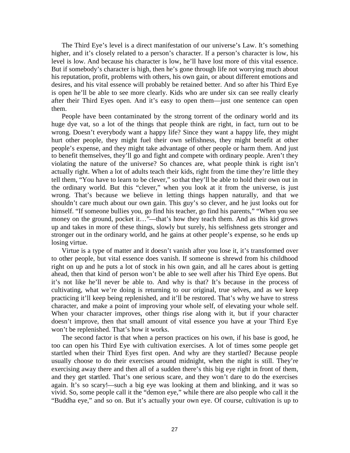The Third Eye's level is a direct manifestation of our universe's Law. It's something higher, and it's closely related to a person's character. If a person's character is low, his level is low. And because his character is low, he'll have lost more of this vital essence. But if somebody's character is high, then he's gone through life not worrying much about his reputation, profit, problems with others, his own gain, or about different emotions and desires, and his vital essence will probably be retained better. And so after his Third Eye is open he'll be able to see more clearly. Kids who are under six can see really clearly after their Third Eyes open. And it's easy to open them—just one sentence can open them.

People have been contaminated by the strong torrent of the ordinary world and its huge dye vat, so a lot of the things that people think are right, in fact, turn out to be wrong. Doesn't everybody want a happy life? Since they want a happy life, they might hurt other people, they might fuel their own selfishness, they might benefit at other people's expense, and they might take advantage of other people or harm them. And just to benefit themselves, they'll go and fight and compete with ordinary people. Aren't they violating the nature of the universe? So chances are, what people think is right isn't actually right. When a lot of adults teach their kids, right from the time they're little they tell them, "You have to learn to be clever," so that they'll be able to hold their own out in the ordinary world. But this "clever," when you look at it from the universe, is just wrong. That's because we believe in letting things happen naturally, and that we shouldn't care much about our own gain. This guy's so clever, and he just looks out for himself. "If someone bullies you, go find his teacher, go find his parents," "When you see money on the ground, pocket it…"—that's how they teach them. And as this kid grows up and takes in more of these things, slowly but surely, his selfishness gets stronger and stronger out in the ordinary world, and he gains at other people's expense, so he ends up losing virtue.

Virtue is a type of matter and it doesn't vanish after you lose it, it's transformed over to other people, but vital essence does vanish. If someone is shrewd from his childhood right on up and he puts a lot of stock in his own gain, and all he cares about is getting ahead, then that kind of person won't be able to see well after his Third Eye opens. But it's not like he'll never be able to. And why is that? It's because in the process of cultivating, what we're doing is returning to our original, true selves, and as we keep practicing it'll keep being replenished, and it'll be restored. That's why we have to stress character, and make a point of improving your whole self, of elevating your whole self. When your character improves, other things rise along with it, but if your character doesn't improve, then that small amount of vital essence you have at your Third Eye won't be replenished. That's how it works.

The second factor is that when a person practices on his own, if his base is good, he too can open his Third Eye with cultivation exercises. A lot of times some people get startled when their Third Eyes first open. And why are they startled? Because people usually choose to do their exercises around midnight, when the night is still. They're exercising away there and then all of a sudden there's this big eye right in front of them, and they get startled. That's one serious scare, and they won't dare to do the exercises again. It's so scary!—such a big eye was looking at them and blinking, and it was so vivid. So, some people call it the "demon eye," while there are also people who call it the "Buddha eye," and so on. But it's actually your own eye. Of course, cultivation is up to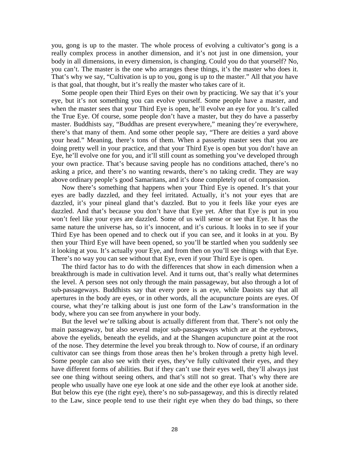you, gong is up to the master. The whole process of evolving a cultivator's gong is a really complex process in another dimension, and it's not just in one dimension, your body in all dimensions, in every dimension, is changing. Could you do that yourself? No, you can't. The master is the one who arranges these things, it's the master who does it. That's why we say, "Cultivation is up to you, gong is up to the master." All that *you* have is that goal, that thought, but it's really the master who takes care of it.

Some people open their Third Eyes on their own by practicing. We say that it's your eye, but it's not something you can evolve yourself. Some people have a master, and when the master sees that your Third Eye is open, he'll evolve an eye for you. It's called the True Eye. Of course, some people don't have a master, but they do have a passerby master. Buddhists say, "Buddhas are present everywhere," meaning they're everywhere, there's that many of them. And some other people say, "There are deities a yard above your head." Meaning, there's tons of them. When a passerby master sees that you are doing pretty well in your practice, and that your Third Eye is open but you don't have an Eye, he'll evolve one for you, and it'll still count as something you've developed through your own practice. That's because saving people has no conditions attached, there's no asking a price, and there's no wanting rewards, there's no taking credit. They are way above ordinary people's good Samaritans, and it's done completely out of compassion.

Now there's something that happens when your Third Eye is opened. It's that your eyes are badly dazzled, and they feel irritated. Actually, it's not your eyes that are dazzled, it's your pineal gland that's dazzled. But to you it feels like your eyes are dazzled. And that's because you don't have that Eye yet. After that Eye is put in you won't feel like your eyes are dazzled. Some of us will sense or see that Eye. It has the same nature the universe has, so it's innocent, and it's curious. It looks in to see if your Third Eye has been opened and to check out if you can see, and it looks in at you. By then your Third Eye will have been opened, so you'll be startled when you suddenly see it looking at you. It's actually your Eye, and from then on you'll see things with that Eye. There's no way you can see without that Eye, even if your Third Eye is open.

The third factor has to do with the differences that show in each dimension when a breakthrough is made in cultivation level. And it turns out, that's really what determines the level. A person sees not only through the main passageway, but also through a lot of sub-passageways. Buddhists say that every pore is an eye, while Daoists say that all apertures in the body are eyes, or in other words, all the acupuncture points are eyes. Of course, what they're talking about is just one form of the Law's transformation in the body, where you can see from anywhere in your body.

But the level we're talking about is actually different from that. There's not only the main passageway, but also several major sub-passageways which are at the eyebrows, above the eyelids, beneath the eyelids, and at the Shangen acupuncture point at the root of the nose. They determine the level you break through to. Now of course, if an ordinary cultivator can see things from those areas then he's broken through a pretty high level. Some people can also see with their eyes, they've fully cultivated their eyes, and they have different forms of abilities. But if they can't use their eyes well, they'll always just see one thing without seeing others, and that's still not so great. That's why there are people who usually have one eye look at one side and the other eye look at another side. But below this eye (the right eye), there's no sub-passageway, and this is directly related to the Law, since people tend to use their right eye when they do bad things, so there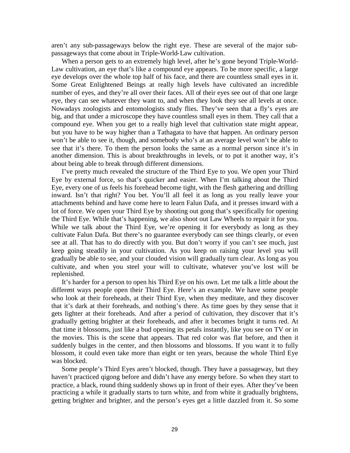aren't any sub-passageways below the right eye. These are several of the major subpassageways that come about in Triple-World-Law cultivation.

When a person gets to an extremely high level, after he's gone beyond Triple-World-Law cultivation, an eye that's like a compound eye appears. To be more specific, a large eye develops over the whole top half of his face, and there are countless small eyes in it. Some Great Enlightened Beings at really high levels have cultivated an incredible number of eyes, and they're all over their faces. All of their eyes see out of that one large eye, they can see whatever they want to, and when they look they see all levels at once. Nowadays zoologists and entomologists study flies. They've seen that a fly's eyes are big, and that under a microscope they have countless small eyes in them. They call that a compound eye. When you get to a really high level that cultivation state might appear, but you have to be way higher than a Tathagata to have that happen. An ordinary person won't be able to see it, though, and somebody who's at an average level won't be able to see that it's there. To them the person looks the same as a normal person since it's in another dimension. This is about breakthroughs in levels, or to put it another way, it's about being able to break through different dimensions.

I've pretty much revealed the structure of the Third Eye to you. We open your Third Eye by external force, so that's quicker and easier. When I'm talking about the Third Eye, every one of us feels his forehead become tight, with the flesh gathering and drilling inward. Isn't that right? You bet. You'll all feel it as long as you really leave your attachments behind and have come here to learn Falun Dafa, and it presses inward with a lot of force. We open your Third Eye by shooting out gong that's specifically for opening the Third Eye. While that's happening, we also shoot out Law Wheels to repair it for you. While we talk about the Third Eye, we're opening it for everybody as long as they cultivate Falun Dafa. But there's no guarantee everybody can see things clearly, or even see at all. That has to do directly with you. But don't worry if you can't see much, just keep going steadily in your cultivation. As you keep on raising your level you will gradually be able to see, and your clouded vision will gradually turn clear. As long as you cultivate, and when you steel your will to cultivate, whatever you've lost will be replenished.

It's harder for a person to open his Third Eye on his own. Let me talk a little about the different ways people open their Third Eye. Here's an example. We have some people who look at their foreheads, at their Third Eye, when they meditate, and they discover that it's dark at their foreheads, and nothing's there. As time goes by they sense that it gets lighter at their foreheads. And after a period of cultivation, they discover that it's gradually getting brighter at their foreheads, and after it becomes bright it turns red. At that time it blossoms, just like a bud opening its petals instantly, like you see on TV or in the movies. This is the scene that appears. That red color was flat before, and then it suddenly bulges in the center, and then blossoms and blossoms. If you want it to fully blossom, it could even take more than eight or ten years, because the whole Third Eye was blocked.

Some people's Third Eyes aren't blocked, though. They have a passageway, but they haven't practiced qigong before and didn't have any energy before. So when they start to practice, a black, round thing suddenly shows up in front of their eyes. After they've been practicing a while it gradually starts to turn white, and from white it gradually brightens, getting brighter and brighter, and the person's eyes get a little dazzled from it. So some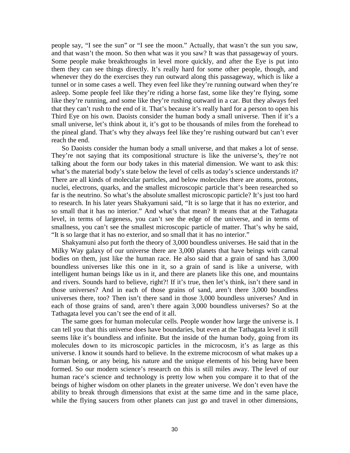people say, "I see the sun" or "I see the moon." Actually, that wasn't the sun you saw, and that wasn't the moon. So then what was it you saw? It was that passageway of yours. Some people make breakthroughs in level more quickly, and after the Eye is put into them they can see things directly. It's really hard for some other people, though, and whenever they do the exercises they run outward along this passageway, which is like a tunnel or in some cases a well. They even feel like they're running outward when they're asleep. Some people feel like they're riding a horse fast, some like they're flying, some like they're running, and some like they're rushing outward in a car. But they always feel that they can't rush to the end of it. That's because it's really hard for a person to open his Third Eye on his own. Daoists consider the human body a small universe. Then if it's a small universe, let's think about it, it's got to be thousands of miles from the forehead to the pineal gland. That's why they always feel like they're rushing outward but can't ever reach the end.

So Daoists consider the human body a small universe, and that makes a lot of sense. They're not saying that its compositional structure is like the universe's, they're not talking about the form our body takes in this material dimension. We want to ask this: what's the material body's state below the level of cells as today's science understands it? There are all kinds of molecular particles, and below molecules there are atoms, protons, nuclei, electrons, quarks, and the smallest microscopic particle that's been researched so far is the neutrino. So what's the absolute smallest microscopic particle? It's just too hard to research. In his later years Shakyamuni said, "It is so large that it has no exterior, and so small that it has no interior." And what's that mean? It means that at the Tathagata level, in terms of largeness, you can't see the edge of the universe, and in terms of smallness, you can't see the smallest microscopic particle of matter. That's why he said, "It is so large that it has no exterior, and so small that it has no interior."

Shakyamuni also put forth the theory of 3,000 boundless universes. He said that in the Milky Way galaxy of our universe there are 3,000 planets that have beings with carnal bodies on them, just like the human race. He also said that a grain of sand has 3,000 boundless universes like this one in it, so a grain of sand is like a universe, with intelligent human beings like us in it, and there are planets like this one, and mountains and rivers. Sounds hard to believe, right?! If it's true, then let's think, isn't there sand in those universes? And in each of those grains of sand, aren't there 3,000 boundless universes there, too? Then isn't there sand in those 3,000 boundless universes? And in each of those grains of sand, aren't there again 3,000 boundless universes? So at the Tathagata level you can't see the end of it all.

The same goes for human molecular cells. People wonder how large the universe is. I can tell you that this universe does have boundaries, but even at the Tathagata level it still seems like it's boundless and infinite. But the inside of the human body, going from its molecules down to its microscopic particles in the microcosm, it's as large as this universe. I know it sounds hard to believe. In the extreme microcosm of what makes up a human being, or any being, his nature and the unique elements of his being have been formed. So our modern science's research on this is still miles away. The level of our human race's science and technology is pretty low when you compare it to that of the beings of higher wisdom on other planets in the greater universe. We don't even have the ability to break through dimensions that exist at the same time and in the same place, while the flying saucers from other planets can just go and travel in other dimensions,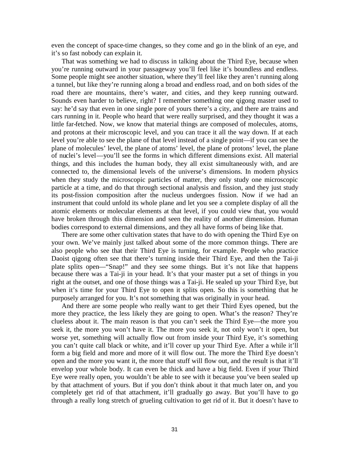even the concept of space-time changes, so they come and go in the blink of an eye, and it's so fast nobody can explain it.

That was something we had to discuss in talking about the Third Eye, because when you're running outward in your passageway you'll feel like it's boundless and endless. Some people might see another situation, where they'll feel like they aren't running along a tunnel, but like they're running along a broad and endless road, and on both sides of the road there are mountains, there's water, and cities, and they keep running outward. Sounds even harder to believe, right? I remember something one qigong master used to say: he'd say that even in one single pore of yours there's a city, and there are trains and cars running in it. People who heard that were really surprised, and they thought it was a little far-fetched. Now, we know that material things are composed of molecules, atoms, and protons at their microscopic level, and you can trace it all the way down. If at each level you're able to see the plane of that level instead of a single point—if you can see the plane of molecules' level, the plane of atoms' level, the plane of protons' level, the plane of nuclei's level—you'll see the forms in which different dimensions exist. All material things, and this includes the human body, they all exist simultaneously with, and are connected to, the dimensional levels of the universe's dimensions. In modern physics when they study the microscopic particles of matter, they only study one microscopic particle at a time, and do that through sectional analysis and fission, and they just study its post-fission composition after the nucleus undergoes fission. Now if we had an instrument that could unfold its whole plane and let you see a complete display of all the atomic elements or molecular elements at that level, if you could view that, you would have broken through this dimension and seen the reality of another dimension. Human bodies correspond to external dimensions, and they all have forms of being like that.

There are some other cultivation states that have to do with opening the Third Eye on your own. We've mainly just talked about some of the more common things. There are also people who see that their Third Eye is turning, for example. People who practice Daoist qigong often see that there's turning inside their Third Eye, and then the Tai-ji plate splits open—"Snap!" and they see some things. But it's not like that happens because there was a Tai-ji in your head. It's that your master put a set of things in you right at the outset, and one of those things was a Tai-ji. He sealed up your Third Eye, but when it's time for your Third Eye to open it splits open. So this is something that he purposely arranged for you. It's not something that was originally in your head.

And there are some people who really want to get their Third Eyes opened, but the more they practice, the less likely they are going to open. What's the reason? They're clueless about it. The main reason is that you can't seek the Third Eye—the more you seek it, the more you won't have it. The more you seek it, not only won't it open, but worse yet, something will actually flow out from inside your Third Eye, it's something you can't quite call black or white, and it'll cover up your Third Eye. After a while it'll form a big field and more and more of it will flow out. The more the Third Eye doesn't open and the more you want it, the more that stuff will flow out, and the result is that it'll envelop your whole body. It can even be thick and have a big field. Even if your Third Eye were really open, you wouldn't be able to see with it because you've been sealed up by that attachment of yours. But if you don't think about it that much later on, and you completely get rid of that attachment, it'll gradually go away. But you'll have to go through a really long stretch of grueling cultivation to get rid of it. But it doesn't have to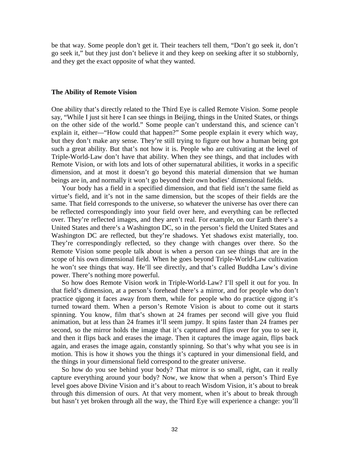be that way. Some people don't get it. Their teachers tell them, "Don't go seek it, don't go seek it," but they just don't believe it and they keep on seeking after it so stubbornly, and they get the exact opposite of what they wanted.

## **The Ability of Remote Vision**

One ability that's directly related to the Third Eye is called Remote Vision. Some people say, "While I just sit here I can see things in Beijing, things in the United States, or things on the other side of the world." Some people can't understand this, and science can't explain it, either—"How could that happen?" Some people explain it every which way, but they don't make any sense. They're still trying to figure out how a human being got such a great ability. But that's not how it is. People who are cultivating at the level of Triple-World-Law don't have that ability. When they see things, and that includes with Remote Vision, or with lots and lots of other supernatural abilities, it works in a specific dimension, and at most it doesn't go beyond this material dimension that we human beings are in, and normally it won't go beyond their own bodies' dimensional fields.

Your body has a field in a specified dimension, and that field isn't the same field as virtue's field, and it's not in the same dimension, but the scopes of their fields are the same. That field corresponds to the universe, so whatever the universe has over there can be reflected correspondingly into your field over here, and everything can be reflected over. They're reflected images, and they aren't real. For example, on our Earth there's a United States and there's a Washington DC, so in the person's field the United States and Washington DC are reflected, but they're shadows. Yet shadows exist materially, too. They're correspondingly reflected, so they change with changes over there. So the Remote Vision some people talk about is when a person can see things that are in the scope of his own dimensional field. When he goes beyond Triple-World-Law cultivation he won't see things that way. He'll see directly, and that's called Buddha Law's divine power. There's nothing more powerful.

So how does Remote Vision work in Triple-World-Law? I'll spell it out for you. In that field's dimension, at a person's forehead there's a mirror, and for people who don't practice qigong it faces away from them, while for people who do practice qigong it's turned toward them. When a person's Remote Vision is about to come out it starts spinning. You know, film that's shown at 24 frames per second will give you fluid animation, but at less than 24 frames it'll seem jumpy. It spins faster than 24 frames per second, so the mirror holds the image that it's captured and flips over for you to see it, and then it flips back and erases the image. Then it captures the image again, flips back again, and erases the image again, constantly spinning. So that's why what you see is in motion. This is how it shows you the things it's captured in your dimensional field, and the things in your dimensional field correspond to the greater universe.

So how do you see behind your body? That mirror is so small, right, can it really capture everything around your body? Now, we know that when a person's Third Eye level goes above Divine Vision and it's about to reach Wisdom Vision, it's about to break through this dimension of ours. At that very moment, when it's about to break through but hasn't yet broken through all the way, the Third Eye will experience a change: you'll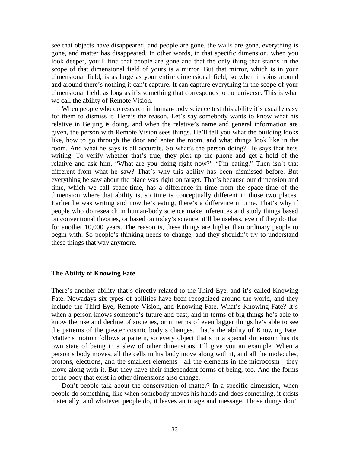see that objects have disappeared, and people are gone, the walls are gone, everything is gone, and matter has disappeared. In other words, in that specific dimension, when you look deeper, you'll find that people are gone and that the only thing that stands in the scope of that dimensional field of yours is a mirror. But that mirror, which is in your dimensional field, is as large as your entire dimensional field, so when it spins around and around there's nothing it can't capture. It can capture everything in the scope of your dimensional field, as long as it's something that corresponds to the universe. This is what we call the ability of Remote Vision.

When people who do research in human-body science test this ability it's usually easy for them to dismiss it. Here's the reason. Let's say somebody wants to know what his relative in Beijing is doing, and when the relative's name and general information are given, the person with Remote Vision sees things. He'll tell you what the building looks like, how to go through the door and enter the room, and what things look like in the room. And what he says is all accurate. So what's the person doing? He says that he's writing. To verify whether that's true, they pick up the phone and get a hold of the relative and ask him, "What are you doing right now?" "I'm eating." Then isn't that different from what he saw? That's why this ability has been dismissed before. But everything he saw about the place was right on target. That's because our dimension and time, which we call space-time, has a difference in time from the space-time of the dimension where that ability is, so time is conceptually different in those two places. Earlier he was writing and now he's eating, there's a difference in time. That's why if people who do research in human-body science make inferences and study things based on conventional theories, or based on today's science, it'll be useless, even if they do that for another 10,000 years. The reason is, these things are higher than ordinary people to begin with. So people's thinking needs to change, and they shouldn't try to understand these things that way anymore.

# **The Ability of Knowing Fate**

There's another ability that's directly related to the Third Eye, and it's called Knowing Fate. Nowadays six types of abilities have been recognized around the world, and they include the Third Eye, Remote Vision, and Knowing Fate. What's Knowing Fate? It's when a person knows someone's future and past, and in terms of big things he's able to know the rise and decline of societies, or in terms of even bigger things he's able to see the patterns of the greater cosmic body's changes. That's the ability of Knowing Fate. Matter's motion follows a pattern, so every object that's in a special dimension has its own state of being in a slew of other dimensions. I'll give you an example. When a person's body moves, all the cells in his body move along with it, and all the molecules, protons, electrons, and the smallest elements—all the elements in the microcosm—they move along with it. But they have their independent forms of being, too. And the forms of the body that exist in other dimensions also change.

Don't people talk about the conservation of matter? In a specific dimension, when people do something, like when somebody moves his hands and does something, it exists materially, and whatever people do, it leaves an image and message. Those things don't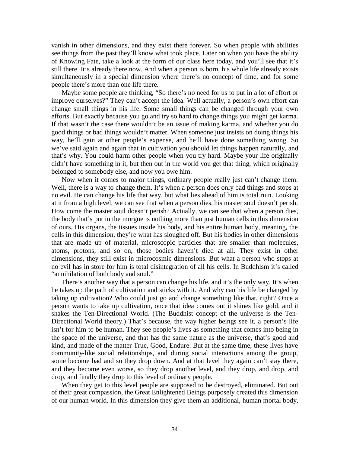vanish in other dimensions, and they exist there forever. So when people with abilities see things from the past they'll know what took place. Later on when you have the ability of Knowing Fate, take a look at the form of our class here today, and you'll see that it's still there. It's already there now. And when a person is born, his whole life already exists simultaneously in a special dimension where there's no concept of time, and for some people there's more than one life there.

Maybe some people are thinking, "So there's no need for us to put in a lot of effort or improve ourselves?" They can't accept the idea. Well actually, a person's own effort can change small things in his life. Some small things can be changed through your own efforts. But exactly because you go and try so hard to change things you might get karma. If that wasn't the case there wouldn't be an issue of making karma, and whether you do good things or bad things wouldn't matter. When someone just insists on doing things his way, he'll gain at other people's expense, and he'll have done something wrong. So we've said again and again that in cultivation you should let things happen naturally, and that's why. You could harm other people when you try hard. Maybe your life originally didn't have something in it, but then out in the world you get that thing, which originally belonged to somebody else, and now you owe him.

Now when it comes to major things, ordinary people really just can't change them. Well, there is a way to change them. It's when a person does only bad things and stops at no evil. He can change his life that way, but what lies ahead of him is total ruin. Looking at it from a high level, we can see that when a person dies, his master soul doesn't perish. How come the master soul doesn't perish? Actually, we can see that when a person dies, the body that's put in the morgue is nothing more than just human cells in this dimension of ours. His organs, the tissues inside his body, and his entire human body, meaning, the cells in this dimension, they're what has sloughed off. But his bodies in other dimensions that are made up of material, microscopic particles that are smaller than molecules, atoms, protons, and so on, those bodies haven't died at all. They exist in other dimensions, they still exist in microcosmic dimensions. But what a person who stops at no evil has in store for him is total disintegration of all his cells. In Buddhism it's called "annihilation of both body and soul."

There's another way that a person can change his life, and it's the only way. It's when he takes up the path of cultivation and sticks with it. And why can his life be changed by taking up cultivation? Who could just go and change something like that, right? Once a person wants to take up cultivation, once that idea comes out it shines like gold, and it shakes the Ten-Directional World. (The Buddhist concept of the universe is the Ten-Directional World theory.) That's because, the way higher beings see it, a person's life isn't for him to be human. They see people's lives as something that comes into being in the space of the universe, and that has the same nature as the universe, that's good and kind, and made of the matter True, Good, Endure. But at the same time, these lives have community-like social relationships, and during social interactions among the group, some become bad and so they drop down. And at that level they again can't stay there, and they become even worse, so they drop another level, and they drop, and drop, and drop, and finally they drop to this level of ordinary people.

When they get to this level people are supposed to be destroyed, eliminated. But out of their great compassion, the Great Enlightened Beings purposely created this dimension of our human world. In this dimension they give them an additional, human mortal body,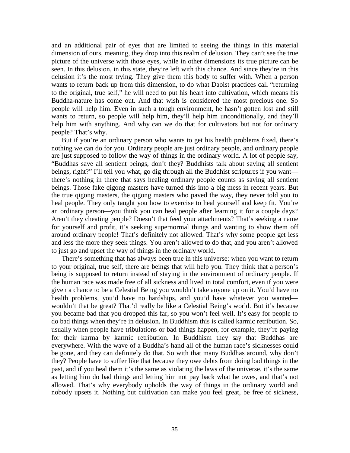and an additional pair of eyes that are limited to seeing the things in this material dimension of ours, meaning, they drop into this realm of delusion. They can't see the true picture of the universe with those eyes, while in other dimensions its true picture can be seen. In this delusion, in this state, they're left with this chance. And since they're in this delusion it's the most trying. They give them this body to suffer with. When a person wants to return back up from this dimension, to do what Daoist practices call "returning to the original, true self," he will need to put his heart into cultivation, which means his Buddha-nature has come out. And that wish is considered the most precious one. So people will help him. Even in such a tough environment, he hasn't gotten lost and still wants to return, so people will help him, they'll help him unconditionally, and they'll help him with anything. And why can we do that for cultivators but not for ordinary people? That's why.

But if you're an ordinary person who wants to get his health problems fixed, there's nothing we can do for you. Ordinary people are just ordinary people, and ordinary people are just supposed to follow the way of things in the ordinary world. A lot of people say, "Buddhas save all sentient beings, don't they? Buddhists talk about saving all sentient beings, right?" I'll tell you what, go dig through all the Buddhist scriptures if you want there's nothing in there that says healing ordinary people counts as saving all sentient beings. Those fake qigong masters have turned this into a big mess in recent years. But the true qigong masters, the qigong masters who paved the way, they never told you to heal people. They only taught you how to exercise to heal yourself and keep fit. You're an ordinary person—you think you can heal people after learning it for a couple days? Aren't they cheating people? Doesn't that feed your attachments? That's seeking a name for yourself and profit, it's seeking supernormal things and wanting to show them off around ordinary people! That's definitely not allowed. That's why some people get less and less the more they seek things. You aren't allowed to do that, and you aren't allowed to just go and upset the way of things in the ordinary world.

There's something that has always been true in this universe: when you want to return to your original, true self, there are beings that will help you. They think that a person's being is supposed to return instead of staying in the environment of ordinary people. If the human race was made free of all sickness and lived in total comfort, even if you were given a chance to be a Celestial Being you wouldn't take anyone up on it. You'd have no health problems, you'd have no hardships, and you'd have whatever you wanted wouldn't that be great? That'd really be like a Celestial Being's world. But it's because you became bad that you dropped this far, so you won't feel well. It's easy for people to do bad things when they're in delusion. In Buddhism this is called karmic retribution. So, usually when people have tribulations or bad things happen, for example, they're paying for their karma by karmic retribution. In Buddhism they say that Buddhas are everywhere. With the wave of a Buddha's hand all of the human race's sicknesses could be gone, and they can definitely do that. So with that many Buddhas around, why don't they? People have to suffer like that because they owe debts from doing bad things in the past, and if you heal them it's the same as violating the laws of the universe, it's the same as letting him do bad things and letting him not pay back what he owes, and that's not allowed. That's why everybody upholds the way of things in the ordinary world and nobody upsets it. Nothing but cultivation can make you feel great, be free of sickness,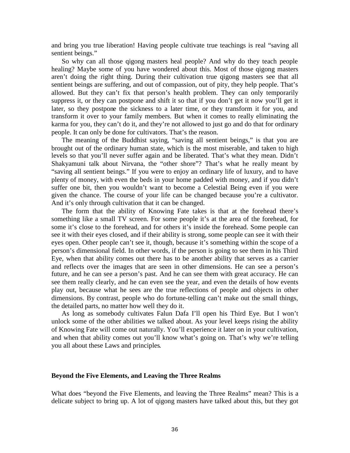and bring you true liberation! Having people cultivate true teachings is real "saving all sentient beings."

So why can all those qigong masters heal people? And why do they teach people healing? Maybe some of you have wondered about this. Most of those qigong masters aren't doing the right thing. During their cultivation true qigong masters see that all sentient beings are suffering, and out of compassion, out of pity, they help people. That's allowed. But they can't fix that person's health problem. They can only temporarily suppress it, or they can postpone and shift it so that if you don't get it now you'll get it later, so they postpone the sickness to a later time, or they transform it for you, and transform it over to your family members. But when it comes to really eliminating the karma for you, they can't do it, and they're not allowed to just go and do that for ordinary people. It can only be done for cultivators. That's the reason.

The meaning of the Buddhist saying, "saving all sentient beings," is that you are brought out of the ordinary human state, which is the most miserable, and taken to high levels so that you'll never suffer again and be liberated. That's what they mean. Didn't Shakyamuni talk about Nirvana, the "other shore"? That's what he really meant by "saving all sentient beings." If you were to enjoy an ordinary life of luxury, and to have plenty of money, with even the beds in your home padded with money, and if you didn't suffer one bit, then you wouldn't want to become a Celestial Being even if you were given the chance. The course of your life can be changed because you're a cultivator. And it's only through cultivation that it can be changed.

The form that the ability of Knowing Fate takes is that at the forehead there's something like a small TV screen. For some people it's at the area of the forehead, for some it's close to the forehead, and for others it's inside the forehead. Some people can see it with their eyes closed, and if their ability is strong, some people can see it with their eyes open. Other people can't see it, though, because it's something within the scope of a person's dimensional field. In other words, if the person is going to see them in his Third Eye, when that ability comes out there has to be another ability that serves as a carrier and reflects over the images that are seen in other dimensions. He can see a person's future, and he can see a person's past. And he can see them with great accuracy. He can see them really clearly, and he can even see the year, and even the details of how events play out, because what he sees are the true reflections of people and objects in other dimensions. By contrast, people who do fortune-telling can't make out the small things, the detailed parts, no matter how well they do it.

As long as somebody cultivates Falun Dafa I'll open his Third Eye. But I won't unlock some of the other abilities we talked about. As your level keeps rising the ability of Knowing Fate will come out naturally. You'll experience it later on in your cultivation, and when that ability comes out you'll know what's going on. That's why we're telling you all about these Laws and principles.

#### **Beyond the Five Elements, and Leaving the Three Realms**

What does "beyond the Five Elements, and leaving the Three Realms" mean? This is a delicate subject to bring up. A lot of qigong masters have talked about this, but they got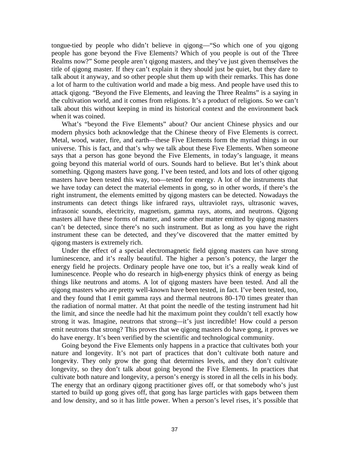tongue-tied by people who didn't believe in qigong—"So which one of you qigong people has gone beyond the Five Elements? Which of you people is out of the Three Realms now?" Some people aren't qigong masters, and they've just given themselves the title of qigong master. If they can't explain it they should just be quiet, but they dare to talk about it anyway, and so other people shut them up with their remarks. This has done a lot of harm to the cultivation world and made a big mess. And people have used this to attack qigong. "Beyond the Five Elements, and leaving the Three Realms" is a saying in the cultivation world, and it comes from religions. It's a product of religions. So we can't talk about this without keeping in mind its historical context and the environment back when it was coined.

What's "beyond the Five Elements" about? Our ancient Chinese physics and our modern physics both acknowledge that the Chinese theory of Five Elements is correct. Metal, wood, water, fire, and earth—these Five Elements form the myriad things in our universe. This is fact, and that's why we talk about these Five Elements. When someone says that a person has gone beyond the Five Elements, in today's language, it means going beyond this material world of ours. Sounds hard to believe. But let's think about something. Qigong masters have gong. I've been tested, and lots and lots of other qigong masters have been tested this way, too—tested for energy. A lot of the instruments that we have today can detect the material elements in gong, so in other words, if there's the right instrument, the elements emitted by qigong masters can be detected. Nowadays the instruments can detect things like infrared rays, ultraviolet rays, ultrasonic waves, infrasonic sounds, electricity, magnetism, gamma rays, atoms, and neutrons. Qigong masters all have these forms of matter, and some other matter emitted by qigong masters can't be detected, since there's no such instrument. But as long as you have the right instrument these can be detected, and they've discovered that the matter emitted by qigong masters is extremely rich.

Under the effect of a special electromagnetic field qigong masters can have strong luminescence, and it's really beautiful. The higher a person's potency, the larger the energy field he projects. Ordinary people have one too, but it's a really weak kind of luminescence. People who do research in high-energy physics think of energy as being things like neutrons and atoms. A lot of qigong masters have been tested. And all the qigong masters who are pretty well-known have been tested, in fact. I've been tested, too, and they found that I emit gamma rays and thermal neutrons 80–170 times greater than the radiation of normal matter. At that point the needle of the testing instrument had hit the limit, and since the needle had hit the maximum point they couldn't tell exactly how strong it was. Imagine, neutrons that strong—it's just incredible! How could a person emit neutrons that strong? This proves that we qigong masters do have gong, it proves we do have energy. It's been verified by the scientific and technological community.

Going beyond the Five Elements only happens in a practice that cultivates both your nature and longevity. It's not part of practices that don't cultivate both nature and longevity. They only grow the gong that determines levels, and they don't cultivate longevity, so they don't talk about going beyond the Five Elements. In practices that cultivate both nature and longevity, a person's energy is stored in all the cells in his body. The energy that an ordinary qigong practitioner gives off, or that somebody who's just started to build up gong gives off, that gong has large particles with gaps between them and low density, and so it has little power. When a person's level rises, it's possible that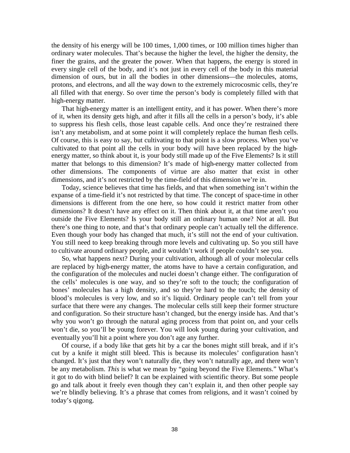the density of his energy will be 100 times, 1,000 times, or 100 million times higher than ordinary water molecules. That's because the higher the level, the higher the density, the finer the grains, and the greater the power. When that happens, the energy is stored in every single cell of the body, and it's not just in every cell of the body in this material dimension of ours, but in all the bodies in other dimensions—the molecules, atoms, protons, and electrons, and all the way down to the extremely microcosmic cells, they're all filled with that energy. So over time the person's body is completely filled with that high-energy matter.

That high-energy matter is an intelligent entity, and it has power. When there's more of it, when its density gets high, and after it fills all the cells in a person's body, it's able to suppress his flesh cells, those least capable cells. And once they're restrained there isn't any metabolism, and at some point it will completely replace the human flesh cells. Of course, this is easy to say, but cultivating to that point is a slow process. When you've cultivated to that point all the cells in your body will have been replaced by the highenergy matter, so think about it, is your body still made up of the Five Elements? Is it still matter that belongs to this dimension? It's made of high-energy matter collected from other dimensions. The components of virtue are also matter that exist in other dimensions, and it's not restricted by the time-field of this dimension we're in.

Today, science believes that time has fields, and that when something isn't within the expanse of a time-field it's not restricted by that time. The concept of space-time in other dimensions is different from the one here, so how could it restrict matter from other dimensions? It doesn't have any effect on it. Then think about it, at that time aren't you outside the Five Elements? Is your body still an ordinary human one? Not at all. But there's one thing to note, and that's that ordinary people can't actually tell the difference. Even though your body has changed that much, it's still not the end of your cultivation. You still need to keep breaking through more levels and cultivating up. So you still have to cultivate around ordinary people, and it wouldn't work if people couldn't see you.

So, what happens next? During your cultivation, although all of your molecular cells are replaced by high-energy matter, the atoms have to have a certain configuration, and the configuration of the molecules and nuclei doesn't change either. The configuration of the cells' molecules is one way, and so they're soft to the touch; the configuration of bones' molecules has a high density, and so they're hard to the touch; the density of blood's molecules is very low, and so it's liquid. Ordinary people can't tell from your surface that there were any changes. The molecular cells still keep their former structure and configuration. So their structure hasn't changed, but the energy inside has. And that's why you won't go through the natural aging process from that point on, and your cells won't die, so you'll be young forever. You will look young during your cultivation, and eventually you'll hit a point where you don't age any further.

Of course, if a body like that gets hit by a car the bones might still break, and if it's cut by a knife it might still bleed. This is because its molecules' configuration hasn't changed. It's just that they won't naturally die, they won't naturally age, and there won't be any metabolism. *This* is what we mean by "going beyond the Five Elements." What's it got to do with blind belief? It can be explained with scientific theory. But some people go and talk about it freely even though they can't explain it, and then other people say we're blindly believing. It's a phrase that comes from religions, and it wasn't coined by today's qigong.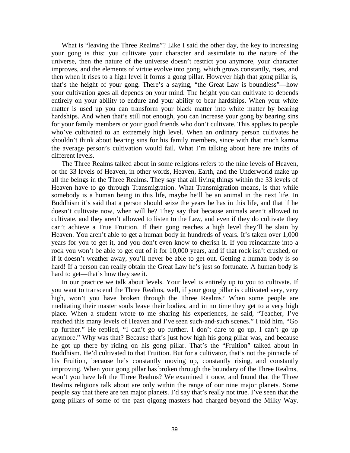What is "leaving the Three Realms"? Like I said the other day, the key to increasing your gong is this: you cultivate your character and assimilate to the nature of the universe, then the nature of the universe doesn't restrict you anymore, your character improves, and the elements of virtue evolve into gong, which grows constantly, rises, and then when it rises to a high level it forms a gong pillar. However high that gong pillar is, that's the height of your gong. There's a saying, "the Great Law is boundless"—how your cultivation goes all depends on your mind. The height you can cultivate to depends entirely on your ability to endure and your ability to bear hardships. When your white matter is used up you can transform your black matter into white matter by bearing hardships. And when that's still not enough, you can increase your gong by bearing sins for your family members or your good friends who don't cultivate. This applies to people who've cultivated to an extremely high level. When an ordinary person cultivates he shouldn't think about bearing sins for his family members, since with that much karma the average person's cultivation would fail. What I'm talking about here are truths of different levels.

The Three Realms talked about in some religions refers to the nine levels of Heaven, or the 33 levels of Heaven, in other words, Heaven, Earth, and the Underworld make up all the beings in the Three Realms. They say that all living things within the 33 levels of Heaven have to go through Transmigration. What Transmigration means, is that while somebody is a human being in this life, maybe he'll be an animal in the next life. In Buddhism it's said that a person should seize the years he has in this life, and that if he doesn't cultivate now, when will he? They say that because animals aren't allowed to cultivate, and they aren't allowed to listen to the Law, and even if they do cultivate they can't achieve a True Fruition. If their gong reaches a high level they'll be slain by Heaven. You aren't able to get a human body in hundreds of years. It's taken over 1,000 years for you to get it, and you don't even know to cherish it. If you reincarnate into a rock you won't be able to get out of it for 10,000 years, and if that rock isn't crushed, or if it doesn't weather away, you'll never be able to get out. Getting a human body is so hard! If a person can really obtain the Great Law he's just so fortunate. A human body is hard to get—that's how they see it.

In our practice we talk about levels. Your level is entirely up to you to cultivate. If you want to transcend the Three Realms, well, if your gong pillar is cultivated very, very high, won't you have broken through the Three Realms? When some people are meditating their master souls leave their bodies, and in no time they get to a very high place. When a student wrote to me sharing his experiences, he said, "Teacher, I've reached this many levels of Heaven and I've seen such-and-such scenes." I told him, "Go up further." He replied, "I can't go up further. I don't dare to go up, I can't go up anymore." Why was that? Because that's just how high his gong pillar was, and because he got up there by riding on his gong pillar. That's the "Fruition" talked about in Buddhism. He'd cultivated to that Fruition. But for a cultivator, that's not the pinnacle of his Fruition, because he's constantly moving up, constantly rising, and constantly improving. When your gong pillar has broken through the boundary of the Three Realms, won't you have left the Three Realms? We examined it once, and found that the Three Realms religions talk about are only within the range of our nine major planets. Some people say that there are ten major planets. I'd say that's really not true. I've seen that the gong pillars of some of the past qigong masters had charged beyond the Milky Way.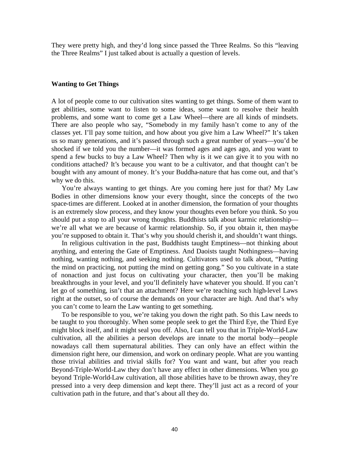They were pretty high, and they'd long since passed the Three Realms. So this "leaving the Three Realms" I just talked about is actually a question of levels.

## **Wanting to Get Things**

A lot of people come to our cultivation sites wanting to get things. Some of them want to get abilities, some want to listen to some ideas, some want to resolve their health problems, and some want to come get a Law Wheel—there are all kinds of mindsets. There are also people who say, "Somebody in my family hasn't come to any of the classes yet. I'll pay some tuition, and how about you give him a Law Wheel?" It's taken us so many generations, and it's passed through such a great number of years—you'd be shocked if we told you the number—it was formed ages and ages ago, and you want to spend a few bucks to buy a Law Wheel? Then why is it we can give it to you with no conditions attached? It's because you want to be a cultivator, and that thought can't be bought with any amount of money. It's your Buddha-nature that has come out, and that's why we do this.

You're always wanting to get things. Are you coming here just for that? My Law Bodies in other dimensions know your every thought, since the concepts of the two space-times are different. Looked at in another dimension, the formation of your thoughts is an extremely slow process, and they know your thoughts even before you think. So you should put a stop to all your wrong thoughts. Buddhists talk about karmic relationship we're all what we are because of karmic relationship. So, if you obtain it, then maybe you're supposed to obtain it. That's why you should cherish it, and shouldn't want things.

In religious cultivation in the past, Buddhists taught Emptiness—not thinking about anything, and entering the Gate of Emptiness. And Daoists taught Nothingness—having nothing, wanting nothing, and seeking nothing. Cultivators used to talk about, "Putting the mind on practicing, not putting the mind on getting gong." So you cultivate in a state of nonaction and just focus on cultivating your character, then you'll be making breakthroughs in your level, and you'll definitely have whatever you should. If you can't let go of something, isn't that an attachment? Here we're teaching such high-level Laws right at the outset, so of course the demands on your character are high. And that's why you can't come to learn the Law wanting to get something.

To be responsible to you, we're taking you down the right path. So this Law needs to be taught to you thoroughly. When some people seek to get the Third Eye, the Third Eye might block itself, and it might seal you off. Also, I can tell you that in Triple-World-Law cultivation, all the abilities a person develops are innate to the mortal body—people nowadays call them supernatural abilities. They can only have an effect within the dimension right here, our dimension, and work on ordinary people. What are you wanting those trivial abilities and trivial skills for? You want and want, but after you reach Beyond-Triple-World-Law they don't have any effect in other dimensions. When you go beyond Triple-World-Law cultivation, all those abilities have to be thrown away, they're pressed into a very deep dimension and kept there. They'll just act as a record of your cultivation path in the future, and that's about all they do.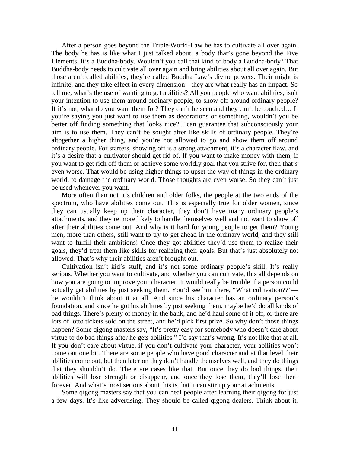After a person goes beyond the Triple-World-Law he has to cultivate all over again. The body he has is like what I just talked about, a body that's gone beyond the Five Elements. It's a Buddha-body. Wouldn't you call that kind of body a Buddha-body? That Buddha-body needs to cultivate all over again and bring abilities about all over again. But those aren't called abilities, they're called Buddha Law's divine powers. Their might is infinite, and they take effect in every dimension—they are what really has an impact. So tell me, what's the use of wanting to get abilities? All you people who want abilities, isn't your intention to use them around ordinary people, to show off around ordinary people? If it's not, what do you want them for? They can't be seen and they can't be touched... If you're saying you just want to use them as decorations or something, wouldn't you be better off finding something that looks nice? I can guarantee that subconsciously your aim is to use them. They can't be sought after like skills of ordinary people. They're altogether a higher thing, and you're not allowed to go and show them off around ordinary people. For starters, showing off is a strong attachment, it's a character flaw, and it's a desire that a cultivator should get rid of. If you want to make money with them, if you want to get rich off them or achieve some worldly goal that you strive for, then that's even worse. That would be using higher things to upset the way of things in the ordinary world, to damage the ordinary world. Those thoughts are even worse. So they can't just be used whenever you want.

More often than not it's children and older folks, the people at the two ends of the spectrum, who have abilities come out. This is especially true for older women, since they can usually keep up their character, they don't have many ordinary people's attachments, and they're more likely to handle themselves well and not want to show off after their abilities come out. And why is it hard for young people to get them? Young men, more than others, still want to try to get ahead in the ordinary world, and they still want to fulfill their ambitions! Once they got abilities they'd use them to realize their goals, they'd treat them like skills for realizing their goals. But that's just absolutely not allowed. That's why their abilities aren't brought out.

Cultivation isn't kid's stuff, and it's not some ordinary people's skill. It's really serious. Whether you want to cultivate, and whether you can cultivate, this all depends on how you are going to improve your character. It would really be trouble if a person could actually get abilities by just seeking them. You'd see him there, "What cultivation??" he wouldn't think about it at all. And since his character has an ordinary person's foundation, and since he got his abilities by just seeking them, maybe he'd do all kinds of bad things. There's plenty of money in the bank, and he'd haul some of it off, or there are lots of lotto tickets sold on the street, and he'd pick first prize. So why don't those things happen? Some qigong masters say, "It's pretty easy for somebody who doesn't care about virtue to do bad things after he gets abilities." I'd say that's wrong. It's not like that at all. If you don't care about virtue, if you don't cultivate your character, your abilities won't come out one bit. There are some people who have good character and at that level their abilities come out, but then later on they don't handle themselves well, and they do things that they shouldn't do. There are cases like that. But once they do bad things, their abilities will lose strength or disappear, and once they lose them, they'll lose them forever. And what's most serious about this is that it can stir up your attachments.

Some qigong masters say that you can heal people after learning their qigong for just a few days. It's like advertising. They should be called qigong dealers. Think about it,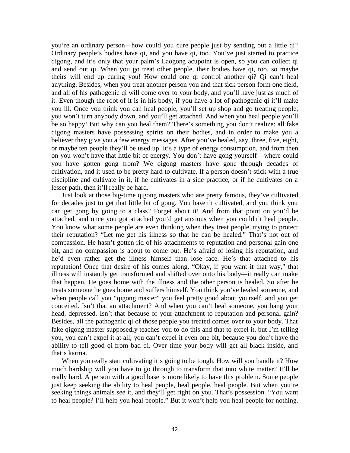you're an ordinary person—how could you cure people just by sending out a little qi? Ordinary people's bodies have qi, and you have qi, too. You've just started to practice qigong, and it's only that your palm's Laogong acupoint is open, so you can collect qi and send out qi. When you go treat other people, their bodies have qi, too, so maybe theirs will end up curing you! How could one qi control another qi? Qi can't heal anything. Besides, when you treat another person you and that sick person form one field, and all of his pathogenic qi will come over to your body, and you'll have just as much of it. Even though the root of it is in his body, if you have a lot of pathogenic qi it'll make you ill. Once you think you can heal people, you'll set up shop and go treating people, you won't turn anybody down, and you'll get attached. And when you heal people you'll be so happy! But why can you heal them? There's something you don't realize: all fake qigong masters have possessing spirits on their bodies, and in order to make you a believer they give you a few energy messages. After you've healed, say, three, five, eight, or maybe ten people they'll be used up. It's a type of energy consumption, and from then on you won't have that little bit of energy. You don't have gong yourself—where could you have gotten gong from? We qigong masters have gone through decades of cultivation, and it used to be pretty hard to cultivate. If a person doesn't stick with a true discipline and cultivate in it, if he cultivates in a side practice, or if he cultivates on a lesser path, then it'll really be hard.

Just look at those big-time qigong masters who are pretty famous, they've cultivated for decades just to get that little bit of gong. You haven't cultivated, and you think you can get gong by going to a class? Forget about it! And from that point on you'd be attached, and once you got attached you'd get anxious when you couldn't heal people. You know what some people are even thinking when they treat people, trying to protect their reputation? "Let me get his illness so that he can be healed." That's not out of compassion. He hasn't gotten rid of his attachments to reputation and personal gain one bit, and no compassion is about to come out. He's afraid of losing his reputation, and he'd even rather get the illness himself than lose face. He's that attached to his reputation! Once that desire of his comes along, "Okay, if you want it that way," that illness will instantly get transformed and shifted over onto his body—it really can make that happen. He goes home with the illness and the other person is healed. So after he treats someone he goes home and suffers himself. You think you've healed someone, and when people call you "qigong master" you feel pretty good about yourself, and you get conceited. Isn't that an attachment? And when you can't heal someone, you hang your head, depressed. Isn't that because of your attachment to reputation and personal gain? Besides, all the pathogenic qi of those people you treated comes over to your body. That fake qigong master supposedly teaches you to do this and that to expel it, but I'm telling you, you can't expel it at all, you can't expel it even one bit, because you don't have the ability to tell good qi from bad qi. Over time your body will get all black inside, and that's karma.

When you really start cultivating it's going to be tough. How will you handle it? How much hardship will you have to go through to transform that into white matter? It'll be really hard. A person with a good base is more likely to have this problem. Some people just keep seeking the ability to heal people, heal people, heal people. But when you're seeking things animals see it, and they'll get right on you. That's possession. "You want to heal people? I'll help you heal people." But it won't help you heal people for nothing.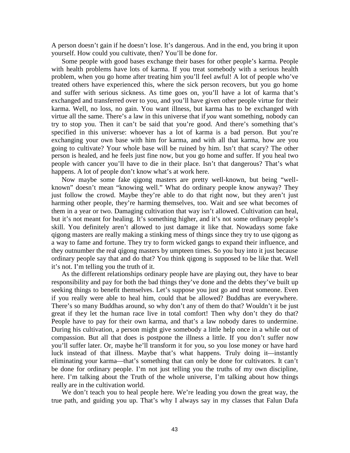A person doesn't gain if he doesn't lose. It's dangerous. And in the end, you bring it upon yourself. How could you cultivate, then? You'll be done for.

Some people with good bases exchange their bases for other people's karma. People with health problems have lots of karma. If you treat somebody with a serious health problem, when you go home after treating him you'll feel awful! A lot of people who've treated others have experienced this, where the sick person recovers, but you go home and suffer with serious sickness. As time goes on, you'll have a lot of karma that's exchanged and transferred over to you, and you'll have given other people virtue for their karma. Well, no loss, no gain. You want illness, but karma has to be exchanged with virtue all the same. There's a law in this universe that if *you* want something, nobody can try to stop you. Then it can't be said that you're good. And there's something that's specified in this universe: whoever has a lot of karma is a bad person. But you're exchanging your own base with him for karma, and with all that karma, how are you going to cultivate? Your whole base will be ruined by him. Isn't that scary? The other person is healed, and he feels just fine now, but you go home and suffer. If you heal two people with cancer you'll have to die in their place. Isn't that dangerous? That's what happens. A lot of people don't know what's at work here.

Now maybe some fake qigong masters are pretty well-known, but being "wellknown" doesn't mean "knowing well." What do ordinary people know anyway? They just follow the crowd. Maybe they're able to do that right now, but they aren't just harming other people, they're harming themselves, too. Wait and see what becomes of them in a year or two. Damaging cultivation that way isn't allowed. Cultivation can heal, but it's not meant for healing. It's something higher, and it's not some ordinary people's skill. You definitely aren't allowed to just damage it like that. Nowadays some fake qigong masters are really making a stinking mess of things since they try to use qigong as a way to fame and fortune. They try to form wicked gangs to expand their influence, and they outnumber the real qigong masters by umpteen times. So you buy into it just because ordinary people say that and do that? You think qigong is supposed to be like that. Well it's not. I'm telling you the truth of it.

As the different relationships ordinary people have are playing out, they have to bear responsibility and pay for both the bad things they've done and the debts they've built up seeking things to benefit themselves. Let's suppose you just go and treat someone. Even if you really were able to heal him, could that be allowed? Buddhas are everywhere. There's so many Buddhas around, so why don't any of them do that? Wouldn't it be just great if they let the human race live in total comfort! Then why don't they do that? People have to pay for their own karma, and that's a law nobody dares to undermine. During his cultivation, a person might give somebody a little help once in a while out of compassion. But all that does is postpone the illness a little. If you don't suffer now you'll suffer later. Or, maybe he'll transform it for you, so you lose money or have hard luck instead of that illness. Maybe that's what happens. Truly doing it—instantly eliminating your karma—that's something that can only be done for cultivators. It can't be done for ordinary people. I'm not just telling you the truths of my own discipline, here. I'm talking about the Truth of the whole universe, I'm talking about how things really are in the cultivation world.

We don't teach you to heal people here. We're leading you down the great way, the true path, and guiding you up. That's why I always say in my classes that Falun Dafa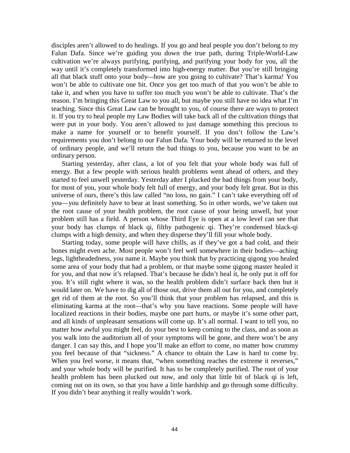disciples aren't allowed to do healings. If you go and heal people you don't belong to my Falun Dafa. Since we're guiding you down the true path, during Triple-World-Law cultivation we're always purifying, purifying, and purifying your body for you, all the way until it's completely transformed into high-energy matter. But you're still bringing all that black stuff onto your body—how are you going to cultivate? That's karma! You won't be able to cultivate one bit. Once you get too much of that you won't be able to take it, and when you have to suffer too much you won't be able to cultivate. That's the reason. I'm bringing this Great Law to you all, but maybe you still have no idea what I'm teaching. Since this Great Law can be brought to you, of course there are ways to protect it. If you try to heal people my Law Bodies will take back all of the cultivation things that were put in your body. You aren't allowed to just damage something this precious to make a name for yourself or to benefit yourself. If you don't follow the Law's requirements you don't belong to our Falun Dafa. Your body will be returned to the level of ordinary people, and we'll return the bad things to you, because you want to be an ordinary person.

Starting yesterday, after class, a lot of you felt that your whole body was full of energy. But a few people with serious health problems went ahead of others, and they started to feel unwell yesterday. Yesterday after I plucked the bad things from your body, for most of you, your whole body felt full of energy, and your body felt great. But in this universe of ours, there's this law called "no loss, no gain." I can't take everything off of you—you definitely have to bear at least something. So in other words, we've taken out the root cause of your health problem, the root cause of your being unwell, but your problem still has a field. A person whose Third Eye is open at a low level can see that your body has clumps of black qi, filthy pathogenic qi. They're condensed black-qi clumps with a high density, and when they disperse they'll fill your whole body.

Starting today, some people will have chills, as if they've got a bad cold, and their bones might even ache. Most people won't feel well somewhere in their bodies—aching legs, lightheadedness, you name it. Maybe you think that by practicing qigong you healed some area of your body that had a problem, or that maybe some qigong master healed it for you, and that now it's relapsed. That's because he didn't heal it, he only put it off for you. It's still right where it was, so the health problem didn't surface back then but it would later on. We have to dig all of those out, drive them all out for you, and completely get rid of them at the root. So you'll think that your problem has relapsed, and this is eliminating karma at the root—that's why you have reactions. Some people will have localized reactions in their bodies, maybe one part hurts, or maybe it's some other part, and all kinds of unpleasant sensations will come up. It's all normal. I want to tell you, no matter how awful you might feel, do your best to keep coming to the class, and as soon as you walk into the auditorium all of your symptoms will be gone, and there won't be any danger. I can say this, and I hope you'll make an effort to come, no matter how crummy you feel because of that "sickness." A chance to obtain the Law is hard to come by. When you feel worse, it means that, "when something reaches the extreme it reverses," and your whole body will be purified. It has to be completely purified. The root of your health problem has been plucked out now, and only that little bit of black qi is left, coming out on its own, so that you have a little hardship and go through some difficulty. If you didn't bear anything it really wouldn't work.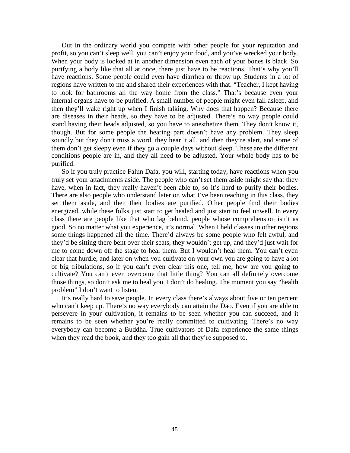Out in the ordinary world you compete with other people for your reputation and profit, so you can't sleep well, you can't enjoy your food, and you've wrecked your body. When your body is looked at in another dimension even each of your bones is black. So purifying a body like that all at once, there just have to be reactions. That's why you'll have reactions. Some people could even have diarrhea or throw up. Students in a lot of regions have written to me and shared their experiences with that. "Teacher, I kept having to look for bathrooms all the way home from the class." That's because even your internal organs have to be purified. A small number of people might even fall asleep, and then they'll wake right up when I finish talking. Why does that happen? Because there are diseases in their heads, so they have to be adjusted. There's no way people could stand having their heads adjusted, so you have to anesthetize them. They don't know it, though. But for some people the hearing part doesn't have any problem. They sleep soundly but they don't miss a word, they hear it all, and then they're alert, and some of them don't get sleepy even if they go a couple days without sleep. These are the different conditions people are in, and they all need to be adjusted. Your whole body has to be purified.

So if you truly practice Falun Dafa, you will, starting today, have reactions when you truly set your attachments aside. The people who can't set them aside might say that they have, when in fact, they really haven't been able to, so it's hard to purify their bodies. There are also people who understand later on what I've been teaching in this class, they set them aside, and then their bodies are purified. Other people find their bodies energized, while these folks just start to get healed and just start to feel unwell. In every class there are people like that who lag behind, people whose comprehension isn't as good. So no matter what you experience, it's normal. When I held classes in other regions some things happened all the time. There'd always be some people who felt awful, and they'd be sitting there bent over their seats, they wouldn't get up, and they'd just wait for me to come down off the stage to heal them. But I wouldn't heal them. You can't even clear that hurdle, and later on when you cultivate on your own you are going to have a lot of big tribulations, so if you can't even clear this one, tell me, how are you going to cultivate? You can't even overcome that little thing? You can all definitely overcome those things, so don't ask me to heal you. I don't do healing. The moment you say "health problem" I don't want to listen.

It's really hard to save people. In every class there's always about five or ten percent who can't keep up. There's no way everybody can attain the Dao. Even if you are able to persevere in your cultivation, it remains to be seen whether you can succeed, and it remains to be seen whether you're really committed to cultivating. There's no way everybody can become a Buddha. True cultivators of Dafa experience the same things when they read the book, and they too gain all that they're supposed to.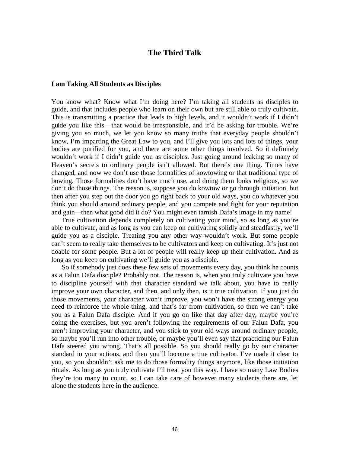# **The Third Talk**

## **I am Taking All Students as Disciples**

You know what? Know what I'm doing here? I'm taking all students as disciples to guide, and that includes people who learn on their own but are still able to truly cultivate. This is transmitting a practice that leads to high levels, and it wouldn't work if I didn't guide you like this—that would be irresponsible, and it'd be asking for trouble. We're giving you so much, we let you know so many truths that everyday people shouldn't know, I'm imparting the Great Law to you, and I'll give you lots and lots of things, your bodies are purified for you, and there are some other things involved. So it definitely wouldn't work if I didn't guide you as disciples. Just going around leaking so many of Heaven's secrets to ordinary people isn't allowed. But there's one thing. Times have changed, and now we don't use those formalities of kowtowing or that traditional type of bowing. Those formalities don't have much use, and doing them looks religious, so we don't do those things. The reason is, suppose you do kowtow or go through initiation, but then after you step out the door you go right back to your old ways, you do whatever you think you should around ordinary people, and you compete and fight for your reputation and gain—then what good did it do? You might even tarnish Dafa's image in my name!

True cultivation depends completely on cultivating your mind, so as long as you're able to cultivate, and as long as you can keep on cultivating solidly and steadfastly, we'll guide you as a disciple. Treating you any other way wouldn't work. But some people can't seem to really take themselves to be cultivators and keep on cultivating. It's just not doable for some people. But a lot of people will really keep up their cultivation. And as long as you keep on cultivating we'll guide you as a disciple.

So if somebody just does these few sets of movements every day, you think he counts as a Falun Dafa disciple? Probably not. The reason is, when you truly cultivate you have to discipline yourself with that character standard we talk about, you have to really improve your own character, and then, and only then, is it true cultivation. If you just do those movements, your character won't improve, you won't have the strong energy you need to reinforce the whole thing, and that's far from cultivation, so then we can't take you as a Falun Dafa disciple. And if you go on like that day after day, maybe you're doing the exercises, but you aren't following the requirements of our Falun Dafa, you aren't improving your character, and you stick to your old ways around ordinary people, so maybe you'll run into other trouble, or maybe you'll even say that practicing our Falun Dafa steered you wrong. That's all possible. So you should really go by our character standard in your actions, and then you'll become a true cultivator. I've made it clear to you, so you shouldn't ask me to do those formality things anymore, like those initiation rituals. As long as you truly cultivate I'll treat you this way. I have so many Law Bodies they're too many to count, so I can take care of however many students there are, let alone the students here in the audience.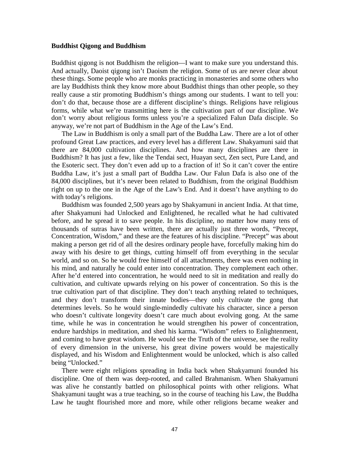### **Buddhist Qigong and Buddhism**

Buddhist qigong is not Buddhism the religion—I want to make sure you understand this. And actually, Daoist qigong isn't Daoism the religion. Some of us are never clear about these things. Some people who are monks practicing in monasteries and some others who are lay Buddhists think they know more about Buddhist things than other people, so they really cause a stir promoting Buddhism's things among our students. I want to tell you: don't do that, because those are a different discipline's things. Religions have religious forms, while what we're transmitting here is the cultivation part of our discipline. We don't worry about religious forms unless you're a specialized Falun Dafa disciple. So anyway, we're not part of Buddhism in the Age of the Law's End.

The Law in Buddhism is only a small part of the Buddha Law. There are a lot of other profound Great Law practices, and every level has a different Law. Shakyamuni said that there are 84,000 cultivation disciplines. And how many disciplines are there in Buddhism? It has just a few, like the Tendai sect, Huayan sect, Zen sect, Pure Land, and the Esoteric sect. They don't even add up to a fraction of it! So it can't cover the entire Buddha Law, it's just a small part of Buddha Law. Our Falun Dafa is also one of the 84,000 disciplines, but it's never been related to Buddhism, from the original Buddhism right on up to the one in the Age of the Law's End. And it doesn't have anything to do with today's religions.

Buddhism was founded 2,500 years ago by Shakyamuni in ancient India. At that time, after Shakyamuni had Unlocked and Enlightened, he recalled what he had cultivated before, and he spread it to save people. In his discipline, no matter how many tens of thousands of sutras have been written, there are actually just three words, "Precept, Concentration, Wisdom," and these are the features of his discipline. "Precept" was about making a person get rid of all the desires ordinary people have, forcefully making him do away with his desire to get things, cutting himself off from everything in the secular world, and so on. So he would free himself of all attachments, there was even nothing in his mind, and naturally he could enter into concentration. They complement each other. After he'd entered into concentration, he would need to sit in meditation and really do cultivation, and cultivate upwards relying on his power of concentration. So this is the true cultivation part of that discipline. They don't teach anything related to techniques, and they don't transform their innate bodies—they only cultivate the gong that determines levels. So he would single-mindedly cultivate his character, since a person who doesn't cultivate longevity doesn't care much about evolving gong. At the same time, while he was in concentration he would strengthen his power of concentration, endure hardships in meditation, and shed his karma. "Wisdom" refers to Enlightenment, and coming to have great wisdom. He would see the Truth of the universe, see the reality of every dimension in the universe, his great divine powers would be majestically displayed, and his Wisdom and Enlightenment would be unlocked, which is also called being "Unlocked."

There were eight religions spreading in India back when Shakyamuni founded his discipline. One of them was deep-rooted, and called Brahmanism. When Shakyamuni was alive he constantly battled on philosophical points with other religions. What Shakyamuni taught was a true teaching, so in the course of teaching his Law, the Buddha Law he taught flourished more and more, while other religions became weaker and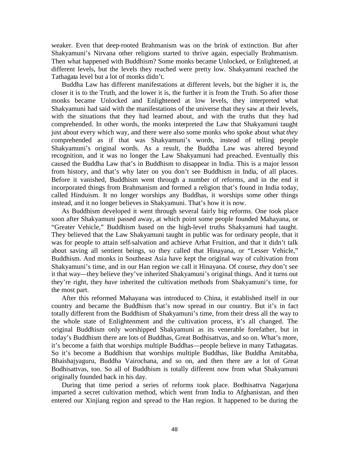weaker. Even that deep-rooted Brahmanism was on the brink of extinction. But after Shakyamuni's Nirvana other religions started to thrive again, especially Brahmanism. Then what happened with Buddhism? Some monks became Unlocked, or Enlightened, at different levels, but the levels they reached were pretty low. Shakyamuni reached the Tathagata level but a lot of monks didn't.

Buddha Law has different manifestations at different levels, but the higher it is, the closer it is to the Truth, and the lower it is, the further it is from the Truth. So after those monks became Unlocked and Enlightened at low levels, they interpreted what Shakyamuni had said with the manifestations of the universe that they saw at their levels, with the situations that they had learned about, and with the truths that they had comprehended. In other words, the monks interpreted the Law that Shakyamuni taught just about every which way, and there were also some monks who spoke about what *they* comprehended as if that was Shakyamuni's words, instead of telling people Shakyamuni's original words. As a result, the Buddha Law was altered beyond recognition, and it was no longer the Law Shakyamuni had preached. Eventually this caused the Buddha Law that's in Buddhism to disappear in India. This is a major lesson from history, and that's why later on you don't see Buddhism in India, of all places. Before it vanished, Buddhism went through a number of reforms, and in the end it incorporated things from Brahmanism and formed a religion that's found in India today, called Hinduism. It no longer worships any Buddhas, it worships some other things instead, and it no longer believes in Shakyamuni. That's how it is now.

As Buddhism developed it went through several fairly big reforms. One took place soon after Shakyamuni passed away, at which point some people founded Mahayana, or "Greater Vehicle," Buddhism based on the high-level truths Shakyamuni had taught. They believed that the Law Shakyamuni taught in public was for ordinary people, that it was for people to attain self-salvation and achieve Arhat Fruition, and that it didn't talk about saving all sentient beings, so they called that Hinayana, or "Lesser Vehicle," Buddhism. And monks in Southeast Asia have kept the original way of cultivation from Shakyamuni's time, and in our Han region we call it Hinayana. Of course, *they* don't see it that way—they believe they've inherited Shakyamuni's original things. And it turns out they're right, they *have* inherited the cultivation methods from Shakyamuni's time, for the most part.

After this reformed Mahayana was introduced to China, it established itself in our country and became the Buddhism that's now spread in our country. But it's in fact totally different from the Buddhism of Shakyamuni's time, from their dress all the way to the whole state of Enlightenment and the cultivation process, it's all changed. The original Buddhism only worshipped Shakyamuni as its venerable forefather, but in today's Buddhism there are lots of Buddhas, Great Bodhisattvas, and so on. What's more, it's become a faith that worships multiple Buddhas—people believe in many Tathagatas. So it's become a Buddhism that worships multiple Buddhas, like Buddha Amitabha, Bhaishajyaguru, Buddha Vairochana, and so on, and then there are a lot of Great Bodhisattvas, too. So all of Buddhism is totally different now from what Shakyamuni originally founded back in his day.

During that time period a series of reforms took place. Bodhisattva Nagarjuna imparted a secret cultivation method, which went from India to Afghanistan, and then entered our Xinjiang region and spread to the Han region. It happened to be during the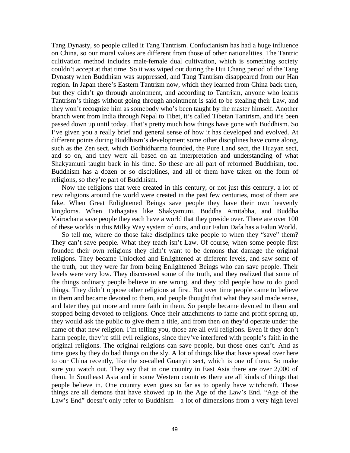Tang Dynasty, so people called it Tang Tantrism. Confucianism has had a huge influence on China, so our moral values are different from those of other nationalities. The Tantric cultivation method includes male-female dual cultivation, which is something society couldn't accept at that time. So it was wiped out during the Hui Chang period of the Tang Dynasty when Buddhism was suppressed, and Tang Tantrism disappeared from our Han region. In Japan there's Eastern Tantrism now, which they learned from China back then, but they didn't go through anointment, and according to Tantrism, anyone who learns Tantrism's things without going through anointment is said to be stealing their Law, and they won't recognize him as somebody who's been taught by the master himself. Another branch went from India through Nepal to Tibet, it's called Tibetan Tantrism, and it's been passed down up until today. That's pretty much how things have gone with Buddhism. So I've given you a really brief and general sense of how it has developed and evolved. At different points during Buddhism's development some other disciplines have come along, such as the Zen sect, which Bodhidharma founded, the Pure Land sect, the Huayan sect, and so on, and they were all based on an interpretation and understanding of what Shakyamuni taught back in his time. So these are all part of reformed Buddhism, too. Buddhism has a dozen or so disciplines, and all of them have taken on the form of religions, so they're part of Buddhism.

Now the religions that were created in this century, or not just this century, a lot of new religions around the world were created in the past few centuries, most of them are fake. When Great Enlightened Beings save people they have their own heavenly kingdoms. When Tathagatas like Shakyamuni, Buddha Amitabha, and Buddha Vairochana save people they each have a world that they preside over. There are over 100 of these worlds in this Milky Way system of ours, and our Falun Dafa has a Falun World.

So tell me, where do those fake disciplines take people to when they "save" them? They can't save people. What they teach isn't Law. Of course, when some people first founded their own religions they didn't want to be demons that damage the original religions. They became Unlocked and Enlightened at different levels, and saw some of the truth, but they were far from being Enlightened Beings who can save people. Their levels were very low. They discovered some of the truth, and they realized that some of the things ordinary people believe in are wrong, and they told people how to do good things. They didn't oppose other religions at first. But over time people came to believe in them and became devoted to them, and people thought that what they said made sense, and later they put more and more faith in them. So people became devoted to them and stopped being devoted to religions. Once their attachments to fame and profit sprung up, they would ask the public to give them a title, and from then on they'd operate under the name of that new religion. I'm telling you, those are all evil religions. Even if they don't harm people, they're still evil religions, since they've interfered with people's faith in the original religions. The original religions can save people, but those ones can't. And as time goes by they do bad things on the sly. A lot of things like that have spread over here to our China recently, like the so-called Guanyin sect, which is one of them. So make sure you watch out. They say that in one country in East Asia there are over 2,000 of them. In Southeast Asia and in some Western countries there are all kinds of things that people believe in. One country even goes so far as to openly have witchcraft. Those things are all demons that have showed up in the Age of the Law's End. "Age of the Law's End" doesn't only refer to Buddhism—a lot of dimensions from a very high level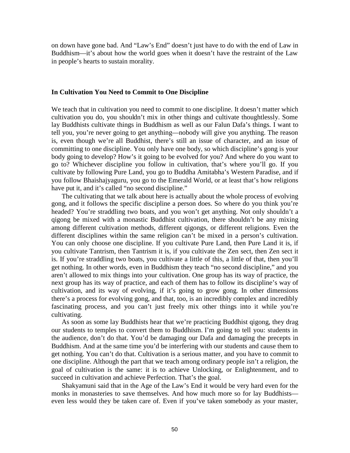on down have gone bad. And "Law's End" doesn't just have to do with the end of Law in Buddhism—it's about how the world goes when it doesn't have the restraint of the Law in people's hearts to sustain morality.

## **In Cultivation You Need to Commit to One Discipline**

We teach that in cultivation you need to commit to one discipline. It doesn't matter which cultivation you do, you shouldn't mix in other things and cultivate thoughtlessly. Some lay Buddhists cultivate things in Buddhism as well as our Falun Dafa's things. I want to tell you, you're never going to get anything—nobody will give you anything. The reason is, even though we're all Buddhist, there's still an issue of character, and an issue of committing to one discipline. You only have one body, so which discipline's gong is your body going to develop? How's it going to be evolved for you? And where do you want to go to? Whichever discipline you follow in cultivation, that's where you'll go. If you cultivate by following Pure Land, you go to Buddha Amitabha's Western Paradise, and if you follow Bhaishajyaguru, you go to the Emerald World, or at least that's how religions have put it, and it's called "no second discipline."

The cultivating that we talk about here is actually about the whole process of evolving gong, and it follows the specific discipline a person does. So where do you think you're headed? You're straddling two boats, and you won't get anything. Not only shouldn't a qigong be mixed with a monastic Buddhist cultivation, there shouldn't be any mixing among different cultivation methods, different qigongs, or different religions. Even the different disciplines within the same religion can't be mixed in a person's cultivation. You can only choose one discipline. If you cultivate Pure Land, then Pure Land it is, if you cultivate Tantrism, then Tantrism it is, if you cultivate the Zen sect, then Zen sect it is. If you're straddling two boats, you cultivate a little of this, a little of that, then you'll get nothing. In other words, even in Buddhism they teach "no second discipline," and you aren't allowed to mix things into your cultivation. One group has its way of practice, the next group has its way of practice, and each of them has to follow its discipline's way of cultivation, and its way of evolving, if it's going to grow gong. In other dimensions there's a process for evolving gong, and that, too, is an incredibly complex and incredibly fascinating process, and you can't just freely mix other things into it while you're cultivating.

As soon as some lay Buddhists hear that we're practicing Buddhist qigong, they drag our students to temples to convert them to Buddhism. I'm going to tell you: students in the audience, don't do that. You'd be damaging our Dafa and damaging the precepts in Buddhism. And at the same time you'd be interfering with our students and cause them to get nothing. You can't do that. Cultivation is a serious matter, and you have to commit to one discipline. Although the part that we teach among ordinary people isn't a religion, the goal of cultivation is the same: it is to achieve Unlocking, or Enlightenment, and to succeed in cultivation and achieve Perfection. That's the goal.

Shakyamuni said that in the Age of the Law's End it would be very hard even for the monks in monasteries to save themselves. And how much more so for lay Buddhists even less would they be taken care of. Even if you've taken somebody as your master,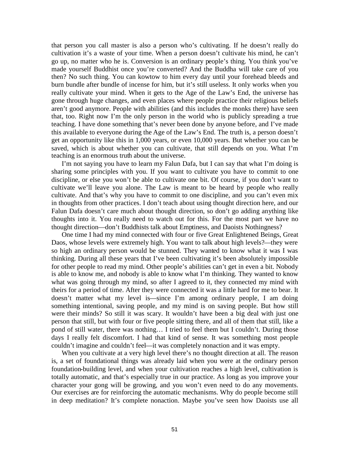that person you call master is also a person who's cultivating. If he doesn't really do cultivation it's a waste of your time. When a person doesn't cultivate his mind, he can't go up, no matter who he is. Conversion is an ordinary people's thing. You think you've made yourself Buddhist once you're converted? And the Buddha will take care of you then? No such thing. You can kowtow to him every day until your forehead bleeds and burn bundle after bundle of incense for him, but it's still useless. It only works when you really cultivate your mind. When it gets to the Age of the Law's End, the universe has gone through huge changes, and even places where people practice their religious beliefs aren't good anymore. People with abilities (and this includes the monks there) have seen that, too. Right now I'm the only person in the world who is publicly spreading a true teaching. I have done something that's never been done by anyone before, and I've made this available to everyone during the Age of the Law's End. The truth is, a person doesn't get an opportunity like this in 1,000 years, or even 10,000 years. But whether you can be saved, which is about whether you can cultivate, that still depends on you. What I'm teaching is an enormous truth about the universe.

I'm not saying you have to learn my Falun Dafa, but I can say that what I'm doing is sharing some principles with you. If you want to cultivate you have to commit to one discipline, or else you won't be able to cultivate one bit. Of course, if you don't want to cultivate we'll leave you alone. The Law is meant to be heard by people who really cultivate. And that's why you have to commit to one discipline, and you can't even mix in thoughts from other practices. I don't teach about using thought direction here, and our Falun Dafa doesn't care much about thought direction, so don't go adding anything like thoughts into it. You really need to watch out for this. For the most part we have no thought direction—don't Buddhists talk about Emptiness, and Daoists Nothingness?

One time I had my mind connected with four or five Great Enlightened Beings, Great Daos, whose levels were extremely high. You want to talk about high levels?—they were so high an ordinary person would be stunned. They wanted to know what it was I was thinking. During all these years that I've been cultivating it's been absolutely impossible for other people to read my mind. Other people's abilities can't get in even a bit. Nobody is able to know me, and nobody is able to know what I'm thinking. They wanted to know what was going through my mind, so after I agreed to it, they connected my mind with theirs for a period of time. After they were connected it was a little hard for me to bear. It doesn't matter what my level is—since I'm among ordinary people, I am doing something intentional, saving people, and my mind is on saving people. But how still were their minds? So still it was scary. It wouldn't have been a big deal with just one person that still, but with four or five people sitting there, and all of them that still, like a pond of still water, there was nothing… I tried to feel them but I couldn't. During those days I really felt discomfort. I had that kind of sense. It was something most people couldn't imagine and couldn't feel—it was completely nonaction and it was empty.

When you cultivate at a very high level there's no thought direction at all. The reason is, a set of foundational things was already laid when you were at the ordinary person foundation-building level, and when your cultivation reaches a high level, cultivation is totally automatic, and that's especially true in our practice. As long as you improve your character your gong will be growing, and you won't even need to do any movements. Our exercises are for reinforcing the automatic mechanisms. Why do people become still in deep meditation? It's complete nonaction. Maybe you've seen how Daoists use all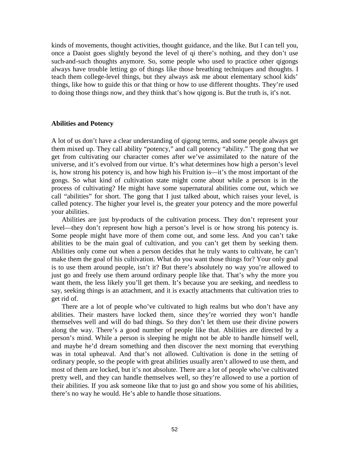kinds of movements, thought activities, thought guidance, and the like. But I can tell you, once a Daoist goes slightly beyond the level of qi there's nothing, and they don't use such-and-such thoughts anymore. So, some people who used to practice other qigongs always have trouble letting go of things like those breathing techniques and thoughts. I teach them college-level things, but they always ask me about elementary school kids' things, like how to guide this or that thing or how to use different thoughts. They're used to doing those things now, and they think that's how qigong is. But the truth is, it's not.

## **Abilities and Potency**

A lot of us don't have a clear understanding of qigong terms, and some people always get them mixed up. They call ability "potency," and call potency "ability." The gong that we get from cultivating our character comes after we've assimilated to the nature of the universe, and it's evolved from our virtue. It's what determines how high a person's level is, how strong his potency is, and how high his Fruition is—it's the most important of the gongs. So what kind of cultivation state might come about while a person is in the process of cultivating? He might have some supernatural abilities come out, which we call "abilities" for short. The gong that I just talked about, which raises your level, is called potency. The higher your level is, the greater your potency and the more powerful your abilities.

Abilities are just by-products of the cultivation process. They don't represent your level—they don't represent how high a person's level is or how strong his potency is. Some people might have more of them come out, and some less. And you can't take abilities to be the main goal of cultivation, and you can't get them by seeking them. Abilities only come out when a person decides that he truly wants to cultivate, he can't make them the goal of his cultivation. What do you want those things for? Your only goal is to use them around people, isn't it? But there's absolutely no way you're allowed to just go and freely use them around ordinary people like that. That's why the more you want them, the less likely you'll get them. It's because you are seeking, and needless to say, seeking things is an attachment, and it is exactly attachments that cultivation tries to get rid of.

There are a lot of people who've cultivated to high realms but who don't have any abilities. Their masters have locked them, since they're worried they won't handle themselves well and will do bad things. So they don't let them use their divine powers along the way. There's a good number of people like that. Abilities are directed by a person's mind. While a person is sleeping he might not be able to handle himself well, and maybe he'd dream something and then discover the next morning that everything was in total upheaval. And that's not allowed. Cultivation is done in the setting of ordinary people, so the people with great abilities usually aren't allowed to use them, and most of them are locked, but it's not absolute. There are a lot of people who've cultivated pretty well, and they can handle themselves well, so they're allowed to use a portion of their abilities. If you ask someone like that to just go and show you some of his abilities, there's no way he would. He's able to handle those situations.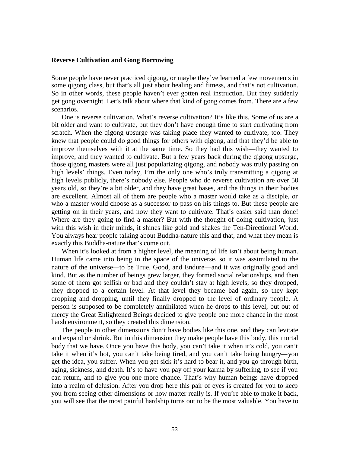## **Reverse Cultivation and Gong Borrowing**

Some people have never practiced qigong, or maybe they've learned a few movements in some qigong class, but that's all just about healing and fitness, and that's not cultivation. So in other words, these people haven't ever gotten real instruction. But they suddenly get gong overnight. Let's talk about where that kind of gong comes from. There are a few scenarios.

One is reverse cultivation. What's reverse cultivation? It's like this. Some of us are a bit older and want to cultivate, but they don't have enough time to start cultivating from scratch. When the qigong upsurge was taking place they wanted to cultivate, too. They knew that people could do good things for others with qigong, and that they'd be able to improve themselves with it at the same time. So they had this wish—they wanted to improve, and they wanted to cultivate. But a few years back during the qigong upsurge, those qigong masters were all just popularizing qigong, and nobody was truly passing on high levels' things. Even today, I'm the only one who's truly transmitting a qigong at high levels publicly, there's nobody else. People who do reverse cultivation are over 50 years old, so they're a bit older, and they have great bases, and the things in their bodies are excellent. Almost all of them are people who a master would take as a disciple, or who a master would choose as a successor to pass on his things to. But these people are getting on in their years, and now they want to cultivate. That's easier said than done! Where are they going to find a master? But with the thought of doing cultivation, just with this wish in their minds, it shines like gold and shakes the Ten-Directional World. You always hear people talking about Buddha-nature this and that, and what they mean is exactly this Buddha-nature that's come out.

When it's looked at from a higher level, the meaning of life isn't about being human. Human life came into being in the space of the universe, so it was assimilated to the nature of the universe—to be True, Good, and Endure—and it was originally good and kind. But as the number of beings grew larger, they formed social relationships, and then some of them got selfish or bad and they couldn't stay at high levels, so they dropped, they dropped to a certain level. At that level they became bad again, so they kept dropping and dropping, until they finally dropped to the level of ordinary people. A person is supposed to be completely annihilated when he drops to this level, but out of mercy the Great Enlightened Beings decided to give people one more chance in the most harsh environment, so they created this dimension.

The people in other dimensions don't have bodies like this one, and they can levitate and expand or shrink. But in this dimension they make people have this body, this mortal body that we have. Once you have this body, you can't take it when it's cold, you can't take it when it's hot, you can't take being tired, and you can't take being hungry—you get the idea, you suffer. When you get sick it's hard to bear it, and you go through birth, aging, sickness, and death. It's to have you pay off your karma by suffering, to see if you can return, and to give you one more chance. That's why human beings have dropped into a realm of delusion. After you drop here this pair of eyes is created for you to keep you from seeing other dimensions or how matter really is. If you're able to make it back, you will see that the most painful hardship turns out to be the most valuable. You have to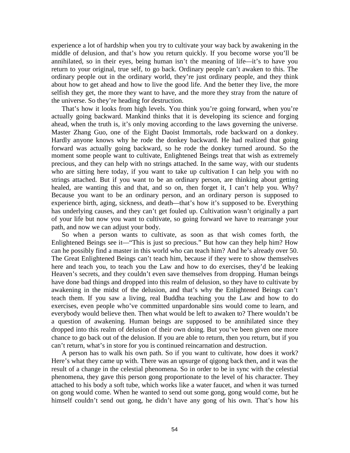experience a lot of hardship when you try to cultivate your way back by awakening in the middle of delusion, and that's how you return quickly. If you become worse you'll be annihilated, so in their eyes, being human isn't the meaning of life—it's to have you return to your original, true self, to go back. Ordinary people can't awaken to this. The ordinary people out in the ordinary world, they're just ordinary people, and they think about how to get ahead and how to live the good life. And the better they live, the more selfish they get, the more they want to have, and the more they stray from the nature of the universe. So they're heading for destruction.

That's how it looks from high levels. You think you're going forward, when you're actually going backward. Mankind thinks that it is developing its science and forging ahead, when the truth is, it's only moving according to the laws governing the universe. Master Zhang Guo, one of the Eight Daoist Immortals, rode backward on a donkey. Hardly anyone knows why he rode the donkey backward. He had realized that going forward was actually going backward, so he rode the donkey turned around. So the moment some people want to cultivate, Enlightened Beings treat that wish as extremely precious, and they can help with no strings attached. In the same way, with our students who are sitting here today, if you want to take up cultivation I can help you with no strings attached. But if you want to be an ordinary person, are thinking about getting healed, are wanting this and that, and so on, then forget it, I can't help you. Why? Because you want to be an ordinary person, and an ordinary person is supposed to experience birth, aging, sickness, and death—that's how it's supposed to be. Everything has underlying causes, and they can't get fouled up. Cultivation wasn't originally a part of your life but now you want to cultivate, so going forward we have to rearrange your path, and now we can adjust your body.

So when a person wants to cultivate, as soon as that wish comes forth, the Enlightened Beings see it—"This is just so precious." But how can they help him? How can he possibly find a master in this world who can teach him? And he's already over 50. The Great Enlightened Beings can't teach him, because if they were to show themselves here and teach you, to teach you the Law and how to do exercises, they'd be leaking Heaven's secrets, and they couldn't even save themselves from dropping. Human beings have done bad things and dropped into this realm of delusion, so they have to cultivate by awakening in the midst of the delusion, and that's why the Enlightened Beings can't teach them. If you saw a living, real Buddha teaching you the Law and how to do exercises, even people who've committed unpardonable sins would come to learn, and everybody would believe then. Then what would be left to awaken to? There wouldn't be a question of awakening. Human beings are supposed to be annihilated since they dropped into this realm of delusion of their own doing. But you've been given one more chance to go back out of the delusion. If you are able to return, then you return, but if you can't return, what's in store for you is continued reincarnation and destruction.

A person has to walk his own path. So if you want to cultivate, how does it work? Here's what they came up with. There was an upsurge of qigong back then, and it was the result of a change in the celestial phenomena. So in order to be in sync with the celestial phenomena, they gave this person gong proportionate to the level of his character. They attached to his body a soft tube, which works like a water faucet, and when it was turned on gong would come. When he wanted to send out some gong, gong would come, but he himself couldn't send out gong, he didn't have any gong of his own. That's how his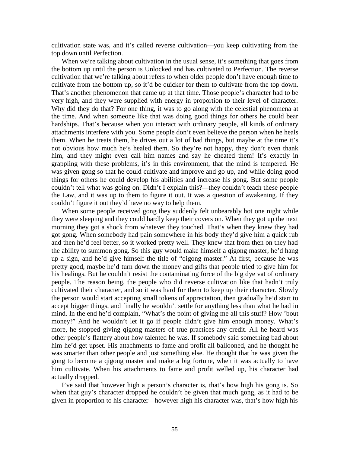cultivation state was, and it's called reverse cultivation—you keep cultivating from the top down until Perfection.

When we're talking about cultivation in the usual sense, it's something that goes from the bottom up until the person is Unlocked and has cultivated to Perfection. The reverse cultivation that we're talking about refers to when older people don't have enough time to cultivate from the bottom up, so it'd be quicker for them to cultivate from the top down. That's another phenomenon that came up at that time. Those people's character had to be very high, and they were supplied with energy in proportion to their level of character. Why did they do that? For one thing, it was to go along with the celestial phenomena at the time. And when someone like that was doing good things for others he could bear hardships. That's because when you interact with ordinary people, all kinds of ordinary attachments interfere with you. Some people don't even believe the person when he heals them. When he treats them, he drives out a lot of bad things, but maybe at the time it's not obvious how much he's healed them. So they're not happy, they don't even thank him, and they might even call him names and say he cheated them! It's exactly in grappling with these problems, it's in this environment, that the mind is tempered. He was given gong so that he could cultivate and improve and go up, and while doing good things for others he could develop his abilities and increase his gong. But some people couldn't tell what was going on. Didn't I explain this?—they couldn't teach these people the Law, and it was up to them to figure it out. It was a question of awakening. If they couldn't figure it out they'd have no way to help them.

When some people received gong they suddenly felt unbearably hot one night while they were sleeping and they could hardly keep their covers on. When they got up the next morning they got a shock from whatever they touched. That's when they knew they had got gong. When somebody had pain somewhere in his body they'd give him a quick rub and then he'd feel better, so it worked pretty well. They knew that from then on they had the ability to summon gong. So this guy would make himself a qigong master, he'd hang up a sign, and he'd give himself the title of "qigong master." At first, because he was pretty good, maybe he'd turn down the money and gifts that people tried to give him for his healings. But he couldn't resist the contaminating force of the big dye vat of ordinary people. The reason being, the people who did reverse cultivation like that hadn't truly cultivated their character, and so it was hard for them to keep up their character. Slowly the person would start accepting small tokens of appreciation, then gradually he'd start to accept bigger things, and finally he wouldn't settle for anything less than what he had in mind. In the end he'd complain, "What's the point of giving me all this stuff? How 'bout money!" And he wouldn't let it go if people didn't give him enough money. What's more, he stopped giving qigong masters of true practices any credit. All he heard was other people's flattery about how talented he was. If somebody said something bad about him he'd get upset. His attachments to fame and profit all ballooned, and he thought he was smarter than other people and just something else. He thought that he was given the gong to become a qigong master and make a big fortune, when it was actually to have him cultivate. When his attachments to fame and profit welled up, his character had actually dropped.

I've said that however high a person's character is, that's how high his gong is. So when that guy's character dropped he couldn't be given that much gong, as it had to be given in proportion to his character—however high his character was, that's how high his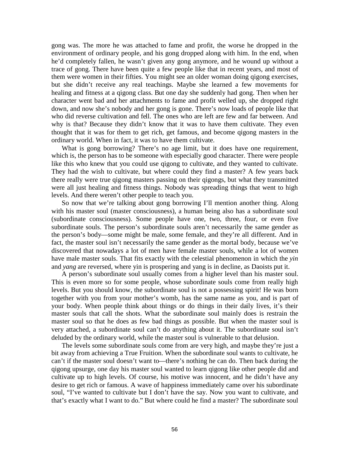gong was. The more he was attached to fame and profit, the worse he dropped in the environment of ordinary people, and his gong dropped along with him. In the end, when he'd completely fallen, he wasn't given any gong anymore, and he wound up without a trace of gong. There have been quite a few people like that in recent years, and most of them were women in their fifties. You might see an older woman doing qigong exercises, but she didn't receive any real teachings. Maybe she learned a few movements for healing and fitness at a qigong class. But one day she suddenly had gong. Then when her character went bad and her attachments to fame and profit welled up, she dropped right down, and now she's nobody and her gong is gone. There's now loads of people like that who did reverse cultivation and fell. The ones who are left are few and far between. And why is that? Because they didn't know that it was to have them cultivate. They even thought that it was for them to get rich, get famous, and become qigong masters in the ordinary world. When in fact, it was to have them cultivate.

What is gong borrowing? There's no age limit, but it does have one requirement, which is, the person has to be someone with especially good character. There were people like this who knew that you could use qigong to cultivate, and they wanted to cultivate. They had the wish to cultivate, but where could they find a master? A few years back there really were true qigong masters passing on their qigongs, but what they transmitted were all just healing and fitness things. Nobody was spreading things that went to high levels. And there weren't other people to teach you.

So now that we're talking about gong borrowing I'll mention another thing. Along with his master soul (master consciousness), a human being also has a subordinate soul (subordinate consciousness). Some people have one, two, three, four, or even five subordinate souls. The person's subordinate souls aren't necessarily the same gender as the person's body—some might be male, some female, and they're all different. And in fact, the master soul isn't necessarily the same gender as the mortal body, because we've discovered that nowadays a lot of men have female master souls, while a lot of women have male master souls. That fits exactly with the celestial phenomenon in which the *yin* and *yang* are reversed, where yin is prospering and yang is in decline, as Daoists put it.

A person's subordinate soul usually comes from a higher level than his master soul. This is even more so for some people, whose subordinate souls come from really high levels. But you should know, the subordinate soul is not a possessing spirit! He was born together with you from your mother's womb, has the same name as you, and is part of your body. When people think about things or do things in their daily lives, it's their master souls that call the shots. What the subordinate soul mainly does is restrain the master soul so that he does as few bad things as possible. But when the master soul is very attached, a subordinate soul can't do anything about it. The subordinate soul isn't deluded by the ordinary world, while the master soul is vulnerable to that delusion.

The levels some subordinate souls come from are very high, and maybe they're just a bit away from achieving a True Fruition. When the subordinate soul wants to cultivate, he can't if the master soul doesn't want to—there's nothing he can do. Then back during the qigong upsurge, one day his master soul wanted to learn qigong like other people did and cultivate up to high levels. Of course, his motive was innocent, and he didn't have any desire to get rich or famous. A wave of happiness immediately came over his subordinate soul, "I've wanted to cultivate but I don't have the say. Now you want to cultivate, and that's exactly what I want to do." But where could he find a master? The subordinate soul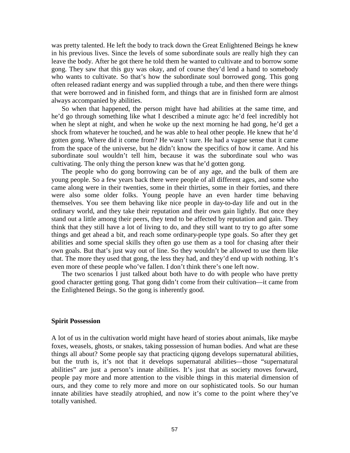was pretty talented. He left the body to track down the Great Enlightened Beings he knew in his previous lives. Since the levels of some subordinate souls are really high they can leave the body. After he got there he told them he wanted to cultivate and to borrow some gong. They saw that this guy was okay, and of course they'd lend a hand to somebody who wants to cultivate. So that's how the subordinate soul borrowed gong. This gong often released radiant energy and was supplied through a tube, and then there were things that were borrowed and in finished form, and things that are in finished form are almost always accompanied by abilities.

So when that happened, the person might have had abilities at the same time, and he'd go through something like what I described a minute ago: he'd feel incredibly hot when he slept at night, and when he woke up the next morning he had gong, he'd get a shock from whatever he touched, and he was able to heal other people. He knew that he'd gotten gong. Where did it come from? He wasn't sure. He had a vague sense that it came from the space of the universe, but he didn't know the specifics of how it came. And his subordinate soul wouldn't tell him, because it was the subordinate soul who was cultivating. The only thing the person knew was that he'd gotten gong.

The people who do gong borrowing can be of any age, and the bulk of them are young people. So a few years back there were people of all different ages, and some who came along were in their twenties, some in their thirties, some in their forties, and there were also some older folks. Young people have an even harder time behaving themselves. You see them behaving like nice people in day-to-day life and out in the ordinary world, and they take their reputation and their own gain lightly. But once they stand out a little among their peers, they tend to be affected by reputation and gain. They think that they still have a lot of living to do, and they still want to try to go after some things and get ahead a bit, and reach some ordinary-people type goals. So after they get abilities and some special skills they often go use them as a tool for chasing after their own goals. But that's just way out of line. So they wouldn't be allowed to use them like that. The more they used that gong, the less they had, and they'd end up with nothing. It's even more of these people who've fallen. I don't think there's one left now.

The two scenarios I just talked about both have to do with people who have pretty good character getting gong. That gong didn't come from their cultivation—it came from the Enlightened Beings. So the gong is inherently good.

## **Spirit Possession**

A lot of us in the cultivation world might have heard of stories about animals, like maybe foxes, weasels, ghosts, or snakes, taking possession of human bodies. And what are these things all about? Some people say that practicing qigong develops supernatural abilities, but the truth is, it's not that it develops supernatural abilities—those "supernatural abilities" are just a person's innate abilities. It's just that as society moves forward, people pay more and more attention to the visible things in this material dimension of ours, and they come to rely more and more on our sophisticated tools. So our human innate abilities have steadily atrophied, and now it's come to the point where they've totally vanished.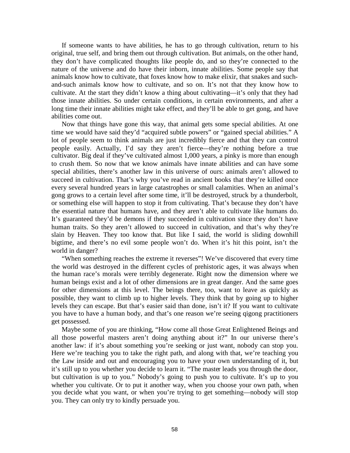If someone wants to have abilities, he has to go through cultivation, return to his original, true self, and bring them out through cultivation. But animals, on the other hand, they don't have complicated thoughts like people do, and so they're connected to the nature of the universe and do have their inborn, innate abilities. Some people say that animals know how to cultivate, that foxes know how to make elixir, that snakes and suchand-such animals know how to cultivate, and so on. It's not that they know how to cultivate. At the start they didn't know a thing about cultivating—it's only that they had those innate abilities. So under certain conditions, in certain environments, and after a long time their innate abilities might take effect, and they'll be able to get gong, and have abilities come out.

Now that things have gone this way, that animal gets some special abilities. At one time we would have said they'd "acquired subtle powers" or "gained special abilities." A lot of people seem to think animals are just incredibly fierce and that they can control people easily. Actually, I'd say they aren't fierce—they're nothing before a true cultivator. Big deal if they've cultivated almost 1,000 years, a pinky is more than enough to crush them. So now that we know animals have innate abilities and can have some special abilities, there's another law in this universe of ours: animals aren't allowed to succeed in cultivation. That's why you've read in ancient books that they're killed once every several hundred years in large catastrophes or small calamities. When an animal's gong grows to a certain level after some time, it'll be destroyed, struck by a thunderbolt, or something else will happen to stop it from cultivating. That's because they don't have the essential nature that humans have, and they aren't able to cultivate like humans do. It's guaranteed they'd be demons if they succeeded in cultivation since they don't have human traits. So they aren't allowed to succeed in cultivation, and that's why they're slain by Heaven. They too know that. But like I said, the world is sliding downhill bigtime, and there's no evil some people won't do. When it's hit this point, isn't the world in danger?

"When something reaches the extreme it reverses"! We've discovered that every time the world was destroyed in the different cycles of prehistoric ages, it was always when the human race's morals were terribly degenerate. Right now the dimension where we human beings exist and a lot of other dimensions are in great danger. And the same goes for other dimensions at this level. The beings there, too, want to leave as quickly as possible, they want to climb up to higher levels. They think that by going up to higher levels they can escape. But that's easier said than done, isn't it? If you want to cultivate you have to have a human body, and that's one reason we're seeing qigong practitioners get possessed.

Maybe some of you are thinking, "How come all those Great Enlightened Beings and all those powerful masters aren't doing anything about it?" In our universe there's another law: if it's about something you're seeking or just want, nobody can stop you. Here we're teaching you to take the right path, and along with that, we're teaching you the Law inside and out and encouraging you to have your own understanding of it, but it's still up to you whether you decide to learn it. "The master leads you through the door, but cultivation is up to you." Nobody's going to push you to cultivate. It's up to you whether you cultivate. Or to put it another way, when you choose your own path, when you decide what you want, or when you're trying to get something—nobody will stop you. They can only try to kindly persuade you.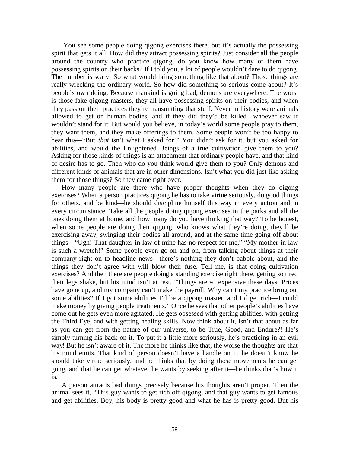You see some people doing qigong exercises there, but it's actually the possessing spirit that gets it all. How did they attract possessing spirits? Just consider all the people around the country who practice qigong, do you know how many of them have possessing spirits on their backs? If I told you, a lot of people wouldn't dare to do qigong. The number is scary! So what would bring something like that about? Those things are really wrecking the ordinary world. So how did something so serious come about? It's people's own doing. Because mankind is going bad, demons are everywhere. The worst is those fake qigong masters, they all have possessing spirits on their bodies, and when they pass on their practices they're transmitting that stuff. Never in history were animals allowed to get on human bodies, and if they did they'd be killed—whoever saw it wouldn't stand for it. But would you believe, in today's world some people pray to them, they want them, and they make offerings to them. Some people won't be too happy to hear this—"But *that* isn't what I asked for!" You didn't ask for it, but you asked for abilities, and would the Enlightened Beings of a true cultivation give them to you? Asking for those kinds of things is an attachment that ordinary people have, and that kind of desire has to go. Then who do you think would give them to you? Only demons and different kinds of animals that are in other dimensions. Isn't what you did just like asking them for those things? So they came right over.

How many people are there who have proper thoughts when they do qigong exercises? When a person practices qigong he has to take virtue seriously, do good things for others, and be kind—he should discipline himself this way in every action and in every circumstance. Take all the people doing qigong exercises in the parks and all the ones doing them at home, and how many do you have thinking that way? To be honest, when some people are doing their qigong, who knows what they're doing, they'll be exercising away, swinging their bodies all around, and at the same time going off about things—"Ugh! That daughter-in-law of mine has no respect for me," "My mother-in-law is such a wretch!" Some people even go on and on, from talking about things at their company right on to headline news—there's nothing they don't babble about, and the things they don't agree with will blow their fuse. Tell me, is that doing cultivation exercises? And then there are people doing a standing exercise right there, getting so tired their legs shake, but his mind isn't at rest, "Things are so expensive these days. Prices have gone up, and my company can't make the payroll. Why can't my practice bring out some abilities? If I got some abilities I'd be a qigong master, and I'd get rich—I could make money by giving people treatments." Once he sees that other people's abilities have come out he gets even more agitated. He gets obsessed with getting abilities, with getting the Third Eye, and with getting healing skills. Now think about it, isn't that about as far as you can get from the nature of our universe, to be True, Good, and Endure?! He's simply turning his back on it. To put it a little more seriously, he's practicing in an evil way! But he isn't aware of it. The more he thinks like that, the worse the thoughts are that his mind emits. That kind of person doesn't have a handle on it, he doesn't know he should take virtue seriously, and he thinks that by doing those movements he can get gong, and that he can get whatever he wants by seeking after it—he thinks that's how it is.

A person attracts bad things precisely because his thoughts aren't proper. Then the animal sees it, "This guy wants to get rich off qigong, and that guy wants to get famous and get abilities. Boy, his body is pretty good and what he has is pretty good. But his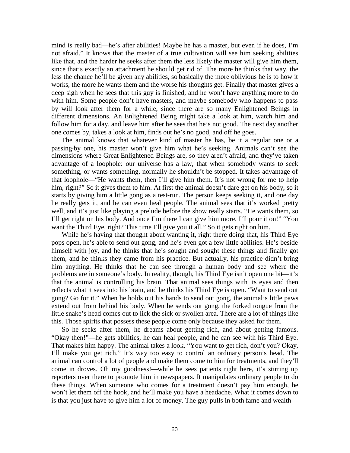mind is really bad—he's after abilities! Maybe he has a master, but even if he does, I'm not afraid." It knows that the master of a true cultivation will see him seeking abilities like that, and the harder he seeks after them the less likely the master will give him them, since that's exactly an attachment he should get rid of. The more he thinks that way, the less the chance he'll be given any abilities, so basically the more oblivious he is to how it works, the more he wants them and the worse his thoughts get. Finally that master gives a deep sigh when he sees that this guy is finished, and he won't have anything more to do with him. Some people don't have masters, and maybe somebody who happens to pass by will look after them for a while, since there are so many Enlightened Beings in different dimensions. An Enlightened Being might take a look at him, watch him and follow him for a day, and leave him after he sees that he's not good. The next day another one comes by, takes a look at him, finds out he's no good, and off he goes.

The animal knows that whatever kind of master he has, be it a regular one or a passing-by one, his master won't give him what he's seeking. Animals can't see the dimensions where Great Enlightened Beings are, so they aren't afraid, and they've taken advantage of a loophole: our universe has a law, that when somebody wants to seek something, or wants something, normally he shouldn't be stopped. It takes advantage of that loophole—"He wants them, then I'll give him them. It's not wrong for me to help him, right?" So it gives them to him. At first the animal doesn't dare get on his body, so it starts by giving him a little gong as a test-run. The person keeps seeking it, and one day he really gets it, and he can even heal people. The animal sees that it's worked pretty well, and it's just like playing a prelude before the show really starts. "He wants them, so I'll get right on his body. And once I'm there I can give him more, I'll pour it on!" "You want the Third Eye, right? This time I'll give you it all." So it gets right on him.

While he's having that thought about wanting it, right there doing that, his Third Eye pops open, he's able to send out gong, and he's even got a few little abilities. He's beside himself with joy, and he thinks that he's sought and sought these things and finally got them, and he thinks they came from his practice. But actually, his practice didn't bring him anything. He thinks that he can see through a human body and see where the problems are in someone's body. In reality, though, his Third Eye isn't open one bit—it's that the animal is controlling his brain. That animal sees things with its eyes and then reflects what it sees into his brain, and he thinks his Third Eye is open. "Want to send out gong? Go for it." When he holds out his hands to send out gong, the animal's little paws extend out from behind his body. When he sends out gong, the forked tongue from the little snake's head comes out to lick the sick or swollen area. There are a lot of things like this. Those spirits that possess these people come only because they asked for them.

So he seeks after them, he dreams about getting rich, and about getting famous. "Okay then!"—he gets abilities, he can heal people, and he can see with his Third Eye. That makes him happy. The animal takes a look, "You want to get rich, don't you? Okay, I'll make you get rich." It's way too easy to control an ordinary person's head. The animal can control a lot of people and make them come to him for treatments, and they'll come in droves. Oh my goodness!—while he sees patients right here, it's stirring up reporters over there to promote him in newspapers. It manipulates ordinary people to do these things. When someone who comes for a treatment doesn't pay him enough, he won't let them off the hook, and he'll make you have a headache. What it comes down to is that you just have to give him a lot of money. The guy pulls in both fame and wealth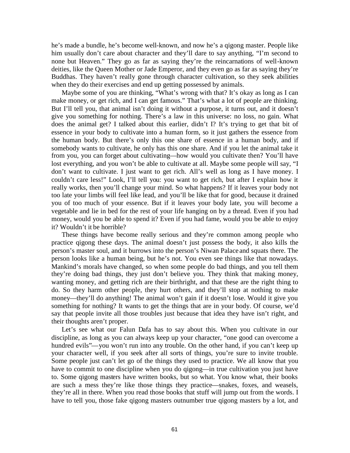he's made a bundle, he's become well-known, and now he's a qigong master. People like him usually don't care about character and they'll dare to say anything, "I'm second to none but Heaven." They go as far as saying they're the reincarnations of well-known deities, like the Queen Mother or Jade Emperor, and they even go as far as saying they're Buddhas. They haven't really gone through character cultivation, so they seek abilities when they do their exercises and end up getting possessed by animals.

Maybe some of you are thinking, "What's wrong with that? It's okay as long as I can make money, or get rich, and I can get famous." That's what a lot of people are thinking. But I'll tell you, that animal isn't doing it without a purpose, it turns out, and it doesn't give you something for nothing. There's a law in this universe: no loss, no gain. What does the animal get? I talked about this earlier, didn't I? It's trying to get that bit of essence in your body to cultivate into a human form, so it just gathers the essence from the human body. But there's only this one share of essence in a human body, and if somebody wants to cultivate, he only has this one share. And if you let the animal take it from you, you can forget about cultivating—how would you cultivate then? You'll have lost everything, and you won't be able to cultivate at all. Maybe some people will say, "I don't want to cultivate. I just want to get rich. All's well as long as I have money. I couldn't care less!" Look, I'll tell you: you want to get rich, but after I explain how it really works, then you'll change your mind. So what happens? If it leaves your body not too late your limbs will feel like lead, and you'll be like that for good, because it drained you of too much of your essence. But if it leaves your body late, you will become a vegetable and lie in bed for the rest of your life hanging on by a thread. Even if you had money, would you be able to spend it? Even if you had fame, would you be able to enjoy it? Wouldn't it be horrible?

These things have become really serious and they're common among people who practice qigong these days. The animal doesn't just possess the body, it also kills the person's master soul, and it burrows into the person's Niwan Palace and squats there. The person looks like a human being, but he's not. You even see things like that nowadays. Mankind's morals have changed, so when some people do bad things, and you tell them they're doing bad things, they just don't believe you. They think that making money, wanting money, and getting rich are their birthright, and that these are the right thing to do. So they harm other people, they hurt others, and they'll stop at nothing to make money—they'll do anything! The animal won't gain if it doesn't lose. Would it give you something for nothing? It wants to get the things that are in your body. Of course, we'd say that people invite all those troubles just because that idea they have isn't right, and their thoughts aren't proper.

Let's see what our Falun Dafa has to say about this. When you cultivate in our discipline, as long as you can always keep up your character, "one good can overcome a hundred evils"—you won't run into any trouble. On the other hand, if you can't keep up your character well, if you seek after all sorts of things, you're sure to invite trouble. Some people just can't let go of the things they used to practice. We all know that you have to commit to one discipline when you do qigong—in true cultivation you just have to. Some qigong masters have written books, but so what. You know what, their books are such a mess they're like those things they practice—snakes, foxes, and weasels, they're all in there. When you read those books that stuff will jump out from the words. I have to tell you, those fake qigong masters outnumber true qigong masters by a lot, and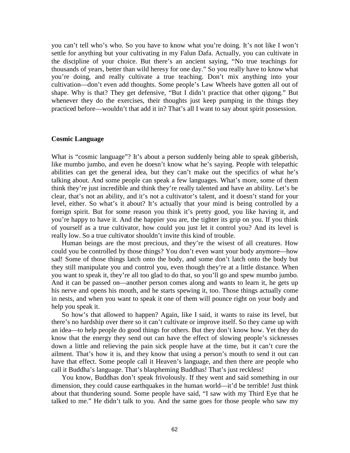you can't tell who's who. So you have to know what you're doing. It's not like I won't settle for anything but your cultivating in my Falun Dafa. Actually, you can cultivate in the discipline of your choice. But there's an ancient saying, "No true teachings for thousands of years, better than wild heresy for one day." So you really have to know what you're doing, and really cultivate a true teaching. Don't mix anything into your cultivation—don't even add thoughts. Some people's Law Wheels have gotten all out of shape. Why is that? They get defensive, "But I didn't practice that other qigong." But whenever they do the exercises, their thoughts just keep pumping in the things they practiced before—wouldn't that add it in? That's all I want to say about spirit possession.

## **Cosmic Language**

What is "cosmic language"? It's about a person suddenly being able to speak gibberish, like mumbo jumbo, and even he doesn't know what he's saying. People with telepathic abilities can get the general idea, but they can't make out the specifics of what he's talking about. And some people can speak a few languages. What's more, some of them think they're just incredible and think they're really talented and have an ability. Let's be clear, that's not an ability, and it's not a cultivator's talent, and it doesn't stand for your level, either. So what's it about? It's actually that your mind is being controlled by a foreign spirit. But for some reason you think it's pretty good, you like having it, and you're happy to have it. And the happier you are, the tighter its grip on you. If you think of yourself as a true cultivator, how could you just let it control you? And its level is really low. So a true cultivator shouldn't invite this kind of trouble.

Human beings are the most precious, and they're the wisest of all creatures. How could you be controlled by those things? You don't even want your body anymore—how sad! Some of those things latch onto the body, and some don't latch onto the body but they still manipulate you and control you, even though they're at a little distance. When you want to speak it, they're all too glad to do that, so you'll go and spew mumbo jumbo. And it can be passed on—another person comes along and wants to learn it, he gets up his nerve and opens his mouth, and he starts spewing it, too. Those things actually come in nests, and when you want to speak it one of them will pounce right on your body and help you speak it.

So how's that allowed to happen? Again, like I said, it wants to raise its level, but there's no hardship over there so it can't cultivate or improve itself. So they came up with an idea—to help people do good things for others. But they don't know how. Yet they do know that the energy they send out can have the effect of slowing people's sicknesses down a little and relieving the pain sick people have at the time, but it can't cure the ailment. That's how it is, and they know that using a person's mouth to send it out can have that effect. Some people call it Heaven's language, and then there are people who call it Buddha's language. That's blaspheming Buddhas! That's just reckless!

You know, Buddhas don't speak frivolously. If they went and said something in our dimension, they could cause earthquakes in the human world—it'd be terrible! Just think about that thundering sound. Some people have said, "I saw with my Third Eye that he talked to me." He didn't talk to you. And the same goes for those people who saw my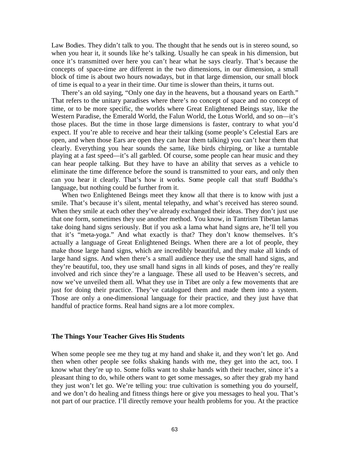Law Bodies. They didn't talk to you. The thought that he sends out is in stereo sound, so when you hear it, it sounds like he's talking. Usually he can speak in his dimension, but once it's transmitted over here you can't hear what he says clearly. That's because the concepts of space-time are different in the two dimensions, in our dimension, a small block of time is about two hours nowadays, but in that large dimension, our small block of time is equal to a year in their time. Our time is slower than theirs, it turns out.

There's an old saying, "Only one day in the heavens, but a thousand years on Earth." That refers to the unitary paradises where there's no concept of space and no concept of time, or to be more specific, the worlds where Great Enlightened Beings stay, like the Western Paradise, the Emerald World, the Falun World, the Lotus World, and so on—it's those places. But the time in those large dimensions is faster, contrary to what you'd expect. If you're able to receive and hear their talking (some people's Celestial Ears are open, and when those Ears are open they can hear them talking) you can't hear them that clearly. Everything you hear sounds the same, like birds chirping, or like a turntable playing at a fast speed—it's all garbled. Of course, some people can hear music and they can hear people talking. But they have to have an ability that serves as a vehicle to eliminate the time difference before the sound is transmitted to your ears, and only then can you hear it clearly. That's how it works. Some people call that stuff Buddha's language, but nothing could be further from it.

When two Enlightened Beings meet they know all that there is to know with just a smile. That's because it's silent, mental telepathy, and what's received has stereo sound. When they smile at each other they've already exchanged their ideas. They don't just use that one form, sometimes they use another method. You know, in Tantrism Tibetan lamas take doing hand signs seriously. But if you ask a lama what hand signs are, he'll tell you that it's "meta-yoga." And what exactly is that? They don't know themselves. It's actually a language of Great Enlightened Beings. When there are a lot of people, they make those large hand signs, which are incredibly beautiful, and they make all kinds of large hand signs. And when there's a small audience they use the small hand signs, and they're beautiful, too, they use small hand signs in all kinds of poses, and they're really involved and rich since they're a language. These all used to be Heaven's secrets, and now we've unveiled them all. What they use in Tibet are only a few movements that are just for doing their practice. They've catalogued them and made them into a system. Those are only a one-dimensional language for their practice, and they just have that handful of practice forms. Real hand signs are a lot more complex.

## **The Things Your Teacher Gives His Students**

When some people see me they tug at my hand and shake it, and they won't let go. And then when other people see folks shaking hands with me, they get into the act, too. I know what they're up to. Some folks want to shake hands with their teacher, since it's a pleasant thing to do, while others want to get some messages, so after they grab my hand they just won't let go. We're telling you: true cultivation is something you do yourself, and we don't do healing and fitness things here or give you messages to heal you. That's not part of our practice. I'll directly remove your health problems for you. At the practice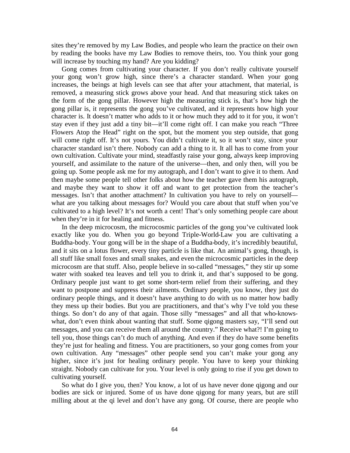sites they're removed by my Law Bodies, and people who learn the practice on their own by reading the books have my Law Bodies to remove theirs, too. You think your gong will increase by touching my hand? Are you kidding?

Gong comes from cultivating your character. If you don't really cultivate yourself your gong won't grow high, since there's a character standard. When your gong increases, the beings at high levels can see that after your attachment, that material, is removed, a measuring stick grows above your head. And that measuring stick takes on the form of the gong pillar. However high the measuring stick is, that's how high the gong pillar is, it represents the gong you've cultivated, and it represents how high your character is. It doesn't matter who adds to it or how much they add to it for you, it won't stay even if they just add a tiny bit—it'll come right off. I can make you reach "Three Flowers Atop the Head" right on the spot, but the moment you step outside, that gong will come right off. It's not yours. You didn't cultivate it, so it won't stay, since your character standard isn't there. Nobody can add a thing to it. It all has to come from your own cultivation. Cultivate your mind, steadfastly raise your gong, always keep improving yourself, and assimilate to the nature of the universe—then, and only then, will you be going up. Some people ask me for my autograph, and I don't want to give it to them. And then maybe some people tell other folks about how the teacher gave them his autograph, and maybe they want to show it off and want to get protection from the teacher's messages. Isn't that another attachment? In cultivation you have to rely on yourself what are you talking about messages for? Would you care about that stuff when you've cultivated to a high level? It's not worth a cent! That's only something people care about when they're in it for healing and fitness.

In the deep microcosm, the microcosmic particles of the gong you've cultivated look exactly like you do. When you go beyond Triple-World-Law you are cultivating a Buddha-body. Your gong will be in the shape of a Buddha-body, it's incredibly beautiful, and it sits on a lotus flower, every tiny particle is like that. An animal's gong, though, is all stuff like small foxes and small snakes, and even the microcosmic particles in the deep microcosm are that stuff. Also, people believe in so-called "messages," they stir up some water with soaked tea leaves and tell you to drink it, and that's supposed to be gong. Ordinary people just want to get some short-term relief from their suffering, and they want to postpone and suppress their ailments. Ordinary people, you know, they just do ordinary people things, and it doesn't have anything to do with us no matter how badly they mess up their bodies. But you are practitioners, and that's why I've told you these things. So don't do any of that again. Those silly "messages" and all that who-knowswhat, don't even think about wanting that stuff. Some qigong masters say, "I'll send out messages, and you can receive them all around the country." Receive what?! I'm going to tell you, those things can't do much of anything. And even if they do have some benefits they're just for healing and fitness. You are practitioners, so your gong comes from your own cultivation. Any "messages" other people send you can't make your gong any higher, since it's just for healing ordinary people. You have to keep your thinking straight. Nobody can cultivate for you. Your level is only going to rise if you get down to cultivating yourself.

So what do I give you, then? You know, a lot of us have never done qigong and our bodies are sick or injured. Some of us have done qigong for many years, but are still milling about at the qi level and don't have any gong. Of course, there are people who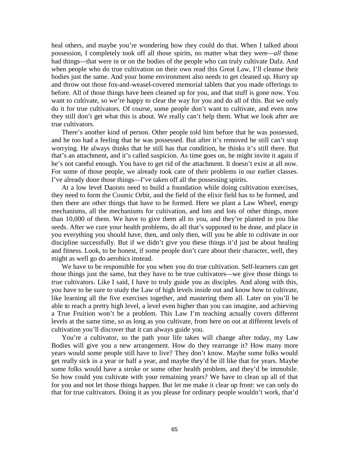heal others, and maybe you're wondering how they could do that. When I talked about possession, I completely took off all those spirits, no matter what they were—*all* those bad things—that were in or on the bodies of the people who can truly cultivate Dafa. And when people who do true cultivation on their own read this Great Law, I'll cleanse their bodies just the same. And your home environment also needs to get cleaned up. Hurry up and throw out those fox-and-weasel-covered memorial tablets that you made offerings to before. All of those things have been cleaned up for you, and that stuff is gone now. You want to cultivate, so we're happy to clear the way for you and do all of this. But we only do it for true cultivators. Of course, some people don't want to cultivate, and even now they still don't get what this is about. We really can't help them. What we look after are true cultivators.

There's another kind of person. Other people told him before that he was possessed, and he too had a feeling that he was possessed. But after it's removed he still can't stop worrying. He always thinks that he still has that condition, he thinks it's still there. But that's an attachment, and it's called suspicion. As time goes on, he might invite it again if he's not careful enough. You have to get rid of the attachment. It doesn't exist at all now. For some of those people, we already took care of their problems in our earlier classes. I've already done those things—I've taken off all the possessing spirits.

At a low level Daoists need to build a foundation while doing cultivation exercises, they need to form the Cosmic Orbit, and the field of the elixir field has to be formed, and then there are other things that have to be formed. Here we plant a Law Wheel, energy mechanisms, all the mechanisms for cultivation, and lots and lots of other things, more than 10,000 of them. We have to give them all to you, and they're planted in you like seeds. After we cure your health problems, do all that's supposed to be done, and place in you everything you should have, then, and only then, will you be able to cultivate in our discipline successfully. But if we didn't give you these things it'd just be about healing and fitness. Look, to be honest, if some people don't care about their character, well, they might as well go do aerobics instead.

We have to be responsible for you when you do true cultivation. Self-learners can get those things just the same, but they have to be true cultivators—we give those things to *true* cultivators. Like I said, I have to truly guide you as disciples. And along with this, you have to be sure to study the Law of high levels inside out and know how to cultivate, like learning all the five exercises together, and mastering them all. Later on you'll be able to reach a pretty high level, a level even higher than you can imagine, and achieving a True Fruition won't be a problem. This Law I'm teaching actually covers different levels at the same time, so as long as you cultivate, from here on out at different levels of cultivation you'll discover that it can always guide you.

You're a cultivator, so the path your life takes will change after today, my Law Bodies will give you a new arrangement. How do they rearrange it? How many more years would some people still have to live? They don't know. Maybe some folks would get really sick in a year or half a year, and maybe they'd be ill like that for years. Maybe some folks would have a stroke or some other health problem, and they'd be immobile. So how could you cultivate with your remaining years? We have to clean up all of that for you and not let those things happen. But let me make it clear up front: we can only do that for true cultivators. Doing it as you please for ordinary people wouldn't work, that'd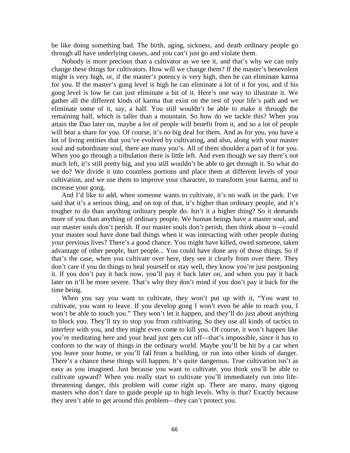be like doing something bad. The birth, aging, sickness, and death ordinary people go through all have underlying causes, and you can't just go and violate them.

Nobody is more precious than a cultivator as we see it, and that's why we can only change these things for cultivators. How will we change them? If the master's benevolent might is very high, or, if the master's potency is very high, then he can eliminate karma for you. If the master's gong level is high he can eliminate a lot of it for you, and if his gong level is low he can just eliminate a bit of it. Here's one way to illustrate it. We gather all the different kinds of karma that exist on the rest of your life's path and we eliminate some of it, say, a half. You still wouldn't be able to make it through the remaining half, which is taller than a mountain. So how do we tackle this? When you attain the Dao later on, maybe a lot of people will benefit from it, and so a lot of people will bear a share for you. Of course, it's no big deal for them. And as for you, you have a lot of living entities that you've evolved by cultivating, and also, along with your master soul and subordinate soul, there are many you's. All of them shoulder a part of it for you. When you go through a tribulation there is little left. And even though we say there's not much left, it's still pretty big, and you still wouldn't be able to get through it. So what do we do? We divide it into countless portions and place them at different levels of your cultivation, and we use them to improve your character, to transform your karma, and to increase your gong.

And I'd like to add, when someone wants to cultivate, it's no walk in the park. I've said that it's a serious thing, and on top of that, it's higher than ordinary people, and it's tougher to do than anything ordinary people do. Isn't it a higher thing? So it demands more of you than anything of ordinary people. We human beings have a master soul, and our master souls don't perish. If our master souls don't perish, then think about it—could your master soul have done bad things when it was interacting with other people during your previous lives? There's a good chance. You might have killed, owed someone, taken advantage of other people, hurt people... You could have done any of those things. So if that's the case, when you cultivate over here, they see it clearly from over there. They don't care if you do things to heal yourself or stay well, they know you're just postponing it. If you don't pay it back now, you'll pay it back later on, and when you pay it back later on it'll be more severe. That's why they don't mind if you don't pay it back for the time being.

When you say you want to cultivate, they won't put up with it, "You want to cultivate, you want to leave. If you develop gong I won't even be able to reach you, I won't be able to touch you." They won't let it happen, and they'll do just about anything to block you. They'll try to stop you from cultivating. So they use all kinds of tactics to interfere with you, and they might even come to kill you. Of course, it won't happen like you're meditating here and your head just gets cut off—that's impossible, since it has to conform to the way of things in the ordinary world. Maybe you'll be hit by a car when you leave your home, or you'll fall from a building, or run into other kinds of danger. There's a chance these things will happen. It's quite dangerous. True cultivation isn't as easy as you imagined. Just because you want to cultivate, you think you'll be able to cultivate upward? When you really start to cultivate you'll immediately run into lifethreatening danger, this problem will come right up. There are many, many qigong masters who don't dare to guide people up to high levels. Why is that? Exactly because they aren't able to get around this problem—they can't protect you.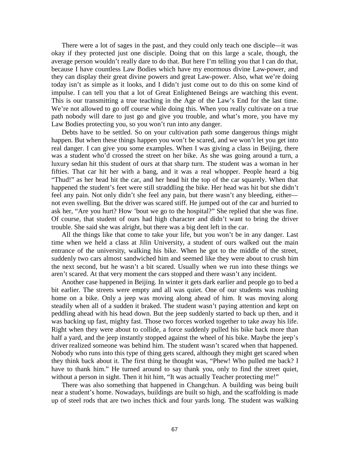There were a lot of sages in the past, and they could only teach one disciple—it was okay if they protected just one disciple. Doing that on this large a scale, though, the average person wouldn't really dare to do that. But here I'm telling you that I can do that, because I have countless Law Bodies which have my enormous divine Law-power, and they can display their great divine powers and great Law-power. Also, what we're doing today isn't as simple as it looks, and I didn't just come out to do this on some kind of impulse. I can tell you that a lot of Great Enlightened Beings are watching this event. This is our transmitting a true teaching in the Age of the Law's End for the last time. We're not allowed to go off course while doing this. When you really cultivate on a true path nobody will dare to just go and give you trouble, and what's more, you have my Law Bodies protecting you, so you won't run into any danger.

Debts have to be settled. So on your cultivation path some dangerous things might happen. But when these things happen you won't be scared, and we won't let you get into real danger. I can give you some examples. When I was giving a class in Beijing, there was a student who'd crossed the street on her bike. As she was going around a turn, a luxury sedan hit this student of ours at that sharp turn. The student was a woman in her fifties. That car hit her with a bang, and it was a real whopper. People heard a big "Thud!" as her head hit the car, and her head hit the top of the car squarely. When that happened the student's feet were still straddling the bike. Her head was hit but she didn't feel any pain. Not only didn't she feel any pain, but there wasn't any bleeding, either not even swelling. But the driver was scared stiff. He jumped out of the car and hurried to ask her, "Are you hurt? How 'bout we go to the hospital?" She replied that she was fine. Of course, that student of ours had high character and didn't want to bring the driver trouble. She said she was alright, but there was a big dent left in the car.

All the things like that come to take your life, but you won't be in any danger. Last time when we held a class at Jilin University, a student of ours walked out the main entrance of the university, walking his bike. When he got to the middle of the street, suddenly two cars almost sandwiched him and seemed like they were about to crush him the next second, but he wasn't a bit scared. Usually when we run into these things we aren't scared. At that very moment the cars stopped and there wasn't any incident.

Another case happened in Beijing. In winter it gets dark earlier and people go to bed a bit earlier. The streets were empty and all was quiet. One of our students was rushing home on a bike. Only a jeep was moving along ahead of him. It was moving along steadily when all of a sudden it braked. The student wasn't paying attention and kept on peddling ahead with his head down. But the jeep suddenly started to back up then, and it was backing up fast, mighty fast. Those two forces worked together to take away his life. Right when they were about to collide, a force suddenly pulled his bike back more than half a yard, and the jeep instantly stopped against the wheel of his bike. Maybe the jeep's driver realized someone was behind him. The student wasn't scared when that happened. Nobody who runs into this type of thing gets scared, although they might get scared when they think back about it. The first thing he thought was, "Phew! Who pulled me back? I have to thank him." He turned around to say thank you, only to find the street quiet, without a person in sight. Then it hit him, "It was actually Teacher protecting me!"

There was also something that happened in Changchun. A building was being built near a student's home. Nowadays, buildings are built so high, and the scaffolding is made up of steel rods that are two inches thick and four yards long. The student was walking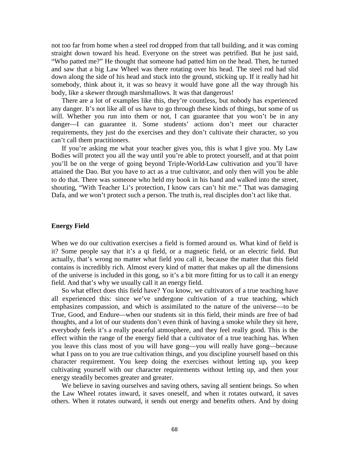not too far from home when a steel rod dropped from that tall building, and it was coming straight down toward his head. Everyone on the street was petrified. But he just said, "Who patted me?" He thought that someone had patted him on the head. Then, he turned and saw that a big Law Wheel was there rotating over his head. The steel rod had slid down along the side of his head and stuck into the ground, sticking up. If it really had hit somebody, think about it, it was so heavy it would have gone all the way through his body, like a skewer through marshmallows. It was that dangerous!

There are a lot of examples like this, they're countless, but nobody has experienced any danger. It's not like all of us have to go through these kinds of things, but some of us will. Whether you run into them or not, I can guarantee that you won't be in any danger—I can guarantee it. Some students' actions don't meet our character requirements, they just do the exercises and they don't cultivate their character, so you can't call them practitioners.

If you're asking me what your teacher gives you, this is what I give you. My Law Bodies will protect you all the way until you're able to protect yourself, and at that point you'll be on the verge of going beyond Triple-World-Law cultivation and you'll have attained the Dao. But you have to act as a true cultivator, and only then will you be able to do that. There was someone who held my book in his hand and walked into the street, shouting, "With Teacher Li's protection, I know cars can't hit me." That was damaging Dafa, and we won't protect such a person. The truth is, real disciples don't act like that.

### **Energy Field**

When we do our cultivation exercises a field is formed around us. What kind of field is it? Some people say that it's a qi field, or a magnetic field, or an electric field. But actually, that's wrong no matter what field you call it, because the matter that this field contains is incredibly rich. Almost every kind of matter that makes up all the dimensions of the universe is included in this gong, so it's a bit more fitting for us to call it an energy field. And that's why we usually call it an energy field.

So what effect does this field have? You know, we cultivators of a true teaching have all experienced this: since we've undergone cultivation of a true teaching, which emphasizes compassion, and which is assimilated to the nature of the universe—to be True, Good, and Endure—when our students sit in this field, their minds are free of bad thoughts, and a lot of our students don't even think of having a smoke while they sit here, everybody feels it's a really peaceful atmosphere, and they feel really good. This is the effect within the range of the energy field that a cultivator of a true teaching has. When you leave this class most of you will have gong—you will really have gong—because what I pass on to you are true cultivation things, and you discipline yourself based on this character requirement. You keep doing the exercises without letting up, you keep cultivating yourself with our character requirements without letting up, and then your energy steadily becomes greater and greater.

We believe in saving ourselves and saving others, saving all sentient beings. So when the Law Wheel rotates inward, it saves oneself, and when it rotates outward, it saves others. When it rotates outward, it sends out energy and benefits others. And by doing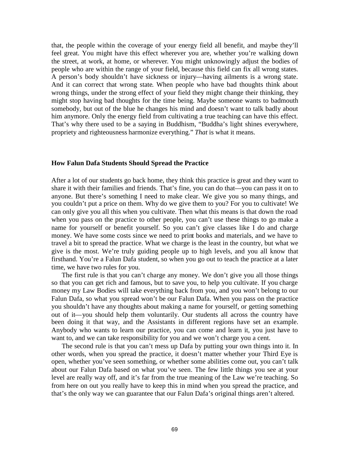that, the people within the coverage of your energy field all benefit, and maybe they'll feel great. You might have this effect wherever you are, whether you're walking down the street, at work, at home, or wherever. You might unknowingly adjust the bodies of people who are within the range of your field, because this field can fix all wrong states. A person's body shouldn't have sickness or injury—having ailments is a wrong state. And it can correct that wrong state. When people who have bad thoughts think about wrong things, under the strong effect of your field they might change their thinking, they might stop having bad thoughts for the time being. Maybe someone wants to badmouth somebody, but out of the blue he changes his mind and doesn't want to talk badly about him anymore. Only the energy field from cultivating a true teaching can have this effect. That's why there used to be a saying in Buddhism, "Buddha's light shines everywhere, propriety and righteousness harmonize everything." *That* is what it means.

#### **How Falun Dafa Students Should Spread the Practice**

After a lot of our students go back home, they think this practice is great and they want to share it with their families and friends. That's fine, you can do that—you can pass it on to anyone. But there's something I need to make clear. We give you so many things, and you couldn't put a price on them. Why do we give them to you? For you to cultivate! We can only give you all this when you cultivate. Then what this means is that down the road when you pass on the practice to other people, you can't use these things to go make a name for yourself or benefit yourself. So you can't give classes like I do and charge money. We have some costs since we need to print books and materials, and we have to travel a bit to spread the practice. What we charge is the least in the country, but what we give is the most. We're truly guiding people up to high levels, and you all know that firsthand. You're a Falun Dafa student, so when you go out to teach the practice at a later time, we have two rules for you.

The first rule is that you can't charge any money. We don't give you all those things so that you can get rich and famous, but to save you, to help you cultivate. If you charge money my Law Bodies will take everything back from you, and you won't belong to our Falun Dafa, so what you spread won't be our Falun Dafa. When you pass on the practice you shouldn't have any thoughts about making a name for yourself, or getting something out of it—you should help them voluntarily. Our students all across the country have been doing it that way, and the Assistants in different regions have set an example. Anybody who wants to learn our practice, you can come and learn it, you just have to want to, and we can take responsibility for you and we won't charge you a cent.

The second rule is that you can't mess up Dafa by putting your own things into it. In other words, when you spread the practice, it doesn't matter whether your Third Eye is open, whether you've seen something, or whether some abilities come out, you can't talk about our Falun Dafa based on what you've seen. The few little things you see at your level are really way off, and it's far from the true meaning of the Law we're teaching. So from here on out you really have to keep this in mind when you spread the practice, and that's the only way we can guarantee that our Falun Dafa's original things aren't altered.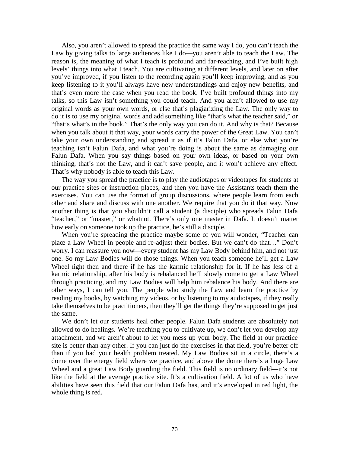Also, you aren't allowed to spread the practice the same way I do, you can't teach the Law by giving talks to large audiences like I do—you aren't able to teach the Law. The reason is, the meaning of what I teach is profound and far-reaching, and I've built high levels' things into what I teach. You are cultivating at different levels, and later on after you've improved, if you listen to the recording again you'll keep improving, and as you keep listening to it you'll always have new understandings and enjoy new benefits, and that's even more the case when you read the book. I've built profound things into my talks, so this Law isn't something you could teach. And you aren't allowed to use my original words as your own words, or else that's plagiarizing the Law. The only way to do it is to use my original words and add something like "that's what the teacher said," or "that's what's in the book." That's the only way you can do it. And why is that? Because when you talk about it that way, your words carry the power of the Great Law. You can't take your own understanding and spread it as if it's Falun Dafa, or else what you're teaching isn't Falun Dafa, and what you're doing is about the same as damaging our Falun Dafa. When you say things based on your own ideas, or based on your own thinking, that's not the Law, and it can't save people, and it won't achieve any effect. That's why nobody is able to teach this Law.

The way you spread the practice is to play the audiotapes or videotapes for students at our practice sites or instruction places, and then you have the Assistants teach them the exercises. You can use the format of group discussions, where people learn from each other and share and discuss with one another. We require that you do it that way. Now another thing is that you shouldn't call a student (a disciple) who spreads Falun Dafa "teacher," or "master," or whatnot. There's only one master in Dafa. It doesn't matter how early on someone took up the practice, he's still a disciple.

When you're spreading the practice maybe some of you will wonder, "Teacher can place a Law Wheel in people and re-adjust their bodies. But we can't do that…" Don't worry. I can reassure you now—every student has my Law Body behind him, and not just one. So my Law Bodies will do those things. When you teach someone he'll get a Law Wheel right then and there if he has the karmic relationship for it. If he has less of a karmic relationship, after his body is rebalanced he'll slowly come to get a Law Wheel through practicing, and my Law Bodies will help him rebalance his body. And there are other ways, I can tell you. The people who study the Law and learn the practice by reading my books, by watching my videos, or by listening to my audiotapes, if they really take themselves to be practitioners, then they'll get the things they're supposed to get just the same.

We don't let our students heal other people. Falun Dafa students are absolutely not allowed to do healings. We're teaching you to cultivate up, we don't let you develop any attachment, and we aren't about to let you mess up your body. The field at our practice site is better than any other. If you can just do the exercises in that field, you're better off than if you had your health problem treated. My Law Bodies sit in a circle, there's a dome over the energy field where we practice, and above the dome there's a huge Law Wheel and a great Law Body guarding the field. This field is no ordinary field—it's not like the field at the average practice site. It's a cultivation field. A lot of us who have abilities have seen this field that our Falun Dafa has, and it's enveloped in red light, the whole thing is red.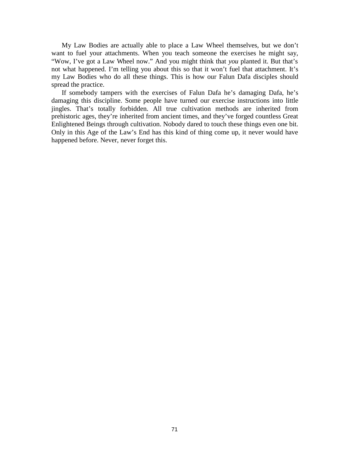My Law Bodies are actually able to place a Law Wheel themselves, but we don't want to fuel your attachments. When you teach someone the exercises he might say, "Wow, I've got a Law Wheel now." And you might think that *you* planted it. But that's not what happened. I'm telling you about this so that it won't fuel that attachment. It's my Law Bodies who do all these things. This is how our Falun Dafa disciples should spread the practice.

If somebody tampers with the exercises of Falun Dafa he's damaging Dafa, he's damaging this discipline. Some people have turned our exercise instructions into little jingles. That's totally forbidden. All true cultivation methods are inherited from prehistoric ages, they're inherited from ancient times, and they've forged countless Great Enlightened Beings through cultivation. Nobody dared to touch these things even one bit. Only in this Age of the Law's End has this kind of thing come up, it never would have happened before. Never, never forget this.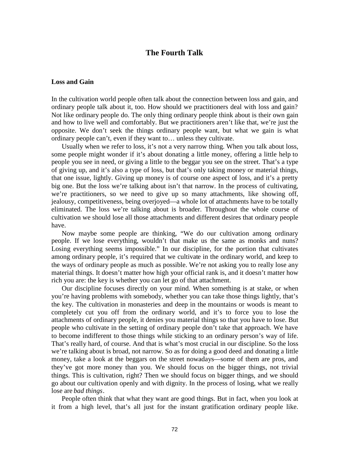# **The Fourth Talk**

## **Loss and Gain**

In the cultivation world people often talk about the connection between loss and gain, and ordinary people talk about it, too. How should we practitioners deal with loss and gain? Not like ordinary people do. The only thing ordinary people think about is their own gain and how to live well and comfortably. But we practitioners aren't like that, we're just the opposite. We don't seek the things ordinary people want, but what we gain is what ordinary people can't, even if they want to… unless they cultivate.

Usually when we refer to loss, it's not a very narrow thing. When you talk about loss, some people might wonder if it's about donating a little money, offering a little help to people you see in need, or giving a little to the beggar you see on the street. That's a type of giving up, and it's also a type of loss, but that's only taking money or material things, that one issue, lightly. Giving up money is of course one aspect of loss, and it's a pretty big one. But the loss we're talking about isn't that narrow. In the process of cultivating, we're practitioners, so we need to give up so many attachments, like showing off, jealousy, competitiveness, being overjoyed—a whole lot of attachments have to be totally eliminated. The loss we're talking about is broader. Throughout the whole course of cultivation we should lose all those attachments and different desires that ordinary people have.

Now maybe some people are thinking, "We do our cultivation among ordinary people. If we lose everything, wouldn't that make us the same as monks and nuns? Losing everything seems impossible." In our discipline, for the portion that cultivates among ordinary people, it's required that we cultivate in the ordinary world, and keep to the ways of ordinary people as much as possible. We're not asking you to really lose any material things. It doesn't matter how high your official rank is, and it doesn't matter how rich you are: the key is whether you can let go of that attachment.

Our discipline focuses directly on your mind. When something is at stake, or when you're having problems with somebody, whether you can take those things lightly, that's the key. The cultivation in monasteries and deep in the mountains or woods is meant to completely cut you off from the ordinary world, and it's to force you to lose the attachments of ordinary people, it denies you material things so that you have to lose. But people who cultivate in the setting of ordinary people don't take that approach. We have to become indifferent to those things while sticking to an ordinary person's way of life. That's really hard, of course. And that is what's most crucial in our discipline. So the loss we're talking about is broad, not narrow. So as for doing a good deed and donating a little money, take a look at the beggars on the street nowadays—some of them are pros, and they've got more money than you. We should focus on the bigger things, not trivial things. This is cultivation, right? Then we should focus on bigger things, and we should go about our cultivation openly and with dignity. In the process of losing, what we really lose are *bad things*.

People often think that what they want are good things. But in fact, when you look at it from a high level, that's all just for the instant gratification ordinary people like.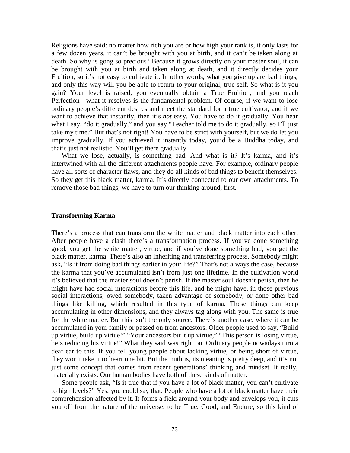Religions have said: no matter how rich you are or how high your rank is, it only lasts for a few dozen years, it can't be brought with you at birth, and it can't be taken along at death. So why is gong so precious? Because it grows directly on your master soul, it can be brought with you at birth and taken along at death, and it directly decides your Fruition, so it's not easy to cultivate it. In other words, what you give up are bad things, and only this way will you be able to return to your original, true self. So what is it you gain? Your level is raised, you eventually obtain a True Fruition, and you reach Perfection—what it resolves is the fundamental problem. Of course, if we want to lose ordinary people's different desires and meet the standard for a true cultivator, and if we want to achieve that instantly, then it's *not* easy. You have to do it gradually. You hear what I say, "do it gradually," and you say "Teacher told me to do it gradually, so I'll just take my time." But that's not right! You have to be strict with yourself, but we do let you improve gradually. If you achieved it instantly today, you'd be a Buddha today, and that's just not realistic. You'll get there gradually.

What we lose, actually, is something bad. And what is it? It's karma, and it's intertwined with all the different attachments people have. For example, ordinary people have all sorts of character flaws, and they do all kinds of bad things to benefit themselves. So they get this black matter, karma. It's directly connected to our own attachments. To remove those bad things, we have to turn our thinking around, first.

### **Transforming Karma**

There's a process that can transform the white matter and black matter into each other. After people have a clash there's a transformation process. If you've done something good, you get the white matter, virtue, and if you've done something bad, you get the black matter, karma. There's also an inheriting and transferring process. Somebody might ask, "Is it from doing bad things earlier in your life?" That's not always the case, because the karma that you've accumulated isn't from just one lifetime. In the cultivation world it's believed that the master soul doesn't perish. If the master soul doesn't perish, then he might have had social interactions before this life, and he might have, in those previous social interactions, owed somebody, taken advantage of somebody, or done other bad things like killing, which resulted in this type of karma. These things can keep accumulating in other dimensions, and they always tag along with you. The same is true for the white matter. But this isn't the only source. There's another case, where it can be accumulated in your family or passed on from ancestors. Older people used to say, "Build up virtue, build up virtue!" "Your ancestors built up virtue," "This person is losing virtue, he's reducing his virtue!" What they said was right on. Ordinary people nowadays turn a deaf ear to this. If you tell young people about lacking virtue, or being short of virtue, they won't take it to heart one bit. But the truth is, its meaning is pretty deep, and it's not just some concept that comes from recent generations' thinking and mindset. It really, materially exists. Our human bodies have both of these kinds of matter.

Some people ask, "Is it true that if you have a lot of black matter, you can't cultivate to high levels?" Yes, you could say that. People who have a lot of black matter have their comprehension affected by it. It forms a field around your body and envelops you, it cuts you off from the nature of the universe, to be True, Good, and Endure, so this kind of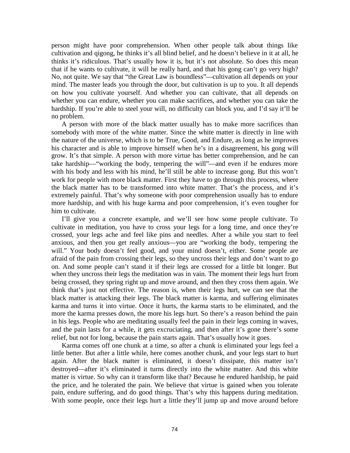person might have poor comprehension. When other people talk about things like cultivation and qigong, he thinks it's all blind belief, and he doesn't believe in it at all, he thinks it's ridiculous. That's usually how it is, but it's not absolute. So does this mean that if he wants to cultivate, it will be really hard, and that his gong can't go very high? No, not quite. We say that "the Great Law is boundless"—cultivation all depends on your mind. The master leads you through the door, but cultivation is up to you. It all depends on how you cultivate yourself. And whether you can cultivate, that all depends on whether you can endure, whether you can make sacrifices, and whether you can take the hardship. If you're able to steel your will, no difficulty can block you, and I'd say it'll be no problem.

A person with more of the black matter usually has to make more sacrifices than somebody with more of the white matter. Since the white matter is directly in line with the nature of the universe, which is to be True, Good, and Endure, as long as he improves his character and is able to improve himself when he's in a disagreement, his gong will grow. It's that simple. A person with more virtue has better comprehension, and he can take hardship—"working the body, tempering the will"—and even if he endures more with his body and less with his mind, he'll still be able to increase gong. But this won't work for people with more black matter. First they have to go through this process, where the black matter has to be transformed into white matter. That's the process, and it's extremely painful. That's why someone with poor comprehension usually has to endure more hardship, and with his huge karma and poor comprehension, it's even tougher for him to cultivate.

I'll give you a concrete example, and we'll see how some people cultivate. To cultivate in meditation, you have to cross your legs for a long time, and once they're crossed, your legs ache and feel like pins and needles. After a while you start to feel anxious, and then you get really anxious—you are "working the body, tempering the will." Your body doesn't feel good, and your mind doesn't, either. Some people are afraid of the pain from crossing their legs, so they uncross their legs and don't want to go on. And some people can't stand it if their legs are crossed for a little bit longer. But when they uncross their legs the meditation was in vain. The moment their legs hurt from being crossed, they spring right up and move around, and then they cross them again. We think that's just not effective. The reason is, when their legs hurt, we can see that the black matter is attacking their legs. The black matter is karma, and suffering eliminates karma and turns it into virtue. Once it hurts, the karma starts to be eliminated, and the more the karma presses down, the more his legs hurt. So there's a reason behind the pain in his legs. People who are meditating usually feel the pain in their legs coming in waves, and the pain lasts for a while, it gets excruciating, and then after it's gone there's some relief, but not for long, because the pain starts again. That's usually how it goes.

Karma comes off one chunk at a time, so after a chunk is eliminated your legs feel a little better. But after a little while, here comes another chunk, and your legs start to hurt again. After the black matter is eliminated, it doesn't dissipate, this matter isn't destroyed—after it's eliminated it turns directly into the white matter. And this white matter is virtue. So why can it transform like that? Because he endured hardship, he paid the price, and he tolerated the pain. We believe that virtue is gained when you tolerate pain, endure suffering, and do good things. That's why this happens during meditation. With some people, once their legs hurt a little they'll jump up and move around before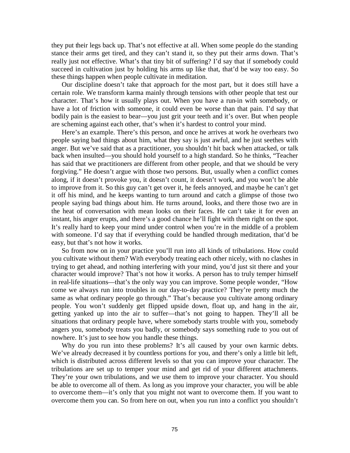they put their legs back up. That's not effective at all. When some people do the standing stance their arms get tired, and they can't stand it, so they put their arms down. That's really just not effective. What's that tiny bit of suffering? I'd say that if somebody could succeed in cultivation just by holding his arms up like that, that'd be way too easy. So these things happen when people cultivate in meditation.

Our discipline doesn't take that approach for the most part, but it does still have a certain role. We transform karma mainly through tensions with other people that test our character. That's how it usually plays out. When you have a run-in with somebody, or have a lot of friction with someone, it could even be worse than that pain. I'd say that bodily pain is the easiest to bear—you just grit your teeth and it's over. But when people are scheming against each other, that's when it's hardest to control your mind.

Here's an example. There's this person, and once he arrives at work he overhears two people saying bad things about him, what they say is just awful, and he just seethes with anger. But we've said that as a practitioner, you shouldn't hit back when attacked, or talk back when insulted—you should hold yourself to a high standard. So he thinks, "Teacher has said that we practitioners are different from other people, and that we should be very forgiving." He doesn't argue with those two persons. But, usually when a conflict comes along, if it doesn't provoke you, it doesn't count, it doesn't work, and you won't be able to improve from it. So this guy can't get over it, he feels annoyed, and maybe he can't get it off his mind, and he keeps wanting to turn around and catch a glimpse of those two people saying bad things about him. He turns around, looks, and there those two are in the heat of conversation with mean looks on their faces. He can't take it for even an instant, his anger erupts, and there's a good chance he'll fight with them right on the spot. It's really hard to keep your mind under control when you're in the middle of a problem with someone. I'd say that if everything could be handled through meditation, that'd be easy, but that's not how it works.

So from now on in your practice you'll run into all kinds of tribulations. How could you cultivate without them? With everybody treating each other nicely, with no clashes in trying to get ahead, and nothing interfering with your mind, you'd just sit there and your character would improve? That's not how it works. A person has to truly temper himself in real-life situations—that's the only way you can improve. Some people wonder, "How come we always run into troubles in our day-to-day practice? They're pretty much the same as what ordinary people go through." That's because you cultivate among ordinary people. You won't suddenly get flipped upside down, float up, and hang in the air, getting yanked up into the air to suffer—that's not going to happen. They'll all be situations that ordinary people have, where somebody starts trouble with you, somebody angers you, somebody treats you badly, or somebody says something rude to you out of nowhere. It's just to see how you handle these things.

Why do you run into these problems? It's all caused by your own karmic debts. We've already decreased it by countless portions for you, and there's only a little bit left, which is distributed across different levels so that you can improve your character. The tribulations are set up to temper your mind and get rid of your different attachments. They're your own tribulations, and we use them to improve your character. You should be able to overcome all of them. As long as you improve your character, you will be able to overcome them—it's only that you might not want to overcome them. If you want to overcome them you can. So from here on out, when you run into a conflict you shouldn't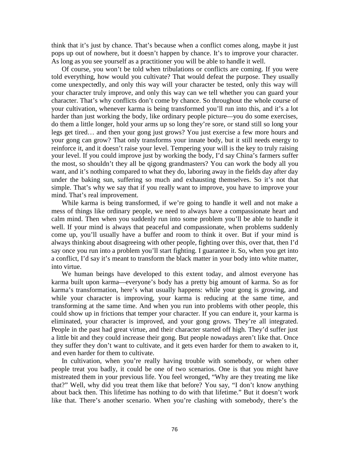think that it's just by chance. That's because when a conflict comes along, maybe it just pops up out of nowhere, but it doesn't happen by chance. It's to improve your character. As long as you see yourself as a practitioner you will be able to handle it well.

Of course, you won't be told when tribulations or conflicts are coming. If you were told everything, how would you cultivate? That would defeat the purpose. They usually come unexpectedly, and only this way will your character be tested, only this way will your character truly improve, and only this way can we tell whether you can guard your character. That's why conflicts don't come by chance. So throughout the whole course of your cultivation, whenever karma is being transformed you'll run into this, and it's a lot harder than just working the body, like ordinary people picture—you do some exercises, do them a little longer, hold your arms up so long they're sore, or stand still so long your legs get tired… and then your gong just grows? You just exercise a few more hours and your gong can grow? That only transforms your innate body, but it still needs energy to reinforce it, and it doesn't raise your level. Tempering your will is the key to truly raising your level. If you could improve just by working the body, I'd say China's farmers suffer the most, so shouldn't they all be qigong grandmasters? You can work the body all you want, and it's nothing compared to what they do, laboring away in the fields day after day under the baking sun, suffering so much and exhausting themselves. So it's not that simple. That's why we say that if you really want to improve, you have to improve your mind. That's real improvement.

While karma is being transformed, if we're going to handle it well and not make a mess of things like ordinary people, we need to always have a compassionate heart and calm mind. Then when you suddenly run into some problem you'll be able to handle it well. If your mind is always that peaceful and compassionate, when problems suddenly come up, you'll usually have a buffer and room to think it over. But if your mind is always thinking about disagreeing with other people, fighting over this, over that, then I'd say once you run into a problem you'll start fighting. I guarantee it. So, when you get into a conflict, I'd say it's meant to transform the black matter in your body into white matter, into virtue.

We human beings have developed to this extent today, and almost everyone has karma built upon karma—everyone's body has a pretty big amount of karma. So as for karma's transformation, here's what usually happens: while your gong is growing, and while your character is improving, your karma is reducing at the same time, and transforming at the same time. And when you run into problems with other people, this could show up in frictions that temper your character. If you can endure it, your karma is eliminated, your character is improved, and your gong grows. They're all integrated. People in the past had great virtue, and their character started off high. They'd suffer just a little bit and they could increase their gong. But people nowadays aren't like that. Once they suffer they don't want to cultivate, and it gets even harder for them to awaken to it, and even harder for them to cultivate.

In cultivation, when you're really having trouble with somebody, or when other people treat you badly, it could be one of two scenarios. One is that you might have mistreated them in your previous life. You feel wronged, "Why are they treating me like that?" Well, why did you treat them like that before? You say, "I don't know anything about back then. This lifetime has nothing to do with that lifetime." But it doesn't work like that. There's another scenario. When you're clashing with somebody, there's the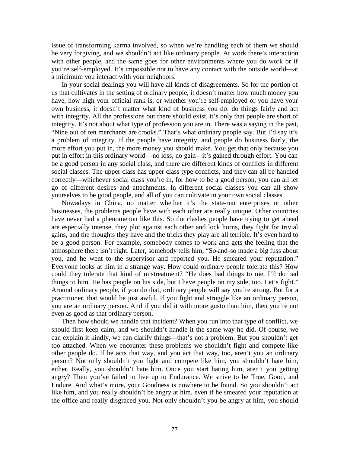issue of transforming karma involved, so when we're handling each of them we should be very forgiving, and we shouldn't act like ordinary people. At work there's interaction with other people, and the same goes for other environments where you do work or if you're self-employed. It's impossible not to have any contact with the outside world—at a minimum you interact with your neighbors.

In your social dealings you will have all kinds of disagreements. So for the portion of us that cultivates in the setting of ordinary people, it doesn't matter how much money you have, how high your official rank is, or whether you're self-employed or you have your own business, it doesn't matter what kind of business you do: do things fairly and act with integrity. All the professions out there should exist, it's only that people are short of integrity. It's not about what type of profession you are in. There was a saying in the past, "Nine out of ten merchants are crooks." That's what ordinary people say. But I'd say it's a problem of integrity. If the people have integrity, and people do business fairly, the more effort you put in, the more money you should make. You get that only because you put in effort in this ordinary world—no loss, no gain—it's gained through effort. You can be a good person in any social class, and there are different kinds of conflicts in different social classes. The upper class has upper class type conflicts, and they can all be handled correctly—whichever social class you're in, for how to be a good person, you can all let go of different desires and attachments. In different social classes you can all show yourselves to be good people, and all of you can cultivate in your own social classes.

Nowadays in China, no matter whether it's the state-run enterprises or other businesses, the problems people have with each other are really unique. Other countries have never had a phenomenon like this. So the clashes people have trying to get ahead are especially intense, they plot against each other and lock horns, they fight for trivial gains, and the thoughts they have and the tricks they play are all terrible. It's even hard to be a good person. For example, somebody comes to work and gets the feeling that the atmosphere there isn't right. Later, somebody tells him, "So-and-so made a big fuss about you, and he went to the supervisor and reported you. He smeared your reputation." Everyone looks at him in a strange way. How could ordinary people tolerate this? How could they tolerate that kind of mistreatment? "He does bad things to me, I'll do bad things to him. He has people on his side, but I have people on my side, too. Let's fight." Around ordinary people, if you do that, ordinary people will say you're strong. But for a practitioner, that would be just awful. If you fight and struggle like an ordinary person, you are an ordinary person. And if you did it with more gusto than him, then you're not even as good as that ordinary person.

Then how should we handle that incident? When you run into that type of conflict, we should first keep calm, and we shouldn't handle it the same way he did. Of course, we can explain it kindly, we can clarify things—that's not a problem. But you shouldn't get too attached. When we encounter these problems we shouldn't fight and compete like other people do. If he acts that way, and you act that way, too, aren't you an ordinary person? Not only shouldn't you fight and compete like him, you shouldn't hate him, either. Really, you shouldn't hate him. Once you start hating him, aren't you getting angry? Then you've failed to live up to Endurance. We strive to be True, Good, and Endure. And what's more, your Goodness is nowhere to be found. So you shouldn't act like him, and you really shouldn't be angry at him, even if he smeared your reputation at the office and really disgraced you. Not only shouldn't you be angry at him, you should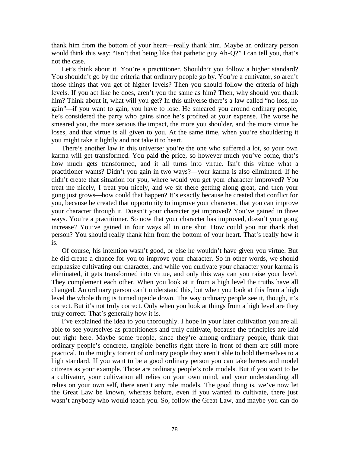thank him from the bottom of your heart—really thank him. Maybe an ordinary person would think this way: "Isn't that being like that pathetic guy Ah-Q?" I can tell you, that's not the case.

Let's think about it. You're a practitioner. Shouldn't you follow a higher standard? You shouldn't go by the criteria that ordinary people go by. You're a cultivator, so aren't those things that you get of higher levels? Then you should follow the criteria of high levels. If you act like he does, aren't you the same as him? Then, why should you thank him? Think about it, what will you get? In this universe there's a law called "no loss, no gain"—if you want to gain, you have to lose. He smeared you around ordinary people, he's considered the party who gains since he's profited at your expense. The worse he smeared you, the more serious the impact, the more you shoulder, and the more virtue he loses, and that virtue is all given to you. At the same time, when you're shouldering it you might take it lightly and not take it to heart.

There's another law in this universe: you're the one who suffered a lot, so your own karma will get transformed. You paid the price, so however much you've borne, that's how much gets transformed, and it all turns into virtue. Isn't this virtue what a practitioner wants? Didn't you gain in two ways?—your karma is also eliminated. If he didn't create that situation for you, where would you get your character improved? You treat me nicely, I treat you nicely, and we sit there getting along great, and then your gong just grows—how could that happen? It's exactly because he created that conflict for you, because he created that opportunity to improve your character, that you can improve your character through it. Doesn't your character get improved? You've gained in three ways. You're a practitioner. So now that your character has improved, doesn't your gong increase? You've gained in four ways all in one shot. How could you not thank that person? You should really thank him from the bottom of your heart. That's really how it is.

Of course, his intention wasn't good, or else he wouldn't have given you virtue. But he did create a chance for you to improve your character. So in other words, we should emphasize cultivating our character, and while you cultivate your character your karma is eliminated, it gets transformed into virtue, and only this way can you raise your level. They complement each other. When you look at it from a high level the truths have all changed. An ordinary person can't understand this, but when you look at this from a high level the whole thing is turned upside down. The way ordinary people see it, though, it's correct. But it's not truly correct. Only when you look at things from a high level are they truly correct. That's generally how it is.

I've explained the idea to you thoroughly. I hope in your later cultivation you are all able to see yourselves as practitioners and truly cultivate, because the principles are laid out right here. Maybe some people, since they're among ordinary people, think that ordinary people's concrete, tangible benefits right there in front of them are still more practical. In the mighty torrent of ordinary people they aren't able to hold themselves to a high standard. If you want to be a good ordinary person you can take heroes and model citizens as your example. Those are ordinary people's role models. But if you want to be a cultivator, your cultivation all relies on your own mind, and your understanding all relies on your own self, there aren't any role models. The good thing is, we've now let the Great Law be known, whereas before, even if you wanted to cultivate, there just wasn't anybody who would teach you. So, follow the Great Law, and maybe you can do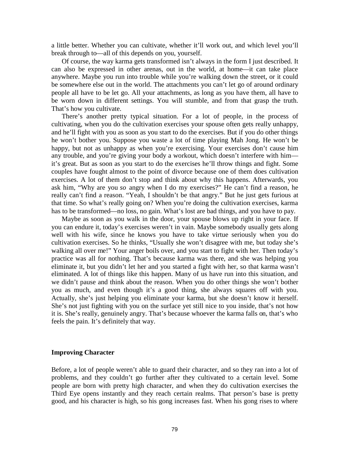a little better. Whether you can cultivate, whether it'll work out, and which level you'll break through to—all of this depends on you, yourself.

Of course, the way karma gets transformed isn't always in the form I just described. It can also be expressed in other arenas, out in the world, at home—it can take place anywhere. Maybe you run into trouble while you're walking down the street, or it could be somewhere else out in the world. The attachments you can't let go of around ordinary people all have to be let go. All your attachments, as long as you have them, all have to be worn down in different settings. You will stumble, and from that grasp the truth. That's how you cultivate.

There's another pretty typical situation. For a lot of people, in the process of cultivating, when you do the cultivation exercises your spouse often gets really unhappy, and he'll fight with you as soon as you start to do the exercises. But if you do other things he won't bother you. Suppose you waste a lot of time playing Mah Jong. He won't be happy, but not as unhappy as when you're exercising. Your exercises don't cause him any trouble, and you're giving your body a workout, which doesn't interfere with him it's great. But as soon as you start to do the exercises he'll throw things and fight. Some couples have fought almost to the point of divorce because one of them does cultivation exercises. A lot of them don't stop and think about why this happens. Afterwards, you ask him, "Why are you *so* angry when I do my exercises?" He can't find a reason, he really can't find a reason. "Yeah, I shouldn't be that angry." But he just gets furious at that time. So what's really going on? When you're doing the cultivation exercises, karma has to be transformed—no loss, no gain. What's lost are bad things, and you have to pay.

Maybe as soon as you walk in the door, your spouse blows up right in your face. If you can endure it, today's exercises weren't in vain. Maybe somebody usually gets along well with his wife, since he knows you have to take virtue seriously when you do cultivation exercises. So he thinks, "Usually she won't disagree with me, but today she's walking all over me!" Your anger boils over, and you start to fight with her. Then today's practice was all for nothing. That's because karma was there, and she was helping you eliminate it, but you didn't let her and you started a fight with her, so that karma wasn't eliminated. A lot of things like this happen. Many of us have run into this situation, and we didn't pause and think about the reason. When you do other things she won't bother you as much, and even though it's a good thing, she always squares off with you. Actually, she's just helping you eliminate your karma, but she doesn't know it herself. She's not just fighting with you on the surface yet still nice to you inside, that's not how it is. She's really, genuinely angry. That's because whoever the karma falls on, that's who feels the pain. It's definitely that way.

## **Improving Character**

Before, a lot of people weren't able to guard their character, and so they ran into a lot of problems, and they couldn't go further after they cultivated to a certain level. Some people are born with pretty high character, and when they do cultivation exercises the Third Eye opens instantly and they reach certain realms. That person's base is pretty good, and his character is high, so his gong increases fast. When his gong rises to where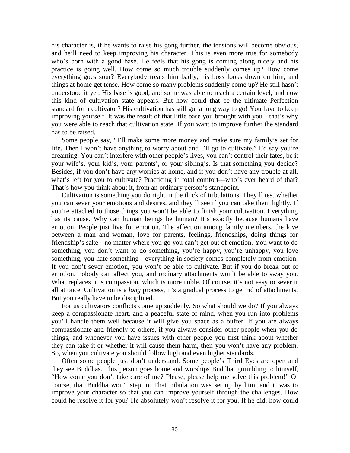his character is, if he wants to raise his gong further, the tensions will become obvious, and he'll need to keep improving his character. This is even more true for somebody who's born with a good base. He feels that his gong is coming along nicely and his practice is going well. How come so much trouble suddenly comes up? How come everything goes sour? Everybody treats him badly, his boss looks down on him, and things at home get tense. How come so many problems suddenly come up? He still hasn't understood it yet. His base is good, and so he was able to reach a certain level, and now this kind of cultivation state appears. But how could that be the ultimate Perfection standard for a cultivator? His cultivation has still got a long way to go! You have to keep improving yourself. It was the result of that little base you brought with you—that's why you were able to reach that cultivation state. If you want to improve further the standard has to be raised.

Some people say, "I'll make some more money and make sure my family's set for life. Then I won't have anything to worry about and I'll go to cultivate." I'd say you're dreaming. You can't interfere with other people's lives, you can't control their fates, be it your wife's, your kid's, your parents', or your sibling's. Is that something you decide? Besides, if you don't have any worries at home, and if you don't have any trouble at all, what's left for you to cultivate? Practicing in total comfort—who's ever heard of that? That's how you think about it, from an ordinary person's standpoint.

Cultivation is something you do right in the thick of tribulations. They'll test whether you can sever your emotions and desires, and they'll see if you can take them lightly. If you're attached to those things you won't be able to finish your cultivation. Everything has its cause. Why can human beings be human? It's exactly because humans have emotion. People just live for emotion. The affection among family members, the love between a man and woman, love for parents, feelings, friendships, doing things for friendship's sake—no matter where you go you can't get out of emotion. You want to do something, you don't want to do something, you're happy, you're unhappy, you love something, you hate something—everything in society comes completely from emotion. If you don't sever emotion, you won't be able to cultivate. But if you do break out of emotion, nobody can affect you, and ordinary attachments won't be able to sway you. What replaces it is compassion, which is more noble. Of course, it's not easy to sever it all at once. Cultivation is a *long* process, it's a gradual process to get rid of attachments. But you really have to be disciplined.

For us cultivators conflicts come up suddenly. So what should we do? If you always keep a compassionate heart, and a peaceful state of mind, when you run into problems you'll handle them well because it will give you space as a buffer. If you are always compassionate and friendly to others, if you always consider other people when you do things, and whenever you have issues with other people you first think about whether they can take it or whether it will cause them harm, then you won't have any problem. So, when you cultivate you should follow high and even higher standards.

Often some people just don't understand. Some people's Third Eyes are open and they see Buddhas. This person goes home and worships Buddha, grumbling to himself, "How come you don't take care of me? Please, please help me solve this problem!" Of course, that Buddha won't step in. That tribulation was set up by him, and it was to improve your character so that you can improve yourself through the challenges. How could he resolve it for you? He absolutely won't resolve it for you. If he did, how could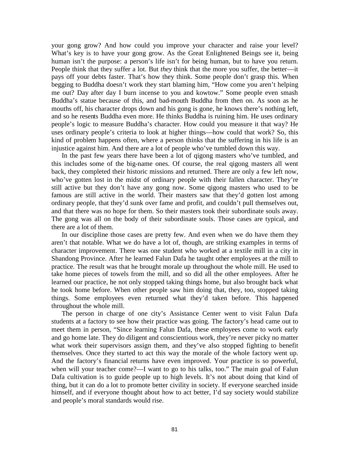your gong grow? And how could you improve your character and raise your level? What's key is to have your gong grow. As the Great Enlightened Beings see it, being human isn't the purpose: a person's life isn't for being human, but to have you return. People think that they suffer a lot. But *they* think that the more you suffer, the better—it pays off your debts faster. That's how they think. Some people don't grasp this. When begging to Buddha doesn't work they start blaming him, "How come you aren't helping me out? Day after day I burn incense to you and kowtow." Some people even smash Buddha's statue because of this, and bad-mouth Buddha from then on. As soon as he mouths off, his character drops down and his gong is gone, he knows there's nothing left, and so he resents Buddha even more. He thinks Buddha is ruining him. He uses ordinary people's logic to measure Buddha's character. How could you measure it that way? He uses ordinary people's criteria to look at higher things—how could that work? So, this kind of problem happens often, where a person thinks that the suffering in his life is an injustice against him. And there are a lot of people who've tumbled down this way.

In the past few years there have been a lot of qigong masters who've tumbled, and this includes some of the big-name ones. Of course, the real qigong masters all went back, they completed their historic missions and returned. There are only a few left now, who've gotten lost in the midst of ordinary people with their fallen character. They're still active but they don't have any gong now. Some qigong masters who used to be famous are still active in the world. Their masters saw that they'd gotten lost among ordinary people, that they'd sunk over fame and profit, and couldn't pull themselves out, and that there was no hope for them. So their masters took their subordinate souls away. The gong was all on the body of their subordinate souls. Those cases are typical, and there are a lot of them.

In our discipline those cases are pretty few. And even when we do have them they aren't that notable. What we do have a lot of, though, are striking examples in terms of character improvement. There was one student who worked at a textile mill in a city in Shandong Province. After he learned Falun Dafa he taught other employees at the mill to practice. The result was that he brought morale up throughout the whole mill. He used to take home pieces of towels from the mill, and so did all the other employees. After he learned our practice, he not only stopped taking things home, but also brought back what he took home before. When other people saw him doing that, they, too, stopped taking things. Some employees even returned what they'd taken before. This happened throughout the whole mill.

The person in charge of one city's Assistance Center went to visit Falun Dafa students at a factory to see how their practice was going. The factory's head came out to meet them in person, "Since learning Falun Dafa, these employees come to work early and go home late. They do diligent and conscientious work, they're never picky no matter what work their supervisors assign them, and they've also stopped fighting to benefit themselves. Once they started to act this way the morale of the whole factory went up. And the factory's financial returns have even improved. Your practice is so powerful, when will your teacher come?—I want to go to his talks, too." The main goal of Falun Dafa cultivation is to guide people up to high levels. It's not about doing that kind of thing, but it can do a lot to promote better civility in society. If everyone searched inside himself, and if everyone thought about how to act better, I'd say society would stabilize and people's moral standards would rise.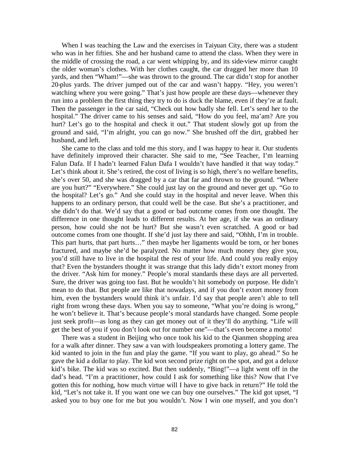When I was teaching the Law and the exercises in Taiyuan City, there was a student who was in her fifties. She and her husband came to attend the class. When they were in the middle of crossing the road, a car went whipping by, and its side-view mirror caught the older woman's clothes. With her clothes caught, the car dragged her more than 10 yards, and then "Wham!"—she was thrown to the ground. The car didn't stop for another 20-plus yards. The driver jumped out of the car and wasn't happy. "Hey, you weren't watching where you were going." That's just how people are these days—whenever they run into a problem the first thing they try to do is duck the blame, even if they're at fault. Then the passenger in the car said, "Check out how badly she fell. Let's send her to the hospital." The driver came to his senses and said, "How do you feel, ma'am? Are you hurt? Let's go to the hospital and check it out." That student slowly got up from the ground and said, "I'm alright, you can go now." She brushed off the dirt, grabbed her husband, and left.

She came to the class and told me this story, and I was happy to hear it. Our students have definitely improved their character. She said to me, "See Teacher, I'm learning Falun Dafa. If I hadn't learned Falun Dafa I wouldn't have handled it that way today." Let's think about it. She's retired, the cost of living is so high, there's no welfare benefits, she's over 50, and she was dragged by a car that far and thrown to the ground. "Where are you hurt?" "Everywhere." She could just lay on the ground and never get up. "Go to the hospital? Let's go." And she could stay in the hospital and never leave. When this happens to an ordinary person, that could well be the case. But she's a practitioner, and she didn't do that. We'd say that a good or bad outcome comes from one thought. The difference in one thought leads to different results. At her age, if she was an ordinary person, how could she not be hurt? But she wasn't even scratched. A good or bad outcome comes from one thought. If she'd just lay there and said, "Ohhh, I'm in trouble. This part hurts, that part hurts…" then maybe her ligaments would be torn, or her bones fractured, and maybe she'd be paralyzed. No matter how much money they give you, you'd still have to live in the hospital the rest of your life. And could you really enjoy that? Even the bystanders thought it was strange that this lady didn't extort money from the driver. "Ask him for money." People's moral standards these days are all perverted. Sure, the driver was going too fast. But he wouldn't hit somebody on purpose. He didn't mean to do that. But people are like that nowadays, and if you don't extort money from him, even the bystanders would think it's unfair. I'd say that people aren't able to tell right from wrong these days. When you say to someone, "What you're doing is wrong," he won't believe it. That's because people's moral standards have changed. Some people just seek profit—as long as they can get money out of it they'll do anything. "Life will get the best of you if you don't look out for number one"—that's even become a motto!

There was a student in Beijing who once took his kid to the Qianmen shopping area for a walk after dinner. They saw a van with loudspeakers promoting a lottery game. The kid wanted to join in the fun and play the game. "If you want to play, go ahead." So he gave the kid a dollar to play. The kid won second prize right on the spot, and got a deluxe kid's bike. The kid was so excited. But then suddenly, "Bing!"—a light went off in the dad's head. "I'm a practitioner, how could I ask for something like this? Now that I've gotten this for nothing, how much virtue will I have to give back in return?" He told the kid, "Let's not take it. If you want one we can buy one ourselves." The kid got upset, "I asked you to buy one for me but you wouldn't. Now I win one myself, and you don't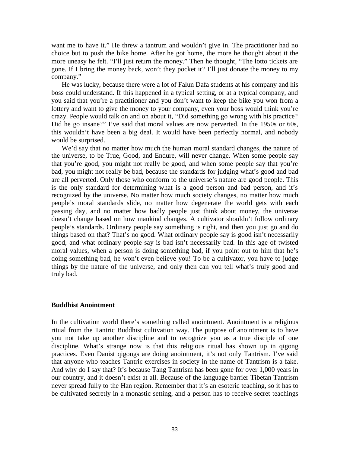want me to have it." He threw a tantrum and wouldn't give in. The practitioner had no choice but to push the bike home. After he got home, the more he thought about it the more uneasy he felt. "I'll just return the money." Then he thought, "The lotto tickets are gone. If I bring the money back, won't they pocket it? I'll just donate the money to my company."

He was lucky, because there were a lot of Falun Dafa students at his company and his boss could understand. If this happened in a typical setting, or at a typical company, and you said that you're a practitioner and you don't want to keep the bike you won from a lottery and want to give the money to your company, even your boss would think you're crazy. People would talk on and on about it, "Did something go wrong with his practice? Did he go insane?" I've said that moral values are now perverted. In the 1950s or 60s, this wouldn't have been a big deal. It would have been perfectly normal, and nobody would be surprised.

We'd say that no matter how much the human moral standard changes, the nature of the universe, to be True, Good, and Endure, will never change. When some people say that you're good, you might not really be good, and when some people say that you're bad, you might not really be bad, because the standards for judging what's good and bad are all perverted. Only those who conform to the universe's nature are good people. This is the only standard for determining what is a good person and bad person, and it's recognized by the universe. No matter how much society changes, no matter how much people's moral standards slide, no matter how degenerate the world gets with each passing day, and no matter how badly people just think about money, the universe doesn't change based on how mankind changes. A cultivator shouldn't follow ordinary people's standards. Ordinary people say something is right, and then you just go and do things based on that? That's no good. What ordinary people say is good isn't necessarily good, and what ordinary people say is bad isn't necessarily bad. In this age of twisted moral values, when a person is doing something bad, if you point out to him that he's doing something bad, he won't even believe you! To be a cultivator, you have to judge things by the nature of the universe, and only then can you tell what's truly good and truly bad.

### **Buddhist Anointment**

In the cultivation world there's something called anointment. Anointment is a religious ritual from the Tantric Buddhist cultivation way. The purpose of anointment is to have you not take up another discipline and to recognize you as a true disciple of one discipline. What's strange now is that this religious ritual has shown up in qigong practices. Even Daoist qigongs are doing anointment, it's not only Tantrism. I've said that anyone who teaches Tantric exercises in society in the name of Tantrism is a fake. And why do I say that? It's because Tang Tantrism has been gone for over 1,000 years in our country, and it doesn't exist at all. Because of the language barrier Tibetan Tantrism never spread fully to the Han region. Remember that it's an esoteric teaching, so it has to be cultivated secretly in a monastic setting, and a person has to receive secret teachings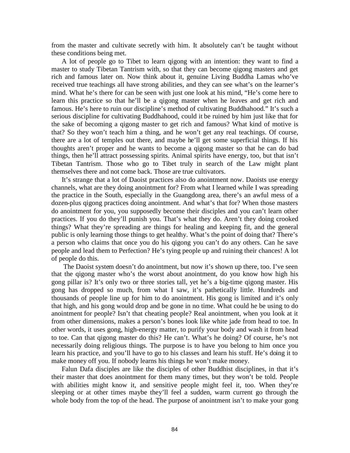from the master and cultivate secretly with him. It absolutely can't be taught without these conditions being met.

A lot of people go to Tibet to learn qigong with an intention: they want to find a master to study Tibetan Tantrism with, so that they can become qigong masters and get rich and famous later on. Now think about it, genuine Living Buddha Lamas who've received true teachings all have strong abilities, and they can see what's on the learner's mind. What he's there for can be seen with just one look at his mind, "He's come here to learn this practice so that he'll be a qigong master when he leaves and get rich and famous. He's here to ruin our discipline's method of cultivating Buddhahood." It's such a serious discipline for cultivating Buddhahood, could it be ruined by him just like that for the sake of becoming a qigong master to get rich and famous? What kind of motive is that? So they won't teach him a thing, and he won't get any real teachings. Of course, there are a lot of temples out there, and maybe he'll get some superficial things. If his thoughts aren't proper and he wants to become a qigong master so that he can do bad things, then he'll attract possessing spirits. Animal spirits have energy, too, but that isn't Tibetan Tantrism. Those who go to Tibet truly in search of the Law might plant themselves there and not come back. Those are true cultivators.

It's strange that a lot of Daoist practices also do anointment now. Daoists use energy channels, what are they doing anointment for? From what I learned while I was spreading the practice in the South, especially in the Guangdong area, there's an awful mess of a dozen-plus qigong practices doing anointment. And what's that for? When those masters do anointment for you, you supposedly become their disciples and you can't learn other practices. If you do they'll punish you. That's what they do. Aren't they doing crooked things? What they're spreading are things for healing and keeping fit, and the general public is only learning those things to get healthy. What's the point of doing that? There's a person who claims that once you do his qigong you can't do any others. Can he save people and lead them to Perfection? He's tying people up and ruining their chances! A lot of people do this.

The Daoist system doesn't do anointment, but now it's shown up there, too. I've seen that the qigong master who's the worst about anointment, do you know how high his gong pillar is? It's only two or three stories tall, yet he's a big-time qigong master. His gong has dropped so much, from what I saw, it's pathetically little. Hundreds and thousands of people line up for him to do anointment. His gong is limited and it's only that high, and his gong would drop and be gone in no time. What could he be using to do anointment for people? Isn't that cheating people? Real anointment, when you look at it from other dimensions, makes a person's bones look like white jade from head to toe. In other words, it uses gong, high-energy matter, to purify your body and wash it from head to toe. Can that qigong master do this? He can't. What's he doing? Of course, he's not necessarily doing religious things. The purpose is to have you belong to him once you learn his practice, and you'll have to go to his classes and learn his stuff. He's doing it to make money off you. If nobody learns his things he won't make money.

Falun Dafa disciples are like the disciples of other Buddhist disciplines, in that it's their master that does anointment for them many times, but they won't be told. People with abilities might know it, and sensitive people might feel it, too. When they're sleeping or at other times maybe they'll feel a sudden, warm current go through the whole body from the top of the head. The purpose of anointment isn't to make your gong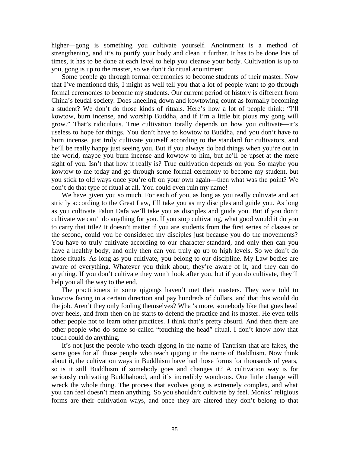higher—gong is something you cultivate yourself. Anointment is a method of strengthening, and it's to purify your body and clean it further. It has to be done lots of times, it has to be done at each level to help you cleanse your body. Cultivation is up to you, gong is up to the master, so we don't do ritual anointment.

Some people go through formal ceremonies to become students of their master. Now that I've mentioned this, I might as well tell you that a lot of people want to go through formal ceremonies to become my students. Our current period of history is different from China's feudal society. Does kneeling down and kowtowing count as formally becoming a student? We don't do those kinds of rituals. Here's how a lot of people think: "I'll kowtow, burn incense, and worship Buddha, and if I'm a little bit pious my gong will grow." That's ridiculous. True cultivation totally depends on how you cultivate—it's useless to hope for things. You don't have to kowtow to Buddha, and you don't have to burn incense, just truly cultivate yourself according to the standard for cultivators, and he'll be really happy just seeing you. But if you always do bad things when you're out in the world, maybe you burn incense and kowtow to him, but he'll be upset at the mere sight of you. Isn't that how it really is? True cultivation depends on you. So maybe you kowtow to me today and go through some formal ceremony to become my student, but you stick to old ways once you're off on your own again—then what was the point? We don't do that type of ritual at all. You could even ruin my name!

We have given you so much. For each of you, as long as you really cultivate and act strictly according to the Great Law, I'll take you as my disciples and guide you. As long as you cultivate Falun Dafa we'll take you as disciples and guide you. But if you don't cultivate we can't do anything for you. If you stop cultivating, what good would it do you to carry that title? It doesn't matter if you are students from the first series of classes or the second, could you be considered my disciples just because you do the movements? You have to truly cultivate according to our character standard, and only then can you have a healthy body, and only then can you truly go up to high levels. So we don't do those rituals. As long as you cultivate, you belong to our discipline. My Law bodies are aware of everything. Whatever you think about, they're aware of it, and they can do anything. If you don't cultivate they won't look after you, but if you do cultivate, they'll help you all the way to the end.

The practitioners in some qigongs haven't met their masters. They were told to kowtow facing in a certain direction and pay hundreds of dollars, and that this would do the job. Aren't they only fooling themselves? What's more, somebody like that goes head over heels, and from then on he starts to defend the practice and its master. He even tells other people not to learn other practices. I think that's pretty absurd. And then there are other people who do some so-called "touching the head" ritual. I don't know how that touch could do anything.

It's not just the people who teach qigong in the name of Tantrism that are fakes, the same goes for all those people who teach qigong in the name of Buddhism. Now think about it, the cultivation ways in Buddhism have had those forms for thousands of years, so is it still Buddhism if somebody goes and changes it? A cultivation way is for seriously cultivating Buddhahood, and it's incredibly wondrous. One little change will wreck the whole thing. The process that evolves gong is extremely complex, and what you can feel doesn't mean anything. So you shouldn't cultivate by feel. Monks' religious forms are their cultivation ways, and once they are altered they don't belong to that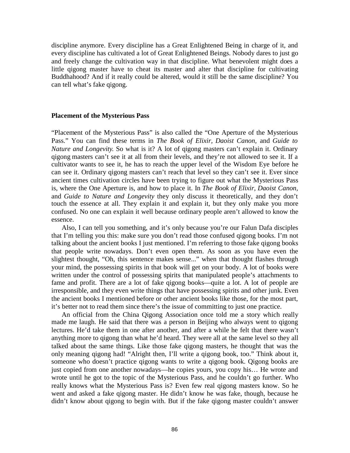discipline anymore. Every discipline has a Great Enlightened Being in charge of it, and every discipline has cultivated a lot of Great Enlightened Beings. Nobody dares to just go and freely change the cultivation way in that discipline. What benevolent might does a little qigong master have to cheat its master and alter that discipline for cultivating Buddhahood? And if it really could be altered, would it still be the same discipline? You can tell what's fake qigong.

### **Placement of the Mysterious Pass**

"Placement of the Mysterious Pass" is also called the "One Aperture of the Mysterious Pass." You can find these terms in *The Book of Elixir, Daoist Canon,* and *Guide to Nature and Longevity*. So what is it? A lot of qigong masters can't explain it. Ordinary qigong masters can't see it at all from their levels, and they're not allowed to see it. If a cultivator wants to see it, he has to reach the upper level of the Wisdom Eye before he can see it. Ordinary qigong masters can't reach that level so they can't see it. Ever since ancient times cultivation circles have been trying to figure out what the Mysterious Pass is, where the One Aperture is, and how to place it. In *The Book of Elixir, Daoist Canon,* and *Guide to Nature and Longevity* they only discuss it theoretically, and they don't touch the essence at all. They explain it and explain it, but they only make you more confused. No one can explain it well because ordinary people aren't allowed to know the essence.

Also, I can tell you something, and it's only because you're our Falun Dafa disciples that I'm telling you this: make sure you don't read those confused qigong books. I'm not talking about the ancient books I just mentioned. I'm referring to those fake qigong books that people write nowadays. Don't even open them. As soon as you have even the slightest thought, "Oh, this sentence makes sense..." when that thought flashes through your mind, the possessing spirits in that book will get on your body. A lot of books were written under the control of possessing spirits that manipulated people's attachments to fame and profit. There are a lot of fake qigong books—quite a lot. A lot of people are irresponsible, and they even write things that have possessing spirits and other junk. Even the ancient books I mentioned before or other ancient books like those, for the most part, it's better not to read them since there's the issue of committing to just one practice.

An official from the China Qigong Association once told me a story which really made me laugh. He said that there was a person in Beijing who always went to qigong lectures. He'd take them in one after another, and after a while he felt that there wasn't anything more to qigong than what he'd heard. They were all at the same level so they all talked about the same things. Like those fake qigong masters, he thought that was the only meaning qigong had! "Alright then, I'll write a qigong book, too." Think about it, someone who doesn't practice qigong wants to write a qigong book. Qigong books are just copied from one another nowadays—he copies yours, you copy his… He wrote and wrote until he got to the topic of the Mysterious Pass, and he couldn't go further. Who really knows what the Mysterious Pass is? Even few real qigong masters know. So he went and asked a fake qigong master. He didn't know he was fake, though, because he didn't know about qigong to begin with. But if the fake qigong master couldn't answer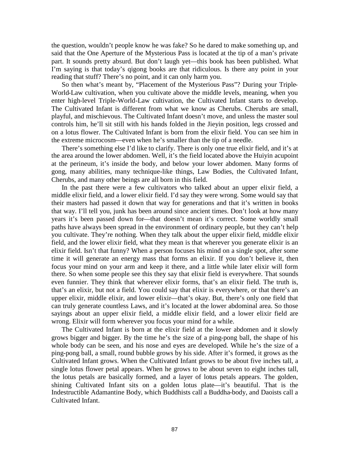the question, wouldn't people know he was fake? So he dared to make something up, and said that the One Aperture of the Mysterious Pass is located at the tip of a man's private part. It sounds pretty absurd. But don't laugh yet—this book has been published. What I'm saying is that today's qigong books are that ridiculous. Is there any point in your reading that stuff? There's no point, and it can only harm you.

So then what's meant by, "Placement of the Mysterious Pass"? During your Triple-World-Law cultivation, when you cultivate above the middle levels, meaning, when you enter high-level Triple-World-Law cultivation, the Cultivated Infant starts to develop. The Cultivated Infant is different from what we know as Cherubs. Cherubs are small, playful, and mischievous. The Cultivated Infant doesn't move, and unless the master soul controls him, he'll sit still with his hands folded in the Jieyin position, legs crossed and on a lotus flower. The Cultivated Infant is born from the elixir field. You can see him in the extreme microcosm—even when he's smaller than the tip of a needle.

There's something else I'd like to clarify. There is only one true elixir field, and it's at the area around the lower abdomen. Well, it's the field located above the Huiyin acupoint at the perineum, it's inside the body, and below your lower abdomen. Many forms of gong, many abilities, many technique-like things, Law Bodies, the Cultivated Infant, Cherubs, and many other beings are all born in this field.

In the past there were a few cultivators who talked about an upper elixir field, a middle elixir field, and a lower elixir field. I'd say they were wrong. Some would say that their masters had passed it down that way for generations and that it's written in books that way. I'll tell you, junk has been around since ancient times. Don't look at how many years it's been passed down for—that doesn't mean it's correct. Some worldly small paths have always been spread in the environment of ordinary people, but they can't help you cultivate. They're nothing. When they talk about the upper elixir field, middle elixir field, and the lower elixir field, what they mean is that wherever you generate elixir is an elixir field. Isn't that funny? When a person focuses his mind on a single spot, after some time it will generate an energy mass that forms an elixir. If you don't believe it, then focus your mind on your arm and keep it there, and a little while later elixir will form there. So when some people see this they say that elixir field is everywhere. That sounds even funnier. They think that wherever elixir forms, that's an elixir field. The truth is, that's an elixir, but not a field. You could say that elixir is everywhere, or that there's an upper elixir, middle elixir, and lower elixir—that's okay. But, there's only one field that can truly generate countless Laws, and it's located at the lower abdominal area. So those sayings about an upper elixir field, a middle elixir field, and a lower elixir field are wrong. Elixir will form wherever you focus your mind for a while.

The Cultivated Infant is born at the elixir field at the lower abdomen and it slowly grows bigger and bigger. By the time he's the size of a ping-pong ball, the shape of his whole body can be seen, and his nose and eyes are developed. While he's the size of a ping-pong ball, a small, round bubble grows by his side. After it's formed, it grows as the Cultivated Infant grows. When the Cultivated Infant grows to be about five inches tall, a single lotus flower petal appears. When he grows to be about seven to eight inches tall, the lotus petals are basically formed, and a layer of lotus petals appears. The golden, shining Cultivated Infant sits on a golden lotus plate—it's beautiful. That is the Indestructible Adamantine Body, which Buddhists call a Buddha-body, and Daoists call a Cultivated Infant.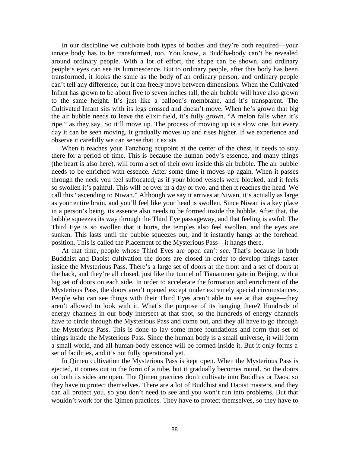In our discipline we cultivate both types of bodies and they're both required—your innate body has to be transformed, too. You know, a Buddha-body can't be revealed around ordinary people. With a lot of effort, the shape can be shown, and ordinary people's eyes can see its luminescence. But to ordinary people, after this body has been transformed, it looks the same as the body of an ordinary person, and ordinary people can't tell any difference, but it can freely move between dimensions. When the Cultivated Infant has grown to be about five to seven inches tall, the air bubble will have also grown to the same height. It's just like a balloon's membrane, and it's transparent. The Cultivated Infant sits with its legs crossed and doesn't move. When he's grown that big the air bubble needs to leave the elixir field, it's fully grown. "A melon falls when it's ripe," as they say. So it'll move up. The process of moving up is a slow one, but every day it can be seen moving. It gradually moves up and rises higher. If we experience and observe it carefully we can sense that it exists.

When it reaches your Tanzhong acupoint at the center of the chest, it needs to stay there for a period of time. This is because the human body's essence, and many things (the heart is also here), will form a set of their own inside this air bubble. The air bubble needs to be enriched with essence. After some time it moves up again. When it passes through the neck you feel suffocated, as if your blood vessels were blocked, and it feels so swollen it's painful. This will be over in a day or two, and then it reaches the head. We call this "ascending to Niwan." Although we say it arrives at Niwan, it's actually as large as your entire brain, and you'll feel like your head is swollen. Since Niwan is a key place in a person's being, its essence also needs to be formed inside the bubble. After that, the bubble squeezes its way through the Third Eye passageway, and that feeling is awful. The Third Eye is so swollen that it hurts, the temples also feel swollen, and the eyes are sunken. This lasts until the bubble squeezes out, and it instantly hangs at the forehead position. This is called the Placement of the Mysterious Pass—it hangs there.

At that time, people whose Third Eyes are open can't see. That's because in both Buddhist and Daoist cultivation the doors are closed in order to develop things faster inside the Mysterious Pass. There's a large set of doors at the front and a set of doors at the back, and they're all closed, just like the tunnel of Tiananmen gate in Beijing, with a big set of doors on each side. In order to accelerate the formation and enrichment of the Mysterious Pass, the doors aren't opened except under extremely special circumstances. People who can see things with their Third Eyes aren't able to see at that stage—they aren't allowed to look with it. What's the purpose of its hanging there? Hundreds of energy channels in our body intersect at that spot, so the hundreds of energy channels have to circle through the Mysterious Pass and come out, and they all have to go through the Mysterious Pass. This is done to lay some more foundations and form that set of things inside the Mysterious Pass. Since the human body is a small universe, it will form a small world, and all human-body essence will be formed inside it. But it only forms a set of facilities, and it's not fully operational yet.

In Qimen cultivation the Mysterious Pass is kept open. When the Mysterious Pass is ejected, it comes out in the form of a tube, but it gradually becomes round. So the doors on both its sides are open. The Qimen practices don't cultivate into Buddhas or Daos, so they have to protect themselves. There are a lot of Buddhist and Daoist masters, and they can all protect you, so you don't need to see and you won't run into problems. But that wouldn't work for the Qimen practices. They have to protect themselves, so they have to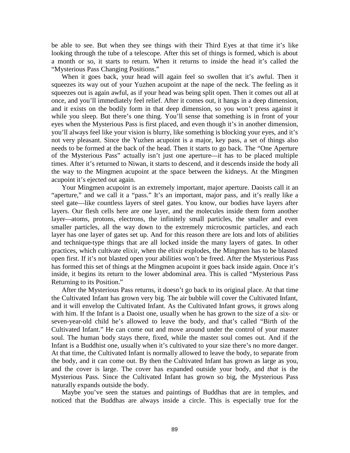be able to see. But when they see things with their Third Eyes at that time it's like looking through the tube of a telescope. After this set of things is formed, which is about a month or so, it starts to return. When it returns to inside the head it's called the "Mysterious Pass Changing Positions."

When it goes back, your head will again feel so swollen that it's awful. Then it squeezes its way out of your Yuzhen acupoint at the nape of the neck. The feeling as it squeezes out is again awful, as if your head was being split open. Then it comes out all at once, and you'll immediately feel relief. After it comes out, it hangs in a deep dimension, and it exists on the bodily form in that deep dimension, so you won't press against it while you sleep. But there's one thing. You'll sense that something is in front of your eyes when the Mysterious Pass is first placed, and even though it's in another dimension, you'll always feel like your vision is blurry, like something is blocking your eyes, and it's not very pleasant. Since the Yuzhen acupoint is a major, key pass, a set of things also needs to be formed at the back of the head. Then it starts to go back. The "One Aperture of the Mysterious Pass" actually isn't just one aperture—it has to be placed multiple times. After it's returned to Niwan, it starts to descend, and it descends inside the body all the way to the Mingmen acupoint at the space between the kidneys. At the Mingmen acupoint it's ejected out again.

Your Mingmen acupoint is an extremely important, major aperture. Daoists call it an "aperture," and we call it a "pass." It's an important, major pass, and it's really like a steel gate—like countless layers of steel gates. You know, our bodies have layers after layers. Our flesh cells here are one layer, and the molecules inside them form another layer—atoms, protons, electrons, the infinitely small particles, the smaller and even smaller particles, all the way down to the extremely microcosmic particles, and each layer has one layer of gates set up. And for this reason there are lots and lots of abilities and technique-type things that are all locked inside the many layers of gates. In other practices, which cultivate elixir, when the elixir explodes, the Mingmen has to be blasted open first. If it's not blasted open your abilities won't be freed. After the Mysterious Pass has formed this set of things at the Mingmen acupoint it goes back inside again. Once it's inside, it begins its return to the lower abdominal area. This is called "Mysterious Pass Returning to its Position."

After the Mysterious Pass returns, it doesn't go back to its original place. At that time the Cultivated Infant has grown very big. The air bubble will cover the Cultivated Infant, and it will envelop the Cultivated Infant. As the Cultivated Infant grows, it grows along with him. If the Infant is a Daoist one, usually when he has grown to the size of a six- or seven-year-old child he's allowed to leave the body, and that's called "Birth of the Cultivated Infant." He can come out and move around under the control of your master soul. The human body stays there, fixed, while the master soul comes out. And if the Infant is a Buddhist one, usually when it's cultivated to your size there's no more danger. At that time, the Cultivated Infant is normally allowed to leave the body, to separate from the body, and it can come out. By then the Cultivated Infant has grown as large as you, and the cover is large. The cover has expanded outside your body, and *that* is the Mysterious Pass. Since the Cultivated Infant has grown so big, the Mysterious Pass naturally expands outside the body.

Maybe you've seen the statues and paintings of Buddhas that are in temples, and noticed that the Buddhas are always inside a circle. This is especially true for the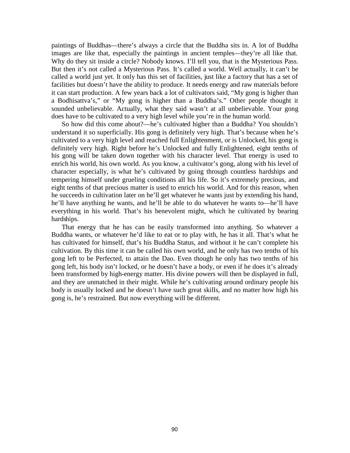paintings of Buddhas—there's always a circle that the Buddha sits in. A lot of Buddha images are like that, especially the paintings in ancient temples—they're all like that. Why do they sit inside a circle? Nobody knows. I'll tell you, that is the Mysterious Pass. But then it's not called a Mysterious Pass. It's called a world. Well actually, it can't be called a world just yet. It only has this set of facilities, just like a factory that has a set of facilities but doesn't have the ability to produce. It needs energy and raw materials before it can start production. A few years back a lot of cultivators said, "My gong is higher than a Bodhisattva's," or "My gong is higher than a Buddha's." Other people thought it sounded unbelievable. Actually, what they said wasn't at all unbelievable. Your gong does have to be cultivated to a very high level while you're in the human world.

So how did this come about?—he's cultivated higher than a Buddha? You shouldn't understand it so superficially. His gong is definitely very high. That's because when he's cultivated to a very high level and reached full Enlightenment, or is Unlocked, his gong is definitely very high. Right before he's Unlocked and fully Enlightened, eight tenths of his gong will be taken down together with his character level. That energy is used to enrich his world, his own world. As you know, a cultivator's gong, along with his level of character especially, is what he's cultivated by going through countless hardships and tempering himself under grueling conditions all his life. So it's extremely precious, and eight tenths of that precious matter is used to enrich his world. And for this reason, when he succeeds in cultivation later on he'll get whatever he wants just by extending his hand, he'll have anything he wants, and he'll be able to do whatever he wants to—he'll have everything in his world. That's his benevolent might, which he cultivated by bearing hardships.

That energy that he has can be easily transformed into anything. So whatever a Buddha wants, or whatever he'd like to eat or to play with, he has it all. That's what he has cultivated for himself, that's his Buddha Status, and without it he can't complete his cultivation. By this time it can be called his own world, and he only has two tenths of his gong left to be Perfected, to attain the Dao. Even though he only has two tenths of his gong left, his body isn't locked, or he doesn't have a body, or even if he does it's already been transformed by high-energy matter. His divine powers will then be displayed in full, and they are unmatched in their might. While he's cultivating around ordinary people his body is usually locked and he doesn't have such great skills, and no matter how high his gong is, he's restrained. But now everything will be different.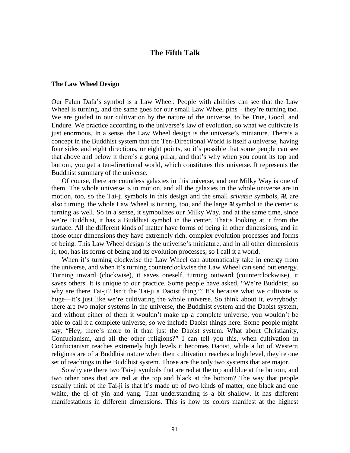# **The Fifth Talk**

### **The Law Wheel Design**

Our Falun Dafa's symbol is a Law Wheel. People with abilities can see that the Law Wheel is turning, and the same goes for our small Law Wheel pins—they're turning too. We are guided in our cultivation by the nature of the universe, to be True, Good, and Endure. We practice according to the universe's law of evolution, so what we cultivate is just enormous. In a sense, the Law Wheel design is the universe's miniature. There's a concept in the Buddhist system that the Ten-Directional World is itself a universe, having four sides and eight directions, or eight points, so it's possible that some people can see that above and below it there's a gong pillar, and that's why when you count its top and bottom, you get a ten-directional world, which constitutes this universe. It represents the Buddhist summary of the universe.

Of course, there are countless galaxies in this universe, and our Milky Way is one of them. The whole universe is in motion, and all the galaxies in the whole universe are in motion, too, so the Tai-ji symbols in this design and the small *srivatsa* symbols,  $\boldsymbol{\pi}$ , are also turning, the whole Law Wheel is turning, too, and the large  $\mathbb{H}$  symbol in the center is turning as well. So in a sense, it symbolizes our Milky Way, and at the same time, since we're Buddhist, it has a Buddhist symbol in the center. That's looking at it from the surface. All the different kinds of matter have forms of being in other dimensions, and in those other dimensions they have extremely rich, complex evolution processes and forms of being. This Law Wheel design is the universe's miniature, and in all other dimensions it, too, has its forms of being and its evolution processes, so I call it a world.

When it's turning clockwise the Law Wheel can automatically take in energy from the universe, and when it's turning counterclockwise the Law Wheel can send out energy. Turning inward (clockwise), it saves oneself, turning outward (counterclockwise), it saves others. It is unique to our practice. Some people have asked, "We're Buddhist, so why are there Tai-ji? Isn't the Tai-ji a Daoist thing?" It's because what we cultivate is huge—it's just like we're cultivating the whole universe. So think about it, everybody: there are two major systems in the universe, the Buddhist system and the Daoist system, and without either of them it wouldn't make up a complete universe, you wouldn't be able to call it a complete universe, so we include Daoist things here. Some people might say, "Hey, there's more to it than just the Daoist system. What about Christianity, Confucianism, and all the other religions?" I can tell you this, when cultivation in Confucianism reaches extremely high levels it becomes Daoist, while a lot of Western religions are of a Buddhist nature when their cultivation reaches a high level, they're one set of teachings in the Buddhist system. Those are the only two systems that are major.

So why are there two Tai-ji symbols that are red at the top and blue at the bottom, and two other ones that are red at the top and black at the bottom? The way that people usually think of the Tai-ji is that it's made up of two kinds of matter, one black and one white, the qi of yin and yang. That understanding is a bit shallow. It has different manifestations in different dimensions. This is how its colors manifest at the highest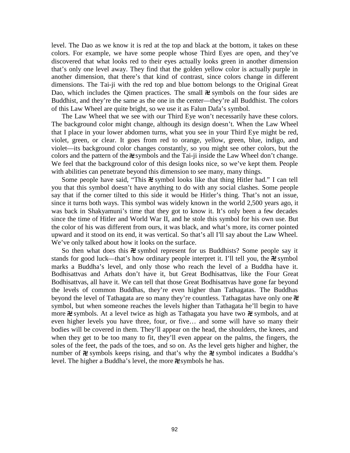level. The Dao as we know it is red at the top and black at the bottom, it takes on these colors. For example, we have some people whose Third Eyes are open, and they've discovered that what looks red to their eyes actually looks green in another dimension that's only one level away. They find that the golden yellow color is actually purple in another dimension, that there's that kind of contrast, since colors change in different dimensions. The Tai-ji with the red top and blue bottom belongs to the Original Great Dao, which includes the Qimen practices. The small  $\mathbb{H}$  symbols on the four sides are Buddhist, and they're the same as the one in the center—they're all Buddhist. The colors of this Law Wheel are quite bright, so we use it as Falun Dafa's symbol.

The Law Wheel that we see with our Third Eye won't necessarily have these colors. The background color might change, although its design doesn't. When the Law Wheel that I place in your lower abdomen turns, what you see in your Third Eye might be red, violet, green, or clear. It goes from red to orange, yellow, green, blue, indigo, and violet—its background color changes constantly, so you might see other colors, but the colors and the pattern of the  $\pm$  symbols and the Tai-ji inside the Law Wheel don't change. We feel that the background color of this design looks nice, so we've kept them. People with abilities can penetrate beyond this dimension to see many, many things.

Some people have said, "This  $\mathbb H$  symbol looks like that thing Hitler had." I can tell you that this symbol doesn't have anything to do with any social clashes. Some people say that if the corner tilted to this side it would be Hitler's thing. That's not an issue, since it turns both ways. This symbol was widely known in the world 2,500 years ago, it was back in Shakyamuni's time that they got to know it. It's only been a few decades since the time of Hitler and World War II, and he stole this symbol for his own use. But the color of his was different from ours, it was black, and what's more, its corner pointed upward and it stood on its end, it was vertical. So that's all I'll say about the Law Wheel. We've only talked about how it looks on the surface.

So then what does this  $\mathbb{H}$  symbol represent for us Buddhists? Some people say it stands for good luck—that's how ordinary people interpret it. I'll tell you, the  $\mathbb{H}$  symbol marks a Buddha's level, and only those who reach the level of a Buddha have it. Bodhisattvas and Arhats don't have it, but Great Bodhisattvas, like the Four Great Bodhisattvas, all have it. We can tell that those Great Bodhisattvas have gone far beyond the levels of common Buddhas, they're even higher than Tathagatas. The Buddhas beyond the level of Tathagata are so many they're countless. Tathagatas have only one  $\mathbb{H}$ symbol, but when someone reaches the levels higher than Tathagata he'll begin to have more  $\mathbb{H}$  symbols. At a level twice as high as Tathagata you have two  $\mathbb{H}$  symbols, and at even higher levels you have three, four, or five… and some will have so many their bodies will be covered in them. They'll appear on the head, the shoulders, the knees, and when they get to be too many to fit, they'll even appear on the palms, the fingers, the soles of the feet, the pads of the toes, and so on. As the level gets higher and higher, the number of  $\pi$  symbols keeps rising, and that's why the  $\pi$  symbol indicates a Buddha's level. The higher a Buddha's level, the more  $\mathbb{H}$  symbols he has.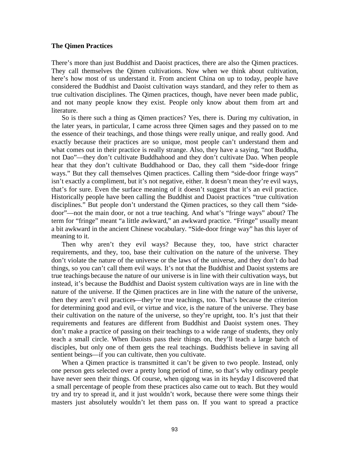### **The Qimen Practices**

There's more than just Buddhist and Daoist practices, there are also the Qimen practices. They call themselves the Qimen cultivations. Now when we think about cultivation, here's how most of us understand it. From ancient China on up to today, people have considered the Buddhist and Daoist cultivation ways standard, and they refer to them as true cultivation disciplines. The Qimen practices, though, have never been made public, and not many people know they exist. People only know about them from art and literature.

So is there such a thing as Qimen practices? Yes, there is. During my cultivation, in the later years, in particular, I came across three Qimen sages and they passed on to me the essence of their teachings, and those things were really unique, and really good. And exactly because their practices are so unique, most people can't understand them and what comes out in their practice is really strange. Also, they have a saying, "not Buddha, not Dao"—they don't cultivate Buddhahood and they don't cultivate Dao. When people hear that they don't cultivate Buddhahood or Dao, they call them "side-door fringe ways." But they call themselves Qimen practices. Calling them "side-door fringe ways" isn't exactly a compliment, but it's not negative, either. It doesn't mean they're evil ways, that's for sure. Even the surface meaning of it doesn't suggest that it's an evil practice. Historically people have been calling the Buddhist and Daoist practices "true cultivation disciplines." But people don't understand the Qimen practices, so they call them "sidedoor"—not the main door, or not a true teaching. And what's "fringe ways" about? The term for "fringe" meant "a little awkward," an awkward practice. "Fringe" usually meant a bit awkward in the ancient Chinese vocabulary. "Side-door fringe way" has this layer of meaning to it.

Then why aren't they evil ways? Because they, too, have strict character requirements, and they, too, base their cultivation on the nature of the universe. They don't violate the nature of the universe or the laws of the universe, and they don't do bad things, so you can't call them evil ways. It's not that the Buddhist and Daoist systems are true teachings because the nature of our universe is in line with their cultivation ways, but instead, it's because the Buddhist and Daoist system cultivation ways are in line with the nature of the universe. If the Qimen practices are in line with the nature of the universe, then they aren't evil practices—they're true teachings, too. That's because the criterion for determining good and evil, or virtue and vice, is the nature of the universe. They base their cultivation on the nature of the universe, so they're upright, too. It's just that their requirements and features are different from Buddhist and Daoist system ones. They don't make a practice of passing on their teachings to a wide range of students, they only teach a small circle. When Daoists pass their things on, they'll teach a large batch of disciples, but only one of them gets the real teachings. Buddhists believe in saving all sentient beings—if you can cultivate, then you cultivate.

When a Qimen practice is transmitted it can't be given to two people. Instead, only one person gets selected over a pretty long period of time, so that's why ordinary people have never seen their things. Of course, when qigong was in its heyday I discovered that a small percentage of people from these practices also came out to teach. But they would try and try to spread it, and it just wouldn't work, because there were some things their masters just absolutely wouldn't let them pass on. If you want to spread a practice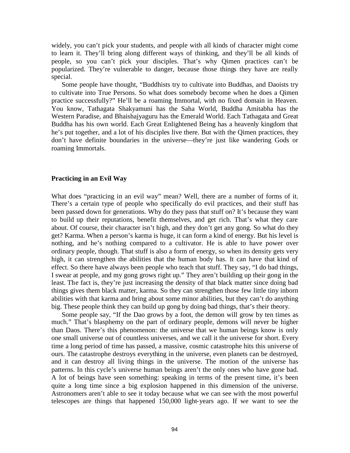widely, you can't pick your students, and people with all kinds of character might come to learn it. They'll bring along different ways of thinking, and they'll be all kinds of people, so you can't pick your disciples. That's why Qimen practices can't be popularized. They're vulnerable to danger, because those things they have are really special.

Some people have thought, "Buddhists try to cultivate into Buddhas, and Daoists try to cultivate into True Persons. So what does somebody become when he does a Qimen practice successfully?" He'll be a roaming Immortal, with no fixed domain in Heaven. You know, Tathagata Shakyamuni has the Saha World, Buddha Amitabha has the Western Paradise, and Bhaishajyaguru has the Emerald World. Each Tathagata and Great Buddha has his own world. Each Great Enlightened Being has a heavenly kingdom that he's put together, and a lot of his disciples live there. But with the Qimen practices, they don't have definite boundaries in the universe—they're just like wandering Gods or roaming Immortals.

### **Practicing in an Evil Way**

What does "practicing in an evil way" mean? Well, there are a number of forms of it. There's a certain type of people who specifically do evil practices, and their stuff has been passed down for generations. Why do they pass that stuff on? It's because they want to build up their reputations, benefit themselves, and get rich. That's what they care about. Of course, their character isn't high, and they don't get any gong. So what do they get? Karma. When a person's karma is huge, it can form a kind of energy. But his level is nothing, and he's nothing compared to a cultivator. He is able to have power over ordinary people, though. That stuff is also a form of energy, so when its density gets very high, it can strengthen the abilities that the human body has. It can have that kind of effect. So there have always been people who teach that stuff. They say, "I do bad things, I swear at people, and my gong grows right up." They aren't building up their gong in the least. The fact is, they're just increasing the density of that black matter since doing bad things gives them black matter, karma. So they can strengthen those few little tiny inborn abilities with that karma and bring about some minor abilities, but they can't do anything big. These people think they can build up gong by doing bad things, that's their theory.

Some people say, "If the Dao grows by a foot, the demon will grow by ten times as much." That's blasphemy on the part of ordinary people, demons will never be higher than Daos. There's this phenomenon: the universe that we human beings know is only one small universe out of countless universes, and we call it the universe for short. Every time a long period of time has passed, a massive, cosmic catastrophe hits this universe of ours. The catastrophe destroys everything in the universe, even planets can be destroyed, and it can destroy all living things in the universe. The motion of the universe has patterns. In this cycle's universe human beings aren't the only ones who have gone bad. A lot of beings have seen something: speaking in terms of the present time, it's been quite a long time since a big explosion happened in this dimension of the universe. Astronomers aren't able to see it today because what we can see with the most powerful telescopes are things that happened 150,000 light-years ago. If we want to see the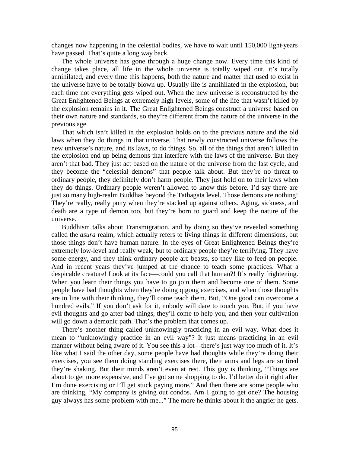changes now happening in the celestial bodies, we have to wait until 150,000 light-years have passed. That's quite a long way back.

The whole universe has gone through a huge change now. Every time this kind of change takes place, all life in the whole universe is totally wiped out, it's totally annihilated, and every time this happens, both the nature and matter that used to exist in the universe have to be totally blown up. Usually life is annihilated in the explosion, but each time not everything gets wiped out. When the new universe is reconstructed by the Great Enlightened Beings at extremely high levels, some of the life that wasn't killed by the explosion remains in it. The Great Enlightened Beings construct a universe based on their own nature and standards, so they're different from the nature of the universe in the previous age.

That which isn't killed in the explosion holds on to the previous nature and the old laws when they do things in that universe. That newly constructed universe follows the new universe's nature, and its laws, to do things. So, all of the things that aren't killed in the explosion end up being demons that interfere with the laws of the universe. But they aren't that bad. They just act based on the nature of the universe from the last cycle, and they become the "celestial demons" that people talk about. But they're no threat to ordinary people, they definitely don't harm people. They just hold on to their laws when they do things. Ordinary people weren't allowed to know this before. I'd say there are just so many high-realm Buddhas beyond the Tathagata level. Those demons are nothing! They're really, really puny when they're stacked up against others. Aging, sickness, and death are a type of demon too, but they're born to guard and keep the nature of the universe.

Buddhism talks about Transmigration, and by doing so they've revealed something called the *asura* realm, which actually refers to living things in different dimensions, but those things don't have human nature. In the eyes of Great Enlightened Beings they're extremely low-level and really weak, but to ordinary people they're terrifying. They have some energy, and they think ordinary people are beasts, so they like to feed on people. And in recent years they've jumped at the chance to teach some practices. What a despicable creature! Look at its face—could you call that human?! It's really frightening. When you learn their things you have to go join them and become one of them. Some people have bad thoughts when they're doing qigong exercises, and when those thoughts are in line with their thinking, they'll come teach them. But, "One good can overcome a hundred evils." If you don't ask for it, nobody will dare to touch you. But, if you have evil thoughts and go after bad things, they'll come to help you, and then your cultivation will go down a demonic path. That's the problem that comes up.

There's another thing called unknowingly practicing in an evil way. What does it mean to "unknowingly practice in an evil way"? It just means practicing in an evil manner without being aware of it. You see this a lot—there's just way too much of it. It's like what I said the other day, some people have bad thoughts while they're doing their exercises, you see them doing standing exercises there, their arms and legs are so tired they're shaking. But their minds aren't even at rest. This guy is thinking, "Things are about to get more expensive, and I've got some shopping to do. I'd better do it right after I'm done exercising or I'll get stuck paying more." And then there are some people who are thinking, "My company is giving out condos. Am I going to get one? The housing guy always has some problem with me..." The more he thinks about it the angrier he gets.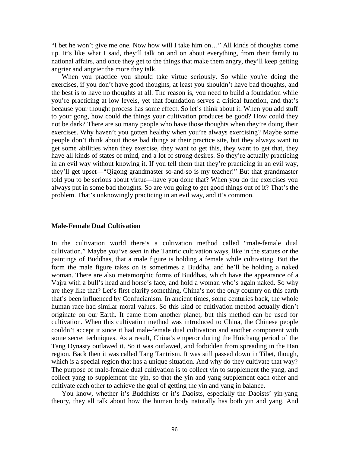"I bet he won't give me one. Now how will I take him on…" All kinds of thoughts come up. It's like what I said, they'll talk on and on about everything, from their family to national affairs, and once they get to the things that make them angry, they'll keep getting angrier and angrier the more they talk.

When you practice you should take virtue seriously. So while you're doing the exercises, if you don't have good thoughts, at least you shouldn't have bad thoughts, and the best is to have no thoughts at all. The reason is, you need to build a foundation while you're practicing at low levels, yet that foundation serves a critical function, and that's because your thought process has some effect. So let's think about it. When you add stuff to your gong, how could the things your cultivation produces be good? How could they not be dark? There are so many people who have those thoughts when they're doing their exercises. Why haven't you gotten healthy when you're always exercising? Maybe some people don't think about those bad things at their practice site, but they always want to get some abilities when they exercise, they want to get this, they want to get that, they have all kinds of states of mind, and a lot of strong desires. So they're actually practicing in an evil way without knowing it. If you tell them that they're practicing in an evil way, they'll get upset—"Qigong grandmaster so-and-so is my teacher!" But that grandmaster told you to be serious about virtue—have you done that? When you do the exercises you always put in some bad thoughts. So are you going to get good things out of it? That's the problem. That's unknowingly practicing in an evil way, and it's common.

### **Male-Female Dual Cultivation**

In the cultivation world there's a cultivation method called "male-female dual cultivation." Maybe you've seen in the Tantric cultivation ways, like in the statues or the paintings of Buddhas, that a male figure is holding a female while cultivating. But the form the male figure takes on is sometimes a Buddha, and he'll be holding a naked woman. There are also metamorphic forms of Buddhas, which have the appearance of a Vajra with a bull's head and horse's face, and hold a woman who's again naked. So why are they like that? Let's first clarify something. China's not the only country on this earth that's been influenced by Confucianism. In ancient times, some centuries back, the whole human race had similar moral values. So this kind of cultivation method actually didn't originate on our Earth. It came from another planet, but this method can be used for cultivation. When this cultivation method was introduced to China, the Chinese people couldn't accept it since it had male-female dual cultivation and another component with some secret techniques. As a result, China's emperor during the Huichang period of the Tang Dynasty outlawed it. So it was outlawed, and forbidden from spreading in the Han region. Back then it was called Tang Tantrism. It was still passed down in Tibet, though, which is a special region that has a unique situation. And why do they cultivate that way? The purpose of male-female dual cultivation is to collect yin to supplement the yang, and collect yang to supplement the yin, so that the yin and yang supplement each other and cultivate each other to achieve the goal of getting the yin and yang in balance.

You know, whether it's Buddhists or it's Daoists, especially the Daoists' yin-yang theory, they all talk about how the human body naturally has both yin and yang. And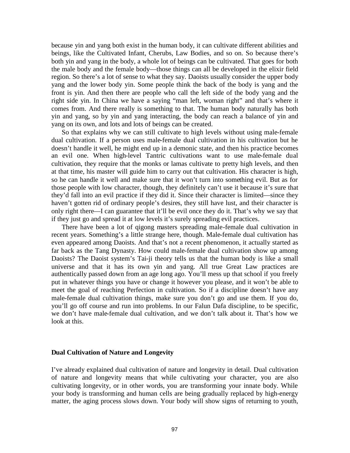because yin and yang both exist in the human body, it can cultivate different abilities and beings, like the Cultivated Infant, Cherubs, Law Bodies, and so on. So because there's both yin and yang in the body, a whole lot of beings can be cultivated. That goes for both the male body and the female body—those things can all be developed in the elixir field region. So there's a lot of sense to what they say. Daoists usually consider the upper body yang and the lower body yin. Some people think the back of the body is yang and the front is yin. And then there are people who call the left side of the body yang and the right side yin. In China we have a saying "man left, woman right" and that's where it comes from. And there really is something to that. The human body naturally has both yin and yang, so by yin and yang interacting, the body can reach a balance of yin and yang on its own, and lots and lots of beings can be created.

So that explains why we can still cultivate to high levels without using male-female dual cultivation. If a person uses male-female dual cultivation in his cultivation but he doesn't handle it well, he might end up in a demonic state, and then his practice becomes an evil one. When high-level Tantric cultivations want to use male-female dual cultivation, they require that the monks or lamas cultivate to pretty high levels, and then at that time, his master will guide him to carry out that cultivation. His character is high, so he can handle it well and make sure that it won't turn into something evil. But as for those people with low character, though, they definitely can't use it because it's sure that they'd fall into an evil practice if they did it. Since their character is limited—since they haven't gotten rid of ordinary people's desires, they still have lust, and their character is only right there—I can guarantee that it'll be evil once they do it. That's why we say that if they just go and spread it at low levels it's surely spreading evil practices.

There have been a lot of qigong masters spreading male-female dual cultivation in recent years. Something's a little strange here, though. Male-female dual cultivation has even appeared among Daoists. And that's not a recent phenomenon, it actually started as far back as the Tang Dynasty. How could male-female dual cultivation show up among Daoists? The Daoist system's Tai-ji theory tells us that the human body is like a small universe and that it has its own yin and yang. All true Great Law practices are authentically passed down from an age long ago. You'll mess up that school if you freely put in whatever things you have or change it however you please, and it won't be able to meet the goal of reaching Perfection in cultivation. So if a discipline doesn't have any male-female dual cultivation things, make sure you don't go and use them. If you do, you'll go off course and run into problems. In our Falun Dafa discipline, to be specific, we don't have male-female dual cultivation, and we don't talk about it. That's how we look at this.

# **Dual Cultivation of Nature and Longevity**

I've already explained dual cultivation of nature and longevity in detail. Dual cultivation of nature and longevity means that while cultivating your character, you are also cultivating longevity, or in other words, you are transforming your innate body. While your body is transforming and human cells are being gradually replaced by high-energy matter, the aging process slows down. Your body will show signs of returning to youth,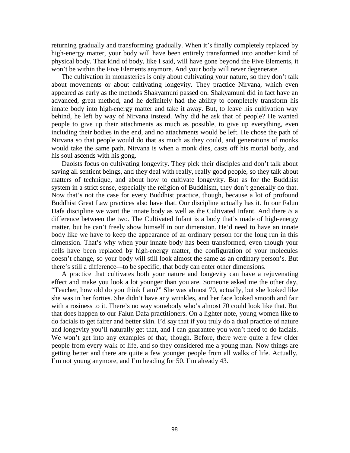returning gradually and transforming gradually. When it's finally completely replaced by high-energy matter, your body will have been entirely transformed into another kind of physical body. That kind of body, like I said, will have gone beyond the Five Elements, it won't be within the Five Elements anymore. And your body will never degenerate.

The cultivation in monasteries is only about cultivating your nature, so they don't talk about movements or about cultivating longevity. They practice Nirvana, which even appeared as early as the methods Shakyamuni passed on. Shakyamuni did in fact have an advanced, great method, and he definitely had the ability to completely transform his innate body into high-energy matter and take it away. But, to leave his cultivation way behind, he left by way of Nirvana instead. Why did he ask that of people? He wanted people to give up their attachments as much as possible, to give up everything, even including their bodies in the end, and no attachments would be left. He chose the path of Nirvana so that people would do that as much as they could, and generations of monks would take the same path. Nirvana is when a monk dies, casts off his mortal body, and his soul ascends with his gong.

Daoists focus on cultivating longevity. They pick their disciples and don't talk about saving all sentient beings, and they deal with really, really good people, so they talk about matters of technique, and about how to cultivate longevity. But as for the Buddhist system in a strict sense, especially the religion of Buddhism, they don't generally do that. Now that's not the case for every Buddhist practice, though, because a lot of profound Buddhist Great Law practices also have that. Our discipline actually has it. In our Falun Dafa discipline we want the innate body as well as the Cultivated Infant. And there *is* a difference between the two. The Cultivated Infant is a body that's made of high-energy matter, but he can't freely show himself in our dimension. He'd need to have an innate body like we have to keep the appearance of an ordinary person for the long run in this dimension. That's why when your innate body has been transformed, even though your cells have been replaced by high-energy matter, the configuration of your molecules doesn't change, so your body will still look almost the same as an ordinary person's. But there's still a difference—to be specific, that body can enter other dimensions.

A practice that cultivates both your nature and longevity can have a rejuvenating effect and make you look a lot younger than you are. Someone asked me the other day, "Teacher, how old do you think I am?" She was almost 70, actually, but she looked like she was in her forties. She didn't have any wrinkles, and her face looked smooth and fair with a rosiness to it. There's no way somebody who's almost 70 could look like that. But that does happen to our Falun Dafa practitioners. On a lighter note, young women like to do facials to get fairer and better skin. I'd say that if you truly do a dual practice of nature and longevity you'll naturally get that, and I can guarantee you won't need to do facials. We won't get into any examples of that, though. Before, there were quite a few older people from every walk of life, and so they considered me a young man. Now things are getting better and there are quite a few younger people from all walks of life. Actually, I'm not young anymore, and I'm heading for 50. I'm already 43.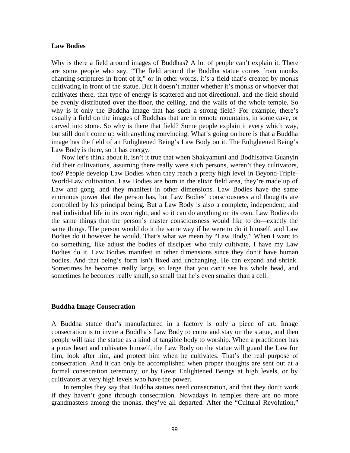### **Law Bodies**

Why is there a field around images of Buddhas? A lot of people can't explain it. There are some people who say, "The field around the Buddha statue comes from monks chanting scriptures in front of it," or in other words, it's a field that's created by monks cultivating in front of the statue. But it doesn't matter whether it's monks or whoever that cultivates there, that type of energy is scattered and not directional, and the field should be evenly distributed over the floor, the ceiling, and the walls of the whole temple. So why is it only the Buddha image that has such a strong field? For example, there's usually a field on the images of Buddhas that are in remote mountains, in some cave, or carved into stone. So why is there that field? Some people explain it every which way, but still don't come up with anything convincing. What's going on here is that a Buddha image has the field of an Enlightened Being's Law Body on it. The Enlightened Being's Law Body is there, so it has energy.

Now let's think about it, isn't it true that when Shakyamuni and Bodhisattva Guanyin did their cultivations, assuming there really were such persons, weren't they cultivators, too? People develop Law Bodies when they reach a pretty high level in Beyond-Triple-World-Law cultivation. Law Bodies are born in the elixir field area, they're made up of Law and gong, and they manifest in other dimensions. Law Bodies have the same enormous power that the person has, but Law Bodies' consciousness and thoughts are controlled by his principal being. But a Law Body is also a complete, independent, and real individual life in its own right, and so it can do anything on its own. Law Bodies do the same things that the person's master consciousness would like to do—exactly the same things. The person would do it the same way if he were to do it himself, and Law Bodies do it however he would. That's what we mean by "Law Body." When I want to do something, like adjust the bodies of disciples who truly cultivate, I have my Law Bodies do it. Law Bodies manifest in other dimensions since they don't have human bodies. And that being's form isn't fixed and unchanging. He can expand and shrink. Sometimes he becomes really large, so large that you can't see his whole head, and sometimes he becomes really small, so small that he's even smaller than a cell.

### **Buddha Image Consecration**

A Buddha statue that's manufactured in a factory is only a piece of art. Image consecration is to invite a Buddha's Law Body to come and stay on the statue, and then people will take the statue as a kind of tangible body to worship. When a practitioner has a pious heart and cultivates himself, the Law Body on the statue will guard the Law for him, look after him, and protect him when he cultivates. That's the real purpose of consecration. And it can only be accomplished when proper thoughts are sent out at a formal consecration ceremony, or by Great Enlightened Beings at high levels, or by cultivators at very high levels who have the power.

In temples they say that Buddha statues need consecration, and that they don't work if they haven't gone through consecration. Nowadays in temples there are no more grandmasters among the monks, they've all departed. After the "Cultural Revolution,"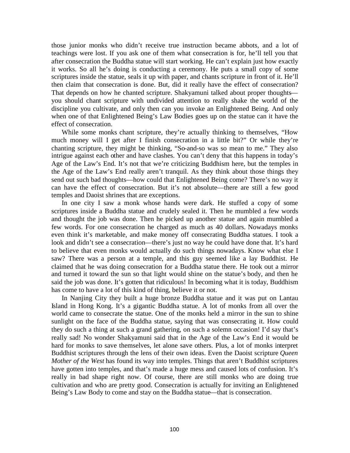those junior monks who didn't receive true instruction became abbots, and a lot of teachings were lost. If you ask one of them what consecration is for, he'll tell you that after consecration the Buddha statue will start working. He can't explain just how exactly it works. So all he's doing is conducting a ceremony. He puts a small copy of some scriptures inside the statue, seals it up with paper, and chants scripture in front of it. He'll then claim that consecration is done. But, did it really have the effect of consecration? That depends on how he chanted scripture. Shakyamuni talked about proper thoughts you should chant scripture with undivided attention to really shake the world of the discipline you cultivate, and only then can you invoke an Enlightened Being. And only when one of that Enlightened Being's Law Bodies goes up on the statue can it have the effect of consecration.

While some monks chant scripture, they're actually thinking to themselves, "How much money will I get after I finish consecration in a little bit?" Or while they're chanting scripture, they might be thinking, "So-and-so was so mean to me." They also intrigue against each other and have clashes. You can't deny that this happens in today's Age of the Law's End. It's not that we're criticizing Buddhism here, but the temples in the Age of the Law's End really aren't tranquil. As they think about those things they send out such bad thoughts—how could that Enlightened Being come? There's no way it can have the effect of consecration. But it's not absolute—there are still a few good temples and Daoist shrines that are exceptions.

In one city I saw a monk whose hands were dark. He stuffed a copy of some scriptures inside a Buddha statue and crudely sealed it. Then he mumbled a few words and thought the job was done. Then he picked up another statue and again mumbled a few words. For one consecration he charged as much as 40 dollars. Nowadays monks even think it's marketable, and make money off consecrating Buddha statues. I took a look and didn't see a consecration—there's just no way he could have done that. It's hard to believe that even monks would actually do such things nowadays. Know what else I saw? There was a person at a temple, and this guy seemed like a lay Buddhist. He claimed that he was doing consecration for a Buddha statue there. He took out a mirror and turned it toward the sun so that light would shine on the statue's body, and then he said the job was done. It's gotten that ridiculous! In becoming what it is today, Buddhism has come to have a lot of this kind of thing, believe it or not.

In Nanjing City they built a huge bronze Buddha statue and it was put on Lantau Island in Hong Kong. It's a gigantic Buddha statue. A lot of monks from all over the world came to consecrate the statue. One of the monks held a mirror in the sun to shine sunlight on the face of the Buddha statue, saying that was consecrating it. How could they do such a thing at such a grand gathering, on such a solemn occasion! I'd say that's really sad! No wonder Shakyamuni said that in the Age of the Law's End it would be hard for monks to save themselves, let alone save others. Plus, a lot of monks interpret Buddhist scriptures through the lens of their own ideas. Even the Daoist scripture *Queen Mother of the West* has found its way into temples. Things that aren't Buddhist scriptures have gotten into temples, and that's made a huge mess and caused lots of confusion. It's really in bad shape right now. Of course, there are still monks who are doing true cultivation and who are pretty good. Consecration is actually for inviting an Enlightened Being's Law Body to come and stay on the Buddha statue—that is consecration.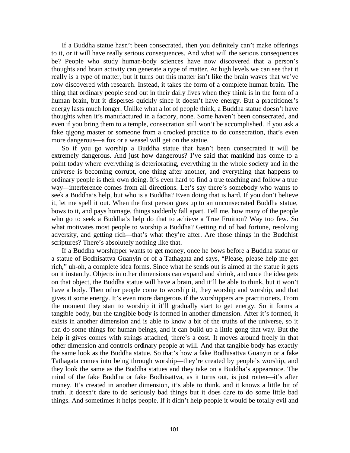If a Buddha statue hasn't been consecrated, then you definitely can't make offerings to it, or it will have really serious consequences. And what will the serious consequences be? People who study human-body sciences have now discovered that a person's thoughts and brain activity can generate a type of matter. At high levels we can see that it really is a type of matter, but it turns out this matter isn't like the brain waves that we've now discovered with research. Instead, it takes the form of a complete human brain. The thing that ordinary people send out in their daily lives when they think is in the form of a human brain, but it disperses quickly since it doesn't have energy. But a practitioner's energy lasts much longer. Unlike what a lot of people think, a Buddha statue doesn't have thoughts when it's manufactured in a factory, none. Some haven't been consecrated, and even if you bring them to a temple, consecration still won't be accomplished. If you ask a fake qigong master or someone from a crooked practice to do consecration, that's even more dangerous—a fox or a weasel will get on the statue.

So if you go worship a Buddha statue that hasn't been consecrated it will be extremely dangerous. And just how dangerous? I've said that mankind has come to a point today where everything is deteriorating, everything in the whole society and in the universe is becoming corrupt, one thing after another, and everything that happens to ordinary people is their own doing. It's even hard to find a true teaching and follow a true way—interference comes from all directions. Let's say there's somebody who wants to seek a Buddha's help, but who is a Buddha? Even doing that is hard. If you don't believe it, let me spell it out. When the first person goes up to an unconsecrated Buddha statue, bows to it, and pays homage, things suddenly fall apart. Tell me, how many of the people who go to seek a Buddha's help do that to achieve a True Fruition? Way too few. So what motivates most people to worship a Buddha? Getting rid of bad fortune, resolving adversity, and getting rich—that's what they're after. Are those things in the Buddhist scriptures? There's absolutely nothing like that.

If a Buddha worshipper wants to get money, once he bows before a Buddha statue or a statue of Bodhisattva Guanyin or of a Tathagata and says, "Please, please help me get rich," uh-oh, a complete idea forms. Since what he sends out is aimed at the statue it gets on it instantly. Objects in other dimensions can expand and shrink, and once the idea gets on that object, the Buddha statue will have a brain, and it'll be able to think, but it won't have a body. Then other people come to worship it, they worship and worship, and that gives it some energy. It's even more dangerous if the worshippers are practitioners. From the moment they start to worship it it'll gradually start to get energy. So it forms a tangible body, but the tangible body is formed in another dimension. After it's formed, it exists in another dimension and is able to know a bit of the truths of the universe, so it can do some things for human beings, and it can build up a little gong that way. But the help it gives comes with strings attached, there's a cost. It moves around freely in that other dimension and controls ordinary people at will. And that tangible body has exactly the same look as the Buddha statue. So that's how a fake Bodhisattva Guanyin or a fake Tathagata comes into being through worship—they're created by people's worship, and they look the same as the Buddha statues and they take on a Buddha's appearance. The mind of the fake Buddha or fake Bodhisattva, as it turns out, is just rotten—it's after money. It's created in another dimension, it's able to think, and it knows a little bit of truth. It doesn't dare to do seriously bad things but it does dare to do some little bad things. And sometimes it helps people. If it didn't help people it would be totally evil and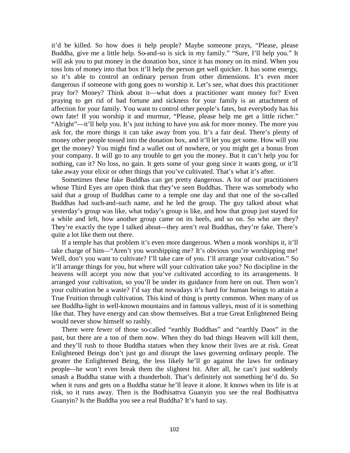it'd be killed. So how does it help people? Maybe someone prays, "Please, please Buddha, give me a little help. So-and-so is sick in my family." "Sure, I'll help you." It will ask you to put money in the donation box, since it has money on its mind. When you toss lots of money into that box it'll help the person get well quicker. It has some energy, so it's able to control an ordinary person from other dimensions. It's even more dangerous if someone with gong goes to worship it. Let's see, what does this practitioner pray for? Money? Think about it—what does a practitioner want money for? Even praying to get rid of bad fortune and sickness for your family is an attachment of affection for your family. You want to control other people's fates, but everybody has his own fate! If you worship it and murmur, "Please, please help me get a little richer." "Alright"—it'll help you. It's just itching to have you ask for more money. The more you ask for, the more things it can take away from you. It's a fair deal. There's plenty of money other people tossed into the donation box, and it'll let you get some. How will you get the money? You might find a wallet out of nowhere, or you might get a bonus from your company. It will go to any trouble to get you the money. But it can't help you for nothing, can it? No loss, no gain. It gets some of your gong since it wants gong, or it'll take away your elixir or other things that you've cultivated. That's what it's after.

Sometimes these fake Buddhas can get pretty dangerous. A lot of our practitioners whose Third Eyes are open think that they've seen Buddhas. There was somebody who said that a group of Buddhas came to a temple one day and that one of the so-called Buddhas had such-and-such name, and he led the group. The guy talked about what yesterday's group was like, what today's group is like, and how that group just stayed for a while and left, how another group came on its heels, and so on. So who are they? They're exactly the type I talked about—they aren't real Buddhas, they're fake. There's quite a lot like them out there.

If a temple has that problem it's even more dangerous. When a monk worships it, it'll take charge of him—"Aren't you worshipping me? It's obvious you're worshipping me! Well, don't you want to cultivate? I'll take care of you. I'll arrange your cultivation." So it'll arrange things for you, but where will your cultivation take you? No discipline in the heavens will accept you now that you've cultivated according to its arrangements. It arranged your cultivation, so you'll be under its guidance from here on out. Then won't your cultivation be a waste? I'd say that nowadays it's hard for human beings to attain a True Fruition through cultivation. This kind of thing is pretty common. When many of us see Buddha-light in well-known mountains and in famous valleys, most of it is something like that. They have energy and can show themselves. But a true Great Enlightened Being would never show himself so rashly.

There were fewer of those so-called "earthly Buddhas" and "earthly Daos" in the past, but there are a ton of them now. When they do bad things Heaven will kill them, and they'll rush to those Buddha statues when they know their lives are at risk. Great Enlightened Beings don't just go and disrupt the laws governing ordinary people. The greater the Enlightened Being, the less likely he'll go against the laws for ordinary people—he won't even break them the slightest bit. After all, he can't just suddenly smash a Buddha statue with a thunderbolt. That's definitely not something he'd do. So when it runs and gets on a Buddha statue he'll leave it alone. It knows when its life is at risk, so it runs away. Then is the Bodhisattva Guanyin you see the real Bodhisattva Guanyin? Is the Buddha you see a real Buddha? It's hard to say.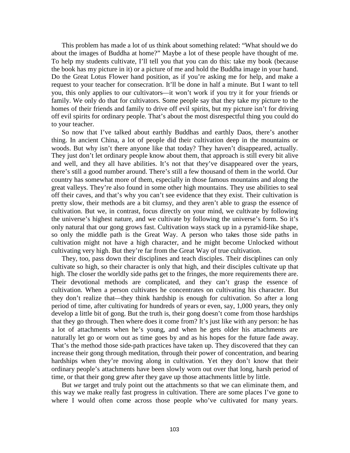This problem has made a lot of us think about something related: "What should we do about the images of Buddha at home?" Maybe a lot of these people have thought of me. To help my students cultivate, I'll tell you that you can do this: take my book (because the book has my picture in it) or a picture of me and hold the Buddha image in your hand. Do the Great Lotus Flower hand position, as if you're asking me for help, and make a request to your teacher for consecration. It'll be done in half a minute. But I want to tell you, this only applies to our cultivators—it won't work if you try it for your friends or family. We only do that for cultivators. Some people say that they take my picture to the homes of their friends and family to drive off evil spirits, but my picture isn't for driving off evil spirits for ordinary people. That's about the most disrespectful thing you could do to your teacher.

So now that I've talked about earthly Buddhas and earthly Daos, there's another thing. In ancient China, a lot of people did their cultivation deep in the mountains or woods. But why isn't there anyone like that today? They haven't disappeared, actually. They just don't let ordinary people know about them, that approach is still every bit alive and well, and they all have abilities. It's not that they've disappeared over the years, there's still a good number around. There's still a few thousand of them in the world. Our country has somewhat more of them, especially in those famous mountains and along the great valleys. They're also found in some other high mountains. They use abilities to seal off their caves, and that's why you can't see evidence that they exist. Their cultivation is pretty slow, their methods are a bit clumsy, and they aren't able to grasp the essence of cultivation. But we, in contrast, focus directly on your mind, we cultivate by following the universe's highest nature, and we cultivate by following the universe's form. So it's only natural that our gong grows fast. Cultivation ways stack up in a pyramid-like shape, so only the middle path is the Great Way. A person who takes those side paths in cultivation might not have a high character, and he might become Unlocked without cultivating very high. But they're far from the Great Way of true cultivation.

They, too, pass down their disciplines and teach disciples. Their disciplines can only cultivate so high, so their character is only that high, and their disciples cultivate up that high. The closer the worldly side paths get to the fringes, the more requirements there are. Their devotional methods are complicated, and they can't grasp the essence of cultivation. When a person cultivates he concentrates on cultivating his character. But they don't realize that—they think hardship is enough for cultivation. So after a long period of time, after cultivating for hundreds of years or even, say, 1,000 years, they only develop a little bit of gong. But the truth is, their gong doesn't come from those hardships that they go through. Then where does it come from? It's just like with any person: he has a lot of attachments when he's young, and when he gets older his attachments are naturally let go or worn out as time goes by and as his hopes for the future fade away. That's the method those side-path practices have taken up. They discovered that they can increase their gong through meditation, through their power of concentration, and bearing hardships when they're moving along in cultivation. Yet they don't know that their ordinary people's attachments have been slowly worn out over that long, harsh period of time, or that their gong grew after they gave up those attachments little by little.

But *we* target and truly point out the attachments so that we can eliminate them, and this way we make really fast progress in cultivation. There are some places I've gone to where I would often come across those people who've cultivated for many years.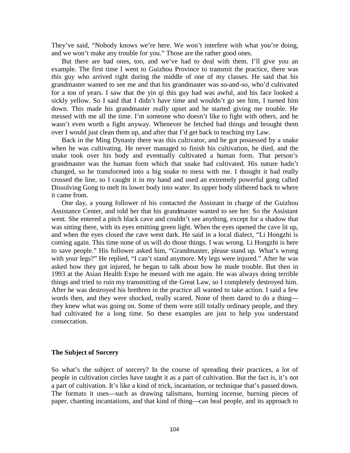They've said, "Nobody knows we're here. We won't interfere with what you're doing, and we won't make any trouble for you." Those are the rather good ones.

But there are bad ones, too, and we've had to deal with them. I'll give you an example. The first time I went to Guizhou Province to transmit the practice, there was this guy who arrived right during the middle of one of my classes. He said that his grandmaster wanted to see me and that his grandmaster was so-and-so, who'd cultivated for a ton of years. I saw that the yin qi this guy had was awful, and his face looked a sickly yellow. So I said that I didn't have time and wouldn't go see him, I turned him down. This made his grandmaster really upset and he started giving me trouble. He messed with me all the time. I'm someone who doesn't like to fight with others, and he wasn't even worth a fight anyway. Whenever he fetched bad things and brought them over I would just clean them up, and after that I'd get back to teaching my Law.

Back in the Ming Dynasty there was this cultivator, and he got possessed by a snake when he was cultivating. He never managed to finish his cultivation, he died, and the snake took over his body and eventually cultivated a human form. That person's grandmaster was the human form which that snake had cultivated. His nature hadn't changed, so he transformed into a big snake to mess with me. I thought it had really crossed the line, so I caught it in my hand and used an extremely powerful gong called Dissolving Gong to melt its lower body into water. Its upper body slithered back to where it came from.

One day, a young follower of his contacted the Assistant in charge of the Guizhou Assistance Center, and told her that his grandmaster wanted to see her. So the Assistant went. She entered a pitch black cave and couldn't see anything, except for a shadow that was sitting there, with its eyes emitting green light. When the eyes opened the cave lit up, and when the eyes closed the cave went dark. He said in a local dialect, "Li Hongzhi is coming again. This time none of us will do those things. I was wrong. Li Hongzhi is here to save people." His follower asked him, "Grandmaster, please stand up. What's wrong with your legs?" He replied, "I can't stand anymore. My legs were injured." After he was asked how they got injured, he began to talk about how he made trouble. But then in 1993 at the Asian Health Expo he messed with me again. He was always doing terrible things and tried to ruin my transmitting of the Great Law, so I completely destroyed him. After he was destroyed his brethren in the practice all wanted to take action. I said a few words then, and they were shocked, really scared. None of them dared to do a thing they knew what was going on. Some of them were still totally ordinary people, and they had cultivated for a long time. So these examples are just to help you understand consecration.

### **The Subject of Sorcery**

So what's the subject of sorcery? In the course of spreading their practices, a lot of people in cultivation circles have taught it as a part of cultivation. But the fact is, it's not a part of cultivation. It's like a kind of trick, incantation, or technique that's passed down. The formats it uses—such as drawing talismans, burning incense, burning pieces of paper, chanting incantations, and that kind of thing—can heal people, and its approach to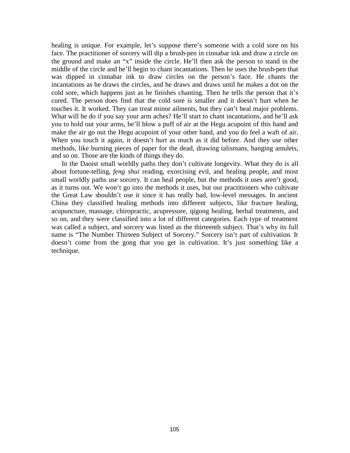healing is unique. For example, let's suppose there's someone with a cold sore on his face. The practitioner of sorcery will dip a brush-pen in cinnabar ink and draw a circle on the ground and make an "x" inside the circle. He'll then ask the person to stand in the middle of the circle and he'll begin to chant incantations. Then he uses the brush-pen that was dipped in cinnabar ink to draw circles on the person's face. He chants the incantations as he draws the circles, and he draws and draws until he makes a dot on the cold sore, which happens just as he finishes chanting. Then he tells the person that it's cured. The person does find that the cold sore is smaller and it doesn't hurt when he touches it. It worked. They can treat minor ailments, but they can't heal major problems. What will he do if you say your arm aches? He'll start to chant incantations, and he'll ask you to hold out your arms, he'll blow a puff of air at the Hegu acupoint of this hand and make the air go out the Hegu acupoint of your other hand, and you do feel a waft of air. When you touch it again, it doesn't hurt as much as it did before. And they use other methods, like burning pieces of paper for the dead, drawing talismans, hanging amulets, and so on. Those are the kinds of things they do.

In the Daoist small worldly paths they don't cultivate longevity. What they do is all about fortune-telling, *feng shui* reading, exorcising evil, and healing people, and most small worldly paths use sorcery. It can heal people, but the methods it uses aren't good, as it turns out. We won't go into the methods it uses, but our practitioners who cultivate the Great Law shouldn't use it since it has really bad, low-level messages. In ancient China they classified healing methods into different subjects, like fracture healing, acupuncture, massage, chiropractic, acupressure, qigong healing, herbal treatments, and so on, and they were classified into a lot of different categories. Each type of treatment was called a subject, and sorcery was listed as the thirteenth subject. That's why its full name is "The Number Thirteen Subject of Sorcery." Sorcery isn't part of cultivation. It doesn't come from the gong that you get in cultivation. It's just something like a technique.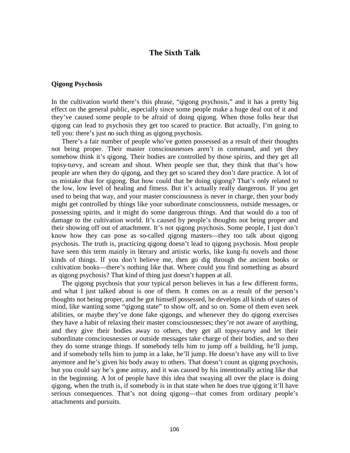# **The Sixth Talk**

### **Qigong Psychosis**

In the cultivation world there's this phrase, "qigong psychosis," and it has a pretty big effect on the general public, especially since some people make a huge deal out of it and they've caused some people to be afraid of doing qigong. When those folks hear that qigong can lead to psychosis they get too scared to practice. But actually, I'm going to tell you: there's just no such thing as qigong psychosis.

There's a fair number of people who've gotten possessed as a result of their thoughts not being proper. Their master consciousnesses aren't in command, and yet they somehow think it's qigong. Their bodies are controlled by those spirits, and they get all topsy-turvy, and scream and shout. When people see that, they think that that's how people are when they do qigong, and they get so scared they don't dare practice. A lot of us mistake that for qigong. But how could that be doing qigong? That's only related to the low, low level of healing and fitness. But it's actually really dangerous. If you get used to being that way, and your master consciousness is never in charge, then your body might get controlled by things like your subordinate consciousness, outside messages, or possessing spirits, and it might do some dangerous things. And that would do a ton of damage to the cultivation world. It's caused by people's thoughts not being proper and their showing off out of attachment. It's not qigong psychosis. Some people, I just don't know how they can pose as so-called qigong masters—they too talk about qigong psychosis. The truth is, practicing qigong doesn't lead to qigong psychosis. Most people have seen this term mainly in literary and artistic works, like kung-fu novels and those kinds of things. If you don't believe me, then go dig through the ancient books or cultivation books—there's nothing like that. Where could you find something as absurd as qigong psychosis? That kind of thing just doesn't happen at all.

The qigong psychosis that your typical person believes in has a few different forms, and what I just talked about is one of them. It comes on as a result of the person's thoughts not being proper, and he got himself possessed, he develops all kinds of states of mind, like wanting some "qigong state" to show off, and so on. Some of them even seek abilities, or maybe they've done fake qigongs, and whenever they do qigong exercises they have a habit of relaxing their master consciousnesses; they're not aware of anything, and they give their bodies away to others, they get all topsy-turvy and let their subordinate consciousnesses or outside messages take charge of their bodies, and so then they do some strange things. If somebody tells him to jump off a building, he'll jump, and if somebody tells him to jump in a lake, he'll jump. He doesn't have any will to live anymore and he's given his body away to others. That doesn't count as qigong psychosis, but you could say he's gone astray, and it was caused by his intentionally acting like that in the beginning. A lot of people have this idea that swaying all over the place is doing qigong, when the truth is, if somebody is in that state when he does true qigong it'll have serious consequences. That's not doing qigong—that comes from ordinary people's attachments and pursuits.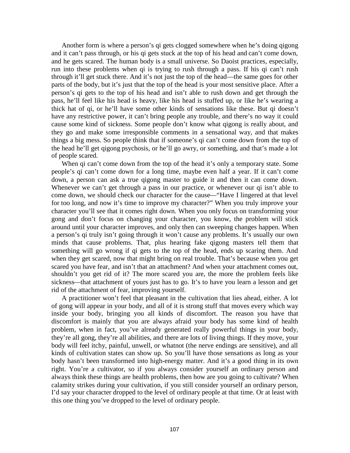Another form is where a person's qi gets clogged somewhere when he's doing qigong and it can't pass through, or his qi gets stuck at the top of his head and can't come down, and he gets scared. The human body is a small universe. So Daoist practices, especially, run into these problems when qi is trying to rush through a pass. If his qi can't rush through it'll get stuck there. And it's not just the top of the head—the same goes for other parts of the body, but it's just that the top of the head is your most sensitive place. After a person's qi gets to the top of his head and isn't able to rush down and get through the pass, he'll feel like his head is heavy, like his head is stuffed up, or like he's wearing a thick hat of qi, or he'll have some other kinds of sensations like these. But qi doesn't have any restrictive power, it can't bring people any trouble, and there's no way it could cause some kind of sickness. Some people don't know what qigong is really about, and they go and make some irresponsible comments in a sensational way, and that makes things a big mess. So people think that if someone's qi can't come down from the top of the head he'll get qigong psychosis, or he'll go awry, or something, and that's made a lot of people scared.

When qi can't come down from the top of the head it's only a temporary state. Some people's qi can't come down for a long time, maybe even half a year. If it can't come down, a person can ask a true qigong master to guide it and then it can come down. Whenever we can't get through a pass in our practice, or whenever our qi isn't able to come down, we should check our character for the cause—"Have I lingered at that level for too long, and now it's time to improve my character?" When you truly improve your character you'll see that it comes right down. When you only focus on transforming your gong and don't focus on changing your character, you know, the problem will stick around until your character improves, and only then can sweeping changes happen. When a person's qi truly isn't going through it won't cause any problems. It's usually our own minds that cause problems. That, plus hearing fake qigong masters tell them that something will go wrong if qi gets to the top of the head, ends up scaring them. And when they get scared, now that might bring on real trouble. That's because when you get scared you have fear, and isn't that an attachment? And when your attachment comes out, shouldn't you get rid of it? The more scared you are, the more the problem feels like sickness—that attachment of yours just has to go. It's to have you learn a lesson and get rid of the attachment of fear, improving yourself.

A practitioner won't feel that pleasant in the cultivation that lies ahead, either. A lot of gong will appear in your body, and all of it is strong stuff that moves every which way inside your body, bringing you all kinds of discomfort. The reason you have that discomfort is mainly that you are always afraid your body has some kind of health problem, when in fact, you've already generated really powerful things in your body, they're all gong, they're all abilities, and there are lots of living things. If they move, your body will feel itchy, painful, unwell, or whatnot (the nerve endings are sensitive), and all kinds of cultivation states can show up. So you'll have those sensations as long as your body hasn't been transformed into high-energy matter. And it's a good thing in its own right. You're a cultivator, so if you always consider yourself an ordinary person and always think these things are health problems, then how are you going to cultivate? When calamity strikes during your cultivation, if you still consider yourself an ordinary person, I'd say your character dropped to the level of ordinary people at that time. Or at least with this one thing you've dropped to the level of ordinary people.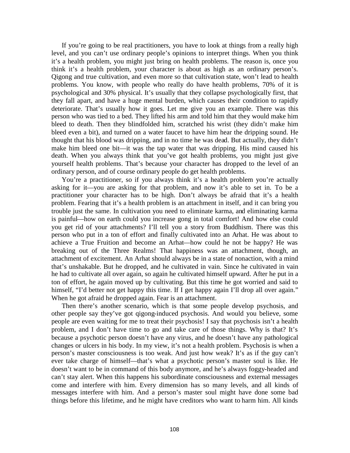If you're going to be real practitioners, you have to look at things from a really high level, and you can't use ordinary people's opinions to interpret things. When you think it's a health problem, you might just bring on health problems. The reason is, once you think it's a health problem, your character is about as high as an ordinary person's. Qigong and true cultivation, and even more so that cultivation state, won't lead to health problems. You know, with people who really do have health problems, 70% of it is psychological and 30% physical. It's usually that they collapse psychologically first, that they fall apart, and have a huge mental burden, which causes their condition to rapidly deteriorate. That's usually how it goes. Let me give you an example. There was this person who was tied to a bed. They lifted his arm and told him that they would make him bleed to death. Then they blindfolded him, scratched his wrist (they didn't make him bleed even a bit), and turned on a water faucet to have him hear the dripping sound. He thought that his blood was dripping, and in no time he was dead. But actually, they didn't make him bleed one bit—it was the tap water that was dripping. His mind caused his death. When you always think that you've got health problems, you might just give yourself health problems. That's because your character has dropped to the level of an ordinary person, and of course ordinary people do get health problems.

You're a practitioner, so if you always think it's a health problem you're actually asking for it—you are asking for that problem, and now it's able to set in. To be a practitioner your character has to be high. Don't always be afraid that it's a health problem. Fearing that it's a health problem is an attachment in itself, and it can bring you trouble just the same. In cultivation you need to eliminate karma, and eliminating karma is painful—how on earth could you increase gong in total comfort! And how else could you get rid of your attachments? I'll tell you a story from Buddhism. There was this person who put in a ton of effort and finally cultivated into an Arhat. He was about to achieve a True Fruition and become an Arhat—how could he not be happy? He was breaking out of the Three Realms! That happiness was an attachment, though, an attachment of excitement. An Arhat should always be in a state of nonaction, with a mind that's unshakable. But he dropped, and he cultivated in vain. Since he cultivated in vain he had to cultivate all over again, so again he cultivated himself upward. After he put in a ton of effort, he again moved up by cultivating. But this time he got worried and said to himself, "I'd better not get happy this time. If I get happy again I'll drop all over again." When he got afraid he dropped again. Fear is an attachment.

Then there's another scenario, which is that some people develop psychosis, and other people say they've got qigong-induced psychosis. And would you believe, some people are even waiting for me to treat their psychosis! I say that psychosis isn't a health problem, and I don't have time to go and take care of those things. Why is that? It's because a psychotic person doesn't have any virus, and he doesn't have any pathological changes or ulcers in his body. In my view, it's not a health problem. Psychosis is when a person's master consciousness is too weak. And just how weak? It's as if the guy can't ever take charge of himself—that's what a psychotic person's master soul is like. He doesn't want to be in command of this body anymore, and he's always foggy-headed and can't stay alert. When this happens his subordinate consciousness and external messages come and interfere with him. Every dimension has so many levels, and all kinds of messages interfere with him. And a person's master soul might have done some bad things before this lifetime, and he might have creditors who want to harm him. All kinds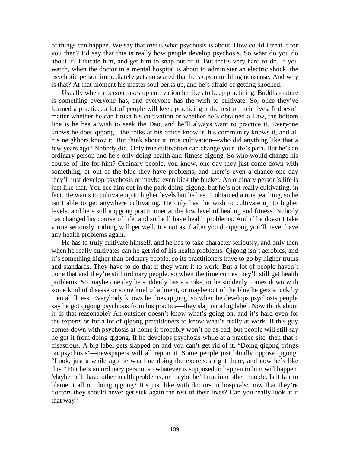of things can happen. We say that *this* is what psychosis is about. How could I treat it for you then? I'd say that this is really how people develop psychosis. So what do you do about it? Educate him, and get him to snap out of it. But that's very hard to do. If you watch, when the doctor in a mental hospital is about to administer an electric shock, the psychotic person immediately gets so scared that he stops mumbling nonsense. And why is that? At that moment his master soul perks up, and he's afraid of getting shocked.

Usually when a person takes up cultivation he likes to keep practicing. Buddha-nature is something everyone has, and everyone has the wish to cultivate. So, once they've learned a practice, a lot of people will keep practicing it the rest of their lives. It doesn't matter whether he can finish his cultivation or whether he's obtained a Law, the bottom line is he has a wish to seek the Dao, and he'll always want to practice it. Everyone knows he does qigong—the folks at his office know it, his community knows it, and all his neighbors know it. But think about it, true cultivation—who did anything like that a few years ago? Nobody did. Only true cultivation can change your life's path. But he's an ordinary person and he's only doing health-and-fitness qigong. So who would change his course of life for him? Ordinary people, you know, one day they just come down with something, or out of the blue they have problems, and there's even a chance one day they'll just develop psychosis or maybe even kick the bucket. An ordinary person's life is just like that. You see him out in the park doing qigong, but he's not really cultivating, in fact. He wants to cultivate up to higher levels but he hasn't obtained a true teaching, so he isn't able to get anywhere cultivating. He only has the wish to cultivate up to higher levels, and he's still a qigong practitioner at the low level of healing and fitness. Nobody has changed his course of life, and so he'll have health problems. And if he doesn't take virtue seriously nothing will get well. It's not as if after you do qigong you'll never have any health problems again.

He has to truly cultivate himself, and he has to take character seriously, and only then when he really cultivates can he get rid of his health problems. Qigong isn't aerobics, and it's something higher than ordinary people, so its practitioners have to go by higher truths and standards. They have to do that if they want it to work. But a lot of people haven't done that and they're still ordinary people, so when the time comes they'll still get health problems. So maybe one day he suddenly has a stroke, or he suddenly comes down with some kind of disease or some kind of ailment, or maybe out of the blue he gets struck by mental illness. Everybody knows he does qigong, so when he develops psychosis people say he got qigong psychosis from his practice—they slap on a big label. Now think about it, is that reasonable? An outsider doesn't know what's going on, and it's hard even for the experts or for a lot of qigong practitioners to know what's really at work. If this guy comes down with psychosis at home it probably won't be as bad, but people will still say he got it from doing qigong. If he develops psychosis while at a practice site, then that's disastrous. A big label gets slapped on and you can't get rid of it. "Doing qigong brings on psychosis"—newspapers will all report it. Some people just blindly oppose qigong, "Look, just a while ago he was fine doing the exercises right there, and now he's like this." But he's an ordinary person, so whatever is supposed to happen to him will happen. Maybe he'll have other health problems, or maybe he'll run into other trouble. Is it fair to blame it all on doing qigong? It's just like with doctors in hospitals: now that they're doctors they should never get sick again the rest of their lives? Can you really look at it that way?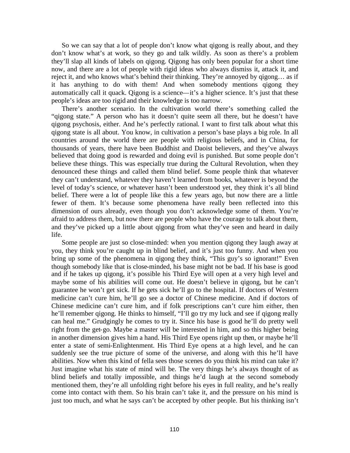So we can say that a lot of people don't know what qigong is really about, and they don't know what's at work, so they go and talk wildly. As soon as there's a problem they'll slap all kinds of labels on qigong. Qigong has only been popular for a short time now, and there are a lot of people with rigid ideas who always dismiss it, attack it, and reject it, and who knows what's behind their thinking. They're annoyed by qigong… as if it has anything to do with them! And when somebody mentions qigong they automatically call it quack. Qigong is a science—it's a higher science. It's just that these people's ideas are too rigid and their knowledge is too narrow.

There's another scenario. In the cultivation world there's something called the "qigong state." A person who has it doesn't quite seem all there, but he doesn't have qigong psychosis, either. And he's perfectly rational. I want to first talk about what this qigong state is all about. You know, in cultivation a person's base plays a big role. In all countries around the world there are people with religious beliefs, and in China, for thousands of years, there have been Buddhist and Daoist believers, and they've always believed that doing good is rewarded and doing evil is punished. But some people don't believe these things. This was especially true during the Cultural Revolution, when they denounced these things and called them blind belief. Some people think that whatever they can't understand, whatever they haven't learned from books, whatever is beyond the level of today's science, or whatever hasn't been understood yet, they think it's all blind belief. There were a lot of people like this a few years ago, but now there are a little fewer of them. It's because some phenomena have really been reflected into this dimension of ours already, even though you don't acknowledge some of them. You're afraid to address them, but now there are people who have the courage to talk about them, and they've picked up a little about qigong from what they've seen and heard in daily life.

Some people are just so close-minded: when you mention qigong they laugh away at you, they think you're caught up in blind belief, and it's just too funny. And when you bring up some of the phenomena in qigong they think, "This guy's so ignorant!" Even though somebody like that is close-minded, his base might not be bad. If his base is good and if he takes up qigong, it's possible his Third Eye will open at a very high level and maybe some of his abilities will come out. He doesn't believe in qigong, but he can't guarantee he won't get sick. If he gets sick he'll go to the hospital. If doctors of Western medicine can't cure him, he'll go see a doctor of Chinese medicine. And if doctors of Chinese medicine can't cure him, and if folk prescriptions can't cure him either, then he'll remember qigong. He thinks to himself, "I'll go try my luck and see if qigong really can heal me." Grudgingly he comes to try it. Since his base is good he'll do pretty well right from the get-go. Maybe a master will be interested in him, and so this higher being in another dimension gives him a hand. His Third Eye opens right up then, or maybe he'll enter a state of semi-Enlightenment. His Third Eye opens at a high level, and he can suddenly see the true picture of some of the universe, and along with this he'll have abilities. Now when this kind of fella sees those scenes do you think his mind can take it? Just imagine what his state of mind will be. The very things he's always thought of as blind beliefs and totally impossible, and things he'd laugh at the second somebody mentioned them, they're all unfolding right before his eyes in full reality, and he's really come into contact with them. So his brain can't take it, and the pressure on his mind is just too much, and what he says can't be accepted by other people. But his thinking isn't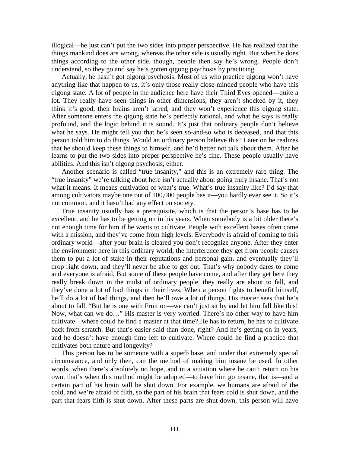illogical—he just can't put the two sides into proper perspective. He has realized that the things mankind does are wrong, whereas the other side is usually right. But when he does things according to the other side, though, people then say he's wrong. People don't understand, so they go and say he's gotten qigong psychosis by practicing.

Actually, he hasn't got qigong psychosis. Most of us who practice qigong won't have anything like that happen to us, it's only those really close-minded people who have this qigong state. A lot of people in the audience here have their Third Eyes opened—quite a lot. They really have seen things in other dimensions, they aren't shocked by it, they think it's good, their brains aren't jarred, and they won't experience this qigong state. After someone enters the qigong state he's perfectly rational, and what he says is really profound, and the logic behind it is sound. It's just that ordinary people don't believe what he says. He might tell you that he's seen so-and-so who is deceased, and that this person told him to do things. Would an ordinary person believe this? Later on he realizes that he should keep these things to himself, and he'd better not talk about them. After he learns to put the two sides into proper perspective he's fine. These people usually have abilities. And this isn't qigong psychosis, either.

Another scenario is called "true insanity," and this is an extremely rare thing. The "true insanity" we're talking about here isn't actually about going truly insane. That's not what it means. It means cultivation of what's true. What's true insanity like? I'd say that among cultivators maybe one out of 100,000 people has it—you hardly ever see it. So it's not common, and it hasn't had any effect on society.

True insanity usually has a prerequisite, which is that the person's base has to be excellent, and he has to be getting on in his years. When somebody is a bit older there's not enough time for him if he wants to cultivate. People with excellent bases often come with a mission, and they've come from high levels. Everybody is afraid of coming to this ordinary world—after your brain is cleared you don't recognize anyone. After they enter the environment here in this ordinary world, the interference they get from people causes them to put a lot of stake in their reputations and personal gain, and eventually they'll drop right down, and they'll never be able to get out. That's why nobody dares to come and everyone is afraid. But some of these people have come, and after they get here they really break down in the midst of ordinary people, they really are about to fall, and they've done a lot of bad things in their lives. When a person fights to benefit himself, he'll do a lot of bad things, and then he'll owe a lot of things. His master sees that he's about to fall. "But he is one with Fruition—we can't just sit by and let him fall like this! Now, what can we do…" His master is very worried. There's no other way to have him cultivate—where could he find a master at that time? He has to return, he has to cultivate back from scratch. But that's easier said than done, right? And he's getting on in years, and he doesn't have enough time left to cultivate. Where could he find a practice that cultivates both nature and longevity?

This person has to be someone with a superb base, and under that extremely special circumstance, and only then, can the method of making him insane be used. In other words, when there's absolutely no hope, and in a situation where he can't return on his own, that's when this method might be adopted—to have him go insane, that is—and a certain part of his brain will be shut down. For example, we humans are afraid of the cold, and we're afraid of filth, so the part of his brain that fears cold is shut down, and the part that fears filth is shut down. After these parts are shut down, this person will have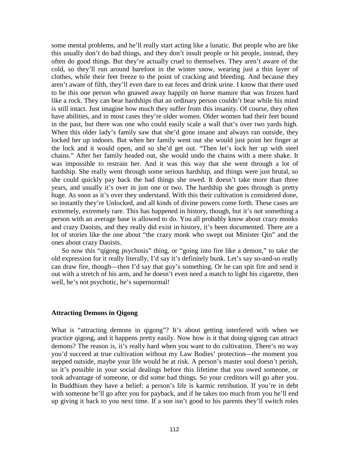some mental problems, and he'll really start acting like a lunatic. But people who are like this usually don't do bad things, and they don't insult people or hit people, instead, they often do good things. But they're actually cruel to themselves. They aren't aware of the cold, so they'll run around barefoot in the winter snow, wearing just a thin layer of clothes, while their feet freeze to the point of cracking and bleeding. And because they aren't aware of filth, they'll even dare to eat feces and drink urine. I know that there used to be this one person who gnawed away happily on horse manure that was frozen hard like a rock. They can bear hardships that an ordinary person couldn't bear while his mind is still intact. Just imagine how much they suffer from this insanity. Of course, they often have abilities, and in most cases they're older women. Older women had their feet bound in the past, but there was one who could easily scale a wall that's over two yards high. When this older lady's family saw that she'd gone insane and always ran outside, they locked her up indoors. But when her family went out she would just point her finger at the lock and it would open, and so she'd get out. "Then let's lock her up with steel chains." After her family headed out, she would undo the chains with a mere shake. It was impossible to restrain her. And it was this way that she went through a lot of hardship. She really went through some serious hardship, and things were just brutal, so she could quickly pay back the bad things she owed. It doesn't take more than three years, and usually it's over in just one or two. The hardship she goes through is pretty huge. As soon as it's over they understand. With this their cultivation is considered done, so instantly they're Unlocked, and all kinds of divine powers come forth. These cases are extremely, extremely rare. This has happened in history, though, but it's not something a person with an average base is allowed to do. You all probably know about crazy monks and crazy Daoists, and they really did exist in history, it's been documented. There are a lot of stories like the one about "the crazy monk who swept out Minister Qin" and the ones about crazy Daoists.

So now this "qigong psychosis" thing, or "going into fire like a demon," to take the old expression for it really literally, I'd say it's definitely bunk. Let's say so-and-so really can draw fire, though—then I'd say that guy's something. Or he can spit fire and send it out with a stretch of his arm, and he doesn't even need a match to light his cigarette, then well, he's not psychotic, he's supernormal!

#### **Attracting Demons in Qigong**

What is "attracting demons in qigong"? It's about getting interfered with when we practice qigong, and it happens pretty easily. Now how is it that doing qigong can attract demons? The reason is, it's really hard when you want to do cultivation. There's no way you'd succeed at true cultivation without my Law Bodies' protection—the moment you stepped outside, maybe your life would be at risk. A person's master soul doesn't perish, so it's possible in your social dealings before this lifetime that you owed someone, or took advantage of someone, or did some bad things. So your creditors will go after you. In Buddhism they have a belief: a person's life is karmic retribution. If you're in debt with someone he'll go after you for payback, and if he takes too much from you he'll end up giving it back to you next time. If a son isn't good to his parents they'll switch roles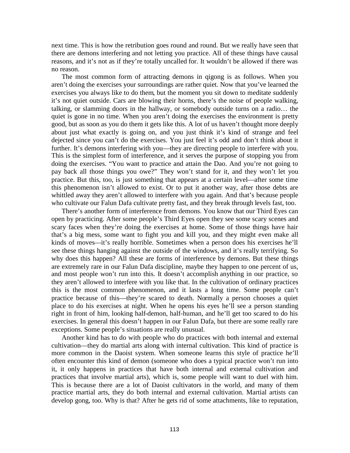next time. This is how the retribution goes round and round. But we really have seen that there are demons interfering and not letting you practice. All of these things have causal reasons, and it's not as if they're totally uncalled for. It wouldn't be allowed if there was no reason.

The most common form of attracting demons in qigong is as follows. When you aren't doing the exercises your surroundings are rather quiet. Now that you've learned the exercises you always like to do them, but the moment you sit down to meditate suddenly it's not quiet outside. Cars are blowing their horns, there's the noise of people walking, talking, or slamming doors in the hallway, or somebody outside turns on a radio… the quiet is gone in no time. When you aren't doing the exercises the environment is pretty good, but as soon as you do them it gets like this. A lot of us haven't thought more deeply about just what exactly is going on, and you just think it's kind of strange and feel dejected since you can't do the exercises. You just feel it's odd and don't think about it further. It's demons interfering with you—they are directing people to interfere with you. This is the simplest form of interference, and it serves the purpose of stopping you from doing the exercises. "You want to practice and attain the Dao. And you're not going to pay back all those things you owe?" They won't stand for it, and they won't let you practice. But this, too, is just something that appears at a certain level—after some time this phenomenon isn't allowed to exist. Or to put it another way, after those debts are whittled away they aren't allowed to interfere with you again. And that's because people who cultivate our Falun Dafa cultivate pretty fast, and they break through levels fast, too.

There's another form of interference from demons. You know that our Third Eyes can open by practicing. After some people's Third Eyes open they see some scary scenes and scary faces when they're doing the exercises at home. Some of those things have hair that's a big mess, some want to fight you and kill you, and they might even make all kinds of moves—it's really horrible. Sometimes when a person does his exercises he'll see these things hanging against the outside of the windows, and it's really terrifying. So why does this happen? All these are forms of interference by demons. But these things are extremely rare in our Falun Dafa discipline, maybe they happen to one percent of us, and most people won't run into this. It doesn't accomplish anything in our practice, so they aren't allowed to interfere with you like that. In the cultivation of ordinary practices this is the most common phenomenon, and it lasts a long time. Some people can't practice because of this—they're scared to death. Normally a person chooses a quiet place to do his exercises at night. When he opens his eyes he'll see a person standing right in front of him, looking half-demon, half-human, and he'll get too scared to do his exercises. In general this doesn't happen in our Falun Dafa, but there are some really rare exceptions. Some people's situations are really unusual.

Another kind has to do with people who do practices with both internal and external cultivation—they do martial arts along with internal cultivation. This kind of practice is more common in the Daoist system. When someone learns this style of practice he'll often encounter this kind of demon (someone who does a typical practice won't run into it, it only happens in practices that have both internal and external cultivation and practices that involve martial arts), which is, some people will want to duel with him. This is because there are a lot of Daoist cultivators in the world, and many of them practice martial arts, they do both internal and external cultivation. Martial artists can develop gong, too. Why is that? After he gets rid of some attachments, like to reputation,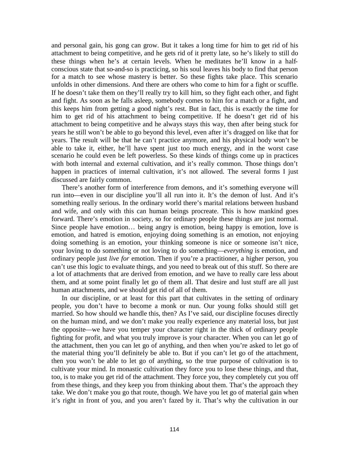and personal gain, his gong can grow. But it takes a long time for him to get rid of his attachment to being competitive, and he gets rid of it pretty late, so he's likely to still do these things when he's at certain levels. When he meditates he'll know in a halfconscious state that so-and-so is practicing, so his soul leaves his body to find that person for a match to see whose mastery is better. So these fights take place. This scenario unfolds in other dimensions. And there are others who come to him for a fight or scuffle. If he doesn't take them on they'll really try to kill him, so they fight each other, and fight and fight. As soon as he falls asleep, somebody comes to him for a match or a fight, and this keeps him from getting a good night's rest. But in fact, this is exactly the time for him to get rid of his attachment to being competitive. If he doesn't get rid of his attachment to being competitive and he always stays this way, then after being stuck for years he still won't be able to go beyond this level, even after it's dragged on like that for years. The result will be that he can't practice anymore, and his physical body won't be able to take it, either, he'll have spent just too much energy, and in the worst case scenario he could even be left powerless. So these kinds of things come up in practices with both internal and external cultivation, and it's really common. Those things don't happen in practices of internal cultivation, it's not allowed. The several forms I just discussed are fairly common.

There's another form of interference from demons, and it's something everyone will run into—even in our discipline you'll all run into it. It's the demon of lust. And it's something really serious. In the ordinary world there's marital relations between husband and wife, and only with this can human beings procreate. This is how mankind goes forward. There's emotion in society, so for ordinary people these things are just normal. Since people have emotion… being angry is emotion, being happy is emotion, love is emotion, and hatred is emotion, enjoying doing something is an emotion, not enjoying doing something is an emotion, your thinking someone is nice or someone isn't nice, your loving to do something or not loving to do something—*everything* is emotion, and ordinary people just *live for* emotion. Then if you're a practitioner, a higher person, you can't use this logic to evaluate things, and you need to break out of this stuff. So there are a lot of attachments that are derived from emotion, and we have to really care less about them, and at some point finally let go of them all. That desire and lust stuff are all just human attachments, and we should get rid of all of them.

In our discipline, or at least for this part that cultivates in the setting of ordinary people, you don't have to become a monk or nun. Our young folks should still get married. So how should we handle this, then? As I've said, our discipline focuses directly on the human mind, and we don't make you really experience any material loss, but just the opposite—we have you temper your character right in the thick of ordinary people fighting for profit, and what you truly improve is your character. When you can let go of the attachment, then you can let go of anything, and then when you're asked to let go of the material thing you'll definitely be able to. But if you can't let go of the attachment, then you won't be able to let go of anything, so the true purpose of cultivation is to cultivate your mind. In monastic cultivation they force you to lose these things, and that, too, is to make you get rid of the attachment. They force you, they completely cut you off from these things, and they keep you from thinking about them. That's the approach they take. We don't make you go that route, though. We have you let go of material gain when it's right in front of you, and you aren't fazed by it. That's why the cultivation in our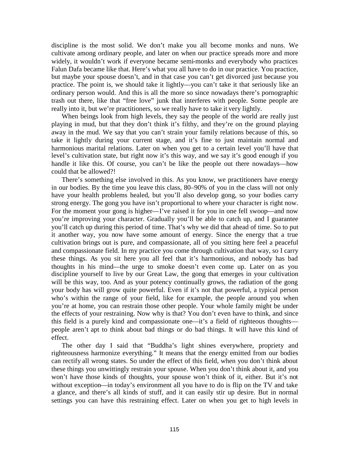discipline is the most solid. We don't make you all become monks and nuns. We cultivate among ordinary people, and later on when our practice spreads more and more widely, it wouldn't work if everyone became semi-monks and everybody who practices Falun Dafa became like that. Here's what you all have to do in our practice. You practice, but maybe your spouse doesn't, and in that case you can't get divorced just because you practice. The point is, we should take it lightly—you can't take it that seriously like an ordinary person would. And this is all the more so since nowadays there's pornographic trash out there, like that "free love" junk that interferes with people. Some people are really into it, but we're practitioners, so we really have to take it very lightly.

When beings look from high levels, they say the people of the world are really just playing in mud, but that they don't think it's filthy, and they're on the ground playing away in the mud. We say that you can't strain your family relations because of this, so take it lightly during your current stage, and it's fine to just maintain normal and harmonious marital relations. Later on when you get to a certain level you'll have that level's cultivation state, but right now it's this way, and we say it's good enough if you handle it like this. Of course, you can't be like the people out there nowadays—how could that be allowed?!

There's something else involved in this. As you know, we practitioners have energy in our bodies. By the time you leave this class, 80–90% of you in the class will not only have your health problems healed, but you'll also develop gong, so your bodies carry strong energy. The gong you have isn't proportional to where your character is right now. For the moment your gong is higher—I've raised it for you in one fell swoop—and now you're improving your character. Gradually you'll be able to catch up, and I guarantee you'll catch up during this period of time. That's why we did that ahead of time. So to put it another way, you now have some amount of energy. Since the energy that a true cultivation brings out is pure, and compassionate, all of you sitting here feel a peaceful and compassionate field. In my practice you come through cultivation that way, so I carry these things. As you sit here you all feel that it's harmonious, and nobody has bad thoughts in his mind—the urge to smoke doesn't even come up. Later on as you discipline yourself to live by our Great Law, the gong that emerges in your cultivation will be this way, too. And as your potency continually grows, the radiation of the gong your body has will grow quite powerful. Even if it's not that powerful, a typical person who's within the range of your field, like for example, the people around you when you're at home, you can restrain those other people. Your whole family might be under the effects of your restraining. Now why is that? You don't even have to think, and since this field is a purely kind and compassionate one—it's a field of righteous thoughts people aren't apt to think about bad things or do bad things. It will have this kind of effect.

The other day I said that "Buddha's light shines everywhere, propriety and righteousness harmonize everything." It means that the energy emitted from our bodies can rectify all wrong states. So under the effect of this field, when you don't think about these things you unwittingly restrain your spouse. When you don't think about it, and you won't have those kinds of thoughts, your spouse won't think of it, either. But it's not without exception—in today's environment all you have to do is flip on the TV and take a glance, and there's all kinds of stuff, and it can easily stir up desire. But in normal settings you can have this restraining effect. Later on when you get to high levels in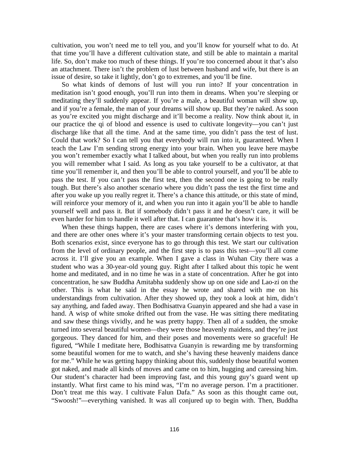cultivation, you won't need me to tell you, and you'll know for yourself what to do. At that time you'll have a different cultivation state, and still be able to maintain a marital life. So, don't make too much of these things. If you're too concerned about it that's also an attachment. There isn't the problem of lust between husband and wife, but there is an issue of desire, so take it lightly, don't go to extremes, and you'll be fine.

So what kinds of demons of lust will you run into? If your concentration in meditation isn't good enough, you'll run into them in dreams. When you're sleeping or meditating they'll suddenly appear. If you're a male, a beautiful woman will show up, and if you're a female, the man of your dreams will show up. But they're naked. As soon as you're excited you might discharge and it'll become a reality. Now think about it, in our practice the qi of blood and essence is used to cultivate longevity—you can't just discharge like that all the time. And at the same time, you didn't pass the test of lust. Could that work? So I can tell you that everybody will run into it, guaranteed. When I teach the Law I'm sending strong energy into your brain. When you leave here maybe you won't remember exactly what I talked about, but when you really run into problems you will remember what I said. As long as you take yourself to be a cultivator, at that time you'll remember it, and then you'll be able to control yourself, and you'll be able to pass the test. If you can't pass the first test, then the second one is going to be really tough. But there's also another scenario where you didn't pass the test the first time and after you wake up you really regret it. There's a chance this attitude, or this state of mind, will reinforce your memory of it, and when you run into it again you'll be able to handle yourself well and pass it. But if somebody didn't pass it and he doesn't care, it will be even harder for him to handle it well after that. I can guarantee that's how it is.

When these things happen, there are cases where it's demons interfering with you, and there are other ones where it's your master transforming certain objects to test you. Both scenarios exist, since everyone has to go through this test. We start our cultivation from the level of ordinary people, and the first step is to pass this test—you'll all come across it. I'll give you an example. When I gave a class in Wuhan City there was a student who was a 30-year-old young guy. Right after I talked about this topic he went home and meditated, and in no time he was in a state of concentration. After he got into concentration, he saw Buddha Amitabha suddenly show up on one side and Lao-zi on the other. This is what he said in the essay he wrote and shared with me on his understandings from cultivation. After they showed up, they took a look at him, didn't say anything, and faded away. Then Bodhisattva Guanyin appeared and she had a vase in hand. A wisp of white smoke drifted out from the vase. He was sitting there meditating and saw these things vividly, and he was pretty happy. Then all of a sudden, the smoke turned into several beautiful women—they were those heavenly maidens, and they're just gorgeous. They danced for him, and their poses and movements were so graceful! He figured, "While I meditate here, Bodhisattva Guanyin is rewarding me by transforming some beautiful women for me to watch, and she's having these heavenly maidens dance for me." While he was getting happy thinking about this, suddenly those beautiful women got naked, and made all kinds of moves and came on to him, hugging and caressing him. Our student's character had been improving fast, and this young guy's guard went up instantly. What first came to his mind was, "I'm no average person. I'm a practitioner. Don't treat me this way. I cultivate Falun Dafa." As soon as this thought came out, "Swoosh!"—everything vanished. It was all conjured up to begin with. Then, Buddha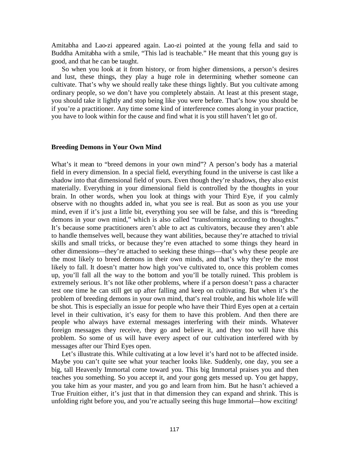Amitabha and Lao-zi appeared again. Lao-zi pointed at the young fella and said to Buddha Amitabha with a smile, "This lad is teachable." He meant that this young guy is good, and that he can be taught.

So when you look at it from history, or from higher dimensions, a person's desires and lust, these things, they play a huge role in determining whether someone can cultivate. That's why we should really take these things lightly. But you cultivate among ordinary people, so we don't have you completely abstain. At least at this present stage, you should take it lightly and stop being like you were before. That's how you should be if you're a practitioner. Any time some kind of interference comes along in your practice, you have to look within for the cause and find what it is you still haven't let go of.

#### **Breeding Demons in Your Own Mind**

What's it mean to "breed demons in your own mind"? A person's body has a material field in every dimension. In a special field, everything found in the universe is cast like a shadow into that dimensional field of yours. Even though they're shadows, they also exist materially. Everything in your dimensional field is controlled by the thoughts in your brain. In other words, when you look at things with your Third Eye, if you calmly observe with no thoughts added in, what you see is real. But as soon as you use your mind, even if it's just a little bit, everything you see will be false, and this is "breeding demons in your own mind," which is also called "transforming according to thoughts." It's because some practitioners aren't able to act as cultivators, because they aren't able to handle themselves well, because they want abilities, because they're attached to trivial skills and small tricks, or because they're even attached to some things they heard in other dimensions—they're attached to seeking these things—that's why these people are the most likely to breed demons in their own minds, and that's why they're the most likely to fall. It doesn't matter how high you've cultivated to, once this problem comes up, you'll fall all the way to the bottom and you'll be totally ruined. This problem is extremely serious. It's not like other problems, where if a person doesn't pass a character test one time he can still get up after falling and keep on cultivating. But when it's the problem of breeding demons in your own mind, that's real trouble, and his whole life will be shot. This is especially an issue for people who have their Third Eyes open at a certain level in their cultivation, it's easy for them to have this problem. And then there are people who always have external messages interfering with their minds. Whatever foreign messages they receive, they go and believe it, and they too will have this problem. So some of us will have every aspect of our cultivation interfered with by messages after our Third Eyes open.

Let's illustrate this. While cultivating at a low level it's hard not to be affected inside. Maybe you can't quite see what your teacher looks like. Suddenly, one day, you see a big, tall Heavenly Immortal come toward you. This big Immortal praises you and then teaches you something. So you accept it, and your gong gets messed up. You get happy, you take him as your master, and you go and learn from him. But he hasn't achieved a True Fruition either, it's just that in that dimension they can expand and shrink. This is unfolding right before you, and you're actually seeing this huge Immortal—how exciting!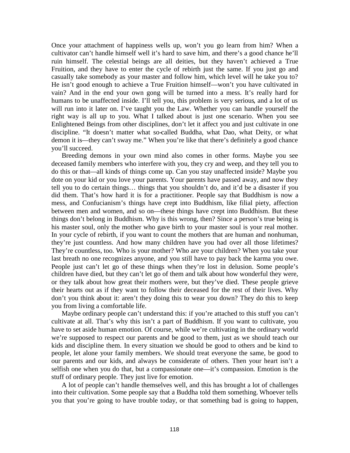Once your attachment of happiness wells up, won't you go learn from him? When a cultivator can't handle himself well it's hard to save him, and there's a good chance he'll ruin himself. The celestial beings are all deities, but they haven't achieved a True Fruition, and they have to enter the cycle of rebirth just the same. If you just go and casually take somebody as your master and follow him, which level will he take you to? He isn't good enough to achieve a True Fruition himself—won't you have cultivated in vain? And in the end your own gong will be turned into a mess. It's really hard for humans to be unaffected inside. I'll tell you, this problem is very serious, and a lot of us will run into it later on. I've taught you the Law. Whether you can handle yourself the right way is all up to you. What I talked about is just one scenario. When you see Enlightened Beings from other disciplines, don't let it affect you and just cultivate in one discipline. "It doesn't matter what so-called Buddha, what Dao, what Deity, or what demon it is—they can't sway me." When you're like that there's definitely a good chance you'll succeed.

Breeding demons in your own mind also comes in other forms. Maybe you see deceased family members who interfere with you, they cry and weep, and they tell you to do this or that—all kinds of things come up. Can you stay unaffected inside? Maybe you dote on your kid or you love your parents. Your parents have passed away, and now they tell you to do certain things… things that you shouldn't do, and it'd be a disaster if you did them. That's how hard it is for a practitioner. People say that Buddhism is now a mess, and Confucianism's things have crept into Buddhism, like filial piety, affection between men and women, and so on—these things have crept into Buddhism. But these things don't belong in Buddhism. Why is this wrong, then? Since a person's true being is his master soul, only the mother who gave birth to your master soul is your real mother. In your cycle of rebirth, if you want to count the mothers that are human and nonhuman, they're just countless. And how many children have you had over all those lifetimes? They're countless, too. Who is your mother? Who are your children? When you take your last breath no one recognizes anyone, and you still have to pay back the karma you owe. People just can't let go of these things when they're lost in delusion. Some people's children have died, but they can't let go of them and talk about how wonderful they were, or they talk about how great their mothers were, but they've died. These people grieve their hearts out as if they want to follow their deceased for the rest of their lives. Why don't you think about it: aren't they doing this to wear you down? They do this to keep you from living a comfortable life.

Maybe ordinary people can't understand this: if you're attached to this stuff you can't cultivate at all. That's why this isn't a part of Buddhism. If you want to cultivate, you have to set aside human emotion. Of course, while we're cultivating in the ordinary world we're supposed to respect our parents and be good to them, just as we should teach our kids and discipline them. In every situation we should be good to others and be kind to people, let alone your family members. We should treat everyone the same, be good to our parents and our kids, and always be considerate of others. Then your heart isn't a selfish one when you do that, but a compassionate one—it's compassion. Emotion is the stuff of ordinary people. They just live for emotion.

A lot of people can't handle themselves well, and this has brought a lot of challenges into their cultivation. Some people say that a Buddha told them something. Whoever tells you that you're going to have trouble today, or that something bad is going to happen,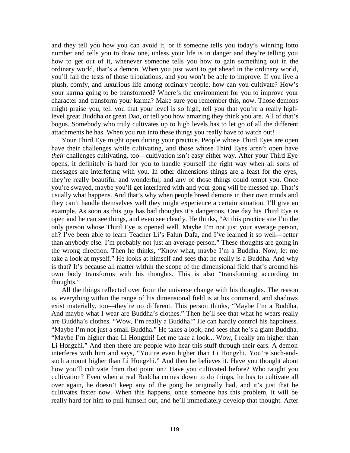and they tell you how you can avoid it, or if someone tells you today's winning lotto number and tells you to draw one, unless your life is in danger and they're telling you how to get out of it, whenever someone tells you how to gain something out in the ordinary world, that's a demon. When you just want to get ahead in the ordinary world, you'll fail the tests of those tribulations, and you won't be able to improve. If you live a plush, comfy, and luxurious life among ordinary people, how can you cultivate? How's your karma going to be transformed? Where's the environment for you to improve your character and transform your karma? Make sure you remember this, now. Those demons might praise you, tell you that your level is so high, tell you that you're a really highlevel great Buddha or great Dao, or tell you how amazing they think you are. All of that's bogus. Somebody who truly cultivates up to high levels has to let go of all the different attachments he has. When you run into these things you really have to watch out!

Your Third Eye might open during your practice. People whose Third Eyes are open have their challenges while cultivating, and those whose Third Eyes aren't open have *their* challenges cultivating, too—cultivation isn't easy either way. After your Third Eye opens, it definitely is hard for you to handle yourself the right way when all sorts of messages are interfering with you. In other dimensions things are a feast for the eyes, they're really beautiful and wonderful, and any of those things could tempt you. Once you're swayed, maybe you'll get interfered with and your gong will be messed up. That's usually what happens. And that's why when people breed demons in their own minds and they can't handle themselves well they might experience a certain situation. I'll give an example. As soon as this guy has bad thoughts it's dangerous. One day his Third Eye is open and he can see things, and even see clearly. He thinks, "At this practice site I'm the only person whose Third Eye is opened well. Maybe I'm not just your average person, eh? I've been able to learn Teacher Li's Falun Dafa, and I've learned it so well—better than anybody else. I'm probably not just an average person." These thoughts are going in the wrong direction. Then he thinks, "Know what, maybe I'm a Buddha. Now, let me take a look at myself." He looks at himself and sees that he really is a Buddha. And why is that? It's because all matter within the scope of the dimensional field that's around his own body transforms with his thoughts. This is also "transforming according to thoughts."

All the things reflected over from the universe change with his thoughts. The reason is, everything within the range of his dimensional field is at his command, and shadows exist materially, too—they're no different. This person thinks, "Maybe I'm a Buddha. And maybe what I wear are Buddha's clothes." Then he'll see that what he wears really are Buddha's clothes. "Wow, I'm really a Buddha!" He can hardly control his happiness. "Maybe I'm not just a small Buddha." He takes a look, and sees that he's a giant Buddha. "Maybe I'm higher than Li Hongzhi! Let me take a look... Wow, I really am higher than Li Hongzhi." And then there are people who hear this stuff through their ears. A demon interferes with him and says, "You're even higher than Li Hongzhi. You're such-andsuch amount higher than Li Hongzhi." And then he believes it. Have you thought about how you'll cultivate from that point on? Have you cultivated before? Who taught you cultivation? Even when a real Buddha comes down to do things, he has to cultivate all over again, he doesn't keep any of the gong he originally had, and it's just that he cultivates faster now. When this happens, once someone has this problem, it will be really hard for him to pull himself out, and he'll immediately develop that thought. After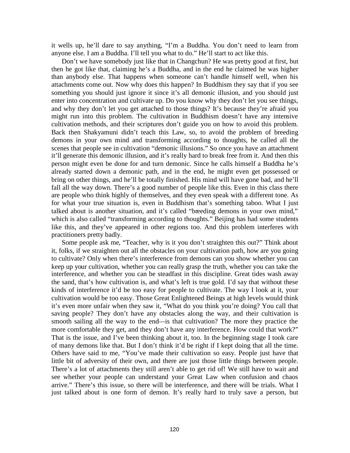it wells up, he'll dare to say anything, "I'm a Buddha. You don't need to learn from anyone else. I am a Buddha. I'll tell you what to do." He'll start to act like this.

Don't we have somebody just like that in Changchun? He was pretty good at first, but then he got like that, claiming he's a Buddha, and in the end he claimed he was higher than anybody else. That happens when someone can't handle himself well, when his attachments come out. Now why does this happen? In Buddhism they say that if you see something you should just ignore it since it's all demonic illusion, and you should just enter into concentration and cultivate up. Do you know why they don't let you see things, and why they don't let you get attached to those things? It's because they're afraid you might run into this problem. The cultivation in Buddhism doesn't have any intensive cultivation methods, and their scriptures don't guide you on how to avoid this problem. Back then Shakyamuni didn't teach this Law, so, to avoid the problem of breeding demons in your own mind and transforming according to thoughts, he called all the scenes that people see in cultivation "demonic illusions." So once you have an attachment it'll generate this demonic illusion, and it's really hard to break free from it. And then this person might even be done for and turn demonic. Since he calls himself a Buddha he's already started down a demonic path, and in the end, he might even get possessed or bring on other things, and he'll be totally finished. His mind will have gone bad, and he'll fall all the way down. There's a good number of people like this. Even in this class there are people who think highly of themselves, and they even speak with a different tone. As for what your true situation is, even in Buddhism that's something taboo. What I just talked about is another situation, and it's called "breeding demons in your own mind," which is also called "transforming according to thoughts." Beijing has had some students like this, and they've appeared in other regions too. And this problem interferes with practitioners pretty badly.

Some people ask me, "Teacher, why is it you don't straighten this out?" Think about it, folks, if we straighten out all the obstacles on your cultivation path, how are you going to cultivate? Only when there's interference from demons can you show whether you can keep up your cultivation, whether you can really grasp the truth, whether you can take the interference, and whether you can be steadfast in this discipline. Great tides wash away the sand, that's how cultivation is, and what's left is true gold. I'd say that without these kinds of interference it'd be too easy for people to cultivate. The way I look at it, your cultivation would be too easy. Those Great Enlightened Beings at high levels would think it's even more unfair when they saw it, "What do you think you're doing? You call that saving people? They don't have any obstacles along the way, and their cultivation is smooth sailing all the way to the end—is that cultivation? The more they practice the more comfortable they get, and they don't have any interference. How could that work?" That is the issue, and I've been thinking about it, too. In the beginning stage I took care of many demons like that. But I don't think it'd be right if I kept doing that all the time. Others have said to me, "You've made their cultivation so easy. People just have that little bit of adversity of their own, and there are just those little things between people. There's a lot of attachments they still aren't able to get rid of! We still have to wait and see whether your people can understand your Great Law when confusion and chaos arrive." There's this issue, so there will be interference, and there will be trials. What I just talked about is one form of demon. It's really hard to truly save a person, but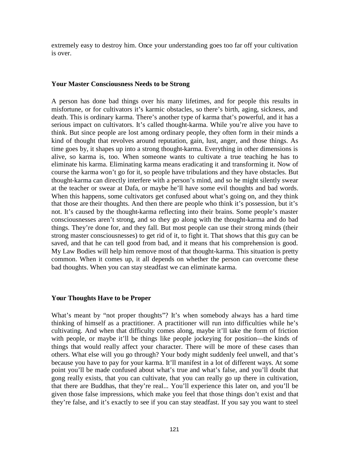extremely easy to destroy him. Once your understanding goes too far off your cultivation is over.

## **Your Master Consciousness Needs to be Strong**

A person has done bad things over his many lifetimes, and for people this results in misfortune, or for cultivators it's karmic obstacles, so there's birth, aging, sickness, and death. This is ordinary karma. There's another type of karma that's powerful, and it has a serious impact on cultivators. It's called thought-karma. While you're alive you have to think. But since people are lost among ordinary people, they often form in their minds a kind of thought that revolves around reputation, gain, lust, anger, and those things. As time goes by, it shapes up into a strong thought-karma. Everything in other dimensions is alive, so karma is, too. When someone wants to cultivate a true teaching he has to eliminate his karma. Eliminating karma means eradicating it and transforming it. Now of course the karma won't go for it, so people have tribulations and they have obstacles. But thought-karma can directly interfere with a person's mind, and so he might silently swear at the teacher or swear at Dafa, or maybe he'll have some evil thoughts and bad words. When this happens, some cultivators get confused about what's going on, and they think that those are their thoughts. And then there are people who think it's possession, but it's not. It's caused by the thought-karma reflecting into their brains. Some people's master consciousnesses aren't strong, and so they go along with the thought-karma and do bad things. They're done for, and they fall. But most people can use their strong minds (their strong master consciousnesses) to get rid of it, to fight it. That shows that this guy can be saved, and that he can tell good from bad, and it means that his comprehension is good. My Law Bodies will help him remove most of that thought-karma. This situation is pretty common. When it comes up, it all depends on whether the person can overcome these bad thoughts. When you can stay steadfast we can eliminate karma.

#### **Your Thoughts Have to be Proper**

What's meant by "not proper thoughts"? It's when somebody always has a hard time thinking of himself as a practitioner. A practitioner will run into difficulties while he's cultivating. And when that difficulty comes along, maybe it'll take the form of friction with people, or maybe it'll be things like people jockeying for position—the kinds of things that would really affect your character. There will be more of these cases than others. What else will you go through? Your body might suddenly feel unwell, and that's because you have to pay for your karma. It'll manifest in a lot of different ways. At some point you'll be made confused about what's true and what's false, and you'll doubt that gong really exists, that you can cultivate, that you can really go up there in cultivation, that there are Buddhas, that they're real... You'll experience this later on, and you'll be given those false impressions, which make you feel that those things don't exist and that they're false, and it's exactly to see if you can stay steadfast. If you say you want to steel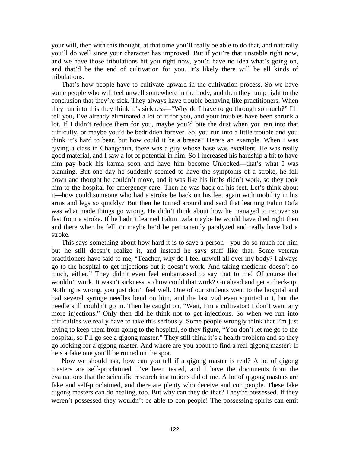your will, then with this thought, at that time you'll really be able to do that, and naturally you'll do well since your character has improved. But if you're that unstable right now, and we have those tribulations hit you right now, you'd have no idea what's going on, and that'd be the end of cultivation for you. It's likely there will be all kinds of tribulations.

That's how people have to cultivate upward in the cultivation process. So we have some people who will feel unwell somewhere in the body, and then they jump right to the conclusion that they're sick. They always have trouble behaving like practitioners. When they run into this they think it's sickness—"Why do I have to go through so much?" I'll tell you, I've already eliminated a lot of it for you, and your troubles have been shrunk a lot. If I didn't reduce them for you, maybe you'd bite the dust when you ran into that difficulty, or maybe you'd be bedridden forever. So, you run into a little trouble and you think it's hard to bear, but how could it be a breeze? Here's an example. When I was giving a class in Changchun, there was a guy whose base was excellent. He was really good material, and I saw a lot of potential in him. So I increased his hardship a bit to have him pay back his karma soon and have him become Unlocked—that's what I was planning. But one day he suddenly seemed to have the symptoms of a stroke, he fell down and thought he couldn't move, and it was like his limbs didn't work, so they took him to the hospital for emergency care. Then he was back on his feet. Let's think about it—how could someone who had a stroke be back on his feet again with mobility in his arms and legs so quickly? But then he turned around and said that learning Falun Dafa was what made things go wrong. He didn't think about how he managed to recover so fast from a stroke. If he hadn't learned Falun Dafa maybe he would have died right then and there when he fell, or maybe he'd be permanently paralyzed and really have had a stroke.

This says something about how hard it is to save a person—you do so much for him but he still doesn't realize it, and instead he says stuff like that. Some veteran practitioners have said to me, "Teacher, why do I feel unwell all over my body? I always go to the hospital to get injections but it doesn't work. And taking medicine doesn't do much, either." They didn't even feel embarrassed to say that to me! Of course that wouldn't work. It wasn't sickness, so how could that work? Go ahead and get a check-up. Nothing is wrong, you just don't feel well. One of our students went to the hospital and had several syringe needles bend on him, and the last vial even squirted out, but the needle still couldn't go in. Then he caught on, "Wait, I'm a cultivator! I don't want any more injections." Only then did he think not to get injections. So when we run into difficulties we really have to take this seriously. Some people wrongly think that I'm just trying to keep them from going to the hospital, so they figure, "You don't let me go to the hospital, so I'll go see a qigong master." They still think it's a health problem and so they go looking for a qigong master. And where are you about to find a real qigong master? If he's a fake one you'll be ruined on the spot.

Now we should ask, how can you tell if a qigong master is real? A lot of qigong masters are self-proclaimed. I've been tested, and I have the documents from the evaluations that the scientific research institutions did of me. A lot of qigong masters are fake and self-proclaimed, and there are plenty who deceive and con people. These fake qigong masters can do healing, too. But why can they do that? They're possessed. If they weren't possessed they wouldn't be able to con people! The possessing spirits can emit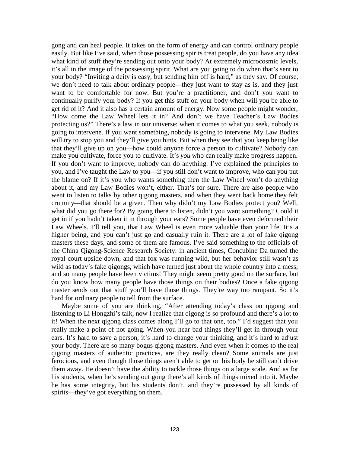gong and can heal people. It takes on the form of energy and can control ordinary people easily. But like I've said, when those possessing spirits treat people, do you have any idea what kind of stuff they're sending out onto your body? At extremely microcosmic levels, it's all in the image of the possessing spirit. What are you going to do when that's sent to your body? "Inviting a deity is easy, but sending him off is hard," as they say. Of course, we don't need to talk about ordinary people—they just want to stay as is, and they just want to be comfortable for now. But you're a practitioner, and don't you want to continually purify your body? If you get this stuff on your body when will you be able to get rid of it? And it also has a certain amount of energy. Now some people might wonder, "How come the Law Wheel lets it in? And don't we have Teacher's Law Bodies protecting us?" There's a law in our universe: when it comes to what you seek, nobody is going to intervene. If you want something, nobody is going to intervene. My Law Bodies will try to stop you and they'll give you hints. But when they see that you keep being like that they'll give up on you—how could anyone force a person to cultivate? Nobody can make you cultivate, force you to cultivate. It's *you* who can really make progress happen. If you don't want to improve, nobody can do anything. I've explained the principles to you, and I've taught the Law to you—if you still don't want to improve, who can you put the blame on? If it's you who wants something then the Law Wheel won't do anything about it, and my Law Bodies won't, either. That's for sure. There are also people who went to listen to talks by other qigong masters, and when they went back home they felt crummy—that should be a given. Then why didn't my Law Bodies protect you? Well, what did you go there for? By going there to listen, didn't you want something? Could it get in if you hadn't taken it in through your ears? Some people have even deformed their Law Wheels. I'll tell you, that Law Wheel is even more valuable than your life. It's a higher being, and you can't just go and casually ruin it. There are a lot of fake qigong masters these days, and some of them are famous. I've said something to the officials of the China Qigong-Science Research Society: in ancient times, Concubine Da turned the royal court upside down, and that fox was running wild, but her behavior still wasn't as wild as today's fake qigongs, which have turned just about the whole country into a mess, and so many people have been victims! They might seem pretty good on the surface, but do you know how many people have those things on their bodies? Once a fake qigong master sends out that stuff you'll have those things. They're way too rampant. So it's hard for ordinary people to tell from the surface.

Maybe some of you are thinking, "After attending today's class on qigong and listening to Li Hongzhi's talk, now I realize that qigong is so profound and there's a lot to it! When the next qigong class comes along I'll go to that one, too." I'd suggest that you really make a point of not going. When you hear bad things they'll get in through your ears. It's hard to save a person, it's hard to change your thinking, and it's hard to adjust your body. There are so many bogus qigong masters. And even when it comes to the real qigong masters of authentic practices, are they really clean? Some animals are just ferocious, and even though those things aren't able to get on his body he still can't drive them away. He doesn't have the ability to tackle those things on a large scale. And as for his students, when he's sending out gong there's all kinds of things mixed into it. Maybe he has some integrity, but his students don't, and they're possessed by all kinds of spirits—they've got everything on them.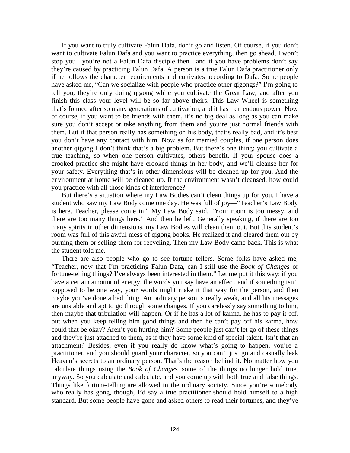If you want to truly cultivate Falun Dafa, don't go and listen. Of course, if you don't want to cultivate Falun Dafa and you want to practice everything, then go ahead, I won't stop you—you're not a Falun Dafa disciple then—and if you have problems don't say they're caused by practicing Falun Dafa. A person is a true Falun Dafa practitioner only if he follows the character requirements and cultivates according to Dafa. Some people have asked me, "Can we socialize with people who practice other qigongs?" I'm going to tell you, they're only doing qigong while you cultivate the Great Law, and after you finish this class your level will be so far above theirs. This Law Wheel is something that's formed after so many generations of cultivation, and it has tremendous power. Now of course, if you want to be friends with them, it's no big deal as long as you can make sure you don't accept or take anything from them and you're just normal friends with them. But if that person really has something on his body, that's really bad, and it's best you don't have any contact with him. Now as for married couples, if one person does another qigong I don't think that's a big problem. But there's one thing: you cultivate a true teaching, so when one person cultivates, others benefit. If your spouse does a crooked practice she might have crooked things in her body, and we'll cleanse her for your safety. Everything that's in other dimensions will be cleaned up for you. And the environment at home will be cleaned up. If the environment wasn't cleansed, how could you practice with all those kinds of interference?

But there's a situation where my Law Bodies can't clean things up for you. I have a student who saw my Law Body come one day. He was full of joy—"Teacher's Law Body is here. Teacher, please come in." My Law Body said, "Your room is too messy, and there are too many things here." And then he left. Generally speaking, if there are too many spirits in other dimensions, my Law Bodies will clean them out. But this student's room was full of this awful mess of qigong books. He realized it and cleared them out by burning them or selling them for recycling. Then my Law Body came back. This is what the student told me.

There are also people who go to see fortune tellers. Some folks have asked me, "Teacher, now that I'm practicing Falun Dafa, can I still use the *Book of Changes* or fortune-telling things? I've always been interested in them." Let me put it this way: if you have a certain amount of energy, the words you say have an effect, and if something isn't supposed to be one way, your words might make it that way for the person, and then maybe you've done a bad thing. An ordinary person is really weak, and all his messages are unstable and apt to go through some changes. If you carelessly say something to him, then maybe that tribulation will happen. Or if he has a lot of karma, he has to pay it off, but when you keep telling him good things and then he can't pay off his karma, how could that be okay? Aren't you hurting him? Some people just can't let go of these things and they're just attached to them, as if they have some kind of special talent. Isn't that an attachment? Besides, even if you really do know what's going to happen, you're a practitioner, and you should guard your character, so you can't just go and casually leak Heaven's secrets to an ordinary person. That's the reason behind it. No matter how you calculate things using the *Book of Changes*, some of the things no longer hold true, anyway. So you calculate and calculate, and you come up with both true and false things. Things like fortune-telling are allowed in the ordinary society. Since you're somebody who really has gong, though, I'd say a true practitioner should hold himself to a high standard. But some people have gone and asked others to read their fortunes, and they've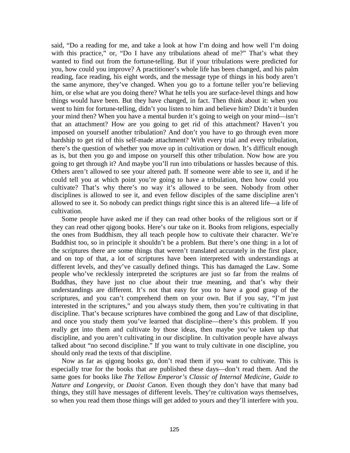said, "Do a reading for me, and take a look at how I'm doing and how well I'm doing with this practice," or, "Do I have any tribulations ahead of me?" That's what they wanted to find out from the fortune-telling. But if your tribulations were predicted for you, how could you improve? A practitioner's whole life has been changed, and his palm reading, face reading, his eight words, and the message type of things in his body aren't the same anymore, they've changed. When you go to a fortune teller you're believing him, or else what are you doing there? What he tells you are surface-level things and how things would have been. But they have changed, in fact. Then think about it: when you went to him for fortune-telling, didn't you listen to him and believe him? Didn't it burden your mind then? When you have a mental burden it's going to weigh on your mind—isn't that an attachment? How are you going to get rid of this attachment? Haven't you imposed on yourself another tribulation? And don't you have to go through even more hardship to get rid of this self-made attachment? With every trial and every tribulation, there's the question of whether you move up in cultivation or down. It's difficult enough as is, but then you go and impose on yourself this other tribulation. Now how are you going to get through it? And maybe you'll run into tribulations or hassles because of this. Others aren't allowed to see your altered path. If someone were able to see it, and if he could tell you at which point you're going to have a tribulation, then how could you cultivate? That's why there's no way it's allowed to be seen. Nobody from other disciplines is allowed to see it, and even fellow disciples of the same discipline aren't allowed to see it. So nobody can predict things right since this is an altered life—a life of cultivation.

Some people have asked me if they can read other books of the religious sort or if they can read other qigong books. Here's our take on it. Books from religions, especially the ones from Buddhism, they all teach people how to cultivate their character. We're Buddhist too, so in principle it shouldn't be a problem. But there's one thing: in a lot of the scriptures there are some things that weren't translated accurately in the first place, and on top of that, a lot of scriptures have been interpreted with understandings at different levels, and they've casually defined things. This has damaged the Law. Some people who've recklessly interpreted the scriptures are just so far from the realms of Buddhas, they have just no clue about their true meaning, and that's why their understandings are different. It's not that easy for you to have a good grasp of the scriptures, and you can't comprehend them on your own. But if you say, "I'm just interested in the scriptures," and you always study them, then you're cultivating in that discipline. That's because scriptures have combined the gong and Law of that discipline, and once you study them you've learned that discipline—there's this problem. If you really get into them and cultivate by those ideas, then maybe you've taken up that discipline, and you aren't cultivating in our discipline. In cultivation people have always talked about "no second discipline." If you want to truly cultivate in one discipline, you should only read the texts of that discipline.

Now as far as qigong books go, don't read them if you want to cultivate. This is especially true for the books that are published these days—don't read them. And the same goes for books like *The Yellow Emperor's Classic of Internal Medicine*, *Guide to Nature and Longevity*, or *Daoist Canon*. Even though they don't have that many bad things, they still have messages of different levels. They're cultivation ways themselves, so when you read them those things will get added to yours and they'll interfere with you.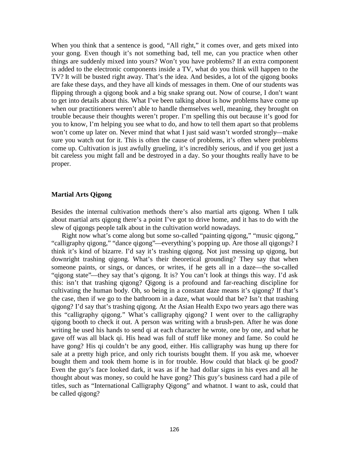When you think that a sentence is good, "All right," it comes over, and gets mixed into your gong. Even though it's not something bad, tell me, can you practice when other things are suddenly mixed into yours? Won't you have problems? If an extra component is added to the electronic components inside a TV, what do you think will happen to the TV? It will be busted right away. That's the idea. And besides, a lot of the qigong books are fake these days, and they have all kinds of messages in them. One of our students was flipping through a qigong book and a big snake sprang out. Now of course, I don't want to get into details about this. What I've been talking about is how problems have come up when our practitioners weren't able to handle themselves well, meaning, they brought on trouble because their thoughts weren't proper. I'm spelling this out because it's good for you to know, I'm helping you see what to do, and how to tell them apart so that problems won't come up later on. Never mind that what I just said wasn't worded strongly—make sure you watch out for it. This is often the cause of problems, it's often where problems come up. Cultivation is just awfully grueling, it's incredibly serious, and if you get just a bit careless you might fall and be destroyed in a day. So your thoughts really have to be proper.

### **Martial Arts Qigong**

Besides the internal cultivation methods there's also martial arts qigong. When I talk about martial arts qigong there's a point I've got to drive home, and it has to do with the slew of qigongs people talk about in the cultivation world nowadays.

Right now what's come along but some so-called "painting qigong," "music qigong," "calligraphy qigong," "dance qigong"—everything's popping up. Are those all qigongs? I think it's kind of bizarre. I'd say it's trashing qigong. Not just messing up qigong, but downright trashing qigong. What's their theoretical grounding? They say that when someone paints, or sings, or dances, or writes, if he gets all in a daze—the so-called "qigong state"—they say that's qigong. It is? You can't look at things this way. I'd ask this: isn't that trashing qigong? Qigong is a profound and far-reaching discipline for cultivating the human body. Oh, so being in a constant daze means it's qigong? If that's the case, then if we go to the bathroom in a daze, what would that be? Isn't that trashing qigong? I'd say that's trashing qigong. At the Asian Health Expo two years ago there was this "calligraphy qigong." What's calligraphy qigong? I went over to the calligraphy qigong booth to check it out. A person was writing with a brush-pen. After he was done writing he used his hands to send qi at each character he wrote, one by one, and what he gave off was all black qi. His head was full of stuff like money and fame. So could he have gong? His qi couldn't be any good, either. His calligraphy was hung up there for sale at a pretty high price, and only rich tourists bought them. If you ask me, whoever bought them and took them home is in for trouble. How could that black qi be good? Even the guy's face looked dark, it was as if he had dollar signs in his eyes and all he thought about was money, so could he have gong? This guy's business card had a pile of titles, such as "International Calligraphy Qigong" and whatnot. I want to ask, could that be called qigong?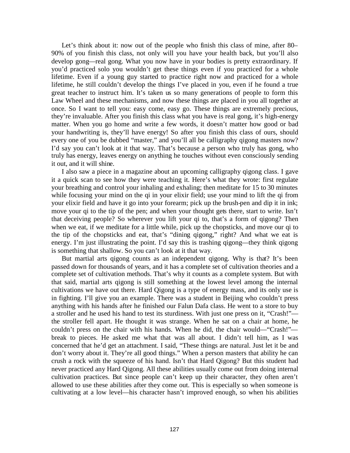Let's think about it: now out of the people who finish this class of mine, after 80– 90% of you finish this class, not only will you have your health back, but you'll also develop gong—real gong. What you now have in your bodies is pretty extraordinary. If you'd practiced solo you wouldn't get these things even if you practiced for a whole lifetime. Even if a young guy started to practice right now and practiced for a whole lifetime, he still couldn't develop the things I've placed in you, even if he found a true great teacher to instruct him. It's taken us so many generations of people to form this Law Wheel and these mechanisms, and now these things are placed in you all together at once. So I want to tell you: easy come, easy go. These things are extremely precious, they're invaluable. After you finish this class what you have is real gong, it's high-energy matter. When you go home and write a few words, it doesn't matter how good or bad your handwriting is, they'll have energy! So after you finish this class of ours, should every one of you be dubbed "master," and you'll all be calligraphy qigong masters now? I'd say you can't look at it that way. That's because a person who truly has gong, who truly has energy, leaves energy on anything he touches without even consciously sending it out, and it will shine.

I also saw a piece in a magazine about an upcoming calligraphy qigong class. I gave it a quick scan to see how they were teaching it. Here's what they wrote: first regulate your breathing and control your inhaling and exhaling; then meditate for 15 to 30 minutes while focusing your mind on the qi in your elixir field; use your mind to lift the qi from your elixir field and have it go into your forearm; pick up the brush-pen and dip it in ink; move your qi to the tip of the pen; and when your thought gets there, start to write. Isn't that deceiving people? So wherever you lift your qi to, that's a form of qigong? Then when we eat, if we meditate for a little while, pick up the chopsticks, and move our qi to the tip of the chopsticks and eat, that's "dining qigong," right? And what we eat is energy. I'm just illustrating the point. I'd say this is trashing qigong—they think qigong is something that shallow. So you can't look at it that way.

But martial arts qigong counts as an independent qigong. Why is that? It's been passed down for thousands of years, and it has a complete set of cultivation theories and a complete set of cultivation methods. That's why it counts as a complete system. But with that said, martial arts qigong is still something at the lowest level among the internal cultivations we have out there. Hard Qigong is a type of energy mass, and its only use is in fighting. I'll give you an example. There was a student in Beijing who couldn't press anything with his hands after he finished our Falun Dafa class. He went to a store to buy a stroller and he used his hand to test its sturdiness. With just one press on it, "Crash!" the stroller fell apart. He thought it was strange. When he sat on a chair at home, he couldn't press on the chair with his hands. When he did, the chair would—"Crash!" break to pieces. He asked me what that was all about. I didn't tell him, as I was concerned that he'd get an attachment. I said, "These things are natural. Just let it be and don't worry about it. They're all good things." When a person masters that ability he can crush a rock with the squeeze of his hand. Isn't that Hard Qigong? But this student had never practiced any Hard Qigong. All these abilities usually come out from doing internal cultivation practices. But since people can't keep up their character, they often aren't allowed to use these abilities after they come out. This is especially so when someone is cultivating at a low level—his character hasn't improved enough, so when his abilities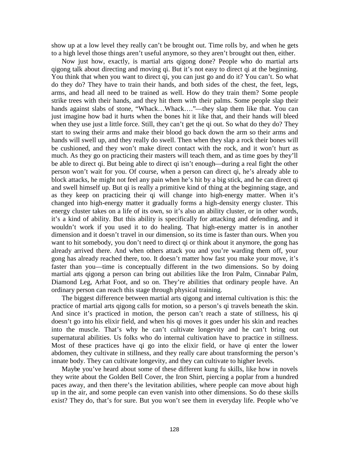show up at a low level they really can't be brought out. Time rolls by, and when he gets to a high level those things aren't useful anymore, so they aren't brought out then, either.

Now just how, exactly, is martial arts qigong done? People who do martial arts qigong talk about directing and moving qi. But it's not easy to direct qi at the beginning. You think that when you want to direct qi, you can just go and do it? You can't. So what do they do? They have to train their hands, and both sides of the chest, the feet, legs, arms, and head all need to be trained as well. How do they train them? Some people strike trees with their hands, and they hit them with their palms. Some people slap their hands against slabs of stone, "Whack...Whack...."—they slap them like that. You can just imagine how bad it hurts when the bones hit it like that, and their hands will bleed when they use just a little force. Still, they can't get the qi out. So what do they do? They start to swing their arms and make their blood go back down the arm so their arms and hands will swell up, and they really do swell. Then when they slap a rock their bones will be cushioned, and they won't make direct contact with the rock, and it won't hurt as much. As they go on practicing their masters will teach them, and as time goes by they'll be able to direct qi. But being able to direct qi isn't enough—during a real fight the other person won't wait for you. Of course, when a person can direct qi, he's already able to block attacks, he might not feel any pain when he's hit by a big stick, and he can direct qi and swell himself up. But qi is really a primitive kind of thing at the beginning stage, and as they keep on practicing their qi will change into high-energy matter. When it's changed into high-energy matter it gradually forms a high-density energy cluster. This energy cluster takes on a life of its own, so it's also an ability cluster, or in other words, it's a kind of ability. But this ability is specifically for attacking and defending, and it wouldn't work if you used it to do healing. That high-energy matter is in another dimension and it doesn't travel in our dimension, so its time is faster than ours. When you want to hit somebody, you don't need to direct qi or think about it anymore, the gong has already arrived there. And when others attack you and you're warding them off, your gong has already reached there, too. It doesn't matter how fast you make your move, it's faster than you—time is conceptually different in the two dimensions. So by doing martial arts qigong a person can bring out abilities like the Iron Palm, Cinnabar Palm, Diamond Leg, Arhat Foot, and so on. They're abilities that ordinary people have. An ordinary person can reach this stage through physical training.

The biggest difference between martial arts qigong and internal cultivation is this: the practice of martial arts qigong calls for motion, so a person's qi travels beneath the skin. And since it's practiced in motion, the person can't reach a state of stillness, his qi doesn't go into his elixir field, and when his qi moves it goes under his skin and reaches into the muscle. That's why he can't cultivate longevity and he can't bring out supernatural abilities. Us folks who do internal cultivation have to practice in stillness. Most of these practices have qi go into the elixir field, or have qi enter the lower abdomen, they cultivate in stillness, and they really care about transforming the person's innate body. They can cultivate longevity, and they can cultivate to higher levels.

Maybe you've heard about some of these different kung fu skills, like how in novels they write about the Golden Bell Cover, the Iron Shirt, piercing a poplar from a hundred paces away, and then there's the levitation abilities, where people can move about high up in the air, and some people can even vanish into other dimensions. So do these skills exist? They do, that's for sure. But you won't see them in everyday life. People who've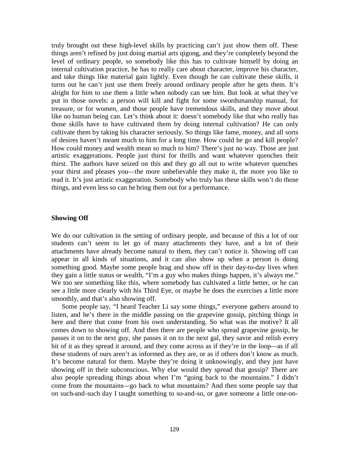truly brought out these high-level skills by practicing can't just show them off. These things aren't refined by just doing martial arts qigong, and they're completely beyond the level of ordinary people, so somebody like this has to cultivate himself by doing an internal cultivation practice, he has to really care about character, improve his character, and take things like material gain lightly. Even though he can cultivate these skills, it turns out he can't just use them freely around ordinary people after he gets them. It's alright for him to use them a little when nobody can see him. But look at what they've put in those novels: a person will kill and fight for some swordsmanship manual, for treasure, or for women, and those people have tremendous skills, and they move about like no human being can. Let's think about it: doesn't somebody like that who really has those skills have to have cultivated them by doing internal cultivation? He can only cultivate them by taking his character seriously. So things like fame, money, and all sorts of desires haven't meant much to him for a long time. How could he go and kill people? How could money and wealth mean so much to him? There's just no way. Those are just artistic exaggerations. People just thirst for thrills and want whatever quenches their thirst. The authors have seized on this and they go all out to write whatever quenches your thirst and pleases you—the more unbelievable they make it, the more you like to read it. It's just artistic exaggeration. Somebody who truly has these skills won't do those things, and even less so can he bring them out for a performance.

#### **Showing Off**

We do our cultivation in the setting of ordinary people, and because of this a lot of our students can't seem to let go of many attachments they have, and a lot of their attachments have already become natural to them, they can't notice it. Showing off can appear in all kinds of situations, and it can also show up when a person is doing something good. Maybe some people brag and show off in their day-to-day lives when they gain a little status or wealth, "I'm a guy who makes things happen, it's always me." We too see something like this, where somebody has cultivated a little better, or he can see a little more clearly with his Third Eye, or maybe he does the exercises a little more smoothly, and that's also showing off.

Some people say, "I heard Teacher Li say some things," everyone gathers around to listen, and he's there in the middle passing on the grapevine gossip, pitching things in here and there that come from his own understanding. So what was the motive? It all comes down to showing off. And then there are people who spread grapevine gossip, he passes it on to the next guy, she passes it on to the next gal, they savor and relish every bit of it as they spread it around, and they come across as if they're in the loop—as if all these students of ours aren't as informed as they are, or as if others don't know as much. It's become natural for them. Maybe they're doing it unknowingly, and they just have showing off in their subconscious. Why else would they spread that gossip? There are also people spreading things about when I'm "going back to the mountains." I didn't come from the mountains—go back to what mountains? And then some people say that on such-and-such day I taught something to so-and-so, or gave someone a little one-on-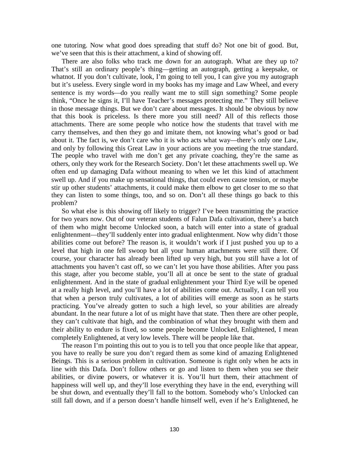one tutoring. Now what good does spreading that stuff do? Not one bit of good. But, we've seen that this is their attachment, a kind of showing off.

There are also folks who track me down for an autograph. What are they up to? That's still an ordinary people's thing—getting an autograph, getting a keepsake, or whatnot. If you don't cultivate, look, I'm going to tell you, I can give you my autograph but it's useless. Every single word in my books has my image and Law Wheel, and every sentence is my words—do you really want me to still sign something? Some people think, "Once he signs it, I'll have Teacher's messages protecting me." They still believe in those message things. But we don't care about messages. It should be obvious by now that this book is priceless. Is there more you still need? All of this reflects those attachments. There are some people who notice how the students that travel with me carry themselves, and then they go and imitate them, not knowing what's good or bad about it. The fact is, we don't care who it is who acts what way—there's only one Law, and only by following this Great Law in your actions are you meeting the true standard. The people who travel with me don't get any private coaching, they're the same as others, only they work for the Research Society. Don't let these attachments swell up. We often end up damaging Dafa without meaning to when we let this kind of attachment swell up. And if you make up sensational things, that could even cause tension, or maybe stir up other students' attachments, it could make them elbow to get closer to me so that they can listen to some things, too, and so on. Don't all these things go back to this problem?

So what else is this showing off likely to trigger? I've been transmitting the practice for two years now. Out of our veteran students of Falun Dafa cultivation, there's a batch of them who might become Unlocked soon, a batch will enter into a state of gradual enlightenment—they'll suddenly enter into gradual enlightenment. Now why didn't those abilities come out before? The reason is, it wouldn't work if I just pushed you up to a level that high in one fell swoop but all your human attachments were still there. Of course, your character has already been lifted up very high, but you still have a lot of attachments you haven't cast off, so we can't let you have those abilities. After you pass this stage, after you become stable, you'll all at once be sent to the state of gradual enlightenment. And in the state of gradual enlightenment your Third Eye will be opened at a really high level, and you'll have a lot of abilities come out. Actually, I can tell you that when a person truly cultivates, a lot of abilities will emerge as soon as he starts practicing. You've already gotten to such a high level, so your abilities are already abundant. In the near future a lot of us might have that state. Then there are other people, they can't cultivate that high, and the combination of what they brought with them and their ability to endure is fixed, so some people become Unlocked, Enlightened, I mean completely Enlightened, at very low levels. There will be people like that.

The reason I'm pointing this out to you is to tell you that once people like that appear, you have to really be sure you don't regard them as some kind of amazing Enlightened Beings. This is a serious problem in cultivation. Someone is right only when he acts in line with this Dafa. Don't follow others or go and listen to them when you see their abilities, or divine powers, or whatever it is. You'll hurt them, their attachment of happiness will well up, and they'll lose everything they have in the end, everything will be shut down, and eventually they'll fall to the bottom. Somebody who's Unlocked can still fall down, and if a person doesn't handle himself well, even if he's Enlightened, he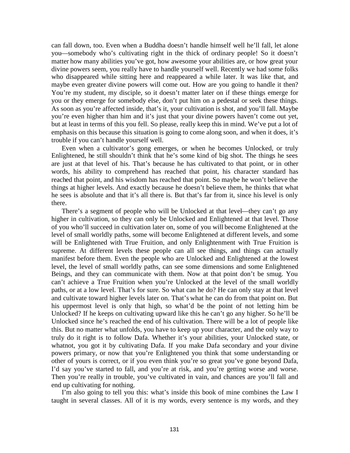can fall down, too. Even when a Buddha doesn't handle himself well he'll fall, let alone you—somebody who's cultivating right in the thick of ordinary people! So it doesn't matter how many abilities you've got, how awesome your abilities are, or how great your divine powers seem, you really have to handle yourself well. Recently we had some folks who disappeared while sitting here and reappeared a while later. It was like that, and maybe even greater divine powers will come out. How are you going to handle it then? You're my student, my disciple, so it doesn't matter later on if these things emerge for you or they emerge for somebody else, don't put him on a pedestal or seek these things. As soon as you're affected inside, that's it, your cultivation is shot, and you'll fall. Maybe you're even higher than him and it's just that your divine powers haven't come out yet, but at least in terms of this you fell. So please, really keep this in mind. We've put a lot of emphasis on this because this situation is going to come along soon, and when it does, it's trouble if you can't handle yourself well.

Even when a cultivator's gong emerges, or when he becomes Unlocked, or truly Enlightened, he still shouldn't think that he's some kind of big shot. The things he sees are just at that level of his. That's because he has cultivated to that point, or in other words, his ability to comprehend has reached that point, his character standard has reached that point, and his wisdom has reached that point. So maybe he won't believe the things at higher levels. And exactly because he doesn't believe them, he thinks that what he sees is absolute and that it's all there is. But that's far from it, since his level is only there.

There's a segment of people who will be Unlocked at that level—they can't go any higher in cultivation, so they can only be Unlocked and Enlightened at that level. Those of you who'll succeed in cultivation later on, some of you will become Enlightened at the level of small worldly paths, some will become Enlightened at different levels, and some will be Enlightened with True Fruition, and only Enlightenment with True Fruition is supreme. At different levels these people can all see things, and things can actually manifest before them. Even the people who are Unlocked and Enlightened at the lowest level, the level of small worldly paths, can see some dimensions and some Enlightened Beings, and they can communicate with them. Now at that point don't be smug. You can't achieve a True Fruition when you're Unlocked at the level of the small worldly paths, or at a low level. That's for sure. So what can he do? He can only stay at that level and cultivate toward higher levels later on. That's what he can do from that point on. But his uppermost level is only that high, so what'd be the point of not letting him be Unlocked? If he keeps on cultivating upward like this he can't go any higher. So he'll be Unlocked since he's reached the end of his cultivation. There will be a lot of people like this. But no matter what unfolds, you have to keep up your character, and the only way to truly do it right is to follow Dafa. Whether it's your abilities, your Unlocked state, or whatnot, you got it by cultivating Dafa. If you make Dafa secondary and your divine powers primary, or now that you're Enlightened you think that some understanding or other of yours is correct, or if you even think you're so great you've gone beyond Dafa, I'd say you've started to fall, and you're at risk, and you're getting worse and worse. Then you're really in trouble, you've cultivated in vain, and chances are you'll fall and end up cultivating for nothing.

I'm also going to tell you this: what's inside this book of mine combines the Law I taught in several classes. All of it is my words, every sentence is my words, and they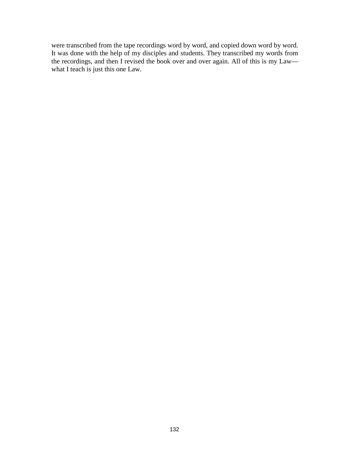were transcribed from the tape recordings word by word, and copied down word by word. It was done with the help of my disciples and students. They transcribed my words from the recordings, and then I revised the book over and over again. All of this is my Law what I teach is just this one Law.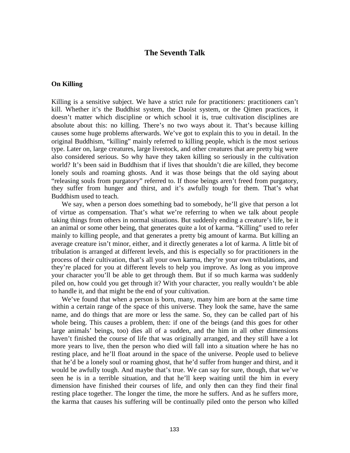## **The Seventh Talk**

#### **On Killing**

Killing is a sensitive subject. We have a strict rule for practitioners: practitioners can't kill. Whether it's the Buddhist system, the Daoist system, or the Qimen practices, it doesn't matter which discipline or which school it is, true cultivation disciplines are absolute about this: no killing. There's no two ways about it. That's because killing causes some huge problems afterwards. We've got to explain this to you in detail. In the original Buddhism, "killing" mainly referred to killing people, which is the most serious type. Later on, large creatures, large livestock, and other creatures that are pretty big were also considered serious. So why have they taken killing so seriously in the cultivation world? It's been said in Buddhism that if lives that shouldn't die are killed, they become lonely souls and roaming ghosts. And it was those beings that the old saying about "releasing souls from purgatory" referred to. If those beings aren't freed from purgatory, they suffer from hunger and thirst, and it's awfully tough for them. That's what Buddhism used to teach.

We say, when a person does something bad to somebody, he'll give that person a lot of virtue as compensation. That's what we're referring to when we talk about people taking things from others in normal situations. But suddenly ending a creature's life, be it an animal or some other being, that generates quite a lot of karma. "Killing" used to refer mainly to killing people, and that generates a pretty big amount of karma. But killing an average creature isn't minor, either, and it directly generates a lot of karma. A little bit of tribulation is arranged at different levels, and this is especially so for practitioners in the process of their cultivation, that's all your own karma, they're your own tribulations, and they're placed for you at different levels to help you improve. As long as you improve your character you'll be able to get through them. But if so much karma was suddenly piled on, how could you get through it? With your character, you really wouldn't be able to handle it, and that might be the end of your cultivation.

We've found that when a person is born, many, many him are born at the same time within a certain range of the space of this universe. They look the same, have the same name, and do things that are more or less the same. So, they can be called part of his whole being. This causes a problem, then: if one of the beings (and this goes for other large animals' beings, too) dies all of a sudden, and the him in all other dimensions haven't finished the course of life that was originally arranged, and they still have a lot more years to live, then the person who died will fall into a situation where he has no resting place, and he'll float around in the space of the universe. People used to believe that he'd be a lonely soul or roaming ghost, that he'd suffer from hunger and thirst, and it would be awfully tough. And maybe that's true. We can say for sure, though, that we've seen he is in a terrible situation, and that he'll keep waiting until the him in every dimension have finished their courses of life, and only then can they find their final resting place together. The longer the time, the more he suffers. And as he suffers more, the karma that causes his suffering will be continually piled onto the person who killed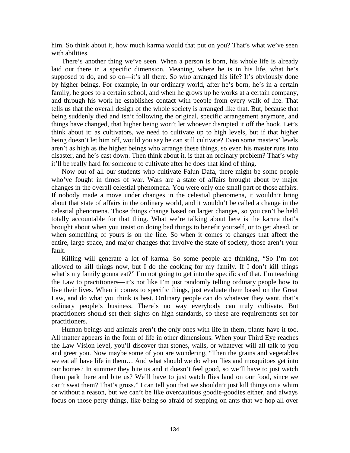him. So think about it, how much karma would that put on you? That's what we've seen with abilities.

There's another thing we've seen. When a person is born, his whole life is already laid out there in a specific dimension. Meaning, where he is in his life, what he's supposed to do, and so on—it's all there. So who arranged his life? It's obviously done by higher beings. For example, in our ordinary world, after he's born, he's in a certain family, he goes to a certain school, and when he grows up he works at a certain company, and through his work he establishes contact with people from every walk of life. That tells us that the overall design of the whole society is arranged like that. But, because that being suddenly died and isn't following the original, specific arrangement anymore, and things have changed, that higher being won't let whoever disrupted it off the hook. Let's think about it: as cultivators, we need to cultivate up to high levels, but if that higher being doesn't let him off, would you say he can still cultivate? Even some masters' levels aren't as high as the higher beings who arrange these things, so even his master runs into disaster, and he's cast down. Then think about it, is that an ordinary problem? That's why it'll be really hard for someone to cultivate after he does that kind of thing.

Now out of all our students who cultivate Falun Dafa, there might be some people who've fought in times of war. Wars are a state of affairs brought about by major changes in the overall celestial phenomena. You were only one small part of those affairs. If nobody made a move under changes in the celestial phenomena, it wouldn't bring about that state of affairs in the ordinary world, and it wouldn't be called a change in the celestial phenomena. Those things change based on larger changes, so you can't be held totally accountable for that thing. What we're talking about here is the karma that's brought about when you insist on doing bad things to benefit yourself, or to get ahead, or when something of yours is on the line. So when it comes to changes that affect the entire, large space, and major changes that involve the state of society, those aren't your fault.

Killing will generate a lot of karma. So some people are thinking, "So I'm not allowed to kill things now, but I do the cooking for my family. If I don't kill things what's my family gonna eat?" I'm not going to get into the specifics of that. I'm teaching the Law to practitioners—it's not like I'm just randomly telling ordinary people how to live their lives. When it comes to specific things, just evaluate them based on the Great Law, and do what you think is best. Ordinary people can do whatever they want, that's ordinary people's business. There's no way everybody can truly cultivate. But practitioners should set their sights on high standards, so these are requirements set for practitioners.

Human beings and animals aren't the only ones with life in them, plants have it too. All matter appears in the form of life in other dimensions. When your Third Eye reaches the Law Vision level, you'll discover that stones, walls, or whatever will all talk to you and greet you. Now maybe some of you are wondering, "Then the grains and vegetables we eat all have life in them… And what should we do when flies and mosquitoes get into our homes? In summer they bite us and it doesn't feel good, so we'll have to just watch them park there and bite us? We'll have to just watch flies land on our food, since we can't swat them? That's gross." I can tell you that we shouldn't just kill things on a whim or without a reason, but we can't be like overcautious goodie-goodies either, and always focus on those petty things, like being so afraid of stepping on ants that we hop all over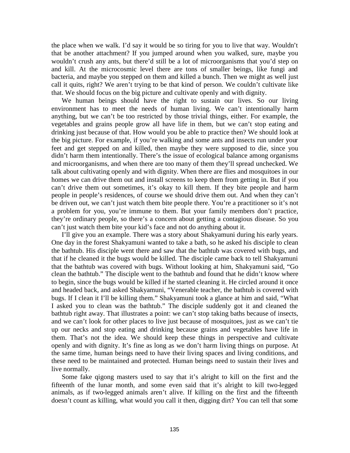the place when we walk. I'd say it would be so tiring for you to live that way. Wouldn't that be another attachment? If you jumped around when you walked, sure, maybe you wouldn't crush any ants, but there'd still be a lot of microorganisms that you'd step on and kill. At the microcosmic level there are tons of smaller beings, like fungi and bacteria, and maybe you stepped on them and killed a bunch. Then we might as well just call it quits, right? We aren't trying to be that kind of person. We couldn't cultivate like that. We should focus on the big picture and cultivate openly and with dignity.

We human beings should have the right to sustain our lives. So our living environment has to meet the needs of human living. We can't intentionally harm anything, but we can't be too restricted by those trivial things, either. For example, the vegetables and grains people grow all have life in them, but we can't stop eating and drinking just because of that. How would you be able to practice then? We should look at the big picture. For example, if you're walking and some ants and insects run under your feet and get stepped on and killed, then maybe they were supposed to die, since you didn't harm them intentionally. There's the issue of ecological balance among organisms and microorganisms, and when there are too many of them they'll spread unchecked. We talk about cultivating openly and with dignity. When there are flies and mosquitoes in our homes we can drive them out and install screens to keep them from getting in. But if you can't drive them out sometimes, it's okay to kill them. If they bite people and harm people in people's residences, of course we should drive them out. And when they can't be driven out, we can't just watch them bite people there. You're a practitioner so it's not a problem for you, you're immune to them. But your family members don't practice, they're ordinary people, so there's a concern about getting a contagious disease. So you can't just watch them bite your kid's face and not do anything about it.

I'll give you an example. There was a story about Shakyamuni during his early years. One day in the forest Shakyamuni wanted to take a bath, so he asked his disciple to clean the bathtub. His disciple went there and saw that the bathtub was covered with bugs, and that if he cleaned it the bugs would be killed. The disciple came back to tell Shakyamuni that the bathtub was covered with bugs. Without looking at him, Shakyamuni said, "Go clean the bathtub." The disciple went to the bathtub and found that he didn't know where to begin, since the bugs would be killed if he started cleaning it. He circled around it once and headed back, and asked Shakyamuni, "Venerable teacher, the bathtub is covered with bugs. If I clean it I'll be killing them." Shakyamuni took a glance at him and said, "What I asked you to clean was the bathtub." The disciple suddenly got it and cleaned the bathtub right away. That illustrates a point: we can't stop taking baths because of insects, and we can't look for other places to live just because of mosquitoes, just as we can't tie up our necks and stop eating and drinking because grains and vegetables have life in them. That's not the idea. We should keep these things in perspective and cultivate openly and with dignity. It's fine as long as we don't harm living things on purpose. At the same time, human beings need to have their living spaces and living conditions, and these need to be maintained and protected. Human beings need to sustain their lives and live normally.

Some fake qigong masters used to say that it's alright to kill on the first and the fifteenth of the lunar month, and some even said that it's alright to kill two-legged animals, as if two-legged animals aren't alive. If killing on the first and the fifteenth doesn't count as killing, what would you call it then, digging dirt? You can tell that some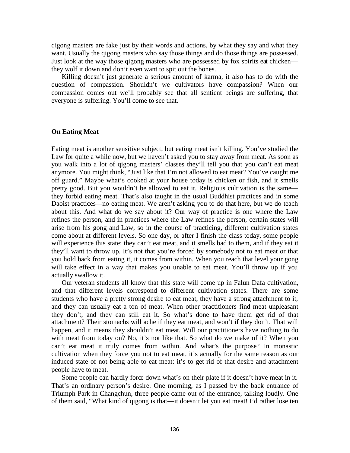qigong masters are fake just by their words and actions, by what they say and what they want. Usually the qigong masters who say those things and do those things are possessed. Just look at the way those qigong masters who are possessed by fox spirits eat chicken they wolf it down and don't even want to spit out the bones.

Killing doesn't just generate a serious amount of karma, it also has to do with the question of compassion. Shouldn't we cultivators have compassion? When our compassion comes out we'll probably see that all sentient beings are suffering, that everyone is suffering. You'll come to see that.

### **On Eating Meat**

Eating meat is another sensitive subject, but eating meat isn't killing. You've studied the Law for quite a while now, but we haven't asked you to stay away from meat. As soon as you walk into a lot of qigong masters' classes they'll tell you that you can't eat meat anymore. You might think, "Just like that I'm not allowed to eat meat? You've caught me off guard." Maybe what's cooked at your house today is chicken or fish, and it smells pretty good. But you wouldn't be allowed to eat it. Religious cultivation is the same they forbid eating meat. That's also taught in the usual Buddhist practices and in some Daoist practices—no eating meat. We aren't asking you to do that here, but we do teach about this. And what do we say about it? Our way of practice is one where the Law refines the person, and in practices where the Law refines the person, certain states will arise from his gong and Law, so in the course of practicing, different cultivation states come about at different levels. So one day, or after I finish the class today, some people will experience this state: they can't eat meat, and it smells bad to them, and if they eat it they'll want to throw up. It's not that you're forced by somebody not to eat meat or that you hold back from eating it, it comes from within. When you reach that level your gong will take effect in a way that makes you unable to eat meat. You'll throw up if you actually swallow it.

Our veteran students all know that this state will come up in Falun Dafa cultivation, and that different levels correspond to different cultivation states. There are some students who have a pretty strong desire to eat meat, they have a strong attachment to it, and they can usually eat a ton of meat. When other practitioners find meat unpleasant they don't, and they can still eat it. So what's done to have them get rid of that attachment? Their stomachs will ache if they eat meat, and won't if they don't. That will happen, and it means they shouldn't eat meat. Will our practitioners have nothing to do with meat from today on? No, it's not like that. So what do we make of it? When you can't eat meat it truly comes from within. And what's the purpose? In monastic cultivation when they force you not to eat meat, it's actually for the same reason as our induced state of not being able to eat meat: it's to get rid of that desire and attachment people have to meat.

Some people can hardly force down what's on their plate if it doesn't have meat in it. That's an ordinary person's desire. One morning, as I passed by the back entrance of Triumph Park in Changchun, three people came out of the entrance, talking loudly. One of them said, "What kind of qigong is that—it doesn't let you eat meat! I'd rather lose ten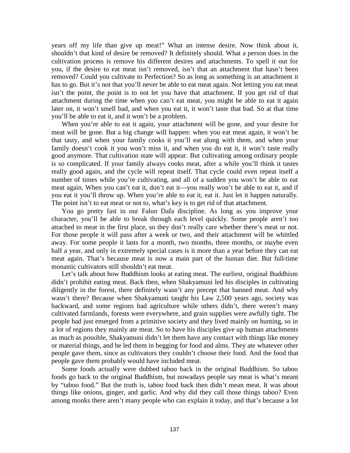years off my life than give up meat!" What an intense desire. Now think about it, shouldn't that kind of desire be removed? It definitely should. What a person does in the cultivation process is remove his different desires and attachments. To spell it out for you, if the desire to eat meat isn't removed, isn't that an attachment that hasn't been removed? Could you cultivate to Perfection? So as long as something is an attachment it has to go. But it's not that you'll never be able to eat meat again. Not letting you eat meat isn't the point, the point is to not let you have that attachment. If you get rid of that attachment during the time when you can't eat meat, you might be able to eat it again later on, it won't smell bad, and when you eat it, it won't taste that bad. So at that time you'll be able to eat it, and it won't be a problem.

When you're able to eat it again, your attachment will be gone, and your desire for meat will be gone. But a big change will happen: when you eat meat again, it won't be that tasty, and when your family cooks it you'll eat along with them, and when your family doesn't cook it you won't miss it, and when you do eat it, it won't taste really good anymore. That cultivation state will appear. But cultivating among ordinary people is so complicated. If your family always cooks meat, after a while you'll think it tastes really good again, and the cycle will repeat itself. That cycle could even repeat itself a number of times while you're cultivating, and all of a sudden you won't be able to eat meat again. When you can't eat it, don't eat it—you really won't be able to eat it, and if you eat it you'll throw up. When you're able to eat it, eat it. Just let it happen naturally. The point isn't to eat meat or not to, what's key is to get rid of that attachment.

You go pretty fast in our Falun Dafa discipline. As long as you improve your character, you'll be able to break through each level quickly. Some people aren't too attached to meat in the first place, so they don't really care whether there's meat or not. For those people it will pass after a week or two, and their attachment will be whittled away. For some people it lasts for a month, two months, three months, or maybe even half a year, and only in extremely special cases is it more than a year before they can eat meat again. That's because meat is now a main part of the human diet. But full-time monastic cultivators still shouldn't eat meat.

Let's talk about how Buddhism looks at eating meat. The earliest, original Buddhism didn't prohibit eating meat. Back then, when Shakyamuni led his disciples in cultivating diligently in the forest, there definitely wasn't any precept that banned meat. And why wasn't there? Because when Shakyamuni taught his Law 2,500 years ago, society was backward, and some regions had agriculture while others didn't, there weren't many cultivated farmlands, forests were everywhere, and grain supplies were awfully tight. The people had just emerged from a primitive society and they lived mainly on hunting, so in a lot of regions they mainly ate meat. So to have his disciples give up human attachments as much as possible, Shakyamuni didn't let them have any contact with things like money or material things, and he led them in begging for food and alms. They ate whatever other people gave them, since as cultivators they couldn't choose their food. And the food that people gave them probably would have included meat.

Some foods actually were dubbed taboo back in the original Buddhism. So taboo foods go back to the original Buddhism, but nowadays people say meat is what's meant by "taboo food." But the truth is, taboo food back then didn't mean meat. It was about things like onions, ginger, and garlic. And why did they call those things taboo? Even among monks there aren't many people who can explain it today, and that's because a lot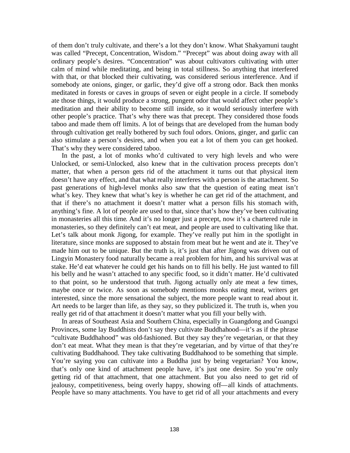of them don't truly cultivate, and there's a lot they don't know. What Shakyamuni taught was called "Precept, Concentration, Wisdom." "Precept" was about doing away with all ordinary people's desires. "Concentration" was about cultivators cultivating with utter calm of mind while meditating, and being in total stillness. So anything that interfered with that, or that blocked their cultivating, was considered serious interference. And if somebody ate onions, ginger, or garlic, they'd give off a strong odor. Back then monks meditated in forests or caves in groups of seven or eight people in a circle. If somebody ate those things, it would produce a strong, pungent odor that would affect other people's meditation and their ability to become still inside, so it would seriously interfere with other people's practice. That's why there was that precept. They considered those foods taboo and made them off limits. A lot of beings that are developed from the human body through cultivation get really bothered by such foul odors. Onions, ginger, and garlic can also stimulate a person's desires, and when you eat a lot of them you can get hooked. That's why they were considered taboo.

In the past, a lot of monks who'd cultivated to very high levels and who were Unlocked, or semi-Unlocked, also knew that in the cultivation process precepts don't matter, that when a person gets rid of the attachment it turns out that physical item doesn't have any effect, and that what really interferes with a person is the attachment. So past generations of high-level monks also saw that the question of eating meat isn't what's key. They knew that what's key is whether he can get rid of the attachment, and that if there's no attachment it doesn't matter what a person fills his stomach with, anything's fine. A lot of people are used to that, since that's how they've been cultivating in monasteries all this time. And it's no longer just a precept, now it's a chartered rule in monasteries, so they definitely can't eat meat, and people are used to cultivating like that. Let's talk about monk Jigong, for example. They've really put him in the spotlight in literature, since monks are supposed to abstain from meat but he went and ate it. They've made him out to be unique. But the truth is, it's just that after Jigong was driven out of Lingyin Monastery food naturally became a real problem for him, and his survival was at stake. He'd eat whatever he could get his hands on to fill his belly. He just wanted to fill his belly and he wasn't attached to any specific food, so it didn't matter. He'd cultivated to that point, so he understood that truth. Jigong actually only ate meat a few times, maybe once or twice. As soon as somebody mentions monks eating meat, writers get interested, since the more sensational the subject, the more people want to read about it. Art needs to be larger than life, as they say, so they publicized it. The truth is, when you really get rid of that attachment it doesn't matter what you fill your belly with.

In areas of Southeast Asia and Southern China, especially in Guangdong and Guangxi Provinces, some lay Buddhists don't say they cultivate Buddhahood—it's as if the phrase "cultivate Buddhahood" was old-fashioned. But they say they're vegetarian, or that they don't eat meat. What they mean is that they're vegetarian, and by virtue of that they're cultivating Buddhahood. They take cultivating Buddhahood to be something that simple. You're saying you can cultivate into a Buddha just by being vegetarian? You know, that's only one kind of attachment people have, it's just one desire. So you're only getting rid of that attachment, that one attachment. But you also need to get rid of jealousy, competitiveness, being overly happy, showing off—all kinds of attachments. People have so many attachments. You have to get rid of all your attachments and every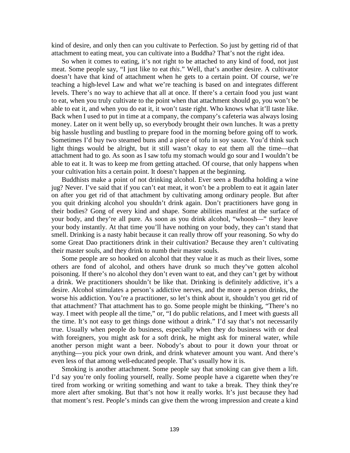kind of desire, and only then can you cultivate to Perfection. So just by getting rid of that attachment to eating meat, you can cultivate into a Buddha? That's not the right idea.

So when it comes to eating, it's not right to be attached to any kind of food, not just meat. Some people say, "I just like to eat *this*." Well, that's another desire. A cultivator doesn't have that kind of attachment when he gets to a certain point. Of course, we're teaching a high-level Law and what we're teaching is based on and integrates different levels. There's no way to achieve that all at once. If there's a certain food you just want to eat, when you truly cultivate to the point when that attachment should go, you won't be able to eat it, and when you do eat it, it won't taste right. Who knows what it'll taste like. Back when I used to put in time at a company, the company's cafeteria was always losing money. Later on it went belly up, so everybody brought their own lunches. It was a pretty big hassle hustling and bustling to prepare food in the morning before going off to work. Sometimes I'd buy two steamed buns and a piece of tofu in soy sauce. You'd think such light things would be alright, but it still wasn't okay to eat them all the time—that attachment had to go. As soon as I saw tofu my stomach would go sour and I wouldn't be able to eat it. It was to keep me from getting attached. Of course, that only happens when your cultivation hits a certain point. It doesn't happen at the beginning.

Buddhists make a point of not drinking alcohol. Ever seen a Buddha holding a wine jug? Never. I've said that if you can't eat meat, it won't be a problem to eat it again later on after you get rid of that attachment by cultivating among ordinary people. But after you quit drinking alcohol you shouldn't drink again. Don't practitioners have gong in their bodies? Gong of every kind and shape. Some abilities manifest at the surface of your body, and they're all pure. As soon as you drink alcohol, "whoosh—" they leave your body instantly. At that time you'll have nothing on your body, they can't stand that smell. Drinking is a nasty habit because it can really throw off your reasoning. So why do some Great Dao practitioners drink in their cultivation? Because they aren't cultivating their master souls, and they drink to numb their master souls.

Some people are so hooked on alcohol that they value it as much as their lives, some others are fond of alcohol, and others have drunk so much they've gotten alcohol poisoning. If there's no alcohol they don't even want to eat, and they can't get by without a drink. We practitioners shouldn't be like that. Drinking is definitely addictive, it's a desire. Alcohol stimulates a person's addictive nerves, and the more a person drinks, the worse his addiction. You're a practitioner, so let's think about it, shouldn't you get rid of that attachment? That attachment has to go. Some people might be thinking, "There's no way. I meet with people all the time," or, "I do public relations, and I meet with guests all the time. It's not easy to get things done without a drink." I'd say that's not necessarily true. Usually when people do business, especially when they do business with or deal with foreigners, you might ask for a soft drink, he might ask for mineral water, while another person might want a beer. Nobody's about to pour it down your throat or anything—you pick your own drink, and drink whatever amount you want. And there's even less of that among well-educated people. That's usually how it is.

Smoking is another attachment. Some people say that smoking can give them a lift. I'd say you're only fooling yourself, really. Some people have a cigarette when they're tired from working or writing something and want to take a break. They think they're more alert after smoking. But that's not how it really works. It's just because they had that moment's rest. People's minds can give them the wrong impression and create a kind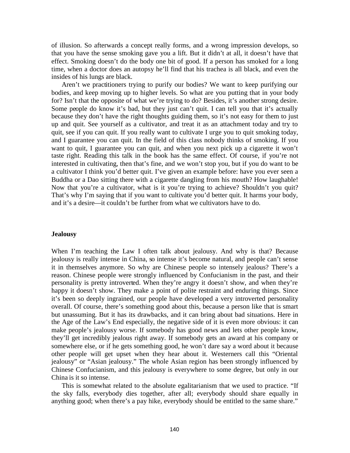of illusion. So afterwards a concept really forms, and a wrong impression develops, so that you have the sense smoking gave you a lift. But it didn't at all, it doesn't have that effect. Smoking doesn't do the body one bit of good. If a person has smoked for a long time, when a doctor does an autopsy he'll find that his trachea is all black, and even the insides of his lungs are black.

Aren't we practitioners trying to purify our bodies? We want to keep purifying our bodies, and keep moving up to higher levels. So what are you putting that in your body for? Isn't that the opposite of what we're trying to do? Besides, it's another strong desire. Some people do know it's bad, but they just can't quit. I can tell you that it's actually because they don't have the right thoughts guiding them, so it's not easy for them to just up and quit. See yourself as a cultivator, and treat it as an attachment today and try to quit, see if you can quit. If you really want to cultivate I urge you to quit smoking today, and I guarantee you can quit. In the field of this class nobody thinks of smoking. If you want to quit, I guarantee you can quit, and when you next pick up a cigarette it won't taste right. Reading this talk in the book has the same effect. Of course, if you're not interested in cultivating, then that's fine, and we won't stop you, but if you do want to be a cultivator I think you'd better quit. I've given an example before: have you ever seen a Buddha or a Dao sitting there with a cigarette dangling from his mouth? How laughable! Now that you're a cultivator, what is it you're trying to achieve? Shouldn't you quit? That's why I'm saying that if you want to cultivate you'd better quit. It harms your body, and it's a desire—it couldn't be further from what we cultivators have to do.

#### **Jealousy**

When I'm teaching the Law I often talk about jealousy. And why is that? Because jealousy is really intense in China, so intense it's become natural, and people can't sense it in themselves anymore. So why are Chinese people so intensely jealous? There's a reason. Chinese people were strongly influenced by Confucianism in the past, and their personality is pretty introverted. When they're angry it doesn't show, and when they're happy it doesn't show. They make a point of polite restraint and enduring things. Since it's been so deeply ingrained, our people have developed a very introverted personality overall. Of course, there's something good about this, because a person like that is smart but unassuming. But it has its drawbacks, and it can bring about bad situations. Here in the Age of the Law's End especially, the negative side of it is even more obvious: it can make people's jealousy worse. If somebody has good news and lets other people know, they'll get incredibly jealous right away. If somebody gets an award at his company or somewhere else, or if he gets something good, he won't dare say a word about it because other people will get upset when they hear about it. Westerners call this "Oriental jealousy" or "Asian jealousy." The whole Asian region has been strongly influenced by Chinese Confucianism, and this jealousy is everywhere to some degree, but only in our China is it so intense.

This is somewhat related to the absolute egalitarianism that we used to practice. "If the sky falls, everybody dies together, after all; everybody should share equally in anything good; when there's a pay hike, everybody should be entitled to the same share."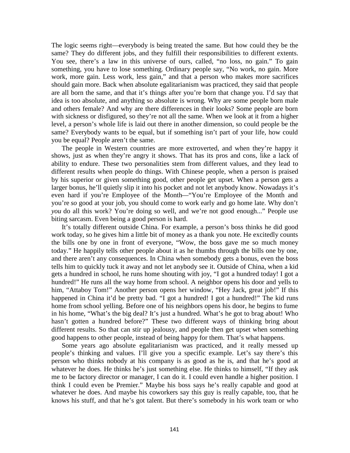The logic seems right—everybody is being treated the same. But how could they be the same? They do different jobs, and they fulfill their responsibilities to different extents. You see, there's a law in this universe of ours, called, "no loss, no gain." To gain something, you have to lose something. Ordinary people say, "No work, no gain. More work, more gain. Less work, less gain," and that a person who makes more sacrifices should gain more. Back when absolute egalitarianism was practiced, they said that people are all born the same, and that it's things after you're born that change you. I'd say that idea is too absolute, and anything so absolute is wrong. Why are some people born male and others female? And why are there differences in their looks? Some people are born with sickness or disfigured, so they're not all the same. When we look at it from a higher level, a person's whole life is laid out there in another dimension, so could people be the same? Everybody wants to be equal, but if something isn't part of your life, how could you be equal? People aren't the same.

The people in Western countries are more extroverted, and when they're happy it shows, just as when they're angry it shows. That has its pros and cons, like a lack of ability to endure. These two personalities stem from different values, and they lead to different results when people do things. With Chinese people, when a person is praised by his superior or given something good, other people get upset. When a person gets a larger bonus, he'll quietly slip it into his pocket and not let anybody know. Nowadays it's even hard if you're Employee of the Month—"You're Employee of the Month and you're *so* good at your job, you should come to work early and go home late. Why don't *you* do all this work? You're doing so well, and we're not good enough..." People use biting sarcasm. Even being a good person is hard.

It's totally different outside China. For example, a person's boss thinks he did good work today, so he gives him a little bit of money as a thank you note. He excitedly counts the bills one by one in front of everyone, "Wow, the boss gave me so much money today." He happily tells other people about it as he thumbs through the bills one by one, and there aren't any consequences. In China when somebody gets a bonus, even the boss tells him to quickly tuck it away and not let anybody see it. Outside of China, when a kid gets a hundred in school, he runs home shouting with joy, "I got a hundred today! I got a hundred!" He runs all the way home from school. A neighbor opens his door and yells to him, "Attaboy Tom!" Another person opens her window, "Hey Jack, great job!" If this happened in China it'd be pretty bad. "I got a hundred! I got a hundred!" The kid runs home from school yelling. Before one of his neighbors opens his door, he begins to fume in his home, "What's the big deal? It's just a hundred. What's he got to brag about! Who hasn't gotten a hundred before?" These two different ways of thinking bring about different results. So that can stir up jealousy, and people then get upset when something good happens to other people, instead of being happy for them. That's what happens.

Some years ago absolute egalitarianism was practiced, and it really messed up people's thinking and values. I'll give you a specific example. Let's say there's this person who thinks nobody at his company is as good as he is, and that he's good at whatever he does. He thinks he's just something else. He thinks to himself, "If they ask me to be factory director or manager, I can do it. I could even handle a higher position. I think I could even be Premier." Maybe his boss says he's really capable and good at whatever he does. And maybe his coworkers say this guy is really capable, too, that he knows his stuff, and that he's got talent. But there's somebody in his work team or who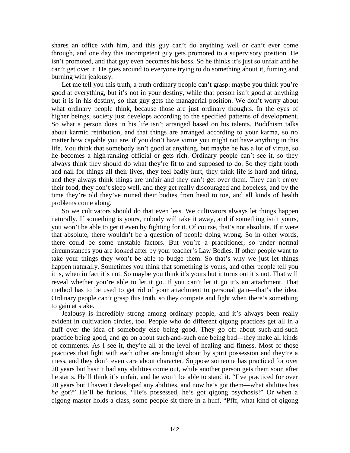shares an office with him, and this guy can't do anything well or can't ever come through, and one day this incompetent guy gets promoted to a supervisory position. He isn't promoted, and that guy even becomes his boss. So he thinks it's just so unfair and he can't get over it. He goes around to everyone trying to do something about it, fuming and burning with jealousy.

Let me tell you this truth, a truth ordinary people can't grasp: maybe you think you're good at everything, but it's not in your destiny, while that person isn't good at anything but it is in his destiny, so that guy gets the managerial position. We don't worry about what ordinary people think, because those are just ordinary thoughts. In the eyes of higher beings, society just develops according to the specified patterns of development. So what a person does in his life isn't arranged based on his talents. Buddhism talks about karmic retribution, and that things are arranged according to your karma, so no matter how capable you are, if you don't have virtue you might not have anything in this life. You think that somebody isn't good at anything, but maybe he has a lot of virtue, so he becomes a high-ranking official or gets rich. Ordinary people can't see it, so they always think they should do what they're fit to and supposed to do. So they fight tooth and nail for things all their lives, they feel badly hurt, they think life is hard and tiring, and they always think things are unfair and they can't get over them. They can't enjoy their food, they don't sleep well, and they get really discouraged and hopeless, and by the time they're old they've ruined their bodies from head to toe, and all kinds of health problems come along.

So we cultivators should do that even less. We cultivators always let things happen naturally. If something is yours, nobody will take it away, and if something isn't yours, you won't be able to get it even by fighting for it. Of course, that's not absolute. If it were that absolute, there wouldn't be a question of people doing wrong. So in other words, there could be some unstable factors. But you're a practitioner, so under normal circumstances you are looked after by your teacher's Law Bodies. If other people want to take your things they won't be able to budge them. So that's why we just let things happen naturally. Sometimes you think that something is yours, and other people tell you it is, when in fact it's not. So maybe you think it's yours but it turns out it's not. That will reveal whether you're able to let it go. If you can't let it go it's an attachment. That method has to be used to get rid of your attachment to personal gain—that's the idea. Ordinary people can't grasp this truth, so they compete and fight when there's something to gain at stake.

Jealousy is incredibly strong among ordinary people, and it's always been really evident in cultivation circles, too. People who do different qigong practices get all in a huff over the idea of somebody else being good. They go off about such-and-such practice being good, and go on about such-and-such one being bad—they make all kinds of comments. As I see it, they're all at the level of healing and fitness. Most of those practices that fight with each other are brought about by spirit possession and they're a mess, and they don't even care about character. Suppose someone has practiced for over 20 years but hasn't had any abilities come out, while another person gets them soon after he starts. He'll think it's unfair, and he won't be able to stand it. "I've practiced for over 20 years but I haven't developed any abilities, and now he's got them—what abilities has *he* got?" He'll be furious. "He's possessed, he's got qigong psychosis!" Or when a qigong master holds a class, some people sit there in a huff, "Pfff, what kind of qigong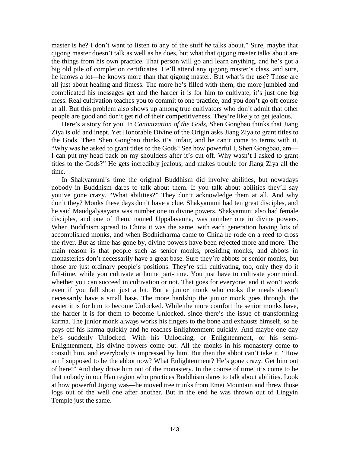master is he? I don't want to listen to any of the stuff *he* talks about." Sure, maybe that qigong master doesn't talk as well as he does, but what that qigong master talks about are the things from his own practice. That person will go and learn anything, and he's got a big old pile of completion certificates. He'll attend any qigong master's class, and sure, he knows a lot—he knows more than that qigong master. But what's the use? Those are all just about healing and fitness. The more he's filled with them, the more jumbled and complicated his messages get and the harder it is for him to cultivate, it's just one big mess. Real cultivation teaches you to commit to one practice, and you don't go off course at all. But this problem also shows up among true cultivators who don't admit that other people are good and don't get rid of their competitiveness. They're likely to get jealous.

Here's a story for you. In *Canonization of the Gods*, Shen Gongbao thinks that Jiang Ziya is old and inept. Yet Honorable Divine of the Origin asks Jiang Ziya to grant titles to the Gods. Then Shen Gongbao thinks it's unfair, and he can't come to terms with it. "Why was he asked to grant titles to the Gods? See how powerful I, Shen Gongbao, am— I can put my head back on my shoulders after it's cut off. Why wasn't I asked to grant titles to the Gods?" He gets incredibly jealous, and makes trouble for Jiang Ziya all the time.

In Shakyamuni's time the original Buddhism did involve abilities, but nowadays nobody in Buddhism dares to talk about them. If you talk about abilities they'll say you've gone crazy. "What abilities?" They don't acknowledge them at all. And why don't they? Monks these days don't have a clue. Shakyamuni had ten great disciples, and he said Maudgalyaayana was number one in divine powers. Shakyamuni also had female disciples, and one of them, named Uppalavanna, was number one in divine powers. When Buddhism spread to China it was the same, with each generation having lots of accomplished monks, and when Bodhidharma came to China he rode on a reed to cross the river. But as time has gone by, divine powers have been rejected more and more. The main reason is that people such as senior monks, presiding monks, and abbots in monasteries don't necessarily have a great base. Sure they're abbots or senior monks, but those are just ordinary people's positions. They're still cultivating, too, only they do it full-time, while you cultivate at home part-time. You just have to cultivate your mind, whether you can succeed in cultivation or not. That goes for everyone, and it won't work even if you fall short just a bit. But a junior monk who cooks the meals doesn't necessarily have a small base. The more hardship the junior monk goes through, the easier it is for him to become Unlocked. While the more comfort the senior monks have, the harder it is for them to become Unlocked, since there's the issue of transforming karma. The junior monk always works his fingers to the bone and exhausts himself, so he pays off his karma quickly and he reaches Enlightenment quickly. And maybe one day he's suddenly Unlocked. With his Unlocking, or Enlightenment, or his semi-Enlightenment, his divine powers come out. All the monks in his monastery come to consult him, and everybody is impressed by him. But then the abbot can't take it. "How am I supposed to be the abbot now? What Enlightenment? He's gone crazy. Get him out of here!" And they drive him out of the monastery. In the course of time, it's come to be that nobody in our Han region who practices Buddhism dares to talk about abilities. Look at how powerful Jigong was—he moved tree trunks from Emei Mountain and threw those logs out of the well one after another. But in the end he was thrown out of Lingyin Temple just the same.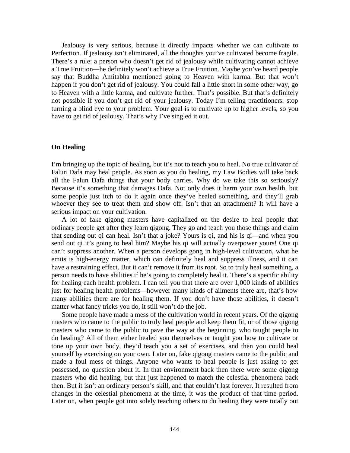Jealousy is very serious, because it directly impacts whether we can cultivate to Perfection. If jealousy isn't eliminated, all the thoughts you've cultivated become fragile. There's a rule: a person who doesn't get rid of jealousy while cultivating cannot achieve a True Fruition—he definitely won't achieve a True Fruition. Maybe you've heard people say that Buddha Amitabha mentioned going to Heaven with karma. But that won't happen if you don't get rid of jealousy. You could fall a little short in some other way, go to Heaven with a little karma, and cultivate further. That's possible. But that's definitely not possible if you don't get rid of your jealousy. Today I'm telling practitioners: stop turning a blind eye to your problem. Your goal is to cultivate up to higher levels, so you have to get rid of jealousy. That's why I've singled it out.

#### **On Healing**

I'm bringing up the topic of healing, but it's not to teach you to heal. No true cultivator of Falun Dafa may heal people. As soon as you do healing, my Law Bodies will take back all the Falun Dafa things that your body carries. Why do we take this so seriously? Because it's something that damages Dafa. Not only does it harm your own health, but some people just itch to do it again once they've healed something, and they'll grab whoever they see to treat them and show off. Isn't that an attachment? It will have a serious impact on your cultivation.

A lot of fake qigong masters have capitalized on the desire to heal people that ordinary people get after they learn qigong. They go and teach you those things and claim that sending out qi can heal. Isn't that a joke? Yours is qi, and his is qi—and when you send out qi it's going to heal him? Maybe his qi will actually overpower yours! One qi can't suppress another. When a person develops gong in high-level cultivation, what he emits is high-energy matter, which can definitely heal and suppress illness, and it can have a restraining effect. But it can't remove it from its root. So to truly heal something, a person needs to have abilities if he's going to completely heal it. There's a specific ability for healing each health problem. I can tell you that there are over 1,000 kinds of abilities just for healing health problems—however many kinds of ailments there are, that's how many abilities there are for healing them. If you don't have those abilities, it doesn't matter what fancy tricks you do, it still won't do the job.

Some people have made a mess of the cultivation world in recent years. Of the qigong masters who came to the public to truly heal people and keep them fit, or of those qigong masters who came to the public to pave the way at the beginning, who taught people to do healing? All of them either healed you themselves or taught you how to cultivate or tone up your own body, they'd teach you a set of exercises, and then you could heal yourself by exercising on your own. Later on, fake qigong masters came to the public and made a foul mess of things. Anyone who wants to heal people is just asking to get possessed, no question about it. In that environment back then there were some qigong masters who did healing, but that just happened to match the celestial phenomena back then. But it isn't an ordinary person's skill, and that couldn't last forever. It resulted from changes in the celestial phenomena at the time, it was the product of that time period. Later on, when people got into solely teaching others to do healing they were totally out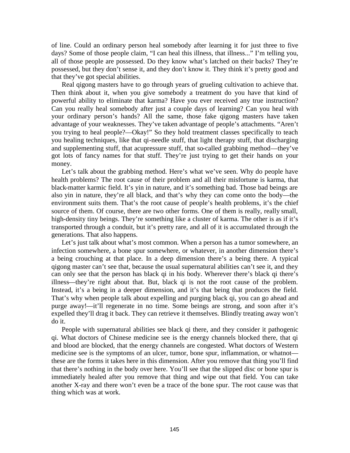of line. Could an ordinary person heal somebody after learning it for just three to five days? Some of those people claim, "I can heal this illness, that illness..." I'm telling you, all of those people are possessed. Do they know what's latched on their backs? They're possessed, but they don't sense it, and they don't know it. They think it's pretty good and that they've got special abilities.

Real qigong masters have to go through years of grueling cultivation to achieve that. Then think about it, when you give somebody a treatment do you have that kind of powerful ability to eliminate that karma? Have you ever received any true instruction? Can you really heal somebody after just a couple days of learning? Can you heal with your ordinary person's hands? All the same, those fake qigong masters have taken advantage of your weaknesses. They've taken advantage of people's attachments. "Aren't you trying to heal people?—Okay!" So they hold treatment classes specifically to teach you healing techniques, like that qi-needle stuff, that light therapy stuff, that discharging and supplementing stuff, that acupressure stuff, that so-called grabbing method—they've got lots of fancy names for that stuff. They're just trying to get their hands on your money.

Let's talk about the grabbing method. Here's what we've seen. Why do people have health problems? The root cause of their problem and all their misfortune is karma, that black-matter karmic field. It's yin in nature, and it's something bad. Those bad beings are also yin in nature, they're all black, and that's why they can come onto the body—the environment suits them. That's the root cause of people's health problems, it's the chief source of them. Of course, there are two other forms. One of them is really, really small, high-density tiny beings. They're something like a cluster of karma. The other is as if it's transported through a conduit, but it's pretty rare, and all of it is accumulated through the generations. That also happens.

Let's just talk about what's most common. When a person has a tumor somewhere, an infection somewhere, a bone spur somewhere, or whatever, in another dimension there's a being crouching at that place. In a deep dimension there's a being there. A typical qigong master can't see that, because the usual supernatural abilities can't see it, and they can only see that the person has black qi in his body. Wherever there's black qi there's illness—they're right about that. But, black qi is not the root cause of the problem. Instead, it's a being in a deeper dimension, and it's that being that produces the field. That's why when people talk about expelling and purging black qi, you can go ahead and purge away!—it'll regenerate in no time. Some beings are strong, and soon after it's expelled they'll drag it back. They can retrieve it themselves. Blindly treating away won't do it.

People with supernatural abilities see black qi there, and they consider it pathogenic qi. What doctors of Chinese medicine see is the energy channels blocked there, that qi and blood are blocked, that the energy channels are congested. What doctors of Western medicine see is the symptoms of an ulcer, tumor, bone spur, inflammation, or whatnot these are the forms it takes here in this dimension. After you remove that thing you'll find that there's nothing in the body over here. You'll see that the slipped disc or bone spur is immediately healed after you remove that thing and wipe out that field. You can take another X-ray and there won't even be a trace of the bone spur. The root cause was that thing which was at work.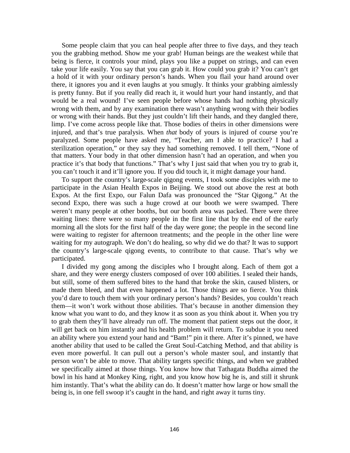Some people claim that you can heal people after three to five days, and they teach you the grabbing method. Show me your grab! Human beings are the weakest while that being is fierce, it controls your mind, plays you like a puppet on strings, and can even take your life easily. You say that you can grab it. How could you grab it? You can't get a hold of it with your ordinary person's hands. When you flail your hand around over there, it ignores you and it even laughs at you smugly. It thinks your grabbing aimlessly is pretty funny. But if you really did reach it, it would hurt your hand instantly, and that would be a real wound! I've seen people before whose hands had nothing physically wrong with them, and by any examination there wasn't anything wrong with their bodies or wrong with their hands. But they just couldn't lift their hands, and they dangled there, limp. I've come across people like that. Those bodies of theirs in other dimensions were injured, and that's true paralysis. When *that* body of yours is injured of course you're paralyzed. Some people have asked me, "Teacher, am I able to practice? I had a sterilization operation," or they say they had something removed. I tell them, "None of that matters. Your body in that other dimension hasn't had an operation, and when you practice it's that body that functions." That's why I just said that when you try to grab it, you can't touch it and it'll ignore you. If you did touch it, it might damage your hand.

To support the country's large-scale qigong events, I took some disciples with me to participate in the Asian Health Expos in Beijing. We stood out above the rest at both Expos. At the first Expo, our Falun Dafa was pronounced the "Star Qigong." At the second Expo, there was such a huge crowd at our booth we were swamped. There weren't many people at other booths, but our booth area was packed. There were three waiting lines: there were so many people in the first line that by the end of the early morning all the slots for the first half of the day were gone; the people in the second line were waiting to register for afternoon treatments; and the people in the other line were waiting for my autograph. We don't do healing, so why did we do that? It was to support the country's large-scale qigong events, to contribute to that cause. That's why we participated.

I divided my gong among the disciples who I brought along. Each of them got a share, and they were energy clusters composed of over 100 abilities. I sealed their hands, but still, some of them suffered bites to the hand that broke the skin, caused blisters, or made them bleed, and that even happened a lot. Those things are so fierce. You think you'd dare to touch them with your ordinary person's hands? Besides, you couldn't reach them—it won't work without those abilities. That's because in another dimension they know what you want to do, and they know it as soon as you think about it. When you try to grab them they'll have already run off. The moment that patient steps out the door, it will get back on him instantly and his health problem will return. To subdue it you need an ability where you extend your hand and "Bam!" pin it there. After it's pinned, we have another ability that used to be called the Great Soul-Catching Method, and that ability is even more powerful. It can pull out a person's whole master soul, and instantly that person won't be able to move. That ability targets specific things, and when we grabbed we specifically aimed at those things. You know how that Tathagata Buddha aimed the bowl in his hand at Monkey King, right, and you know how big he is, and still it shrunk him instantly. That's what the ability can do. It doesn't matter how large or how small the being is, in one fell swoop it's caught in the hand, and right away it turns tiny.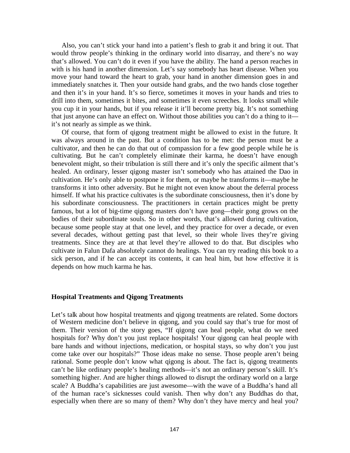Also, you can't stick your hand into a patient's flesh to grab it and bring it out. That would throw people's thinking in the ordinary world into disarray, and there's no way that's allowed. You can't do it even if you have the ability. The hand a person reaches in with is his hand in another dimension. Let's say somebody has heart disease. When you move your hand toward the heart to grab, your hand in another dimension goes in and immediately snatches it. Then your outside hand grabs, and the two hands close together and then it's in your hand. It's so fierce, sometimes it moves in your hands and tries to drill into them, sometimes it bites, and sometimes it even screeches. It looks small while you cup it in your hands, but if you release it it'll become pretty big. It's not something that just anyone can have an effect on. Without those abilities you can't do a thing to it it's not nearly as simple as we think.

Of course, that form of qigong treatment might be allowed to exist in the future. It was always around in the past. But a condition has to be met: the person must be a cultivator, and then he can do that out of compassion for a few good people while he is cultivating. But he can't completely eliminate their karma, he doesn't have enough benevolent might, so their tribulation is still there and it's only the specific ailment that's healed. An ordinary, lesser qigong master isn't somebody who has attained the Dao in cultivation. He's only able to postpone it for them, or maybe he transforms it—maybe he transforms it into other adversity. But he might not even know about the deferral process himself. If what his practice cultivates is the subordinate consciousness, then it's done by his subordinate consciousness. The practitioners in certain practices might be pretty famous, but a lot of big-time qigong masters don't have gong—their gong grows on the bodies of their subordinate souls. So in other words, that's allowed during cultivation, because some people stay at that one level, and they practice for over a decade, or even several decades, without getting past that level, so their whole lives they're giving treatments. Since they are at that level they're allowed to do that. But disciples who cultivate in Falun Dafa absolutely cannot do healings. You can try reading this book to a sick person, and if he can accept its contents, it can heal him, but how effective it is depends on how much karma he has.

#### **Hospital Treatments and Qigong Treatments**

Let's talk about how hospital treatments and qigong treatments are related. Some doctors of Western medicine don't believe in qigong, and you could say that's true for most of them. Their version of the story goes, "If qigong can heal people, what do we need hospitals for? Why don't you just replace hospitals! Your qigong can heal people with bare hands and without injections, medication, or hospital stays, so why don't you just come take over our hospitals?" Those ideas make no sense. Those people aren't being rational. Some people don't know what qigong is about. The fact is, qigong treatments can't be like ordinary people's healing methods—it's not an ordinary person's skill. It's something higher. And are higher things allowed to disrupt the ordinary world on a large scale? A Buddha's capabilities are just awesome—with the wave of a Buddha's hand all of the human race's sicknesses could vanish. Then why don't any Buddhas do that, especially when there are so many of them? Why don't they have mercy and heal you?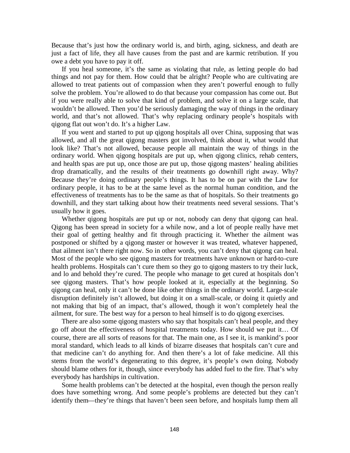Because that's just how the ordinary world is, and birth, aging, sickness, and death are just a fact of life, they all have causes from the past and are karmic retribution. If you owe a debt you have to pay it off.

If you heal someone, it's the same as violating that rule, as letting people do bad things and not pay for them. How could that be alright? People who are cultivating are allowed to treat patients out of compassion when they aren't powerful enough to fully solve the problem. You're allowed to do that because your compassion has come out. But if you were really able to solve that kind of problem, and solve it on a large scale, that wouldn't be allowed. Then you'd be seriously damaging the way of things in the ordinary world, and that's not allowed. That's why replacing ordinary people's hospitals with qigong flat out won't do. It's a higher Law.

If you went and started to put up qigong hospitals all over China, supposing that was allowed, and all the great qigong masters got involved, think about it, what would that look like? That's not allowed, because people all maintain the way of things in the ordinary world. When qigong hospitals are put up, when qigong clinics, rehab centers, and health spas are put up, once those are put up, those qigong masters' healing abilities drop dramatically, and the results of their treatments go downhill right away. Why? Because they're doing ordinary people's things. It has to be on par with the Law for ordinary people, it has to be at the same level as the normal human condition, and the effectiveness of treatments has to be the same as that of hospitals. So their treatments go downhill, and they start talking about how their treatments need several sessions. That's usually how it goes.

Whether qigong hospitals are put up or not, nobody can deny that qigong can heal. Qigong has been spread in society for a while now, and a lot of people really have met their goal of getting healthy and fit through practicing it. Whether the ailment was postponed or shifted by a qigong master or however it was treated, whatever happened, that ailment isn't there right now. So in other words, you can't deny that qigong can heal. Most of the people who see qigong masters for treatments have unknown or hard-to-cure health problems. Hospitals can't cure them so they go to qigong masters to try their luck, and lo and behold they're cured. The people who manage to get cured at hospitals don't see qigong masters. That's how people looked at it, especially at the beginning. So qigong can heal, only it can't be done like other things in the ordinary world. Large-scale disruption definitely isn't allowed, but doing it on a small-scale, or doing it quietly and not making that big of an impact, that's allowed, though it won't completely heal the ailment, for sure. The best way for a person to heal himself is to do qigong exercises.

There are also some qigong masters who say that hospitals can't heal people, and they go off about the effectiveness of hospital treatments today. How should we put it… Of course, there are all sorts of reasons for that. The main one, as I see it, is mankind's poor moral standard, which leads to all kinds of bizarre diseases that hospitals can't cure and that medicine can't do anything for. And then there's a lot of fake medicine. All this stems from the world's degenerating to this degree, it's people's own doing. Nobody should blame others for it, though, since everybody has added fuel to the fire. That's why everybody has hardships in cultivation.

Some health problems can't be detected at the hospital, even though the person really does have something wrong. And some people's problems are detected but they can't identify them—they're things that haven't been seen before, and hospitals lump them all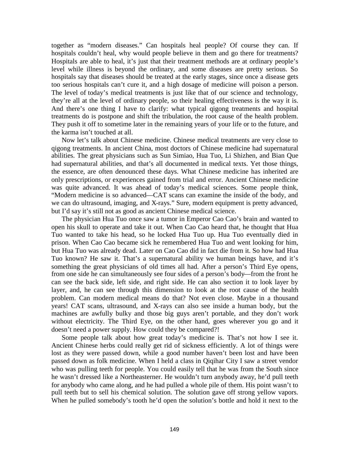together as "modern diseases." Can hospitals heal people? Of course they can. If hospitals couldn't heal, why would people believe in them and go there for treatments? Hospitals are able to heal, it's just that their treatment methods are at ordinary people's level while illness is beyond the ordinary, and some diseases are pretty serious. So hospitals say that diseases should be treated at the early stages, since once a disease gets too serious hospitals can't cure it, and a high dosage of medicine will poison a person. The level of today's medical treatments is just like that of our science and technology, they're all at the level of ordinary people, so their healing effectiveness is the way it is. And there's one thing I have to clarify: what typical qigong treatments and hospital treatments do is postpone and shift the tribulation, the root cause of the health problem. They push it off to sometime later in the remaining years of your life or to the future, and the karma isn't touched at all.

Now let's talk about Chinese medicine. Chinese medical treatments are very close to qigong treatments. In ancient China, most doctors of Chinese medicine had supernatural abilities. The great physicians such as Sun Simiao, Hua Tuo, Li Shizhen, and Bian Que had supernatural abilities, and that's all documented in medical texts. Yet those things, the essence, are often denounced these days. What Chinese medicine has inherited are only prescriptions, or experiences gained from trial and error. Ancient Chinese medicine was quite advanced. It was ahead of today's medical sciences. Some people think, "Modern medicine is so advanced—CAT scans can examine the inside of the body, and we can do ultrasound, imaging, and X-rays." Sure, modern equipment is pretty advanced, but I'd say it's still not as good as ancient Chinese medical science.

The physician Hua Tuo once saw a tumor in Emperor Cao Cao's brain and wanted to open his skull to operate and take it out. When Cao Cao heard that, he thought that Hua Tuo wanted to take his head, so he locked Hua Tuo up. Hua Tuo eventually died in prison. When Cao Cao became sick he remembered Hua Tuo and went looking for him, but Hua Tuo was already dead. Later on Cao Cao did in fact die from it. So how had Hua Tuo known? He saw it. That's a supernatural ability we human beings have, and it's something the great physicians of old times all had. After a person's Third Eye opens, from one side he can simultaneously see four sides of a person's body—from the front he can see the back side, left side, and right side. He can also section it to look layer by layer, and, he can see through this dimension to look at the root cause of the health problem. Can modern medical means do that? Not even close. Maybe in a thousand years! CAT scans, ultrasound, and X-rays can also see inside a human body, but the machines are awfully bulky and those big guys aren't portable, and they don't work without electricity. The Third Eye, on the other hand, goes wherever you go and it doesn't need a power supply. How could they be compared?!

Some people talk about how great today's medicine is. That's not how I see it. Ancient Chinese herbs could really get rid of sickness efficiently. A lot of things were lost as they were passed down, while a good number haven't been lost and have been passed down as folk medicine. When I held a class in Qiqihar City I saw a street vendor who was pulling teeth for people. You could easily tell that he was from the South since he wasn't dressed like a Northeasterner. He wouldn't turn anybody away, he'd pull teeth for anybody who came along, and he had pulled a whole pile of them. His point wasn't to pull teeth but to sell his chemical solution. The solution gave off strong yellow vapors. When he pulled somebody's tooth he'd open the solution's bottle and hold it next to the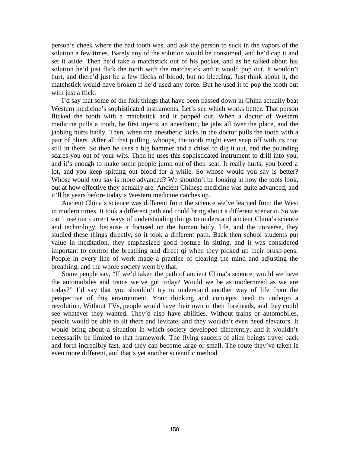person's cheek where the bad tooth was, and ask the person to suck in the vapors of the solution a few times. Barely any of the solution would be consumed, and he'd cap it and set it aside. Then he'd take a matchstick out of his pocket, and as he talked about his solution he'd just flick the tooth with the matchstick and it would pop out. It wouldn't hurt, and there'd just be a few flecks of blood, but no bleeding. Just think about it, the matchstick would have broken if he'd used any force. But he used it to pop the tooth out with just a flick.

I'd say that some of the folk things that have been passed down in China actually beat Western medicine's sophisticated instruments. Let's see which works better. That person flicked the tooth with a matchstick and it popped out. When a doctor of Western medicine pulls a tooth, he first injects an anesthetic, he jabs all over the place, and the jabbing hurts badly. Then, when the anesthetic kicks in the doctor pulls the tooth with a pair of pliers. After all that pulling, whoops, the tooth might even snap off with its root still in there. So then he uses a big hammer and a chisel to dig it out, and the pounding scares you out of your wits. Then he uses this sophisticated instrument to drill into you, and it's enough to make some people jump out of their seat. It really hurts, you bleed a lot, and you keep spitting out blood for a while. So whose would you say is better? Whose would you say is more advanced? We shouldn't be looking at how the tools look, but at how effective they actually are. Ancient Chinese medicine was quite advanced, and it'll be years before today's Western medicine catches up.

Ancient China's science was different from the science we've learned from the West in modern times. It took a different path and could bring about a different scenario. So we can't use our current ways of understanding things to understand ancient China's science and technology, because it focused on the human body, life, and the universe, they studied these things directly, so it took a different path. Back then school students put value in meditation, they emphasized good posture in sitting, and it was considered important to control the breathing and direct qi when they picked up their brush-pens. People in every line of work made a practice of clearing the mind and adjusting the breathing, and the whole society went by that.

Some people say, "If we'd taken the path of ancient China's science, would we have the automobiles and trains we've got today? Would we be as modernized as we are today?" I'd say that you shouldn't try to understand another way of life from the perspective of this environment. Your thinking and concepts need to undergo a revolution. Without TVs, people would have their own in their foreheads, and they could see whatever they wanted. They'd also have abilities. Without trains or automobiles, people would be able to sit there and levitate, and they wouldn't even need elevators. It would bring about a situation in which society developed differently, and it wouldn't necessarily be limited to that framework. The flying saucers of alien beings travel back and forth incredibly fast, and they can become large or small. The route they've taken is even more different, and that's yet another scientific method.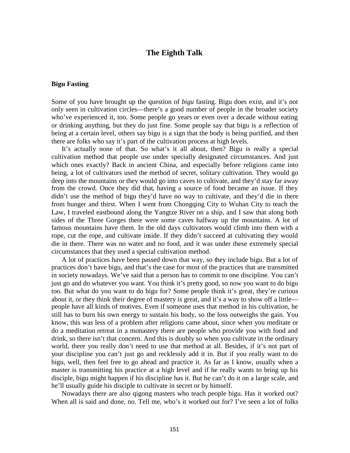# **The Eighth Talk**

#### **Bigu Fasting**

Some of you have brought up the question of *bigu* fasting. Bigu does exist, and it's not only seen in cultivation circles—there's a good number of people in the broader society who've experienced it, too. Some people go years or even over a decade without eating or drinking anything, but they do just fine. Some people say that bigu is a reflection of being at a certain level, others say bigu is a sign that the body is being purified, and then there are folks who say it's part of the cultivation process at high levels.

It's actually none of that. So what's it all about, then? Bigu is really a special cultivation method that people use under specially designated circumstances. And just which ones exactly? Back in ancient China, and especially before religions came into being, a lot of cultivators used the method of secret, solitary cultivation. They would go deep into the mountains or they would go into caves to cultivate, and they'd stay far away from the crowd. Once they did that, having a source of food became an issue. If they didn't use the method of bigu they'd have no way to cultivate, and they'd die in there from hunger and thirst. When I went from Chongqing City to Wuhan City to teach the Law, I traveled eastbound along the Yangtze River on a ship, and I saw that along both sides of the Three Gorges there were some caves halfway up the mountains. A lot of famous mountains have them. In the old days cultivators would climb into them with a rope, cut the rope, and cultivate inside. If they didn't succeed at cultivating they would die in there. There was no water and no food, and it was under these extremely special circumstances that they used a special cultivation method.

A lot of practices have been passed down that way, so they include bigu. But a lot of practices don't have bigu, and that's the case for most of the practices that are transmitted in society nowadays. We've said that a person has to commit to one discipline. You can't just go and do whatever you want. You think it's pretty good, so now you want to do bigu too. But what do you want to do bigu for? Some people think it's great, they're curious about it, or they think their degree of mastery is great, and it's a way to show off a little people have all kinds of motives. Even if someone uses that method in his cultivation, he still has to burn his own energy to sustain his body, so the loss outweighs the gain. You know, this was less of a problem after religions came about, since when you meditate or do a meditation retreat in a monastery there are people who provide you with food and drink, so there isn't that concern. And this is doubly so when you cultivate in the ordinary world, there you really don't need to use that method at all. Besides, if it's not part of your discipline you can't just go and recklessly add it in. But if you really want to do bigu, well, then feel free to go ahead and practice it. As far as I know, usually when a master is transmitting his practice at a high level and if he really wants to bring up his disciple, bigu might happen if his discipline has it. But he can't do it on a large scale, and he'll usually guide his disciple to cultivate in secret or by himself.

Nowadays there are also qigong masters who teach people bigu. Has it worked out? When all is said and done, no. Tell me, who's it worked out for? I've seen a lot of folks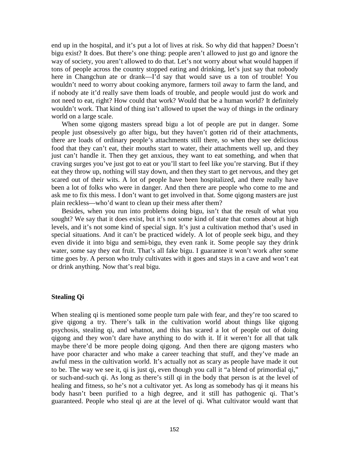end up in the hospital, and it's put a lot of lives at risk. So why did that happen? Doesn't bigu exist? It does. But there's one thing: people aren't allowed to just go and ignore the way of society, you aren't allowed to do that. Let's not worry about what would happen if tons of people across the country stopped eating and drinking, let's just say that nobody here in Changchun ate or drank—I'd say that would save us a ton of trouble! You wouldn't need to worry about cooking anymore, farmers toil away to farm the land, and if nobody ate it'd really save them loads of trouble, and people would just do work and not need to eat, right? How could that work? Would that be a human world? It definitely wouldn't work. That kind of thing isn't allowed to upset the way of things in the ordinary world on a large scale.

When some qigong masters spread bigu a lot of people are put in danger. Some people just obsessively go after bigu, but they haven't gotten rid of their attachments, there are loads of ordinary people's attachments still there, so when they see delicious food that they can't eat, their mouths start to water, their attachments well up, and they just can't handle it. Then they get anxious, they want to eat something, and when that craving surges you've just got to eat or you'll start to feel like you're starving. But if they eat they throw up, nothing will stay down, and then they start to get nervous, and they get scared out of their wits. A lot of people have been hospitalized, and there really have been a lot of folks who were in danger. And then there are people who come to me and ask me to fix this mess. I don't want to get involved in that. Some qigong masters are just plain reckless—who'd want to clean up their mess after them?

Besides, when you run into problems doing bigu, isn't that the result of what you sought? We say that it does exist, but it's not some kind of state that comes about at high levels, and it's not some kind of special sign. It's just a cultivation method that's used in special situations. And it can't be practiced widely. A lot of people seek bigu, and they even divide it into bigu and semi-bigu, they even rank it. Some people say they drink water, some say they eat fruit. That's all fake bigu. I guarantee it won't work after some time goes by. A person who truly cultivates with it goes and stays in a cave and won't eat or drink anything. Now that's real bigu.

### **Stealing Qi**

When stealing qi is mentioned some people turn pale with fear, and they're too scared to give qigong a try. There's talk in the cultivation world about things like qigong psychosis, stealing qi, and whatnot, and this has scared a lot of people out of doing qigong and they won't dare have anything to do with it. If it weren't for all that talk maybe there'd be more people doing qigong. And then there are qigong masters who have poor character and who make a career teaching that stuff, and they've made an awful mess in the cultivation world. It's actually not as scary as people have made it out to be. The way we see it, qi is just qi, even though you call it "a blend of primordial qi," or such-and-such qi. As long as there's still qi in the body that person is at the level of healing and fitness, so he's not a cultivator yet. As long as somebody has qi it means his body hasn't been purified to a high degree, and it still has pathogenic qi. That's guaranteed. People who steal qi are at the level of qi. What cultivator would want that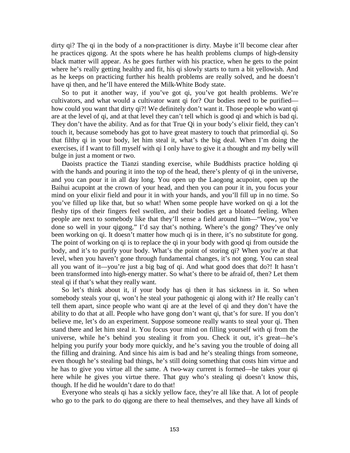dirty qi? The qi in the body of a non-practitioner is dirty. Maybe it'll become clear after he practices qigong. At the spots where he has health problems clumps of high-density black matter will appear. As he goes further with his practice, when he gets to the point where he's really getting healthy and fit, his qi slowly starts to turn a bit yellowish. And as he keeps on practicing further his health problems are really solved, and he doesn't have qi then, and he'll have entered the Milk-White Body state.

So to put it another way, if you've got qi, you've got health problems. We're cultivators, and what would a cultivator want qi for? Our bodies need to be purified how could you want that dirty qi?! We definitely don't want it. Those people who want qi are at the level of qi, and at that level they can't tell which is good qi and which is bad qi. They don't have the ability. And as for that True Qi in your body's elixir field, they can't touch it, because somebody has got to have great mastery to touch that primordial qi. So that filthy qi in your body, let him steal it, what's the big deal. When I'm doing the exercises, if I want to fill myself with qi I only have to give it a thought and my belly will bulge in just a moment or two.

Daoists practice the Tianzi standing exercise, while Buddhists practice holding qi with the hands and pouring it into the top of the head, there's plenty of qi in the universe, and you can pour it in all day long. You open up the Laogong acupoint, open up the Baihui acupoint at the crown of your head, and then you can pour it in, you focus your mind on your elixir field and pour it in with your hands, and you'll fill up in no time. So you've filled up like that, but so what! When some people have worked on qi a lot the fleshy tips of their fingers feel swollen, and their bodies get a bloated feeling. When people are next to somebody like that they'll sense a field around him—"Wow, you've done so well in your qigong." I'd say that's nothing. Where's the gong? They've only been working on qi. It doesn't matter how much qi is in there, it's no substitute for gong. The point of working on qi is to replace the qi in your body with good qi from outside the body, and it's to purify your body. What's the point of storing qi? When you're at that level, when you haven't gone through fundamental changes, it's not gong. You can steal all you want of it—you're just a big bag of qi. And what good does that do?! It hasn't been transformed into high-energy matter. So what's there to be afraid of, then? Let them steal qi if that's what they really want.

So let's think about it, if your body has qi then it has sickness in it. So when somebody steals your qi, won't he steal your pathogenic qi along with it? He really can't tell them apart, since people who want qi are at the level of qi and they don't have the ability to do that at all. People who have gong don't want qi, that's for sure. If you don't believe me, let's do an experiment. Suppose someone really wants to steal your qi. Then stand there and let him steal it. You focus your mind on filling yourself with qi from the universe, while he's behind you stealing it from you. Check it out, it's great—he's helping you purify your body more quickly, and he's saving you the trouble of doing all the filling and draining. And since his aim is bad and he's stealing things from someone, even though he's stealing bad things, he's still doing something that costs him virtue and he has to give you virtue all the same. A two-way current is formed—he takes your qi here while he gives you virtue there. That guy who's stealing qi doesn't know this, though. If he did he wouldn't dare to do that!

Everyone who steals qi has a sickly yellow face, they're all like that. A lot of people who go to the park to do qigong are there to heal themselves, and they have all kinds of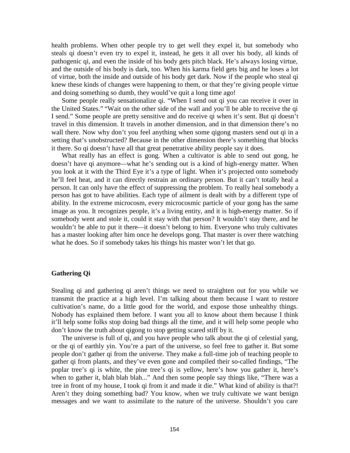health problems. When other people try to get well they expel it, but somebody who steals qi doesn't even try to expel it, instead, he gets it all over his body, all kinds of pathogenic qi, and even the inside of his body gets pitch black. He's always losing virtue, and the outside of his body is dark, too. When his karma field gets big and he loses a lot of virtue, both the inside and outside of his body get dark. Now if the people who steal qi knew these kinds of changes were happening to them, or that they're giving people virtue and doing something so dumb, they would've quit a long time ago!

Some people really sensationalize qi. "When I send out qi you can receive it over in the United States." "Wait on the other side of the wall and you'll be able to receive the qi I send." Some people are pretty sensitive and do receive qi when it's sent. But qi doesn't travel in this dimension. It travels in another dimension, and in that dimension there's no wall there. Now why don't you feel anything when some qigong masters send out qi in a setting that's unobstructed? Because in the other dimension there's something that blocks it there. So qi doesn't have all that great penetrative ability people say it does.

What really has an effect is gong. When a cultivator is able to send out gong, he doesn't have qi anymore—what he's sending out is a kind of high-energy matter. When you look at it with the Third Eye it's a type of light. When it's projected onto somebody he'll feel heat, and it can directly restrain an ordinary person. But it can't totally heal a person. It can only have the effect of suppressing the problem. To really heal somebody a person has got to have abilities. Each type of ailment is dealt with by a different type of ability. In the extreme microcosm, every microcosmic particle of your gong has the same image as you. It recognizes people, it's a living entity, and it is high-energy matter. So if somebody went and stole it, could it stay with that person? It wouldn't stay there, and he wouldn't be able to put it there—it doesn't belong to him. Everyone who truly cultivates has a master looking after him once he develops gong. That master is over there watching what he does. So if somebody takes his things his master won't let that go.

### **Gathering Qi**

Stealing qi and gathering qi aren't things we need to straighten out for you while we transmit the practice at a high level. I'm talking about them because I want to restore cultivation's name, do a little good for the world, and expose those unhealthy things. Nobody has explained them before. I want you all to know about them because I think it'll help some folks stop doing bad things all the time, and it will help some people who don't know the truth about qigong to stop getting scared stiff by it.

The universe is full of qi, and you have people who talk about the qi of celestial yang, or the qi of earthly yin. You're a part of the universe, so feel free to gather it. But some people don't gather qi from the universe. They make a full-time job of teaching people to gather qi from plants, and they've even gone and compiled their so-called findings, "The poplar tree's qi is white, the pine tree's qi is yellow, here's how you gather it, here's when to gather it, blah blah blah..." And then some people say things like, "There was a tree in front of my house, I took qi from it and made it die." What kind of ability is that?! Aren't they doing something bad? You know, when we truly cultivate we want benign messages and we want to assimilate to the nature of the universe. Shouldn't you care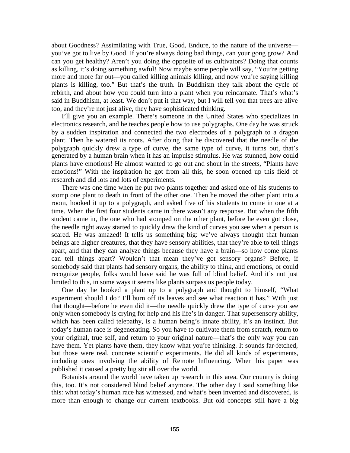about Goodness? Assimilating with True, Good, Endure, to the nature of the universe you've got to live by Good. If you're always doing bad things, can your gong grow? And can you get healthy? Aren't you doing the opposite of us cultivators? Doing that counts as killing, it's doing something awful! Now maybe some people will say, "You're getting more and more far out—you called killing animals killing, and now you're saying killing plants is killing, too." But that's the truth. In Buddhism they talk about the cycle of rebirth, and about how you could turn into a plant when you reincarnate. That's what's said in Buddhism, at least. We don't put it that way, but I will tell you that trees are alive too, and they're not just alive, they have sophisticated thinking.

I'll give you an example. There's someone in the United States who specializes in electronics research, and he teaches people how to use polygraphs. One day he was struck by a sudden inspiration and connected the two electrodes of a polygraph to a dragon plant. Then he watered its roots. After doing that he discovered that the needle of the polygraph quickly drew a type of curve, the same type of curve, it turns out, that's generated by a human brain when it has an impulse stimulus. He was stunned, how could plants have emotions! He almost wanted to go out and shout in the streets, "Plants have emotions!" With the inspiration he got from all this, he soon opened up this field of research and did lots and lots of experiments.

There was one time when he put two plants together and asked one of his students to stomp one plant to death in front of the other one. Then he moved the other plant into a room, hooked it up to a polygraph, and asked five of his students to come in one at a time. When the first four students came in there wasn't any response. But when the fifth student came in, the one who had stomped on the other plant, before he even got close, the needle right away started to quickly draw the kind of curves you see when a person is scared. He was amazed! It tells us something big: we've always thought that human beings are higher creatures, that they have sensory abilities, that they're able to tell things apart, and that they can analyze things because they have a brain—so how come plants can tell things apart? Wouldn't that mean they've got sensory organs? Before, if somebody said that plants had sensory organs, the ability to think, and emotions, or could recognize people, folks would have said he was full of blind belief. And it's not just limited to this, in some ways it seems like plants surpass us people today.

One day he hooked a plant up to a polygraph and thought to himself, "What experiment should I do? I'll burn off its leaves and see what reaction it has." With just that thought—before he even did it—the needle quickly drew the type of curve you see only when somebody is crying for help and his life's in danger. That supersensory ability, which has been called telepathy, is a human being's innate ability, it's an instinct. But today's human race is degenerating. So you have to cultivate them from scratch, return to your original, true self, and return to your original nature—that's the only way you can have them. Yet plants have them, they know what you're thinking. It sounds far-fetched, but those were real, concrete scientific experiments. He did all kinds of experiments, including ones involving the ability of Remote Influencing. When his paper was published it caused a pretty big stir all over the world.

Botanists around the world have taken up research in this area. Our country is doing this, too. It's not considered blind belief anymore. The other day I said something like this: what today's human race has witnessed, and what's been invented and discovered, is more than enough to change our current textbooks. But old concepts still have a big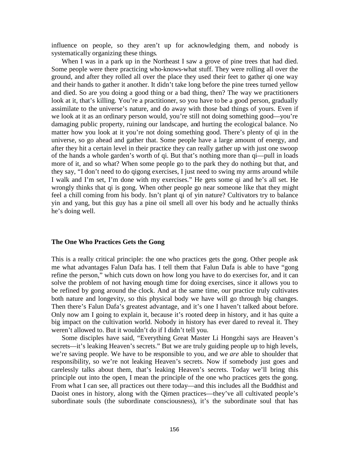influence on people, so they aren't up for acknowledging them, and nobody is systematically organizing these things.

When I was in a park up in the Northeast I saw a grove of pine trees that had died. Some people were there practicing who-knows-what stuff. They were rolling all over the ground, and after they rolled all over the place they used their feet to gather qi one way and their hands to gather it another. It didn't take long before the pine trees turned yellow and died. So are you doing a good thing or a bad thing, then? The way we practitioners look at it, that's killing. You're a practitioner, so you have to be a good person, gradually assimilate to the universe's nature, and do away with those bad things of yours. Even if we look at it as an ordinary person would, you're still not doing something good—you're damaging public property, ruining our landscape, and hurting the ecological balance. No matter how you look at it you're not doing something good. There's plenty of qi in the universe, so go ahead and gather that. Some people have a large amount of energy, and after they hit a certain level in their practice they can really gather up with just one swoop of the hands a whole garden's worth of qi. But that's nothing more than qi—pull in loads more of it, and so what? When some people go to the park they do nothing but that, and they say, "I don't need to do qigong exercises, I just need to swing my arms around while I walk and I'm set, I'm done with my exercises." He gets some qi and he's all set. He wrongly thinks that qi is gong. When other people go near someone like that they might feel a chill coming from his body. Isn't plant qi of yin nature? Cultivators try to balance yin and yang, but this guy has a pine oil smell all over his body and he actually thinks he's doing well.

#### **The One Who Practices Gets the Gong**

This is a really critical principle: the one who practices gets the gong. Other people ask me what advantages Falun Dafa has. I tell them that Falun Dafa is able to have "gong refine the person," which cuts down on how long you have to do exercises for, and it can solve the problem of not having enough time for doing exercises, since it allows you to be refined by gong around the clock. And at the same time, our practice truly cultivates both nature and longevity, so this physical body we have will go through big changes. Then there's Falun Dafa's greatest advantage, and it's one I haven't talked about before. Only now am I going to explain it, because it's rooted deep in history, and it has quite a big impact on the cultivation world. Nobody in history has ever dared to reveal it. They weren't allowed to. But it wouldn't do if I didn't tell you.

Some disciples have said, "Everything Great Master Li Hongzhi says are Heaven's secrets—it's leaking Heaven's secrets." But we are truly guiding people up to high levels, we're saving people. We have to be responsible to you, and we *are* able to shoulder that responsibility, so we're not leaking Heaven's secrets. Now if somebody just goes and carelessly talks about them, that's leaking Heaven's secrets. Today we'll bring this principle out into the open, I mean the principle of the one who practices gets the gong. From what I can see, all practices out there today—and this includes all the Buddhist and Daoist ones in history, along with the Qimen practices—they've all cultivated people's subordinate souls (the subordinate consciousness), it's the subordinate soul that has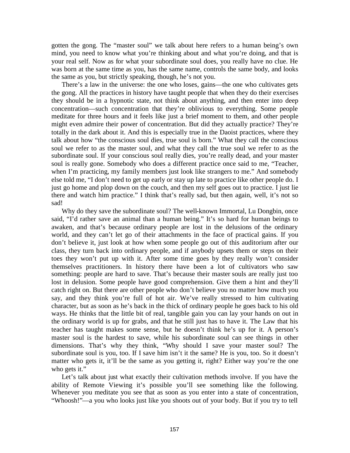gotten the gong. The "master soul" we talk about here refers to a human being's own mind, you need to know what you're thinking about and what you're doing, and that is your real self. Now as for what your subordinate soul does, you really have no clue. He was born at the same time as you, has the same name, controls the same body, and looks the same as you, but strictly speaking, though, he's not you.

There's a law in the universe: the one who loses, gains—the one who cultivates gets the gong. All the practices in history have taught people that when they do their exercises they should be in a hypnotic state, not think about anything, and then enter into deep concentration—such concentration that they're oblivious to everything. Some people meditate for three hours and it feels like just a brief moment to them, and other people might even admire their power of concentration. But did they actually practice? They're totally in the dark about it. And this is especially true in the Daoist practices, where they talk about how "the conscious soul dies, true soul is born." What they call the conscious soul we refer to as the master soul, and what they call the true soul we refer to as the subordinate soul. If your conscious soul really dies, you're really dead, and your master soul is really gone. Somebody who does a different practice once said to me, "Teacher, when I'm practicing, my family members just look like strangers to me." And somebody else told me, "I don't need to get up early or stay up late to practice like other people do. I just go home and plop down on the couch, and then my self goes out to practice. I just lie there and watch him practice." I think that's really sad, but then again, well, it's not so sad!

Why do they save the subordinate soul? The well-known Immortal, Lu Dongbin, once said, "I'd rather save an animal than a human being." It's so hard for human beings to awaken, and that's because ordinary people are lost in the delusions of the ordinary world, and they can't let go of their attachments in the face of practical gains. If you don't believe it, just look at how when some people go out of this auditorium after our class, they turn back into ordinary people, and if anybody upsets them or steps on their toes they won't put up with it. After some time goes by they really won't consider themselves practitioners. In history there have been a lot of cultivators who saw something: people are hard to save. That's because their master souls are really just too lost in delusion. Some people have good comprehension. Give them a hint and they'll catch right on. But there are other people who don't believe you no matter how much you say, and they think you're full of hot air. We've really stressed to him cultivating character, but as soon as he's back in the thick of ordinary people he goes back to his old ways. He thinks that the little bit of real, tangible gain you can lay your hands on out in the ordinary world is up for grabs, and that he still just has to have it. The Law that his teacher has taught makes some sense, but he doesn't think he's up for it. A person's master soul is the hardest to save, while his subordinate soul can see things in other dimensions. That's why they think, "Why should I save your master soul? The subordinate soul is you, too. If I save him isn't it the same? He is you, too. So it doesn't matter who gets it, it'll be the same as you getting it, right? Either way you're the one who gets it."

Let's talk about just what exactly their cultivation methods involve. If you have the ability of Remote Viewing it's possible you'll see something like the following. Whenever you meditate you see that as soon as you enter into a state of concentration, "Whoosh!"—a you who looks just like you shoots out of your body. But if you try to tell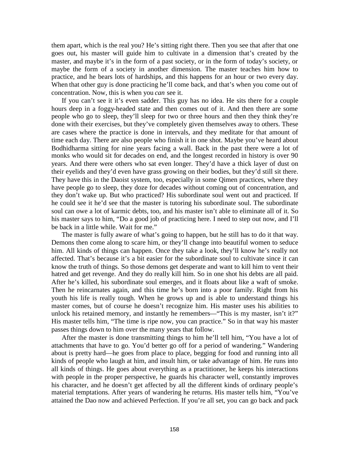them apart, which is the real you? He's sitting right there. Then you see that after that one goes out, his master will guide him to cultivate in a dimension that's created by the master, and maybe it's in the form of a past society, or in the form of today's society, or maybe the form of a society in another dimension. The master teaches him how to practice, and he bears lots of hardships, and this happens for an hour or two every day. When that other guy is done practicing he'll come back, and that's when you come out of concentration. Now, this is when you *can* see it.

If you can't see it it's even sadder. This guy has no idea. He sits there for a couple hours deep in a foggy-headed state and then comes out of it. And then there are some people who go to sleep, they'll sleep for two or three hours and then they think they're done with their exercises, but they've completely given themselves away to others. These are cases where the practice is done in intervals, and they meditate for that amount of time each day. There are also people who finish it in one shot. Maybe you've heard about Bodhidharma sitting for nine years facing a wall. Back in the past there were a lot of monks who would sit for decades on end, and the longest recorded in history is over 90 years. And there were others who sat even longer. They'd have a thick layer of dust on their eyelids and they'd even have grass growing on their bodies, but they'd still sit there. They have this in the Daoist system, too, especially in some Qimen practices, where they have people go to sleep, they doze for decades without coming out of concentration, and they don't wake up. But who practiced? His subordinate soul went out and practiced. If he could see it he'd see that the master is tutoring his subordinate soul. The subordinate soul can owe a lot of karmic debts, too, and his master isn't able to eliminate all of it. So his master says to him, "Do a good job of practicing here. I need to step out now, and I'll be back in a little while. Wait for me."

The master is fully aware of what's going to happen, but he still has to do it that way. Demons then come along to scare him, or they'll change into beautiful women to seduce him. All kinds of things can happen. Once they take a look, they'll know he's really not affected. That's because it's a bit easier for the subordinate soul to cultivate since it can know the truth of things. So those demons get desperate and want to kill him to vent their hatred and get revenge. And they do really kill him. So in one shot his debts are all paid. After he's killed, his subordinate soul emerges, and it floats about like a waft of smoke. Then he reincarnates again, and this time he's born into a poor family. Right from his youth his life is really tough. When he grows up and is able to understand things his master comes, but of course he doesn't recognize him. His master uses his abilities to unlock his retained memory, and instantly he remembers—"This is my master, isn't it?" His master tells him, "The time is ripe now, you can practice." So in that way his master passes things down to him over the many years that follow.

After the master is done transmitting things to him he'll tell him, "You have a lot of attachments that have to go. You'd better go off for a period of wandering." Wandering about is pretty hard—he goes from place to place, begging for food and running into all kinds of people who laugh at him, and insult him, or take advantage of him. He runs into all kinds of things. He goes about everything as a practitioner, he keeps his interactions with people in the proper perspective, he guards his character well, constantly improves his character, and he doesn't get affected by all the different kinds of ordinary people's material temptations. After years of wandering he returns. His master tells him, "You've attained the Dao now and achieved Perfection. If you're all set, you can go back and pack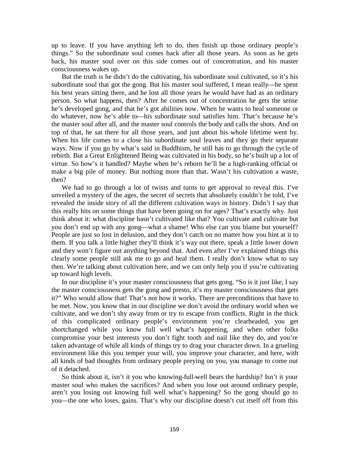up to leave. If you have anything left to do, then finish up those ordinary people's things." So the subordinate soul comes back after all those years. As soon as he gets back, his master soul over on this side comes out of concentration, and his master consciousness wakes up.

But the truth is he didn't do the cultivating, his subordinate soul cultivated, so it's his subordinate soul that got the gong. But his master soul suffered, I mean really—he spent his best years sitting there, and he lost all those years he would have had as an ordinary person. So what happens, then? After he comes out of concentration he gets the sense he's developed gong, and that he's got abilities now. When he wants to heal someone or do whatever, now he's able to—his subordinate soul satisfies him. That's because he's the master soul after all, and the master soul controls the body and calls the shots. And on top of that, he sat there for all those years, and just about his whole lifetime went by. When his life comes to a close his subordinate soul leaves and they go their separate ways. Now if you go by what's said in Buddhism, he still has to go through the cycle of rebirth. But a Great Enlightened Being was cultivated in his body, so he's built up a lot of virtue. So how's it handled? Maybe when he's reborn he'll be a high-ranking official or make a big pile of money. But nothing more than that. Wasn't his cultivation a waste, then?

We had to go through a lot of twists and turns to get approval to reveal this. I've unveiled a mystery of the ages, the secret of secrets that absolutely couldn't be told, I've revealed the inside story of all the different cultivation ways in history. Didn't I say that this really hits on some things that have been going on for ages? That's exactly why. Just think about it: what discipline hasn't cultivated like that? You cultivate and cultivate but you don't end up with any gong—what a shame! Who else can you blame but yourself? People are just so lost in delusion, and they don't catch on no matter how you hint at it to them. If you talk a little higher they'll think it's way out there, speak a little lower down and they won't figure out anything beyond that. And even after I've explained things this clearly some people still ask me to go and heal them. I really don't know what to say then. We're talking about cultivation here, and we can only help you if you're cultivating up toward high levels.

In our discipline it's your master consciousness that gets gong. "So is it just like, I say the master consciousness gets the gong and presto, it's my master consciousness that gets it?" Who would allow that! That's not how it works. There are preconditions that have to be met. Now, you know that in our discipline we don't avoid the ordinary world when we cultivate, and we don't shy away from or try to escape from conflicts. Right in the thick of this complicated ordinary people's environment you're clearheaded, you get shortchanged while you know full well what's happening, and when other folks compromise your best interests you don't fight tooth and nail like they do, and you're taken advantage of while all kinds of things try to drag your character down. In a grueling environment like this you temper your will, you improve your character, and here, with all kinds of bad thoughts from ordinary people preying on you, you manage to come out of it detached.

So think about it, isn't it you who knowing-full-well bears the hardship? Isn't it your master soul who makes the sacrifices? And when you lose out around ordinary people, aren't you losing out knowing full well what's happening? So the gong should go to you—the one who loses, gains. That's why our discipline doesn't cut itself off from this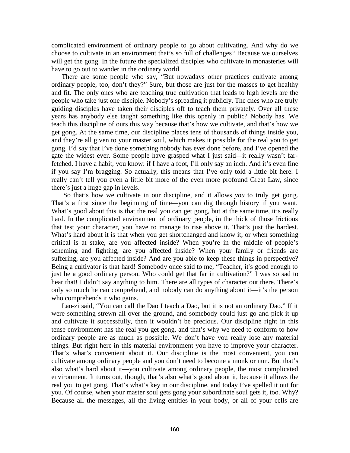complicated environment of ordinary people to go about cultivating. And why do we choose to cultivate in an environment that's so full of challenges? Because we ourselves will get the gong. In the future the specialized disciples who cultivate in monasteries will have to go out to wander in the ordinary world.

There are some people who say, "But nowadays other practices cultivate among ordinary people, too, don't they?" Sure, but those are just for the masses to get healthy and fit. The only ones who are teaching true cultivation that leads to high levels are the people who take just one disciple. Nobody's spreading it publicly. The ones who are truly guiding disciples have taken their disciples off to teach them privately. Over all these years has anybody else taught something like this openly in public? Nobody has. We teach this discipline of ours this way because that's how we cultivate, and that's how we get gong. At the same time, our discipline places tens of thousands of things inside you, and they're all given to your master soul, which makes it possible for the real you to get gong. I'd say that I've done something nobody has ever done before, and I've opened the gate the widest ever. Some people have grasped what I just said—it really wasn't farfetched. I have a habit, you know: if I have a foot, I'll only say an inch. And it's even fine if you say I'm bragging. So actually, this means that I've only told a little bit here. I really can't tell you even a little bit more of the even more profound Great Law, since there's just a huge gap in levels.

So that's how we cultivate in our discipline, and it allows *you* to truly get gong. That's a first since the beginning of time—you can dig through history if you want. What's good about this is that the real you can get gong, but at the same time, it's really hard. In the complicated environment of ordinary people, in the thick of those frictions that test your character, you have to manage to rise above it. That's just the hardest. What's hard about it is that when you get shortchanged and know it, or when something critical is at stake, are you affected inside? When you're in the middle of people's scheming and fighting, are you affected inside? When your family or friends are suffering, are you affected inside? And are you able to keep these things in perspective? Being a cultivator is that hard! Somebody once said to me, "Teacher, it's good enough to just be a good ordinary person. Who could get that far in cultivation?" I was so sad to hear that! I didn't say anything to him. There are all types of character out there. There's only so much he can comprehend, and nobody can do anything about it—it's the person who comprehends it who gains.

Lao-zi said, "You can call the Dao I teach a Dao, but it is not an ordinary Dao." If it were something strewn all over the ground, and somebody could just go and pick it up and cultivate it successfully, then it wouldn't be precious. Our discipline right in this tense environment has the real you get gong, and that's why we need to conform to how ordinary people are as much as possible. We don't have you really lose any material things. But right here in this material environment you have to improve your character. That's what's convenient about it. Our discipline is the most convenient, you can cultivate among ordinary people and you don't need to become a monk or nun. But that's also what's hard about it—you cultivate among ordinary people, the most complicated environment. It turns out, though, that's also what's good about it, because it allows the real you to get gong. That's what's key in our discipline, and today I've spelled it out for you. Of course, when your master soul gets gong your subordinate soul gets it, too. Why? Because all the messages, all the living entities in your body, or all of your cells are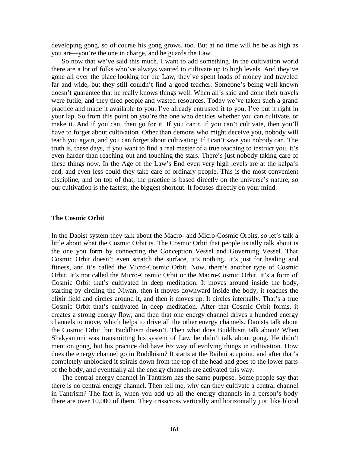developing gong, so of course his gong grows, too. But at no time will he be as high as you are—you're the one in charge, and he guards the Law.

So now that we've said this much, I want to add something. In the cultivation world there are a lot of folks who've always wanted to cultivate up to high levels. And they've gone all over the place looking for the Law, they've spent loads of money and traveled far and wide, but they still couldn't find a good teacher. Someone's being well-known doesn't guarantee that he really knows things well. When all's said and done their travels were futile, and they tired people and wasted resources. Today we've taken such a grand practice and made it available to you. I've already entrusted it to you, I've put it right in your lap. So from this point on you're the one who decides whether you can cultivate, or make it. And if you can, then go for it. If you can't, if you can't cultivate, then you'll have to forget about cultivation. Other than demons who might deceive you, nobody will teach you again, and you can forget about cultivating. If I can't save you nobody can. The truth is, these days, if you want to find a real master of a true teaching to instruct you, it's even harder than reaching out and touching the stars. There's just nobody taking care of these things now. In the Age of the Law's End even very high levels are at the kalpa's end, and even less could they take care of ordinary people. This is the most convenient discipline, and on top of that, the practice is based directly on the universe's nature, so our cultivation is the fastest, the biggest shortcut. It focuses directly on your mind.

# **The Cosmic Orbit**

In the Daoist system they talk about the Macro- and Micro-Cosmic Orbits, so let's talk a little about what the Cosmic Orbit is. The Cosmic Orbit that people usually talk about is the one you form by connecting the Conception Vessel and Governing Vessel. That Cosmic Orbit doesn't even scratch the surface, it's nothing. It's just for healing and fitness, and it's called the Micro-Cosmic Orbit. Now, there's another type of Cosmic Orbit. It's not called the Micro-Cosmic Orbit or the Macro-Cosmic Orbit. It's a form of Cosmic Orbit that's cultivated in deep meditation. It moves around inside the body, starting by circling the Niwan, then it moves downward inside the body, it reaches the elixir field and circles around it, and then it moves up. It circles internally. That's a true Cosmic Orbit that's cultivated in deep meditation. After that Cosmic Orbit forms, it creates a strong energy flow, and then that one energy channel drives a hundred energy channels to move, which helps to drive all the other energy channels. Daoists talk about the Cosmic Orbit, but Buddhism doesn't. Then what does Buddhism talk about? When Shakyamuni was transmitting his system of Law he didn't talk about gong. He didn't mention gong, but his practice did have *his* way of evolving things in cultivation. How does the energy channel go in Buddhism? It starts at the Baihui acupoint, and after that's completely unblocked it spirals down from the top of the head and goes to the lower parts of the body, and eventually all the energy channels are activated this way.

The central energy channel in Tantrism has the same purpose. Some people say that there is no central energy channel. Then tell me, why can they cultivate a central channel in Tantrism? The fact is, when you add up all the energy channels in a person's body there are over 10,000 of them. They crisscross vertically and horizontally just like blood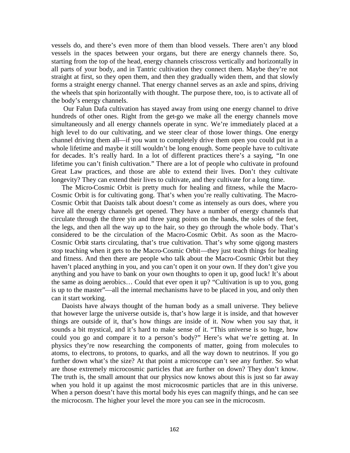vessels do, and there's even more of them than blood vessels. There aren't any blood vessels in the spaces between your organs, but there are energy channels there. So, starting from the top of the head, energy channels crisscross vertically and horizontally in all parts of your body, and in Tantric cultivation they connect them. Maybe they're not straight at first, so they open them, and then they gradually widen them, and that slowly forms a straight energy channel. That energy channel serves as an axle and spins, driving the wheels that spin horizontally with thought. The purpose there, too, is to activate all of the body's energy channels.

Our Falun Dafa cultivation has stayed away from using one energy channel to drive hundreds of other ones. Right from the get-go we make all the energy channels move simultaneously and all energy channels operate in sync. We're immediately placed at a high level to do our cultivating, and we steer clear of those lower things. One energy channel driving them all—if you want to completely drive them open you could put in a whole lifetime and maybe it still wouldn't be long enough. Some people have to cultivate for decades. It's really hard. In a lot of different practices there's a saying, "In one lifetime you can't finish cultivation." There are a lot of people who cultivate in profound Great Law practices, and those are able to extend their lives. Don't they cultivate longevity? They can extend their lives to cultivate, and they cultivate for a long time.

The Micro-Cosmic Orbit is pretty much for healing and fitness, while the Macro-Cosmic Orbit is for cultivating gong. That's when you're really cultivating. The Macro-Cosmic Orbit that Daoists talk about doesn't come as intensely as ours does, where you have all the energy channels get opened. They have a number of energy channels that circulate through the three yin and three yang points on the hands, the soles of the feet, the legs, and then all the way up to the hair, so they go through the whole body. That's considered to be the circulation of the Macro-Cosmic Orbit. As soon as the Macro-Cosmic Orbit starts circulating, that's true cultivation. That's why some qigong masters stop teaching when it gets to the Macro-Cosmic Orbit—they just teach things for healing and fitness. And then there are people who talk about the Macro-Cosmic Orbit but they haven't placed anything in you, and you can't open it on your own. If they don't give you anything and you have to bank on your own thoughts to open it up, good luck! It's about the same as doing aerobics… Could that ever open it up? "Cultivation is up to you, gong is up to the master"—all the internal mechanisms have to be placed in you, and only then can it start working.

Daoists have always thought of the human body as a small universe. They believe that however large the universe outside is, that's how large it is inside, and that however things are outside of it, that's how things are inside of it. Now when you say that, it sounds a bit mystical, and it's hard to make sense of it. "This universe is so huge, how could you go and compare it to a person's body?" Here's what we're getting at. In physics they're now researching the components of matter, going from molecules to atoms, to electrons, to protons, to quarks, and all the way down to neutrinos. If you go further down what's the size? At that point a microscope can't see any further. So what are those extremely microcosmic particles that are further on down? They don't know. The truth is, the small amount that our physics now knows about this is just so far away when you hold it up against the most microcosmic particles that are in this universe. When a person doesn't have this mortal body his eyes can magnify things, and he can see the microcosm. The higher your level the more you can see in the microcosm.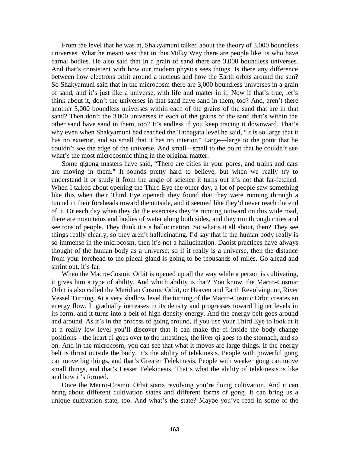From the level that he was at, Shakyamuni talked about the theory of 3,000 boundless universes. What he meant was that in this Milky Way there are people like us who have carnal bodies. He also said that in a grain of sand there are 3,000 boundless universes. And that's consistent with how our modern physics sees things. Is there any difference between how electrons orbit around a nucleus and how the Earth orbits around the sun? So Shakyamuni said that in the microcosm there are 3,000 boundless universes in a grain of sand, and it's just like a universe, with life and matter in it. Now if that's true, let's think about it, don't the universes in that sand have sand in them, too? And, aren't there another 3,000 boundless universes within each of the grains of the sand that are in that sand? Then don't the 3,000 universes in each of the grains of the sand that's within the other sand have sand in them, too? It's endless if you keep tracing it downward. That's why even when Shakyamuni had reached the Tathagata level he said, "It is so large that it has no exterior, and so small that it has no interior." Large—large to the point that he couldn't see the edge of the universe. And small—small to the point that he couldn't see what's the most microcosmic thing in the original matter.

Some qigong masters have said, "There are cities in your pores, and trains and cars are moving in them." It sounds pretty hard to believe, but when we really try to understand it or study it from the angle of science it turns out it's not that far-fetched. When I talked about opening the Third Eye the other day, a lot of people saw something like this when their Third Eye opened: they found that they were running through a tunnel in their foreheads toward the outside, and it seemed like they'd never reach the end of it. Or each day when they do the exercises they're running outward on this wide road, there are mountains and bodies of water along both sides, and they run through cities and see tons of people. They think it's a hallucination. So what's it all about, then? They see things really clearly, so they aren't hallucinating. I'd say that if the human body really is so immense in the microcosm, then it's not a hallucination. Daoist practices have always thought of the human body as a universe, so if it really is a universe, then the distance from your forehead to the pineal gland is going to be thousands of miles. Go ahead and sprint out, it's far.

When the Macro-Cosmic Orbit is opened up all the way while a person is cultivating, it gives him a type of ability. And which ability is that? You know, the Macro-Cosmic Orbit is also called the Meridian Cosmic Orbit, or Heaven and Earth Revolving, or, River Vessel Turning. At a very shallow level the turning of the Macro-Cosmic Orbit creates an energy flow. It gradually increases in its density and progresses toward higher levels in its form, and it turns into a belt of high-density energy. And the energy belt goes around and around. As it's in the process of going around, if you use your Third Eye to look at it at a really low level you'll discover that it can make the qi inside the body change positions—the heart qi goes over to the intestines, the liver qi goes to the stomach, and so on. And in the microcosm, you can see that what it moves are large things. If the energy belt is thrust outside the body, it's the ability of telekinesis. People with powerful gong can move big things, and that's Greater Telekinesis. People with weaker gong can move small things, and that's Lesser Telekinesis. That's what the ability of telekinesis is like and how it's formed.

Once the Macro-Cosmic Orbit starts revolving you're doing cultivation. And it can bring about different cultivation states and different forms of gong. It can bring us a unique cultivation state, too. And what's the state? Maybe you've read in some of the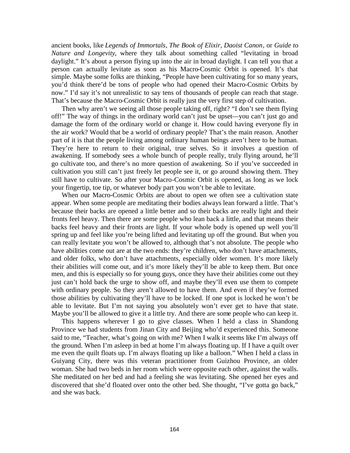ancient books, like *Legends of Immortals*, *The Book of Elixir, Daoist Canon*, or *Guide to Nature and Longevity*, where they talk about something called "levitating in broad daylight." It's about a person flying up into the air in broad daylight. I can tell you that a person can actually levitate as soon as his Macro-Cosmic Orbit is opened. It's that simple. Maybe some folks are thinking, "People have been cultivating for so many years, you'd think there'd be tons of people who had opened their Macro-Cosmic Orbits by now." I'd say it's not unrealistic to say tens of thousands of people can reach that stage. That's because the Macro-Cosmic Orbit is really just the very first step of cultivation.

Then why aren't we seeing all those people taking off, right? "I don't see them flying off!" The way of things in the ordinary world can't just be upset—you can't just go and damage the form of the ordinary world or change it. How could having everyone fly in the air work? Would that be a world of ordinary people? That's the main reason. Another part of it is that the people living among ordinary human beings aren't here to be human. They're here to return to their original, true selves. So it involves a question of awakening. If somebody sees a whole bunch of people really, truly flying around, he'll go cultivate too, and there's no more question of awakening. So if you've succeeded in cultivation you still can't just freely let people see it, or go around showing them. They still have to cultivate. So after your Macro-Cosmic Orbit is opened, as long as we lock your fingertip, toe tip, or whatever body part you won't be able to levitate.

When our Macro-Cosmic Orbits are about to open we often see a cultivation state appear. When some people are meditating their bodies always lean forward a little. That's because their backs are opened a little better and so their backs are really light and their fronts feel heavy. Then there are some people who lean back a little, and that means their backs feel heavy and their fronts are light. If your whole body is opened up well you'll spring up and feel like you're being lifted and levitating up off the ground. But when you can really levitate you won't be allowed to, although that's not absolute. The people who have abilities come out are at the two ends: they're children, who don't have attachments, and older folks, who don't have attachments, especially older women. It's more likely their abilities will come out, and it's more likely they'll be able to keep them. But once men, and this is especially so for young guys, once they have their abilities come out they just can't hold back the urge to show off, and maybe they'll even use them to compete with ordinary people. So they aren't allowed to have them. And even if they've formed those abilities by cultivating they'll have to be locked. If one spot is locked he won't be able to levitate. But I'm not saying you absolutely won't ever get to have that state. Maybe you'll be allowed to give it a little try. And there are some people who can keep it.

This happens wherever I go to give classes. When I held a class in Shandong Province we had students from Jinan City and Beijing who'd experienced this. Someone said to me, "Teacher, what's going on with me? When I walk it seems like I'm always off the ground. When I'm asleep in bed at home I'm always floating up. If I have a quilt over me even the quilt floats up. I'm always floating up like a balloon." When I held a class in Guiyang City, there was this veteran practitioner from Guizhou Province, an older woman. She had two beds in her room which were opposite each other, against the walls. She meditated on her bed and had a feeling she was levitating. She opened her eyes and discovered that she'd floated over onto the other bed. She thought, "I've gotta go back," and she was back.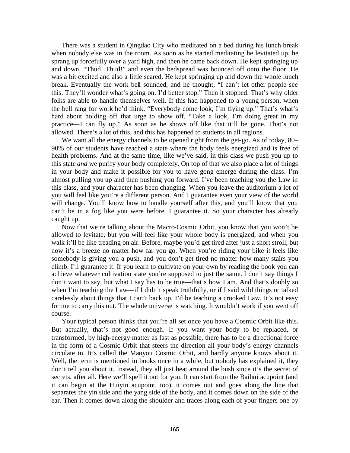There was a student in Qingdao City who meditated on a bed during his lunch break when nobody else was in the room. As soon as he started meditating he levitated up, he sprang up forcefully over a yard high, and then he came back down. He kept springing up and down, "Thud! Thud!" and even the bedspread was bounced off onto the floor. He was a bit excited and also a little scared. He kept springing up and down the whole lunch break. Eventually the work bell sounded, and he thought, "I can't let other people see this. They'll wonder what's going on. I'd better stop." Then it stopped. That's why older folks are able to handle themselves well. If this had happened to a young person, when the bell rang for work he'd think, "Everybody come look, I'm flying up." That's what's hard about holding off that urge to show off. "Take a look, I'm doing great in my practice—I can fly up." As soon as he shows off like that it'll be gone. That's not allowed. There's a lot of this, and this has happened to students in all regions.

We want all the energy channels to be opened right from the get-go. As of today, 80– 90% of our students have reached a state where the body feels energized and is free of health problems. And at the same time, like we've said, in this class we push you up to this state *and* we purify your body completely. On top of that we also place a lot of things in your body and make it possible for you to have gong emerge during the class. I'm almost pulling you up and then pushing you forward. I've been teaching you the Law in this class, and your character has been changing. When you leave the auditorium a lot of you will feel like you're a different person. And I guarantee even your view of the world will change. You'll know how to handle yourself after this, and you'll know that you can't be in a fog like you were before. I guarantee it. So your character has already caught up.

Now that we're talking about the Macro-Cosmic Orbit, you know that you won't be allowed to levitate, but you will feel like your whole body is energized, and when you walk it'll be like treading on air. Before, maybe you'd get tired after just a short stroll, but now it's a breeze no matter how far you go. When you're riding your bike it feels like somebody is giving you a push, and you don't get tired no matter how many stairs you climb. I'll guarantee it. If you learn to cultivate on your own by reading the book you can achieve whatever cultivation state you're supposed to just the same. I don't say things I don't want to say, but what I say has to be true—that's how I am. And that's doubly so when I'm teaching the Law—if I didn't speak truthfully, or if I said wild things or talked carelessly about things that I can't back up, I'd be teaching a crooked Law. It's not easy for me to carry this out. The whole universe is watching. It wouldn't work if you went off course.

Your typical person thinks that you're all set once you have a Cosmic Orbit like this. But actually, that's not good enough. If you want your body to be replaced, or transformed, by high-energy matter as fast as possible, there has to be a directional force in the form of a Cosmic Orbit that steers the direction all your body's energy channels circulate in. It's called the Maoyou Cosmic Orbit, and hardly anyone knows about it. Well, the term is mentioned in books once in a while, but nobody has explained it, they don't tell you about it. Instead, they all just beat around the bush since it's the secret of secrets, after all. Here we'll spell it out for you. It can start from the Baihui acupoint (and it can begin at the Huiyin acupoint, too), it comes out and goes along the line that separates the yin side and the yang side of the body, and it comes down on the side of the ear. Then it comes down along the shoulder and traces along each of your fingers one by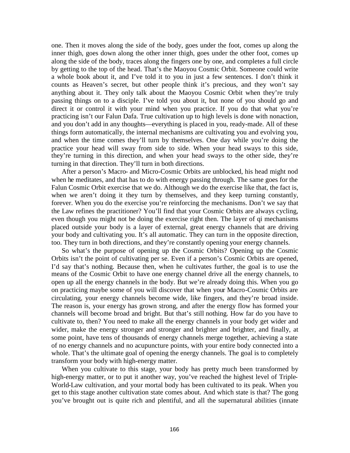one. Then it moves along the side of the body, goes under the foot, comes up along the inner thigh, goes down along the other inner thigh, goes under the other foot, comes up along the side of the body, traces along the fingers one by one, and completes a full circle by getting to the top of the head. That's the Maoyou Cosmic Orbit. Someone could write a whole book about it, and I've told it to you in just a few sentences. I don't think it counts as Heaven's secret, but other people think it's precious, and they won't say anything about it. They only talk about the Maoyou Cosmic Orbit when they're truly passing things on to a disciple. I've told you about it, but none of you should go and direct it or control it with your mind when you practice. If you do that what you're practicing isn't our Falun Dafa. True cultivation up to high levels is done with nonaction, and you don't add in any thoughts—everything is placed in you, ready-made. All of these things form automatically, the internal mechanisms are cultivating you and evolving you, and when the time comes they'll turn by themselves. One day while you're doing the practice your head will sway from side to side. When your head sways to this side, they're turning in this direction, and when your head sways to the other side, they're turning in that direction. They'll turn in both directions.

After a person's Macro- and Micro-Cosmic Orbits are unblocked, his head might nod when he meditates, and that has to do with energy passing through. The same goes for the Falun Cosmic Orbit exercise that we do. Although we do the exercise like that, the fact is, when we aren't doing it they turn by themselves, and they keep turning constantly, forever. When you do the exercise you're reinforcing the mechanisms. Don't we say that the Law refines the practitioner? You'll find that your Cosmic Orbits are always cycling, even though you might not be doing the exercise right then. The layer of qi mechanisms placed outside your body is a layer of external, great energy channels that are driving your body and cultivating you. It's all automatic. They can turn in the opposite direction, too. They turn in both directions, and they're constantly opening your energy channels.

So what's the purpose of opening up the Cosmic Orbits? Opening up the Cosmic Orbits isn't the point of cultivating per se. Even if a person's Cosmic Orbits are opened, I'd say that's nothing. Because then, when he cultivates further, the goal is to use the means of the Cosmic Orbit to have one energy channel drive all the energy channels, to open up all the energy channels in the body. But we're already doing this. When you go on practicing maybe some of you will discover that when your Macro-Cosmic Orbits are circulating, your energy channels become wide, like fingers, and they're broad inside. The reason is, your energy has grown strong, and after the energy flow has formed your channels will become broad and bright. But that's still nothing. How far do you have to cultivate to, then? You need to make all the energy channels in your body get wider and wider, make the energy stronger and stronger and brighter and brighter, and finally, at some point, have tens of thousands of energy channels merge together, achieving a state of no energy channels and no acupuncture points, with your entire body connected into a whole. That's the ultimate goal of opening the energy channels. The goal is to completely transform your body with high-energy matter.

When you cultivate to this stage, your body has pretty much been transformed by high-energy matter, or to put it another way, you've reached the highest level of Triple-World-Law cultivation, and your mortal body has been cultivated to its peak. When you get to this stage another cultivation state comes about. And which state is that? The gong you've brought out is quite rich and plentiful, and all the supernatural abilities (innate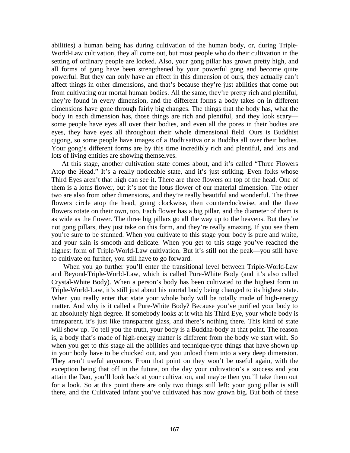abilities) a human being has during cultivation of the human body, or, during Triple-World-Law cultivation, they all come out, but most people who do their cultivation in the setting of ordinary people are locked. Also, your gong pillar has grown pretty high, and all forms of gong have been strengthened by your powerful gong and become quite powerful. But they can only have an effect in this dimension of ours, they actually can't affect things in other dimensions, and that's because they're just abilities that come out from cultivating our mortal human bodies. All the same, they're pretty rich and plentiful, they're found in every dimension, and the different forms a body takes on in different dimensions have gone through fairly big changes. The things that the body has, what the body in each dimension has, those things are rich and plentiful, and they look scary some people have eyes all over their bodies, and even all the pores in their bodies are eyes, they have eyes all throughout their whole dimensional field. Ours is Buddhist qigong, so some people have images of a Bodhisattva or a Buddha all over their bodies. Your gong's different forms are by this time incredibly rich and plentiful, and lots and lots of living entities are showing themselves.

At this stage, another cultivation state comes about, and it's called "Three Flowers Atop the Head." It's a really noticeable state, and it's just striking. Even folks whose Third Eyes aren't that high can see it. There are three flowers on top of the head. One of them is a lotus flower, but it's not the lotus flower of our material dimension. The other two are also from other dimensions, and they're really beautiful and wonderful. The three flowers circle atop the head, going clockwise, then counterclockwise, and the three flowers rotate on their own, too. Each flower has a big pillar, and the diameter of them is as wide as the flower. The three big pillars go all the way up to the heavens. But they're not gong pillars, they just take on this form, and they're really amazing. If you see them you're sure to be stunned. When you cultivate to this stage your body is pure and white, and your skin is smooth and delicate. When you get to this stage you've reached the highest form of Triple-World-Law cultivation. But it's still not the peak—you still have to cultivate on further, you still have to go forward.

When you go further you'll enter the transitional level between Triple-World-Law and Beyond-Triple-World-Law, which is called Pure-White Body (and it's also called Crystal-White Body). When a person's body has been cultivated to the highest form in Triple-World-Law, it's still just about his mortal body being changed to its highest state. When you really enter that state your whole body will be totally made of high-energy matter. And why is it called a Pure-White Body? Because you've purified your body to an absolutely high degree. If somebody looks at it with his Third Eye, your whole body is transparent, it's just like transparent glass, and there's nothing there. This kind of state will show up. To tell you the truth, your body is a Buddha-body at that point. The reason is, a body that's made of high-energy matter is different from the body we start with. So when you get to this stage all the abilities and technique-type things that have shown up in your body have to be chucked out, and you unload them into a very deep dimension. They aren't useful anymore. From that point on they won't be useful again, with the exception being that off in the future, on the day your cultivation's a success and you attain the Dao, you'll look back at your cultivation, and maybe then you'll take them out for a look. So at this point there are only two things still left: your gong pillar is still there, and the Cultivated Infant you've cultivated has now grown big. But both of these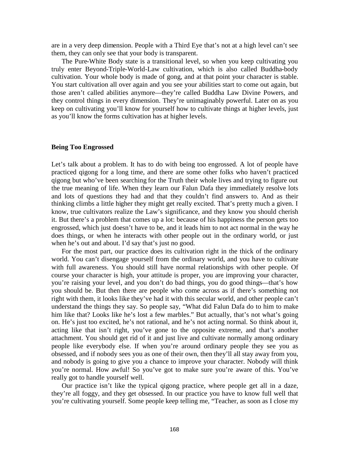are in a very deep dimension. People with a Third Eye that's not at a high level can't see them, they can only see that your body is transparent.

The Pure-White Body state is a transitional level, so when you keep cultivating you truly enter Beyond-Triple-World-Law cultivation, which is also called Buddha-body cultivation. Your whole body is made of gong, and at that point your character is stable. You start cultivation all over again and you see your abilities start to come out again, but those aren't called abilities anymore—they're called Buddha Law Divine Powers, and they control things in every dimension. They're unimaginably powerful. Later on as you keep on cultivating you'll know for yourself how to cultivate things at higher levels, just as you'll know the forms cultivation has at higher levels.

#### **Being Too Engrossed**

Let's talk about a problem. It has to do with being too engrossed. A lot of people have practiced qigong for a long time, and there are some other folks who haven't practiced qigong but who've been searching for the Truth their whole lives and trying to figure out the true meaning of life. When they learn our Falun Dafa they immediately resolve lots and lots of questions they had and that they couldn't find answers to. And as their thinking climbs a little higher they might get really excited. That's pretty much a given. I know, true cultivators realize the Law's significance, and they know you should cherish it. But there's a problem that comes up a lot: because of his happiness the person gets too engrossed, which just doesn't have to be, and it leads him to not act normal in the way he does things, or when he interacts with other people out in the ordinary world, or just when he's out and about. I'd say that's just no good.

For the most part, our practice does its cultivation right in the thick of the ordinary world. You can't disengage yourself from the ordinary world, and you have to cultivate with full awareness. You should still have normal relationships with other people. Of course your character is high, your attitude is proper, you are improving your character, you're raising your level, and you don't do bad things, you do good things—that's how you should be. But then there are people who come across as if there's something not right with them, it looks like they've had it with this secular world, and other people can't understand the things they say. So people say, "What did Falun Dafa do to him to make him like that? Looks like he's lost a few marbles." But actually, that's not what's going on. He's just too excited, he's not rational, and he's not acting normal. So think about it, acting like that isn't right, you've gone to the opposite extreme, and that's another attachment. You should get rid of it and just live and cultivate normally among ordinary people like everybody else. If when you're around ordinary people they see you as obsessed, and if nobody sees you as one of their own, then they'll all stay away from you, and nobody is going to give you a chance to improve your character. Nobody will think you're normal. How awful! So you've got to make sure you're aware of this. You've really got to handle yourself well.

Our practice isn't like the typical qigong practice, where people get all in a daze, they're all foggy, and they get obsessed. In our practice you have to know full well that you're cultivating yourself. Some people keep telling me, "Teacher, as soon as I close my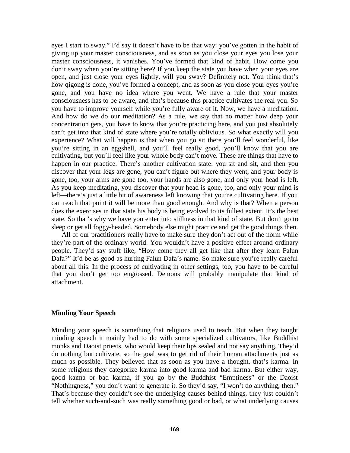eyes I start to sway." I'd say it doesn't have to be that way: you've gotten in the habit of giving up your master consciousness, and as soon as you close your eyes you lose your master consciousness, it vanishes. You've formed that kind of habit. How come you don't sway when you're sitting here? If you keep the state you have when your eyes are open, and just close your eyes lightly, will you sway? Definitely not. You think that's how qigong is done, you've formed a concept, and as soon as you close your eyes you're gone, and you have no idea where you went. We have a rule that your master consciousness has to be aware, and that's because this practice cultivates the real you. So you have to improve yourself while you're fully aware of it. Now, we have a meditation. And how do we do our meditation? As a rule, we say that no matter how deep your concentration gets, you have to know that you're practicing here, and you just absolutely can't get into that kind of state where you're totally oblivious. So what exactly will you experience? What will happen is that when you go sit there you'll feel wonderful, like you're sitting in an eggshell, and you'll feel really good, you'll know that you are cultivating, but you'll feel like your whole body can't move. These are things that have to happen in our practice. There's another cultivation state: you sit and sit, and then you discover that your legs are gone, you can't figure out where they went, and your body is gone, too, your arms are gone too, your hands are also gone, and only your head is left. As you keep meditating, you discover that your head is gone, too, and only your mind is left—there's just a little bit of awareness left knowing that you're cultivating here. If you can reach that point it will be more than good enough. And why is that? When a person does the exercises in that state his body is being evolved to its fullest extent. It's the best state. So that's why we have you enter into stillness in that kind of state. But don't go to sleep or get all foggy-headed. Somebody else might practice and get the good things then.

All of our practitioners really have to make sure they don't act out of the norm while they're part of the ordinary world. You wouldn't have a positive effect around ordinary people. They'd say stuff like, "How come they all get like that after they learn Falun Dafa?" It'd be as good as hurting Falun Dafa's name. So make sure you're really careful about all this. In the process of cultivating in other settings, too, you have to be careful that you don't get too engrossed. Demons will probably manipulate that kind of attachment.

### **Minding Your Speech**

Minding your speech is something that religions used to teach. But when they taught minding speech it mainly had to do with some specialized cultivators, like Buddhist monks and Daoist priests, who would keep their lips sealed and not say anything. They'd do nothing but cultivate, so the goal was to get rid of their human attachments just as much as possible. They believed that as soon as you have a thought, that's karma. In some religions they categorize karma into good karma and bad karma. But either way, good karma or bad karma, if you go by the Buddhist "Emptiness" or the Daoist "Nothingness," you don't want to generate it. So they'd say, "I won't do anything, then." That's because they couldn't see the underlying causes behind things, they just couldn't tell whether such-and-such was really something good or bad, or what underlying causes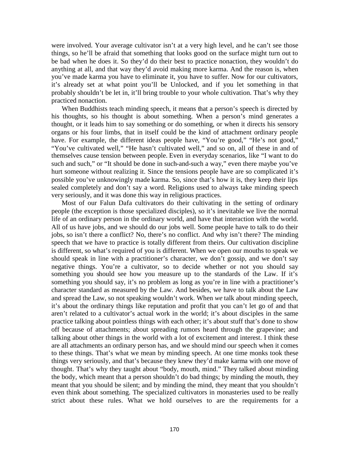were involved. Your average cultivator isn't at a very high level, and he can't see those things, so he'll be afraid that something that looks good on the surface might turn out to be bad when he does it. So they'd do their best to practice nonaction, they wouldn't do anything at all, and that way they'd avoid making more karma. And the reason is, when you've made karma you have to eliminate it, you have to suffer. Now for our cultivators, it's already set at what point you'll be Unlocked, and if you let something in that probably shouldn't be let in, it'll bring trouble to your whole cultivation. That's why they practiced nonaction.

When Buddhists teach minding speech, it means that a person's speech is directed by his thoughts, so his thought is about something. When a person's mind generates a thought, or it leads him to say something or do something, or when it directs his sensory organs or his four limbs, that in itself could be the kind of attachment ordinary people have. For example, the different ideas people have, "You're good," "He's not good," "You've cultivated well," "He hasn't cultivated well," and so on, all of these in and of themselves cause tension between people. Even in everyday scenarios, like "I want to do such and such," or "It should be done in such-and-such a way," even there maybe you've hurt someone without realizing it. Since the tensions people have are so complicated it's possible you've unknowingly made karma. So, since that's how it is, they keep their lips sealed completely and don't say a word. Religions used to always take minding speech very seriously, and it was done this way in religious practices.

Most of our Falun Dafa cultivators do their cultivating in the setting of ordinary people (the exception is those specialized disciples), so it's inevitable we live the normal life of an ordinary person in the ordinary world, and have that interaction with the world. All of us have jobs, and we should do our jobs well. Some people have to talk to do their jobs, so isn't there a conflict? No, there's no conflict. And why isn't there? The minding speech that we have to practice is totally different from theirs. Our cultivation discipline is different, so what's required of you is different. When we open our mouths to speak we should speak in line with a practitioner's character, we don't gossip, and we don't say negative things. You're a cultivator, so to decide whether or not you should say something you should see how you measure up to the standards of the Law. If it's something you should say, it's no problem as long as you're in line with a practitioner's character standard as measured by the Law. And besides, we have to talk about the Law and spread the Law, so not speaking wouldn't work. When *we* talk about minding speech, it's about the ordinary things like reputation and profit that you can't let go of and that aren't related to a cultivator's actual work in the world; it's about disciples in the same practice talking about pointless things with each other; it's about stuff that's done to show off because of attachments; about spreading rumors heard through the grapevine; and talking about other things in the world with a lot of excitement and interest. I think these are all attachments an ordinary person has, and we should mind our speech when it comes to these things. That's what we mean by minding speech. At one time monks took these things very seriously, and that's because they knew they'd make karma with one move of thought. That's why they taught about "body, mouth, mind." They talked about minding the body, which meant that a person shouldn't do bad things; by minding the mouth, they meant that you should be silent; and by minding the mind, they meant that you shouldn't even think about something. The specialized cultivators in monasteries used to be really strict about these rules. What we hold ourselves to are the requirements for a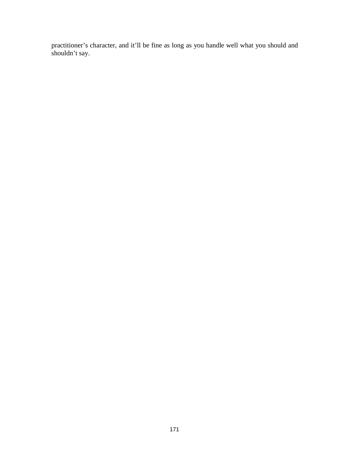practitioner's character, and it'll be fine as long as you handle well what you should and shouldn't say.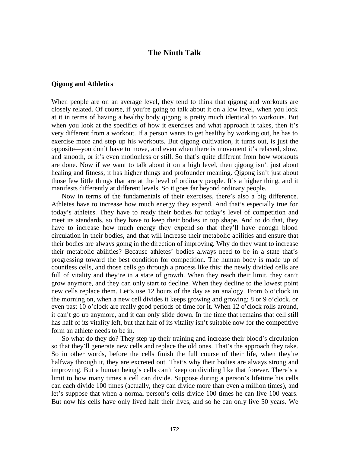# **The Ninth Talk**

### **Qigong and Athletics**

When people are on an average level, they tend to think that qigong and workouts are closely related. Of course, if you're going to talk about it on a low level, when you look at it in terms of having a healthy body qigong is pretty much identical to workouts. But when you look at the specifics of how it exercises and what approach it takes, then it's very different from a workout. If a person wants to get healthy by working out, he has to exercise more and step up his workouts. But qigong cultivation, it turns out, is just the opposite—you don't have to move, and even when there is movement it's relaxed, slow, and smooth, or it's even motionless or still. So that's quite different from how workouts are done. Now if we want to talk about it on a high level, then qigong isn't just about healing and fitness, it has higher things and profounder meaning. Qigong isn't just about those few little things that are at the level of ordinary people. It's a higher thing, and it manifests differently at different levels. So it goes far beyond ordinary people.

Now in terms of the fundamentals of their exercises, there's also a big difference. Athletes have to increase how much energy they expend. And that's especially true for today's athletes. They have to ready their bodies for today's level of competition and meet its standards, so they have to keep their bodies in top shape. And to do that, they have to increase how much energy they expend so that they'll have enough blood circulation in their bodies, and that will increase their metabolic abilities and ensure that their bodies are always going in the direction of improving. Why do they want to increase their metabolic abilities? Because athletes' bodies always need to be in a state that's progressing toward the best condition for competition. The human body is made up of countless cells, and those cells go through a process like this: the newly divided cells are full of vitality and they're in a state of growth. When they reach their limit, they can't grow anymore, and they can only start to decline. When they decline to the lowest point new cells replace them. Let's use 12 hours of the day as an analogy. From 6 o'clock in the morning on, when a new cell divides it keeps growing and growing; 8 or 9 o'clock, or even past 10 o'clock are really good periods of time for it. When 12 o'clock rolls around, it can't go up anymore, and it can only slide down. In the time that remains that cell still has half of its vitality left, but that half of its vitality isn't suitable now for the competitive form an athlete needs to be in.

So what do they do? They step up their training and increase their blood's circulation so that they'll generate new cells and replace the old ones. That's the approach they take. So in other words, before the cells finish the full course of their life, when they're halfway through it, they are excreted out. That's why their bodies are always strong and improving. But a human being's cells can't keep on dividing like that forever. There's a limit to how many times a cell can divide. Suppose during a person's lifetime his cells can each divide 100 times (actually, they can divide more than even a million times), and let's suppose that when a normal person's cells divide 100 times he can live 100 years. But now his cells have only lived half their lives, and so he can only live 50 years. We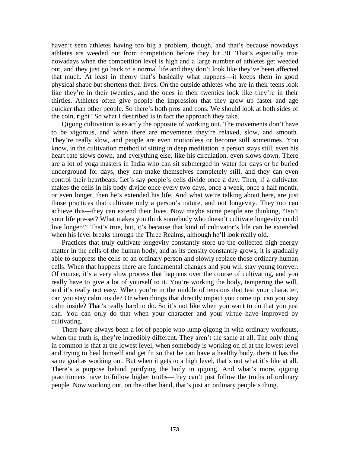haven't seen athletes having too big a problem, though, and that's because nowadays athletes are weeded out from competition before they hit 30. That's especially true nowadays when the competition level is high and a large number of athletes get weeded out, and they just go back to a normal life and they don't look like they've been affected that much. At least in theory that's basically what happens—it keeps them in good physical shape but shortens their lives. On the outside athletes who are in their teens look like they're in their twenties, and the ones in their twenties look like they're in their thirties. Athletes often give people the impression that they grow up faster and age quicker than other people. So there's both pros and cons. We should look at both sides of the coin, right? So what I described is in fact the approach they take.

Qigong cultivation is exactly the opposite of working out. The movements don't have to be vigorous, and when there are movements they're relaxed, slow, and smooth. They're really slow, and people are even motionless or become still sometimes. You know, in the cultivation method of sitting in deep meditation, a person stays still, even his heart rate slows down, and everything else, like his circulation, even slows down. There are a lot of yoga masters in India who can sit submerged in water for days or be buried underground for days, they can make themselves completely still, and they can even control their heartbeats. Let's say people's cells divide once a day. Then, if a cultivator makes the cells in his body divide once every two days, once a week, once a half month, or even longer, then he's extended his life. And what we're talking about here, are just those practices that cultivate only a person's nature, and not longevity. They too can achieve this—they can extend their lives. Now maybe some people are thinking, "Isn't your life pre-set? What makes you think somebody who doesn't cultivate longevity could live longer?" That's true, but, it's because that kind of cultivator's life can be extended when his level breaks through the Three Realms, although he'll look really old.

Practices that truly cultivate longevity constantly store up the collected high-energy matter in the cells of the human body, and as its density constantly grows, it is gradually able to suppress the cells of an ordinary person and slowly replace those ordinary human cells. When that happens there are fundamental changes and you will stay young forever. Of course, it's a very slow process that happens over the course of cultivating, and you really have to give a lot of yourself to it. You're working the body, tempering the will, and it's really not easy. When you're in the middle of tensions that test your character, can you stay calm inside? Or when things that directly impact you come up, can you stay calm inside? That's really hard to do. So it's not like when you want to do that you just can. You can only do that when your character and your virtue have improved by cultivating.

There have always been a lot of people who lump qigong in with ordinary workouts, when the truth is, they're incredibly different. They aren't the same at all. The only thing in common is that at the lowest level, when somebody is working on qi at the lowest level and trying to heal himself and get fit so that he can have a healthy body, there it has the same goal as working out. But when it gets to a high level, that's not what it's like at all. There's a purpose behind purifying the body in qigong. And what's more, qigong practitioners have to follow higher truths—they can't just follow the truths of ordinary people. Now working out, on the other hand, that's just an ordinary people's thing.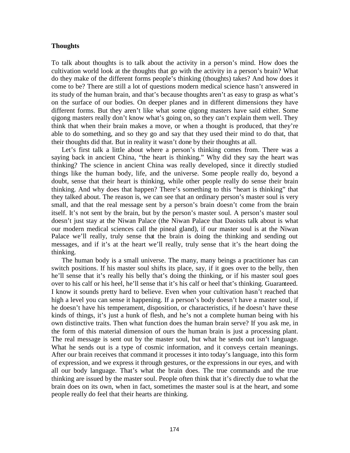# **Thoughts**

To talk about thoughts is to talk about the activity in a person's mind. How does the cultivation world look at the thoughts that go with the activity in a person's brain? What do they make of the different forms people's thinking (thoughts) takes? And how does it come to be? There are still a lot of questions modern medical science hasn't answered in its study of the human brain, and that's because thoughts aren't as easy to grasp as what's on the surface of our bodies. On deeper planes and in different dimensions they have different forms. But they aren't like what some qigong masters have said either. Some qigong masters really don't know what's going on, so they can't explain them well. They think that when their brain makes a move, or when a thought is produced, that they're able to do something, and so they go and say that they used their mind to do that, that their thoughts did that. But in reality it wasn't done by their thoughts at all.

Let's first talk a little about where a person's thinking comes from. There was a saying back in ancient China, "the heart is thinking." Why did they say the heart was thinking? The science in ancient China was really developed, since it directly studied things like the human body, life, and the universe. Some people really do, beyond a doubt, sense that their heart is thinking, while other people really do sense their brain thinking. And why does that happen? There's something to this "heart is thinking" that they talked about. The reason is, we can see that an ordinary person's master soul is very small, and that the real message sent by a person's brain doesn't come from the brain itself. It's not sent by the brain, but by the person's master soul. A person's master soul doesn't just stay at the Niwan Palace (the Niwan Palace that Daoists talk about is what our modern medical sciences call the pineal gland), if our master soul is at the Niwan Palace we'll really, truly sense that the brain is doing the thinking and sending out messages, and if it's at the heart we'll really, truly sense that it's the heart doing the thinking.

The human body is a small universe. The many, many beings a practitioner has can switch positions. If his master soul shifts its place, say, if it goes over to the belly, then he'll sense that it's really his belly that's doing the thinking, or if his master soul goes over to his calf or his heel, he'll sense that it's his calf or heel that's thinking. Guaranteed. I know it sounds pretty hard to believe. Even when your cultivation hasn't reached that high a level you can sense it happening. If a person's body doesn't have a master soul, if he doesn't have his temperament, disposition, or characteristics, if he doesn't have these kinds of things, it's just a hunk of flesh, and he's not a complete human being with his own distinctive traits. Then what function does the human brain serve? If you ask me, in the form of this material dimension of ours the human brain is just a processing plant. The real message is sent out by the master soul, but what he sends out isn't language. What he sends out is a type of cosmic information, and it conveys certain meanings. After our brain receives that command it processes it into today's language, into this form of expression, and we express it through gestures, or the expressions in our eyes, and with all our body language. That's what the brain does. The true commands and the true thinking are issued by the master soul. People often think that it's directly due to what the brain does on its own, when in fact, sometimes the master soul is at the heart, and some people really do feel that their hearts are thinking.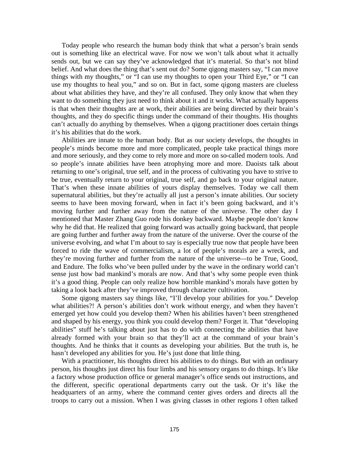Today people who research the human body think that what a person's brain sends out is something like an electrical wave. For now we won't talk about what it actually sends out, but we can say they've acknowledged that it's material. So that's not blind belief. And what does the thing that's sent out do? Some qigong masters say, "I can move things with my thoughts," or "I can use my thoughts to open your Third Eye," or "I can use my thoughts to heal you," and so on. But in fact, some qigong masters are clueless about what abilities they have, and they're all confused. They only know that when they want to do something they just need to think about it and it works. What actually happens is that when their thoughts are at work, their abilities are being directed by their brain's thoughts, and they do specific things under the command of their thoughts. His thoughts can't actually do anything by themselves. When a qigong practitioner does certain things it's his abilities that do the work.

Abilities are innate to the human body. But as our society develops, the thoughts in people's minds become more and more complicated, people take practical things more and more seriously, and they come to rely more and more on so-called modern tools. And so people's innate abilities have been atrophying more and more. Daoists talk about returning to one's original, true self, and in the process of cultivating you have to strive to be true, eventually return to your original, true self, and go back to your original nature. That's when these innate abilities of yours display themselves. Today we call them supernatural abilities, but they're actually all just a person's innate abilities. Our society seems to have been moving forward, when in fact it's been going backward, and it's moving further and further away from the nature of the universe. The other day I mentioned that Master Zhang Guo rode his donkey backward. Maybe people don't know why he did that. He realized that going forward was actually going backward, that people are going further and further away from the nature of the universe. Over the course of the universe evolving, and what I'm about to say is especially true now that people have been forced to ride the wave of commercialism, a lot of people's morals are a wreck, and they're moving further and further from the nature of the universe—to be True, Good, and Endure. The folks who've been pulled under by the wave in the ordinary world can't sense just how bad mankind's morals are now. And that's why some people even think it's a good thing. People can only realize how horrible mankind's morals have gotten by taking a look back after they've improved through character cultivation.

Some qigong masters say things like, "I'll develop your abilities for you." Develop what abilities?! A person's abilities don't work without energy, and when they haven't emerged yet how could you develop them? When his abilities haven't been strengthened and shaped by his energy, you think you could develop them? Forget it. That "developing abilities" stuff he's talking about just has to do with connecting the abilities that have already formed with your brain so that they'll act at the command of your brain's thoughts. And he thinks that it counts as developing your abilities. But the truth is, he hasn't developed any abilities for you. He's just done that little thing.

With a practitioner, his thoughts direct his abilities to do things. But with an ordinary person, his thoughts just direct his four limbs and his sensory organs to do things. It's like a factory whose production office or general manager's office sends out instructions, and the different, specific operational departments carry out the task. Or it's like the headquarters of an army, where the command center gives orders and directs all the troops to carry out a mission. When I was giving classes in other regions I often talked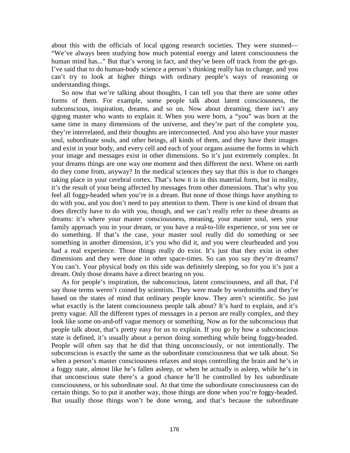about this with the officials of local qigong research societies. They were stunned— "We've always been studying how much potential energy and latent consciousness the human mind has..." But that's wrong in fact, and they've been off track from the get-go. I've said that to do human-body science a person's thinking really has to change, and you can't try to look at higher things with ordinary people's ways of reasoning or understanding things.

So now that we're talking about thoughts, I can tell you that there are some other forms of them. For example, some people talk about latent consciousness, the subconscious, inspiration, dreams, and so on. Now about dreaming, there isn't any qigong master who wants to explain it. When you were born, a "you" was born at the same time in many dimensions of the universe, and they're part of the complete you, they're interrelated, and their thoughts are interconnected. And you also have your master soul, subordinate souls, and other beings, all kinds of them, and they have their images and exist in your body, and every cell and each of your organs assume the forms in which your image and messages exist in other dimensions. So it's just extremely complex. In your dreams things are one way one moment and then different the next. Where on earth do they come from, anyway? In the medical sciences they say that this is due to changes taking place in your cerebral cortex. That's how it is in this material form, but in reality, it's the result of your being affected by messages from other dimensions. That's why you feel all foggy-headed when you're in a dream. But none of those things have anything to do with you, and you don't need to pay attention to them. There is one kind of dream that does directly have to do with you, though, and we can't really refer to these dreams as dreams: it's where your master consciousness, meaning, your master soul, sees your family approach you in your dream, or you have a real-to-life experience, or you see or do something. If that's the case, your master soul really did do something or see something in another dimension, it's you who did it, and you were clearheaded and you had a real experience. Those things really do exist. It's just that they exist in other dimensions and they were done in other space-times. So can you say they're dreams? You can't. Your physical body on this side was definitely sleeping, so for you it's just a dream. Only those dreams have a direct bearing on you.

As for people's inspiration, the subconscious, latent consciousness, and all that, I'd say those terms weren't coined by scientists. They were made by wordsmiths and they're based on the states of mind that ordinary people know. They aren't scientific. So just what exactly is the latent consciousness people talk about? It's hard to explain, and it's pretty vague. All the different types of messages in a person are really complex, and they look like some on-and-off vague memory or something. Now as for the subconscious that people talk about, that's pretty easy for us to explain. If you go by how a subconscious state is defined, it's usually about a person doing something while being foggy-headed. People will often say that he did that thing unconsciously, or not intentionally. The subconscious is exactly the same as the subordinate consciousness that we talk about. So when a person's master consciousness relaxes and stops controlling the brain and he's in a foggy state, almost like he's fallen asleep, or when he actually is asleep, while he's in that unconscious state there's a good chance he'll be controlled by his subordinate consciousness, or his subordinate soul. At that time the subordinate consciousness can do certain things. So to put it another way, those things are done when you're foggy-headed. But usually those things won't be done wrong, and that's because the subordinate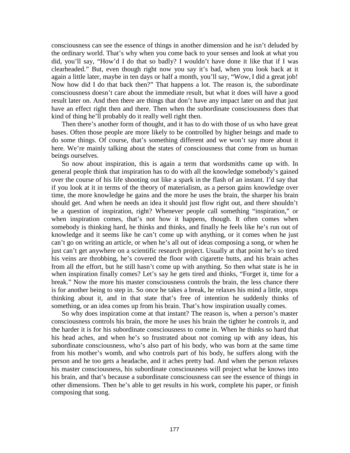consciousness can see the essence of things in another dimension and he isn't deluded by the ordinary world. That's why when you come back to your senses and look at what you did, you'll say, "How'd I do that so badly? I wouldn't have done it like that if I was clearheaded." But, even though right now you say it's bad, when you look back at it again a little later, maybe in ten days or half a month, you'll say, "Wow, I did a great job! Now how did I do that back then?" That happens a lot. The reason is, the subordinate consciousness doesn't care about the immediate result, but what it does will have a good result later on. And then there are things that don't have any impact later on and that just have an effect right then and there. Then when the subordinate consciousness does that kind of thing he'll probably do it really well right then.

Then there's another form of thought, and it has to do with those of us who have great bases. Often those people are more likely to be controlled by higher beings and made to do some things. Of course, that's something different and we won't say more about it here. We're mainly talking about the states of consciousness that come from us human beings ourselves.

So now about inspiration, this is again a term that wordsmiths came up with. In general people think that inspiration has to do with all the knowledge somebody's gained over the course of his life shooting out like a spark in the flash of an instant. I'd say that if you look at it in terms of the theory of materialism, as a person gains knowledge over time, the more knowledge he gains and the more he uses the brain, the sharper his brain should get. And when he needs an idea it should just flow right out, and there shouldn't be a question of inspiration, right? Whenever people call something "inspiration," or when inspiration comes, that's not how it happens, though. It often comes when somebody is thinking hard, he thinks and thinks, and finally he feels like he's run out of knowledge and it seems like he can't come up with anything, or it comes when he just can't go on writing an article, or when he's all out of ideas composing a song, or when he just can't get anywhere on a scientific research project. Usually at that point he's so tired his veins are throbbing, he's covered the floor with cigarette butts, and his brain aches from all the effort, but he still hasn't come up with anything. So then what state is he in when inspiration finally comes? Let's say he gets tired and thinks, "Forget it, time for a break." Now the more his master consciousness controls the brain, the less chance there is for another being to step in. So once he takes a break, he relaxes his mind a little, stops thinking about it, and in that state that's free of intention he suddenly thinks of something, or an idea comes up from his brain. That's how inspiration usually comes.

So why does inspiration come at that instant? The reason is, when a person's master consciousness controls his brain, the more he uses his brain the tighter he controls it, and the harder it is for his subordinate consciousness to come in. When he thinks so hard that his head aches, and when he's so frustrated about not coming up with any ideas, his subordinate consciousness, who's also part of his body, who was born at the same time from his mother's womb, and who controls part of his body, he suffers along with the person and he too gets a headache, and it aches pretty bad. And when the person relaxes his master consciousness, his subordinate consciousness will project what he knows into his brain, and that's because a subordinate consciousness can see the essence of things in other dimensions. Then he's able to get results in his work, complete his paper, or finish composing that song.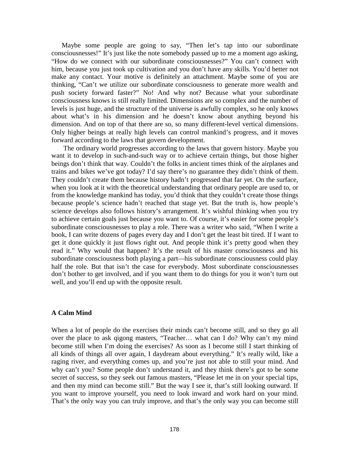Maybe some people are going to say, "Then let's tap into our subordinate consciousnesses!" It's just like the note somebody passed up to me a moment ago asking, "How do we connect with our subordinate consciousnesses?" You can't connect with him, because you just took up cultivation and you don't have any skills. You'd better not make any contact. Your motive is definitely an attachment. Maybe some of you are thinking, "Can't we utilize our subordinate consciousness to generate more wealth and push society forward faster?" No! And why not? Because what your subordinate consciousness knows is still really limited. Dimensions are so complex and the number of levels is just huge, and the structure of the universe is awfully complex, so he only knows about what's in his dimension and he doesn't know about anything beyond his dimension. And on top of that there are so, so many different-level vertical dimensions. Only higher beings at really high levels can control mankind's progress, and it moves forward according to the laws that govern development.

The ordinary world progresses according to the laws that govern history. Maybe you want it to develop in such-and-such way or to achieve certain things, but those higher beings don't think that way. Couldn't the folks in ancient times think of the airplanes and trains and bikes we've got today? I'd say there's no guarantee they didn't think of them. They couldn't create them because history hadn't progressed that far yet. On the surface, when you look at it with the theoretical understanding that ordinary people are used to, or from the knowledge mankind has today, you'd think that they couldn't create those things because people's science hadn't reached that stage yet. But the truth is, how people's science develops also follows history's arrangement. It's wishful thinking when you try to achieve certain goals just because you want to. Of course, it's easier for some people's subordinate consciousnesses to play a role. There was a writer who said, "When I write a book, I can write dozens of pages every day and I don't get the least bit tired. If I want to get it done quickly it just flows right out. And people think it's pretty good when they read it." Why would that happen? It's the result of his master consciousness and his subordinate consciousness both playing a part—his subordinate consciousness could play half the role. But that isn't the case for everybody. Most subordinate consciousnesses don't bother to get involved, and if you want them to do things for you it won't turn out well, and you'll end up with the opposite result.

## **A Calm Mind**

When a lot of people do the exercises their minds can't become still, and so they go all over the place to ask qigong masters, "Teacher… what can I do? Why can't my mind become still when I'm doing the exercises? As soon as I become still I start thinking of all kinds of things all over again, I daydream about everything." It's really wild, like a raging river, and everything comes up, and you're just not able to still your mind. And why can't you? Some people don't understand it, and they think there's got to be some secret of success, so they seek out famous masters, "Please let me in on your special tips, and then my mind can become still." But the way I see it, that's still looking outward. If you want to improve yourself, you need to look inward and work hard on your mind. That's the only way you can truly improve, and that's the only way you can become still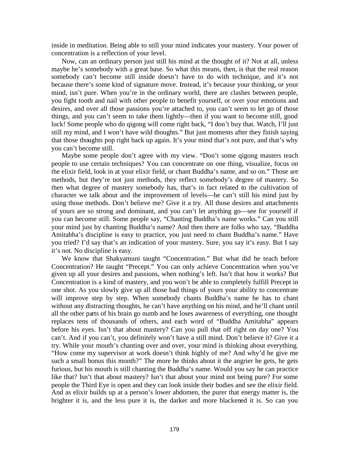inside in meditation. Being able to still your mind indicates your mastery. Your power of concentration is a reflection of your level.

Now, can an ordinary person just still his mind at the thought of it? Not at all, unless maybe he's somebody with a great base. So what this means, then, is that the real reason somebody can't become still inside doesn't have to do with technique, and it's not because there's some kind of signature move. Instead, it's because your thinking, or your mind, isn't pure. When you're in the ordinary world, there are clashes between people, you fight tooth and nail with other people to benefit yourself, or over your emotions and desires, and over all those passions you're attached to, you can't seem to let go of those things, and you can't seem to take them lightly—then if you want to become still, good luck! Some people who do qigong will come right back, "I don't buy that. Watch, I'll just still my mind, and I won't have wild thoughts." But just moments after they finish saying that those thoughts pop right back up again. It's your mind that's not pure, and that's why you can't become still.

Maybe some people don't agree with my view. "Don't some qigong masters teach people to use certain techniques? You can concentrate on one thing, visualize, focus on the elixir field, look in at your elixir field, or chant Buddha's name, and so on." Those are methods, but they're not just methods, they reflect somebody's degree of mastery. So then what degree of mastery somebody has, that's in fact related to the cultivation of character we talk about and the improvement of levels—he can't still his mind just by using those methods. Don't believe me? Give it a try. All those desires and attachments of yours are so strong and dominant, and you can't let anything go—see for yourself if you can become still. Some people say, "Chanting Buddha's name works." Can you still your mind just by chanting Buddha's name? And then there are folks who say, "Buddha Amitabha's discipline is easy to practice, you just need to chant Buddha's name." Have you tried? I'd say that's an indication of your mastery. Sure, you say it's easy. But I say it's not. No discipline is easy.

We know that Shakyamuni taught "Concentration." But what did he teach before Concentration? He taught "Precept." You can only achieve Concentration when you've given up all your desires and passions, when nothing's left. Isn't that how it works? But Concentration is a kind of mastery, and you won't be able to completely fulfill Precept in one shot. As you slowly give up all those bad things of yours your ability to concentrate will improve step by step. When somebody chants Buddha's name he has to chant without any distracting thoughts, he can't have anything on his mind, and he'll chant until all the other parts of his brain go numb and he loses awareness of everything, one thought replaces tens of thousands of others, and each word of "Buddha Amitabha" appears before his eyes. Isn't that about mastery? Can you pull that off right on day one? You can't. And if you can't, you definitely won't have a still mind. Don't believe it? Give it a try. While your mouth's chanting over and over, your mind is thinking about everything. "How come my supervisor at work doesn't think highly of me? And why'd he give me such a small bonus this month?" The more he thinks about it the angrier he gets, he gets furious, but his mouth is still chanting the Buddha's name. Would you say he can practice like that? Isn't that about mastery? Isn't that about your mind not being pure? For some people the Third Eye is open and they can look inside their bodies and see the elixir field. And as elixir builds up at a person's lower abdomen, the purer that energy matter is, the brighter it is, and the less pure it is, the darker and more blackened it is. So can you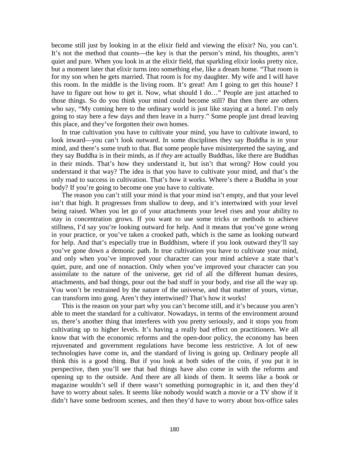become still just by looking in at the elixir field and viewing the elixir? No, you can't. It's not the method that counts—the key is that the person's mind, his thoughts, aren't quiet and pure. When you look in at the elixir field, that sparkling elixir looks pretty nice, but a moment later that elixir turns into something else, like a dream home. "That room is for my son when he gets married. That room is for my daughter. My wife and I will have this room. In the middle is the living room. It's great! Am I going to get this house? I have to figure out how to get it. Now, what should I do..." People are just attached to those things. So do you think your mind could become still? But then there are others who say, "My coming here to the ordinary world is just like staying at a hotel. I'm only going to stay here a few days and then leave in a hurry." Some people just dread leaving this place, and they've forgotten their own homes.

In true cultivation you have to cultivate your mind, you have to cultivate inward, to look inward—you can't look outward. In some disciplines they say Buddha is in your mind, and there's some truth to that. But some people have misinterpreted the saying, and they say Buddha is in their minds, as if *they* are actually Buddhas, like there are Buddhas in their minds. That's how they understand it, but isn't that wrong? How could you understand it that way? The idea is that you have to cultivate your mind, and that's the only road to success in cultivation. That's how it works. Where's there a Buddha in your body? If you're going to become one you have to cultivate.

The reason you can't still your mind is that your mind isn't empty, and that your level isn't that high. It progresses from shallow to deep, and it's intertwined with your level being raised. When you let go of your attachments your level rises and your ability to stay in concentration grows. If you want to use some tricks or methods to achieve stillness, I'd say you're looking outward for help. And it means that you've gone wrong in your practice, or you've taken a crooked path, which is the same as looking outward for help. And that's especially true in Buddhism, where if you look outward they'll say you've gone down a demonic path. In true cultivation you have to cultivate your mind, and only when you've improved your character can your mind achieve a state that's quiet, pure, and one of nonaction. Only when you've improved your character can you assimilate to the nature of the universe, get rid of all the different human desires, attachments, and bad things, pour out the bad stuff in your body, and rise all the way up. You won't be restrained by the nature of the universe, and that matter of yours, virtue, can transform into gong. Aren't they intertwined? That's how it works!

This is the reason on your part why you can't become still, and it's because you aren't able to meet the standard for a cultivator. Nowadays, in terms of the environment around us, there's another thing that interferes with you pretty seriously, and it stops you from cultivating up to higher levels. It's having a really bad effect on practitioners. We all know that with the economic reforms and the open-door policy, the economy has been rejuvenated and government regulations have become less restrictive. A lot of new technologies have come in, and the standard of living is going up. Ordinary people all think this is a good thing. But if you look at both sides of the coin, if you put it in perspective, then you'll see that bad things have also come in with the reforms and opening up to the outside. And there are all kinds of them. It seems like a book or magazine wouldn't sell if there wasn't something pornographic in it, and then they'd have to worry about sales. It seems like nobody would watch a movie or a TV show if it didn't have some bedroom scenes, and then they'd have to worry about box-office sales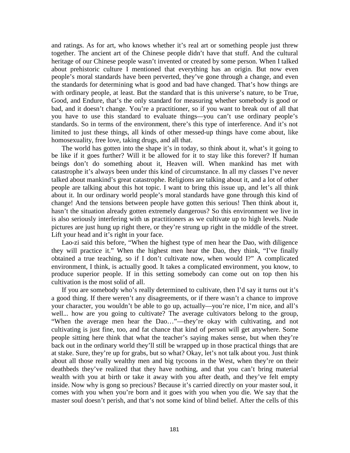and ratings. As for art, who knows whether it's real art or something people just threw together. The ancient art of the Chinese people didn't have that stuff. And the cultural heritage of our Chinese people wasn't invented or created by some person. When I talked about prehistoric culture I mentioned that everything has an origin. But now even people's moral standards have been perverted, they've gone through a change, and even the standards for determining what is good and bad have changed. That's how things are with ordinary people, at least. But the standard that is this universe's nature, to be True, Good, and Endure, that's the only standard for measuring whether somebody is good or bad, and it doesn't change. You're a practitioner, so if you want to break out of all that you have to use this standard to evaluate things—you can't use ordinary people's standards. So in terms of the environment, there's this type of interference. And it's not limited to just these things, all kinds of other messed-up things have come about, like homosexuality, free love, taking drugs, and all that.

The world has gotten into the shape it's in today, so think about it, what's it going to be like if it goes further? Will it be allowed for it to stay like this forever? If human beings don't do something about it, Heaven will. When mankind has met with catastrophe it's always been under this kind of circumstance. In all my classes I've never talked about mankind's great catastrophe. Religions are talking about it, and a lot of other people are talking about this hot topic. I want to bring this issue up, and let's all think about it. In our ordinary world people's moral standards have gone through this kind of change! And the tensions between people have gotten this serious! Then think about it, hasn't the situation already gotten extremely dangerous? So this environment we live in is also seriously interfering with us practitioners as we cultivate up to high levels. Nude pictures are just hung up right there, or they're strung up right in the middle of the street. Lift your head and it's right in your face.

Lao-zi said this before, "When the highest type of men hear the Dao, with diligence they will practice it." When the highest men hear the Dao, they think, "I've finally obtained a true teaching, so if I don't cultivate now, when would I?" A complicated environment, I think, is actually good. It takes a complicated environment, you know, to produce superior people. If in this setting somebody can come out on top then his cultivation is the most solid of all.

If you are somebody who's really determined to cultivate, then I'd say it turns out it's a good thing. If there weren't any disagreements, or if there wasn't a chance to improve your character, you wouldn't be able to go up, actually—you're nice, I'm nice, and all's well... how are you going to cultivate? The average cultivators belong to the group, "When the average men hear the Dao…"—they're okay with cultivating, and not cultivating is just fine, too, and fat chance that kind of person will get anywhere. Some people sitting here think that what the teacher's saying makes sense, but when they're back out in the ordinary world they'll still be wrapped up in those practical things that are at stake. Sure, they're up for grabs, but so what? Okay, let's not talk about you. Just think about all those really wealthy men and big tycoons in the West, when they're on their deathbeds they've realized that they have nothing, and that you can't bring material wealth with you at birth or take it away with you after death, and they've felt empty inside. Now why is gong so precious? Because it's carried directly on your master soul, it comes with you when you're born and it goes with you when you die. We say that the master soul doesn't perish, and that's not some kind of blind belief. After the cells of this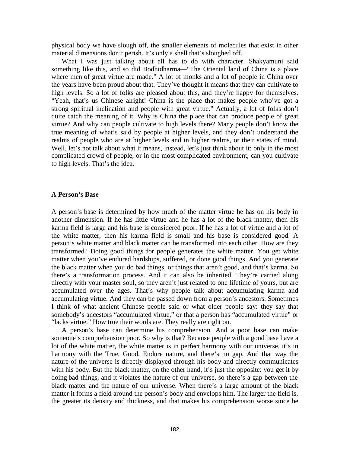physical body we have slough off, the smaller elements of molecules that exist in other material dimensions don't perish. It's only a shell that's sloughed off.

What I was just talking about all has to do with character. Shakyamuni said something like this, and so did Bodhidharma—"The Oriental land of China is a place where men of great virtue are made." A lot of monks and a lot of people in China over the years have been proud about that. They've thought it means that they can cultivate to high levels. So a lot of folks are pleased about this, and they're happy for themselves. "Yeah, that's us Chinese alright! China is the place that makes people who've got a strong spiritual inclination and people with great virtue." Actually, a lot of folks don't quite catch the meaning of it. Why is China the place that can produce people of great virtue? And why can people cultivate to high levels there? Many people don't know the true meaning of what's said by people at higher levels, and they don't understand the realms of people who are at higher levels and in higher realms, or their states of mind. Well, let's not talk about what it means, instead, let's just think about it: only in the most complicated crowd of people, or in the most complicated environment, can you cultivate to high levels. That's the idea.

## **A Person's Base**

A person's base is determined by how much of the matter virtue he has on his body in another dimension. If he has little virtue and he has a lot of the black matter, then his karma field is large and his base is considered poor. If he has a lot of virtue and a lot of the white matter, then his karma field is small and his base is considered good. A person's white matter and black matter can be transformed into each other. How are they transformed? Doing good things for people generates the white matter. You get white matter when you've endured hardships, suffered, or done good things. And you generate the black matter when you do bad things, or things that aren't good, and that's karma. So there's a transformation process. And it can also be inherited. They're carried along directly with your master soul, so they aren't just related to one lifetime of yours, but are accumulated over the ages. That's why people talk about accumulating karma and accumulating virtue. And they can be passed down from a person's ancestors. Sometimes I think of what ancient Chinese people said or what older people say: they say that somebody's ancestors "accumulated virtue," or that a person has "accumulated virtue" or "lacks virtue." How true their words are. They really are right on.

A person's base can determine his comprehension. And a poor base can make someone's comprehension poor. So why is that? Because people with a good base have a lot of the white matter, the white matter is in perfect harmony with our universe, it's in harmony with the True, Good, Endure nature, and there's no gap. And that way the nature of the universe is directly displayed through his body and directly communicates with his body. But the black matter, on the other hand, it's just the opposite: you get it by doing bad things, and it violates the nature of our universe, so there's a gap between the black matter and the nature of our universe. When there's a large amount of the black matter it forms a field around the person's body and envelops him. The larger the field is, the greater its density and thickness, and that makes his comprehension worse since he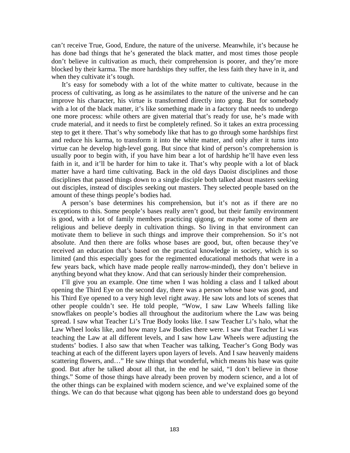can't receive True, Good, Endure, the nature of the universe. Meanwhile, it's because he has done bad things that he's generated the black matter, and most times those people don't believe in cultivation as much, their comprehension is poorer, and they're more blocked by their karma. The more hardships they suffer, the less faith they have in it, and when they cultivate it's tough.

It's easy for somebody with a lot of the white matter to cultivate, because in the process of cultivating, as long as he assimilates to the nature of the universe and he can improve his character, his virtue is transformed directly into gong. But for somebody with a lot of the black matter, it's like something made in a factory that needs to undergo one more process: while others are given material that's ready for use, he's made with crude material, and it needs to first be completely refined. So it takes an extra processing step to get it there. That's why somebody like that has to go through some hardships first and reduce his karma, to transform it into the white matter, and only after it turns into virtue can he develop high-level gong. But since that kind of person's comprehension is usually poor to begin with, if you have him bear a lot of hardship he'll have even less faith in it, and it'll be harder for him to take it. That's why people with a lot of black matter have a hard time cultivating. Back in the old days Daoist disciplines and those disciplines that passed things down to a single disciple both talked about masters seeking out disciples, instead of disciples seeking out masters. They selected people based on the amount of these things people's bodies had.

A person's base determines his comprehension, but it's not as if there are no exceptions to this. Some people's bases really aren't good, but their family environment is good, with a lot of family members practicing qigong, or maybe some of them are religious and believe deeply in cultivation things. So living in that environment can motivate them to believe in such things and improve their comprehension. So it's not absolute. And then there are folks whose bases are good, but, often because they've received an education that's based on the practical knowledge in society, which is so limited (and this especially goes for the regimented educational methods that were in a few years back, which have made people really narrow-minded), they don't believe in anything beyond what they know. And that can seriously hinder their comprehension.

I'll give you an example. One time when I was holding a class and I talked about opening the Third Eye on the second day, there was a person whose base was good, and his Third Eye opened to a very high level right away. He saw lots and lots of scenes that other people couldn't see. He told people, "Wow, I saw Law Wheels falling like snowflakes on people's bodies all throughout the auditorium where the Law was being spread. I saw what Teacher Li's True Body looks like. I saw Teacher Li's halo, what the Law Wheel looks like, and how many Law Bodies there were. I saw that Teacher Li was teaching the Law at all different levels, and I saw how Law Wheels were adjusting the students' bodies. I also saw that when Teacher was talking, Teacher's Gong Body was teaching at each of the different layers upon layers of levels. And I saw heavenly maidens scattering flowers, and…" He saw things that wonderful, which means his base was quite good. But after he talked about all that, in the end he said, "I don't believe in those things." Some of those things have already been proven by modern science, and a lot of the other things can be explained with modern science, and we've explained some of the things. We can do that because what qigong has been able to understand does go beyond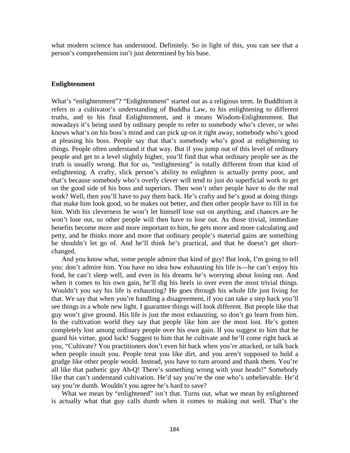what modern science has understood. Definitely. So in light of this, you can see that a person's comprehension isn't just determined by his base.

## **Enlightenment**

What's "enlightenment"? "Enlightenment" started out as a religious term. In Buddhism it refers to a cultivator's understanding of Buddha Law, to his enlightening to different truths, and to his final Enlightenment, and it means Wisdom-Enlightenment. But nowadays it's being used by ordinary people to refer to somebody who's clever, or who knows what's on his boss's mind and can pick up on it right away, somebody who's good at pleasing his boss. People say that that's somebody who's good at enlightening to things. People often understand it that way. But if you jump out of this level of ordinary people and get to a level slightly higher, you'll find that what ordinary people see as the truth is usually wrong. But for us, "enlightening" is totally different from that kind of enlightening. A crafty, slick person's ability to enlighten is actually pretty poor, and that's because somebody who's overly clever will tend to just do superficial work to get on the good side of his boss and superiors. Then won't other people have to do the real work? Well, then you'll have to pay them back. He's crafty and he's good at doing things that make him look good, so he makes out better, and then other people have to fill in for him. With his cleverness he won't let himself lose out on anything, and chances are he won't lose out, so other people will then have to lose out. As those trivial, immediate benefits become more and more important to him, he gets more and more calculating and petty, and he thinks more and more that ordinary people's material gains are something he shouldn't let go of. And he'll think he's practical, and that he doesn't get shortchanged.

And you know what, some people admire that kind of guy! But look, I'm going to tell you: don't admire him. You have no idea how exhausting his life is—he can't enjoy his food, he can't sleep well, and even in his dreams he's worrying about losing out. And when it comes to his own gain, he'll dig his heels in over even the most trivial things. Wouldn't you say his life is exhausting? He goes through his whole life just living for that. We say that when you're handling a disagreement, if you can take a step back you'll see things in a whole new light. I guarantee things will look different. But people like that guy won't give ground. His life is just the most exhausting, so don't go learn from him. In the cultivation world they say that people like him are the most lost. He's gotten completely lost among ordinary people over his own gain. If you suggest to him that he guard his virtue, good luck! Suggest to him that he cultivate and he'll come right back at you, "Cultivate? You practitioners don't even hit back when you're attacked, or talk back when people insult you. People treat you like dirt, and you aren't supposed to hold a grudge like other people would. Instead, you have to turn around and thank them. You're all like that pathetic guy Ah-Q! There's something wrong with your heads!" Somebody like that can't understand cultivation. He'd say you're the one who's unbelievable. He'd say you're dumb. Wouldn't you agree he's hard to save?

What we mean by "enlightened" isn't that. Turns out, what we mean by enlightened is actually what that guy calls dumb when it comes to making out well. That's the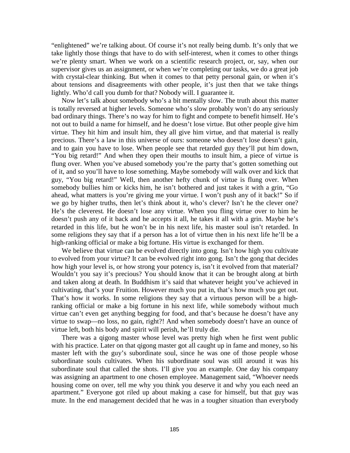"enlightened" we're talking about. Of course it's not really being dumb. It's only that we take lightly those things that have to do with self-interest, when it comes to other things we're plenty smart. When we work on a scientific research project, or, say, when our supervisor gives us an assignment, or when we're completing our tasks, we do a great job with crystal-clear thinking. But when it comes to that petty personal gain, or when it's about tensions and disagreements with other people, it's just then that we take things lightly. Who'd call you dumb for that? Nobody will. I guarantee it.

Now let's talk about somebody who's a bit mentally slow. The truth about this matter is totally reversed at higher levels. Someone who's slow probably won't do any seriously bad ordinary things. There's no way for him to fight and compete to benefit himself. He's not out to build a name for himself, and he doesn't lose virtue. But other people give him virtue. They hit him and insult him, they all give him virtue, and that material is really precious. There's a law in this universe of ours: someone who doesn't lose doesn't gain, and to gain you have to lose. When people see that retarded guy they'll put him down, "You big retard!" And when they open their mouths to insult him, a piece of virtue is flung over. When you've abused somebody you're the party that's gotten something out of it, and so you'll have to lose something. Maybe somebody will walk over and kick that guy, "You big retard!" Well, then another hefty chunk of virtue is flung over. When somebody bullies him or kicks him, he isn't bothered and just takes it with a grin, "Go ahead, what matters is you're giving me your virtue. I won't push any of it back!" So if we go by higher truths, then let's think about it, who's clever? Isn't he the clever one? He's the cleverest. He doesn't lose any virtue. When you fling virtue over to him he doesn't push any of it back and he accepts it all, he takes it all with a grin. Maybe he's retarded in this life, but he won't be in his next life, his master soul isn't retarded. In some religions they say that if a person has a lot of virtue then in his next life he'll be a high-ranking official or make a big fortune. His virtue is exchanged for them.

We believe that virtue can be evolved directly into gong. Isn't how high you cultivate to evolved from your virtue? It can be evolved right into gong. Isn't the gong that decides how high your level is, or how strong your potency is, isn't it evolved from that material? Wouldn't you say it's precious? You should know that it can be brought along at birth and taken along at death. In Buddhism it's said that whatever height you've achieved in cultivating, that's your Fruition. However much you put in, that's how much you get out. That's how it works. In some religions they say that a virtuous person will be a highranking official or make a big fortune in his next life, while somebody without much virtue can't even get anything begging for food, and that's because he doesn't have any virtue to swap—no loss, no gain, right?! And when somebody doesn't have an ounce of virtue left, both his body and spirit will perish, he'll truly die.

There was a qigong master whose level was pretty high when he first went public with his practice. Later on that qigong master got all caught up in fame and money, so his master left with the guy's subordinate soul, since he was one of those people whose subordinate souls cultivates. When his subordinate soul was still around it was his subordinate soul that called the shots. I'll give you an example. One day his company was assigning an apartment to one chosen employee. Management said, "Whoever needs housing come on over, tell me why you think you deserve it and why you each need an apartment." Everyone got riled up about making a case for himself, but that guy was mute. In the end management decided that he was in a tougher situation than everybody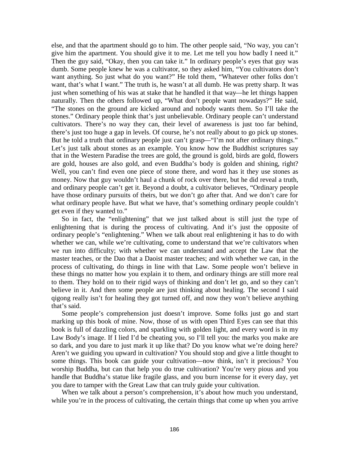else, and that the apartment should go to him. The other people said, "No way, you can't give him the apartment. You should give it to me. Let me tell you how badly I need it." Then the guy said, "Okay, then you can take it." In ordinary people's eyes that guy was dumb. Some people knew he was a cultivator, so they asked him, "You cultivators don't want anything. So just what do you want?" He told them, "Whatever other folks don't want, that's what I want." The truth is, he wasn't at all dumb. He was pretty sharp. It was just when something of his was at stake that he handled it that way—he let things happen naturally. Then the others followed up, "What don't people want nowadays?" He said, "The stones on the ground are kicked around and nobody wants them. So I'll take the stones." Ordinary people think that's just unbelievable. Ordinary people can't understand cultivators. There's no way they can, their level of awareness is just too far behind, there's just too huge a gap in levels. Of course, he's not really about to go pick up stones. But he told a truth that ordinary people just can't grasp—"I'm not after ordinary things." Let's just talk about stones as an example. You know how the Buddhist scriptures say that in the Western Paradise the trees are gold, the ground is gold, birds are gold, flowers are gold, houses are also gold, and even Buddha's body is golden and shining, right? Well, you can't find even one piece of stone there, and word has it they use stones as money. Now that guy wouldn't haul a chunk of rock over there, but he did reveal a truth, and ordinary people can't get it. Beyond a doubt, a cultivator believes, "Ordinary people have those ordinary pursuits of theirs, but we don't go after that. And we don't care for what ordinary people have. But what we have, that's something ordinary people couldn't get even if they wanted to."

So in fact, the "enlightening" that we just talked about is still just the type of enlightening that is during the process of cultivating. And it's just the opposite of ordinary people's "enlightening." When we talk about real enlightening it has to do with whether we can, while we're cultivating, come to understand that we're cultivators when we run into difficulty; with whether we can understand and accept the Law that the master teaches, or the Dao that a Daoist master teaches; and with whether we can, in the process of cultivating, do things in line with that Law. Some people won't believe in these things no matter how you explain it to them, and ordinary things are still more real to them. They hold on to their rigid ways of thinking and don't let go, and so they can't believe in it. And then some people are just thinking about healing. The second I said qigong really isn't for healing they got turned off, and now they won't believe anything that's said.

Some people's comprehension just doesn't improve. Some folks just go and start marking up this book of mine. Now, those of us with open Third Eyes can see that this book is full of dazzling colors, and sparkling with golden light, and every word is in my Law Body's image. If I lied I'd be cheating you, so I'll tell you: the marks you make are so dark, and you dare to just mark it up like that? Do you know what we're doing here? Aren't we guiding you upward in cultivation? You should stop and give a little thought to some things. This book can guide your cultivation—now think, isn't it precious? You worship Buddha, but can that help you do true cultivation? You're very pious and you handle that Buddha's statue like fragile glass, and you burn incense for it every day, yet you dare to tamper with the Great Law that can truly guide your cultivation.

When we talk about a person's comprehension, it's about how much you understand, while you're in the process of cultivating, the certain things that come up when you arrive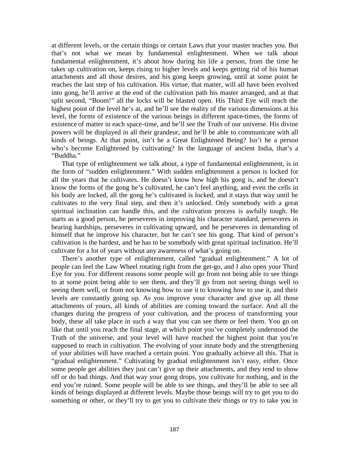at different levels, or the certain things or certain Laws that your master teaches you. But that's not what we mean by fundamental enlightenment. When we talk about fundamental enlightenment, it's about how during his life a person, from the time he takes up cultivation on, keeps rising to higher levels and keeps getting rid of his human attachments and all those desires, and his gong keeps growing, until at some point he reaches the last step of his cultivation. His virtue, that matter, will all have been evolved into gong, he'll arrive at the end of the cultivation path his master arranged, and at that split second, "Boom!" all the locks will be blasted open. His Third Eye will reach the highest point of the level he's at, and he'll see the reality of the various dimensions at his level, the forms of existence of the various beings in different space-times, the forms of existence of matter in each space-time, and he'll see the Truth of our universe. His divine powers will be displayed in all their grandeur, and he'll be able to communicate with all kinds of beings. At that point, isn't he a Great Enlightened Being? Isn't he a person who's become Enlightened by cultivating? In the language of ancient India, that's a "Buddha."

That type of enlightenment we talk about, a type of fundamental enlightenment, is in the form of "sudden enlightenment." With sudden enlightenment a person is locked for all the years that he cultivates. He doesn't know how high his gong is, and he doesn't know the forms of the gong he's cultivated, he can't feel anything, and even the cells in his body are locked, all the gong he's cultivated is locked, and it stays that way until he cultivates to the very final step, and then it's unlocked. Only somebody with a great spiritual inclination can handle this, and the cultivation process is awfully tough. He starts as a good person, he perseveres in improving his character standard, perseveres in bearing hardships, perseveres in cultivating upward, and he perseveres in demanding of himself that he improve his character, but he can't see his gong. That kind of person's cultivation is the hardest, and he has to be somebody with great spiritual inclination. He'll cultivate for a lot of years without any awareness of what's going on.

There's another type of enlightenment, called "gradual enlightenment." A lot of people can feel the Law Wheel rotating right from the get-go, and I also open your Third Eye for you. For different reasons some people will go from not being able to see things to at some point being able to see them, and they'll go from not seeing things well to seeing them well, or from not knowing how to use it to knowing how to use it, and their levels are constantly going up. As you improve your character and give up all those attachments of yours, all kinds of abilities are coming toward the surface. And all the changes during the progress of your cultivation, and the process of transforming your body, these all take place in such a way that you can see them or feel them. You go on like that until you reach the final stage, at which point you've completely understood the Truth of the universe, and your level will have reached the highest point that you're supposed to reach in cultivation. The evolving of your innate body and the strengthening of your abilities will have reached a certain point. You gradually achieve all this. That is "gradual enlightenment." Cultivating by gradual enlightenment isn't easy, either. Once some people get abilities they just can't give up their attachments, and they tend to show off or do bad things. And that way your gong drops, you cultivate for nothing, and in the end you're ruined. Some people will be able to see things, and they'll be able to see all kinds of beings displayed at different levels. Maybe those beings will try to get you to do something or other, or they'll try to get you to cultivate their things or try to take you in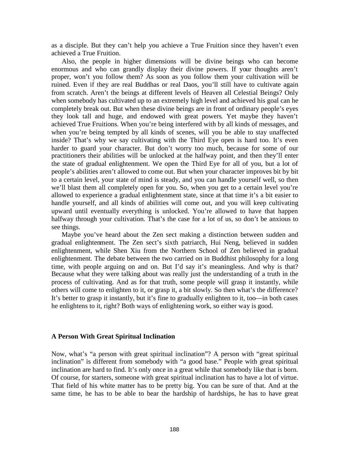as a disciple. But they can't help you achieve a True Fruition since they haven't even achieved a True Fruition.

Also, the people in higher dimensions will be divine beings who can become enormous and who can grandly display their divine powers. If your thoughts aren't proper, won't you follow them? As soon as you follow them your cultivation will be ruined. Even if they are real Buddhas or real Daos, you'll still have to cultivate again from scratch. Aren't the beings at different levels of Heaven all Celestial Beings? Only when somebody has cultivated up to an extremely high level and achieved his goal can he completely break out. But when these divine beings are in front of ordinary people's eyes they look tall and huge, and endowed with great powers. Yet maybe they haven't achieved True Fruitions. When you're being interfered with by all kinds of messages, and when you're being tempted by all kinds of scenes, will you be able to stay unaffected inside? That's why we say cultivating with the Third Eye open is hard too. It's even harder to guard your character. But don't worry too much, because for some of our practitioners their abilities will be unlocked at the halfway point, and then they'll enter the state of gradual enlightenment. We open the Third Eye for all of you, but a lot of people's abilities aren't allowed to come out. But when your character improves bit by bit to a certain level, your state of mind is steady, and you can handle yourself well, so then we'll blast them all completely open for you. So, when you get to a certain level you're allowed to experience a gradual enlightenment state, since at that time it's a bit easier to handle yourself, and all kinds of abilities will come out, and you will keep cultivating upward until eventually everything is unlocked. You're allowed to have that happen halfway through your cultivation. That's the case for a lot of us, so don't be anxious to see things.

Maybe you've heard about the Zen sect making a distinction between sudden and gradual enlightenment. The Zen sect's sixth patriarch, Hui Neng, believed in sudden enlightenment, while Shen Xiu from the Northern School of Zen believed in gradual enlightenment. The debate between the two carried on in Buddhist philosophy for a long time, with people arguing on and on. But I'd say it's meaningless. And why is that? Because what they were talking about was really just the understanding of a truth in the process of cultivating. And as for that truth, some people will grasp it instantly, while others will come to enlighten to it, or grasp it, a bit slowly. So then what's the difference? It's better to grasp it instantly, but it's fine to gradually enlighten to it, too—in both cases he enlightens to it, right? Both ways of enlightening work, so either way is good.

## **A Person With Great Spiritual Inclination**

Now, what's "a person with great spiritual inclination"? A person with "great spiritual inclination" is different from somebody with "a good base." People with great spiritual inclination are hard to find. It's only once in a great while that somebody like that is born. Of course, for starters, someone with great spiritual inclination has to have a lot of virtue. That field of his white matter has to be pretty big. You can be sure of that. And at the same time, he has to be able to bear the hardship of hardships, he has to have great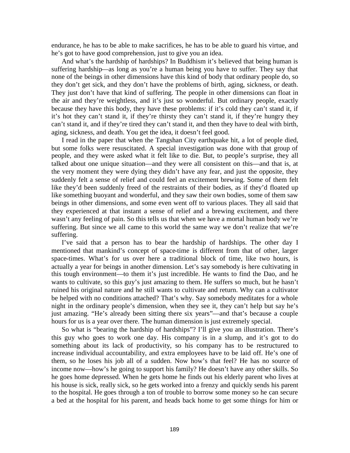endurance, he has to be able to make sacrifices, he has to be able to guard his virtue, and he's got to have good comprehension, just to give you an idea.

And what's the hardship of hardships? In Buddhism it's believed that being human is suffering hardship—as long as you're a human being you have to suffer. They say that none of the beings in other dimensions have this kind of body that ordinary people do, so they don't get sick, and they don't have the problems of birth, aging, sickness, or death. They just don't have that kind of suffering. The people in other dimensions can float in the air and they're weightless, and it's just so wonderful. But ordinary people, exactly because they have this body, they have these problems: if it's cold they can't stand it, if it's hot they can't stand it, if they're thirsty they can't stand it, if they're hungry they can't stand it, and if they're tired they can't stand it, and then they have to deal with birth, aging, sickness, and death. You get the idea, it doesn't feel good.

I read in the paper that when the Tangshan City earthquake hit, a lot of people died, but some folks were resuscitated. A special investigation was done with that group of people, and they were asked what it felt like to die. But, to people's surprise, they all talked about one unique situation—and they were all consistent on this—and that is, at the very moment they were dying they didn't have any fear, and just the opposite, they suddenly felt a sense of relief and could feel an excitement brewing. Some of them felt like they'd been suddenly freed of the restraints of their bodies, as if they'd floated up like something buoyant and wonderful, and they saw their own bodies, some of them saw beings in other dimensions, and some even went off to various places. They all said that they experienced at that instant a sense of relief and a brewing excitement, and there wasn't any feeling of pain. So this tells us that when we have a mortal human body we're suffering. But since we all came to this world the same way we don't realize that we're suffering.

I've said that a person has to bear the hardship of hardships. The other day I mentioned that mankind's concept of space-time is different from that of other, larger space-times. What's for us over here a traditional block of time, like two hours, is actually a year for beings in another dimension. Let's say somebody is here cultivating in this tough environment—to them it's just incredible. He wants to find the Dao, and he wants to cultivate, so this guy's just amazing to them. He suffers so much, but he hasn't ruined his original nature and he still wants to cultivate and return. Why can a cultivator be helped with no conditions attached? That's why. Say somebody meditates for a whole night in the ordinary people's dimension, when they see it, they can't help but say he's just amazing. "He's already been sitting there six years"—and that's because a couple hours for us is a year over there. The human dimension is just extremely special.

So what is "bearing the hardship of hardships"? I'll give you an illustration. There's this guy who goes to work one day. His company is in a slump, and it's got to do something about its lack of productivity, so his company has to be restructured to increase individual accountability, and extra employees have to be laid off. He's one of them, so he loses his job all of a sudden. Now how's that feel? He has no source of income now—how's he going to support his family? He doesn't have any other skills. So he goes home depressed. When he gets home he finds out his elderly parent who lives at his house is sick, really sick, so he gets worked into a frenzy and quickly sends his parent to the hospital. He goes through a ton of trouble to borrow some money so he can secure a bed at the hospital for his parent, and heads back home to get some things for him or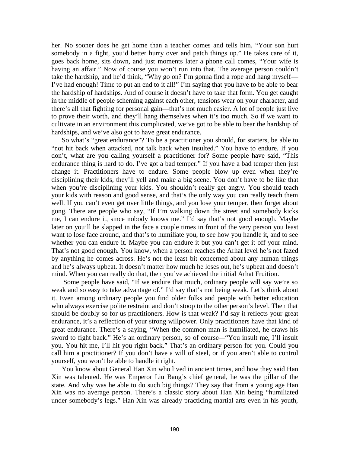her. No sooner does he get home than a teacher comes and tells him, "Your son hurt somebody in a fight, you'd better hurry over and patch things up." He takes care of it, goes back home, sits down, and just moments later a phone call comes, "Your wife is having an affair." Now of course you won't run into that. The average person couldn't take the hardship, and he'd think, "Why go on? I'm gonna find a rope and hang myself— I've had enough! Time to put an end to it all!" I'm saying that you have to be able to bear the hardship of hardships. And of course it doesn't have to take that form. You get caught in the middle of people scheming against each other, tensions wear on your character, and there's all that fighting for personal gain—that's not much easier. A lot of people just live to prove their worth, and they'll hang themselves when it's too much. So if we want to cultivate in an environment this complicated, we've got to be able to bear the hardship of hardships, and we've also got to have great endurance.

So what's "great endurance"? To be a practitioner you should, for starters, be able to "not hit back when attacked, not talk back when insulted." You have to endure. If you don't, what are you calling yourself a practitioner for? Some people have said, "This endurance thing is hard to do. I've got a bad temper." If you have a bad temper then just change it. Practitioners have to endure. Some people blow up even when they're disciplining their kids, they'll yell and make a big scene. You don't have to be like that when you're disciplining your kids. You shouldn't really get angry. You should teach your kids with reason and good sense, and that's the only way you can really teach them well. If you can't even get over little things, and you lose your temper, then forget about gong. There are people who say, "If I'm walking down the street and somebody kicks me, I can endure it, since nobody knows me." I'd say that's not good enough. Maybe later on you'll be slapped in the face a couple times in front of the very person you least want to lose face around, and that's to humiliate you, to see how you handle it, and to see whether you can endure it. Maybe you can endure it but you can't get it off your mind. That's not good enough. You know, when a person reaches the Arhat level he's not fazed by anything he comes across. He's not the least bit concerned about any human things and he's always upbeat. It doesn't matter how much he loses out, he's upbeat and doesn't mind. When you can really do that, then you've achieved the initial Arhat Fruition.

Some people have said, "If we endure that much, ordinary people will say we're so weak and so easy to take advantage of." I'd say that's not being weak. Let's think about it. Even among ordinary people you find older folks and people with better education who always exercise polite restraint and don't stoop to the other person's level. Then that should be doubly so for us practitioners. How is that weak? I'd say it reflects your great endurance, it's a reflection of your strong willpower. Only practitioners have that kind of great endurance. There's a saying, "When the common man is humiliated, he draws his sword to fight back." He's an ordinary person, so of course—"You insult me, I'll insult you. You hit me, I'll hit you right back." That's an ordinary person for you. Could you call him a practitioner? If you don't have a will of steel, or if you aren't able to control yourself, you won't be able to handle it right.

You know about General Han Xin who lived in ancient times, and how they said Han Xin was talented. He was Emperor Liu Bang's chief general, he was the pillar of the state. And why was he able to do such big things? They say that from a young age Han Xin was no average person. There's a classic story about Han Xin being "humiliated under somebody's legs." Han Xin was already practicing martial arts even in his youth,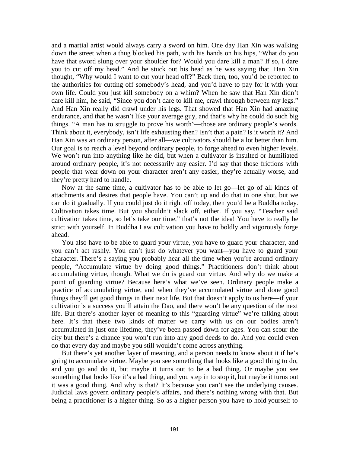and a martial artist would always carry a sword on him. One day Han Xin was walking down the street when a thug blocked his path, with his hands on his hips, "What do you have that sword slung over your shoulder for? Would you dare kill a man? If so, I dare you to cut off my head." And he stuck out his head as he was saying that. Han Xin thought, "Why would I want to cut your head off?" Back then, too, you'd be reported to the authorities for cutting off somebody's head, and you'd have to pay for it with your own life. Could you just kill somebody on a whim? When he saw that Han Xin didn't dare kill him, he said, "Since you don't dare to kill me, crawl through between my legs." And Han Xin really did crawl under his legs. That showed that Han Xin had amazing endurance, and that he wasn't like your average guy, and that's why he could do such big things. "A man has to struggle to prove his worth"—those are ordinary people's words. Think about it, everybody, isn't life exhausting then? Isn't that a pain? Is it worth it? And Han Xin was an ordinary person, after all—we cultivators should be a lot better than him. Our goal is to reach a level beyond ordinary people, to forge ahead to even higher levels. We won't run into anything like he did, but when a cultivator is insulted or humiliated around ordinary people, it's not necessarily any easier. I'd say that those frictions with people that wear down on your character aren't any easier, they're actually worse, and they're pretty hard to handle.

Now at the same time, a cultivator has to be able to let go—let go of all kinds of attachments and desires that people have. You can't up and do that in one shot, but we can do it gradually. If you could just do it right off today, then you'd be a Buddha today. Cultivation takes time. But you shouldn't slack off, either. If you say, "Teacher said cultivation takes time, so let's take our time," that's not the idea! You have to really be strict with yourself. In Buddha Law cultivation you have to boldly and vigorously forge ahead.

You also have to be able to guard your virtue, you have to guard your character, and you can't act rashly. You can't just do whatever you want—you have to guard your character. There's a saying you probably hear all the time when you're around ordinary people, "Accumulate virtue by doing good things." Practitioners don't think about accumulating virtue, though. What we do is guard our virtue. And why do we make a point of guarding virtue? Because here's what we've seen. Ordinary people make a practice of accumulating virtue, and when they've accumulated virtue and done good things they'll get good things in their next life. But that doesn't apply to us here—if your cultivation's a success you'll attain the Dao, and there won't be any question of the next life. But there's another layer of meaning to this "guarding virtue" we're talking about here. It's that these two kinds of matter we carry with us on our bodies aren't accumulated in just one lifetime, they've been passed down for ages. You can scour the city but there's a chance you won't run into any good deeds to do. And you could even do that every day and maybe you still wouldn't come across anything.

But there's yet another layer of meaning, and a person needs to know about it if he's going to accumulate virtue. Maybe you see something that looks like a good thing to do, and you go and do it, but maybe it turns out to be a bad thing. Or maybe you see something that looks like it's a bad thing, and you step in to stop it, but maybe it turns out it was a good thing. And why is that? It's because you can't see the underlying causes. Judicial laws govern ordinary people's affairs, and there's nothing wrong with that. But being a practitioner is a higher thing. So as a higher person you have to hold yourself to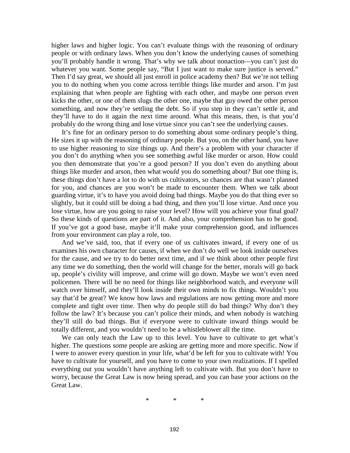higher laws and higher logic. You can't evaluate things with the reasoning of ordinary people or with ordinary laws. When you don't know the underlying causes of something you'll probably handle it wrong. That's why we talk about nonaction—you can't just do whatever you want. Some people say, "But I just want to make sure justice is served." Then I'd say great, we should all just enroll in police academy then? But we're not telling you to do nothing when you come across terrible things like murder and arson. I'm just explaining that when people are fighting with each other, and maybe one person even kicks the other, or one of them slugs the other one, maybe that guy owed the other person something, and now they're settling the debt. So if you step in they can't settle it, and they'll have to do it again the next time around. What this means, then, is that you'd probably do the wrong thing and lose virtue since you can't see the underlying causes.

It's fine for an ordinary person to do something about some ordinary people's thing. He sizes it up with the reasoning of ordinary people. But you, on the other hand, you have to use higher reasoning to size things up. And there's a problem with your character if you don't do anything when you see something awful like murder or arson. How could you then demonstrate that you're a good person? If you don't even do anything about things like murder and arson, then what *would* you do something about? But one thing is, these things don't have a lot to do with us cultivators, so chances are that wasn't planned for you, and chances are you won't be made to encounter them. When we talk about guarding virtue, it's to have you avoid doing bad things. Maybe you do that thing ever so slightly, but it could still be doing a bad thing, and then you'll lose virtue. And once you lose virtue, how are you going to raise your level? How will you achieve your final goal? So these kinds of questions are part of it. And also, your comprehension has to be good. If you've got a good base, maybe it'll make your comprehension good, and influences from your environment can play a role, too.

And we've said, too, that if every one of us cultivates inward, if every one of us examines his own character for causes, if when we don't do well we look inside ourselves for the cause, and we try to do better next time, and if we think about other people first any time we do something, then the world will change for the better, morals will go back up, people's civility will improve, and crime will go down. Maybe we won't even need policemen. There will be no need for things like neighborhood watch, and everyone will watch over himself, and they'll look inside their own minds to fix things. Wouldn't you say that'd be great? We know how laws and regulations are now getting more and more complete and tight over time. Then why do people still do bad things? Why don't they follow the law? It's because you can't police their minds, and when nobody is watching they'll still do bad things. But if everyone were to cultivate inward things would be totally different, and you wouldn't need to be a whistleblower all the time.

We can only teach the Law up to this level. You have to cultivate to get what's higher. The questions some people are asking are getting more and more specific. Now if I were to answer every question in your life, what'd be left for you to cultivate with! You have to cultivate for yourself, and you have to come to your own realizations. If I spelled everything out you wouldn't have anything left to cultivate with. But you don't have to worry, because the Great Law is now being spread, and you can base your actions on the Great Law.

\* \* \*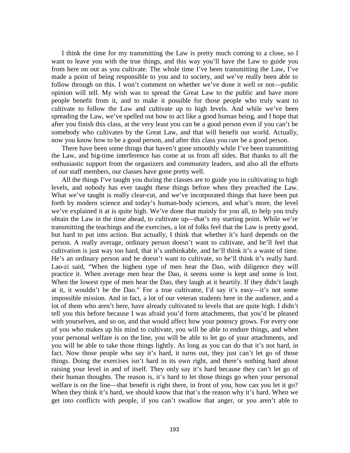I think the time for my transmitting the Law is pretty much coming to a close, so I want to leave you with the true things, and this way you'll have the Law to guide you from here on out as you cultivate. The whole time I've been transmitting the Law, I've made a point of being responsible to you and to society, and we've really been able to follow through on this. I won't comment on whether we've done it well or not—public opinion will tell. My wish was to spread the Great Law to the public and have more people benefit from it, and to make it possible for those people who truly want to cultivate to follow the Law and cultivate up to high levels. And while we've been spreading the Law, we've spelled out how to act like a good human being, and I hope that after you finish this class, at the very least you can be a good person even if you can't be somebody who cultivates by the Great Law, and that will benefit our world. Actually, now you know how to be a good person, and after this class you *can* be a good person.

There have been some things that haven't gone smoothly while I've been transmitting the Law, and big-time interference has come at us from all sides. But thanks to all the enthusiastic support from the organizers and community leaders, and also all the efforts of our staff members, our classes have gone pretty well.

All the things I've taught you during the classes are to guide you in cultivating to high levels, and nobody has ever taught these things before when they preached the Law. What we've taught is really clear-cut, and we've incorporated things that have been put forth by modern science and today's human-body sciences, and what's more, the level we've explained it at is quite high. We've done that mainly for you all, to help you truly obtain the Law in the time ahead, to cultivate up—that's my starting point. While we're transmitting the teachings and the exercises, a lot of folks feel that the Law is pretty good, but hard to put into action. But actually, I think that whether it's hard depends on the person. A really average, ordinary person doesn't want to cultivate, and he'll feel that cultivation is just way too hard, that it's unthinkable, and he'll think it's a waste of time. He's an ordinary person and he doesn't want to cultivate, so he'll think it's really hard. Lao-zi said, "When the highest type of men hear the Dao, with diligence they will practice it. When average men hear the Dao, it seems some is kept and some is lost. When the lowest type of men hear the Dao, they laugh at it heartily. If they didn't laugh at it, it wouldn't be the Dao." For a true cultivator, I'd say it's easy—it's not some impossible mission. And in fact, a lot of our veteran students here in the audience, and a lot of them who aren't here, have already cultivated to levels that are quite high. I didn't tell you this before because I was afraid you'd form attachments, that you'd be pleased with yourselves, and so on, and that would affect how your potency grows. For every one of you who makes up his mind to cultivate, you will be able to endure things, and when your personal welfare is on the line, you will be able to let go of your attachments, and you will be able to take those things lightly. As long as you can do that it's not hard, in fact. Now those people who say it's hard, it turns out, they just can't let go of those things. Doing the exercises isn't hard in its own right, and there's nothing hard about raising your level in and of itself. They only say it's hard because they can't let go of their human thoughts. The reason is, it's hard to let those things go when your personal welfare is on the line—that benefit is right there, in front of you, how can you let it go? When they think it's hard, we should know that that's the reason why it's hard. When we get into conflicts with people, if you can't swallow that anger, or you aren't able to